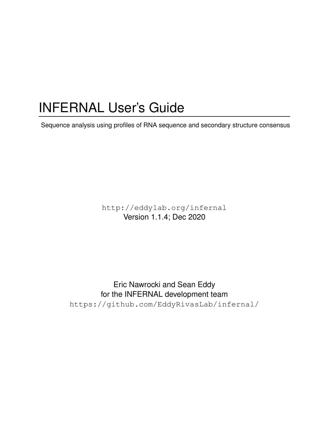# INFERNAL User's Guide

Sequence analysis using profiles of RNA sequence and secondary structure consensus

http://eddylab.org/infernal Version 1.1.4; Dec 2020

Eric Nawrocki and Sean Eddy for the INFERNAL development team https://github.com/EddyRivasLab/infernal/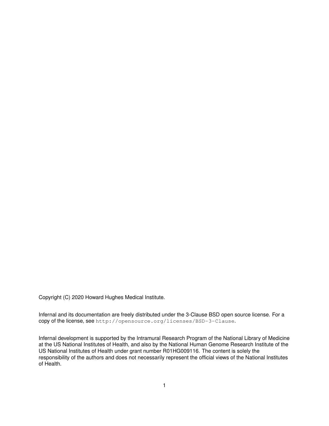Copyright (C) 2020 Howard Hughes Medical Institute.

Infernal and its documentation are freely distributed under the 3-Clause BSD open source license. For a copy of the license, see http://opensource.org/licenses/BSD-3-Clause.

Infernal development is supported by the Intramural Research Program of the National Library of Medicine at the US National Institutes of Health, and also by the National Human Genome Research Institute of the US National Institutes of Health under grant number R01HG009116. The content is solely the responsibility of the authors and does not necessarily represent the official views of the National Institutes of Health.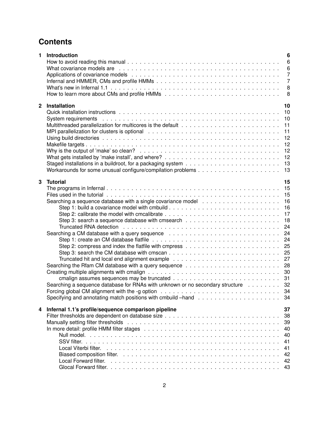# **Contents**

| 1              | <b>Introduction</b>                                                                                                                                                                                                                           | 6<br>6<br>6<br>7<br>7<br>8<br>8                                                              |
|----------------|-----------------------------------------------------------------------------------------------------------------------------------------------------------------------------------------------------------------------------------------------|----------------------------------------------------------------------------------------------|
| $\overline{2}$ | Installation<br>MPI parallelization for clusters is optional recognance and contained and contained and metal-<br>Why is the output of 'make' so clean? $\ldots \ldots \ldots \ldots \ldots \ldots \ldots \ldots \ldots \ldots \ldots \ldots$ | 10<br>10<br>10<br>11<br>11<br>12<br>12<br>12<br>12<br>13<br>13                               |
| 3              | <b>Tutorial</b><br>Searching a CM database with a query sequence<br>Searching a sequence database for RNAs with unknown or no secondary structure 32                                                                                          | 15<br>15<br>15<br>16<br>16<br>17<br>18<br>24<br>24<br>24<br>25<br>25<br>27<br>28<br>30<br>34 |
| 4              | Infernal 1.1's profile/sequence comparison pipeline                                                                                                                                                                                           | 37<br>38<br>39<br>40<br>40<br>41<br>41<br>42<br>42<br>43                                     |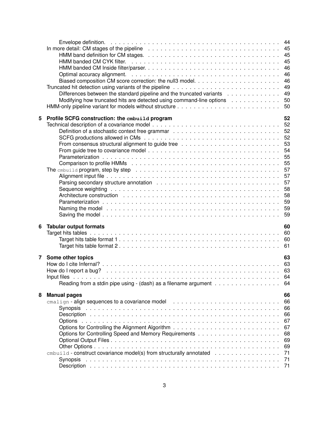|   | In more detail: CM stages of the pipeline $\ldots \ldots \ldots \ldots \ldots \ldots \ldots \ldots \ldots \ldots \ldots \ldots$                                                                                                      | 44<br>45<br>45 |
|---|--------------------------------------------------------------------------------------------------------------------------------------------------------------------------------------------------------------------------------------|----------------|
|   |                                                                                                                                                                                                                                      | 45             |
|   |                                                                                                                                                                                                                                      | 46             |
|   |                                                                                                                                                                                                                                      | 46             |
|   |                                                                                                                                                                                                                                      | 46             |
|   |                                                                                                                                                                                                                                      | 49             |
|   | Differences between the standard pipeline and the truncated variants $\dots \dots \dots \dots$                                                                                                                                       | 49             |
|   | Modifying how truncated hits are detected using command-line options                                                                                                                                                                 | 50             |
|   |                                                                                                                                                                                                                                      | 50             |
| 5 | Profile SCFG construction: the cmbuild program                                                                                                                                                                                       | 52             |
|   |                                                                                                                                                                                                                                      | 52             |
|   |                                                                                                                                                                                                                                      | 52             |
|   |                                                                                                                                                                                                                                      | 52             |
|   |                                                                                                                                                                                                                                      | 53             |
|   |                                                                                                                                                                                                                                      | 54             |
|   |                                                                                                                                                                                                                                      | 55             |
|   |                                                                                                                                                                                                                                      | 55             |
|   |                                                                                                                                                                                                                                      | 57             |
|   |                                                                                                                                                                                                                                      | 57             |
|   |                                                                                                                                                                                                                                      | 57             |
|   | Sequence weighting respectively and the set of the set of the set of the set of the set of the set of the set of the set of the set of the set of the set of the set of the set of the set of the set of the set of the set of       | 58             |
|   |                                                                                                                                                                                                                                      | 58             |
|   |                                                                                                                                                                                                                                      | 59             |
|   | Naming the model enterpreteration of the contract of the contract of the contract of the model of the contract of the model of the model of the model of the model of the model of the model of the model of the model of the        | 59             |
|   |                                                                                                                                                                                                                                      | 59             |
| 6 | <b>Tabular output formats</b>                                                                                                                                                                                                        | 60             |
|   |                                                                                                                                                                                                                                      | 60             |
|   |                                                                                                                                                                                                                                      | 60             |
|   |                                                                                                                                                                                                                                      | 61             |
| 7 | Some other topics                                                                                                                                                                                                                    | 63             |
|   |                                                                                                                                                                                                                                      |                |
|   |                                                                                                                                                                                                                                      |                |
|   | Input files <b>and the second contract of the contract of the second contract of the contract of the contract of the contract of the contract of the contract of the contract of the contract of the contract of the contract of</b> | 64             |
|   | Reading from a stdin pipe using - (dash) as a filename argument                                                                                                                                                                      | 64             |
|   |                                                                                                                                                                                                                                      | 66             |
| 8 | <b>Manual pages</b>                                                                                                                                                                                                                  | 66             |
|   |                                                                                                                                                                                                                                      | 66             |
|   |                                                                                                                                                                                                                                      | 66             |
|   |                                                                                                                                                                                                                                      | 67             |
|   |                                                                                                                                                                                                                                      | 67             |
|   |                                                                                                                                                                                                                                      | 68             |
|   |                                                                                                                                                                                                                                      | 69             |
|   |                                                                                                                                                                                                                                      | 69             |
|   | $cmbuid$ - construct covariance model(s) from structurally annotated $\ldots \ldots \ldots \ldots \ldots$                                                                                                                            | 71             |
|   | Synopsis<br>. In the contract of the contract of the contract of the contract of the contract of the contract of the contract of                                                                                                     | 71             |
|   |                                                                                                                                                                                                                                      |                |
|   |                                                                                                                                                                                                                                      |                |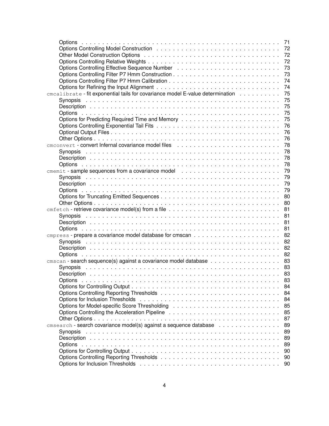|                                                                                                                |  | 71   |
|----------------------------------------------------------------------------------------------------------------|--|------|
|                                                                                                                |  | 72   |
|                                                                                                                |  | 72   |
|                                                                                                                |  | 72   |
| Options Controlling Effective Sequence Number (Albert Albert Albert Albert Albert Albert Albert Albert Albert  |  | 73   |
|                                                                                                                |  | 73   |
|                                                                                                                |  | 74   |
|                                                                                                                |  | 74   |
| cmcalibrate - fit exponential tails for covariance model E-value determination                                 |  | 75   |
|                                                                                                                |  | 75   |
|                                                                                                                |  | 75   |
|                                                                                                                |  |      |
|                                                                                                                |  | 75   |
|                                                                                                                |  | 75   |
|                                                                                                                |  | 76   |
|                                                                                                                |  | 76   |
|                                                                                                                |  | 76   |
|                                                                                                                |  | 78   |
|                                                                                                                |  | 78   |
|                                                                                                                |  | 78   |
|                                                                                                                |  | 78   |
|                                                                                                                |  | 79   |
|                                                                                                                |  | 79   |
|                                                                                                                |  | 79   |
|                                                                                                                |  | 79   |
|                                                                                                                |  | 80   |
|                                                                                                                |  | 80   |
|                                                                                                                |  | 81   |
|                                                                                                                |  | 81   |
|                                                                                                                |  | 81   |
|                                                                                                                |  | 81   |
|                                                                                                                |  | 82   |
|                                                                                                                |  | 82   |
|                                                                                                                |  | 82   |
|                                                                                                                |  | 82   |
|                                                                                                                |  |      |
|                                                                                                                |  | 83   |
|                                                                                                                |  | 83   |
|                                                                                                                |  | - 83 |
|                                                                                                                |  | 83   |
|                                                                                                                |  | 84   |
|                                                                                                                |  | 84   |
|                                                                                                                |  | 84   |
|                                                                                                                |  | 85   |
| Options Controlling the Acceleration Pipeline response to response the controlling the Acceleration Pipeline r |  | 85   |
|                                                                                                                |  | 87   |
| cmsearch - search covariance model(s) against a sequence database                                              |  | 89   |
| Synopsis                                                                                                       |  | 89   |
|                                                                                                                |  | 89   |
|                                                                                                                |  | 89   |
|                                                                                                                |  | 90   |
|                                                                                                                |  | 90   |
|                                                                                                                |  | 90   |
|                                                                                                                |  |      |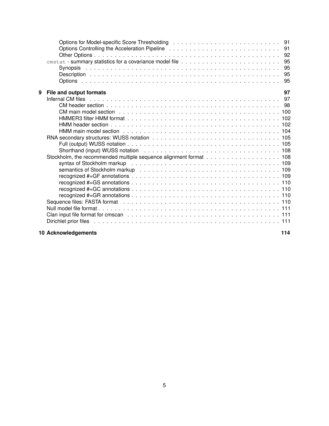| 9 | 97<br>File and output formats                                                                                 |  |
|---|---------------------------------------------------------------------------------------------------------------|--|
|   |                                                                                                               |  |
|   |                                                                                                               |  |
|   |                                                                                                               |  |
|   |                                                                                                               |  |
|   |                                                                                                               |  |
|   | HMM main model section et al., et al., et al., et al., et al., et al., et al., et al., et al., et al., et al. |  |
|   |                                                                                                               |  |
|   |                                                                                                               |  |
|   |                                                                                                               |  |
|   |                                                                                                               |  |
|   |                                                                                                               |  |
|   |                                                                                                               |  |
|   |                                                                                                               |  |
|   |                                                                                                               |  |
|   |                                                                                                               |  |
|   |                                                                                                               |  |
|   |                                                                                                               |  |
|   |                                                                                                               |  |
|   |                                                                                                               |  |
|   |                                                                                                               |  |
|   |                                                                                                               |  |
|   |                                                                                                               |  |

# **10 Acknowledgements 114**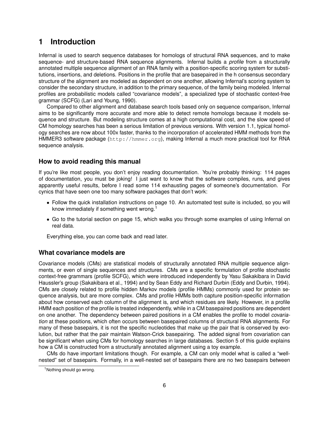# **1 Introduction**

Infernal is used to search sequence databases for homologs of structural RNA sequences, and to make sequence- and structure-based RNA sequence alignments. Infernal builds a *profile* from a structurally annotated multiple sequence alignment of an RNA family with a position-specific scoring system for substitutions, insertions, and deletions. Positions in the profile that are basepaired in the h consensus secondary structure of the alignment are modeled as dependent on one another, allowing Infernal's scoring system to consider the secondary structure, in addition to the primary sequence, of the family being modeled. Infernal profiles are probabilistic models called "covariance models", a specialized type of stochastic context-free grammar (SCFG) (Lari and Young, 1990).

Compared to other alignment and database search tools based only on sequence comparison, Infernal aims to be significantly more accurate and more able to detect remote homologs because it models sequence and structure. But modeling structure comes at a high computational cost, and the slow speed of CM homology searches has been a serious limitation of previous versions. With version 1.1, typical homology searches are now about 100x faster, thanks to the incorporation of accelerated HMM methods from the HMMER3 software package (http://hmmer.org), making Infernal a much more practical tool for RNA sequence analysis.

# **How to avoid reading this manual**

If you're like most people, you don't enjoy reading documentation. You're probably thinking: 114 pages of documentation, you must be joking! I just want to know that the software compiles, runs, and gives apparently useful results, before I read some 114 exhausting pages of someone's documentation. For cynics that have seen one too many software packages that don't work:

- Follow the quick installation instructions on page 10. An automated test suite is included, so you will know immediately if something went wrong.<sup>1</sup>
- Go to the tutorial section on page 15, which walks you through some examples of using Infernal on real data.

Everything else, you can come back and read later.

# **What covariance models are**

Covariance models (CMs) are statistical models of structurally annotated RNA multiple sequence alignments, or even of single sequences and structures. CMs are a specific formulation of profile stochastic context-free grammars (profile SCFG), which were introduced independently by Yasu Sakakibara in David Haussler's group (Sakakibara et al., 1994) and by Sean Eddy and Richard Durbin (Eddy and Durbin, 1994). CMs are closely related to profile hidden Markov models (profile HMMs) commonly used for protein sequence analysis, but are more complex. CMs and profile HMMs both capture position-specific information about how conserved each column of the alignment is, and which residues are likely. However, in a profile HMM each position of the profile is treated independently, while in a CM basepaired positions are dependent on one another. The dependency between paired positions in a CM enables the profile to model *covariation* at these positions, which often occurs between basepaired columns of structural RNA alignments. For many of these basepairs, it is not the specific nucleotides that make up the pair that is conserved by evolution, but rather that the pair maintain Watson-Crick basepairing. The added signal from covariation can be significant when using CMs for homology searches in large databases. Section 5 of this guide explains how a CM is constructed from a structurally annotated alignment using a toy example.

CMs do have important limitations though. For example, a CM can only model what is called a "wellnested" set of basepairs. Formally, in a well-nested set of basepairs there are no two basepairs between

<sup>1</sup>Nothing should go wrong.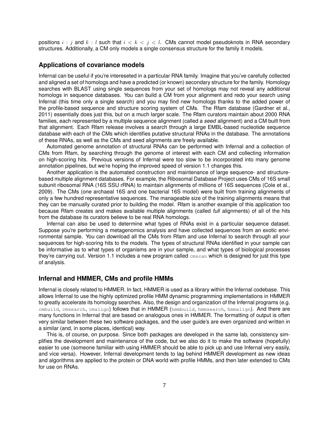positions  $i : j$  and  $k : l$  such that  $i < k < j < l$ . CMs cannot model pseudoknots in RNA secondary structures. Additionally, a CM only models a single consensus structure for the family it models.

# **Applications of covariance models**

Infernal can be useful if you're intereseted in a particular RNA family. Imagine that you've carefully collected and aligned a set of homologs and have a predicted (or known) secondary structure for the family. Homology searches with BLAST using single sequences from your set of homologs may not reveal any additional homologs in sequence databases. You can build a CM from your alignment and redo your search using Infernal (this time only a single search) and you may find new homologs thanks to the added power of the profile-based sequence and structure scoring system of CMs. The Rfam database (Gardner et al., 2011) essentially does just this, but on a much larger scale. The Rfam curators maintain about 2000 RNA families, each represented by a multiple sequence alignment (called a *seed* alignment) and a CM built from that alignment. Each Rfam release involves a search through a large EMBL-based nucleotide sequence database with each of the CMs which identifies putative structural RNAs in the database. The annotations of these RNAs, as well as the CMs and seed alignments are freely available.

Automated genome annotation of structural RNAs can be performed with Infernal and a collection of CMs from Rfam, by searching through the genome of interest with each CM and collecting information on high-scoring hits. Previous versions of Infernal were too slow to be incorporated into many genome annotation pipelines, but we're hoping the improved speed of version 1.1 changes this.

Another application is the automated construction and maintenance of large sequence- and structurebased multiple alignment databases. For example, the Ribosomal Database Project uses CMs of 16S small subunit ribosomal RNA (16S SSU rRNA) to maintain alignments of millions of 16S sequences (Cole et al., 2009). The CMs (one archaeal 16S and one bacterial 16S model) were built from training alignments of only a few hundred representative sequences. The manageable size of the training alignments means that they can be manually curated prior to building the model. Rfam is another example of this application too because Rfam creates and makes available multiple alignments (called *full* alignments) of all of the hits from the database its curators believe to be real RNA homologs.

Infernal can also be used to determine what types of RNAs exist in a particular sequence dataset. Suppose you're performing a metagenomics analysis and have collected sequences from an exotic environmental sample. You can download all the CMs from Rfam and use Infernal to search through all your sequences for high-scoring hits to the models. The types of structural RNAs identified in your sample can be informative as to what types of organisms are in your sample, and what types of biological processes they're carrying out. Version 1.1 includes a new program called cmscan which is designed for just this type of analysis.

# **Infernal and HMMER, CMs and profile HMMs**

Infernal is closely related to HMMER. In fact, HMMER is used as a library within the Infernal codebase. This allows Infernal to use the highly optimized profile HMM dynamic programming implementations in HMMER to greatly accelerate its homology searches. Also, the design and organization of the Infernal programs (e.g. cmbuild, cmsearch, cmalign) follows that in HMMER (hmmbuild, hmmsearch, hmmalign). And there are many functions in Infernal that are based on analogous ones in HMMER. The formatting of output is often very similar between these two software packages, and the user guide's are even organized and written in a similar (and, in some places, identical) way.

This is, of course, on purpose. Since both packages are developed in the same lab, consistency simplifies the development and maintenance of the code, but we also do it to make the software (hopefully) easier to use (someone familiar with using HMMER should be able to pick up and use Infernal very easily, and vice versa). However, Infernal development tends to lag behind HMMER development as new ideas and algorithms are applied to the protein or DNA world with profile HMMs, and then later extended to CMs for use on RNAs.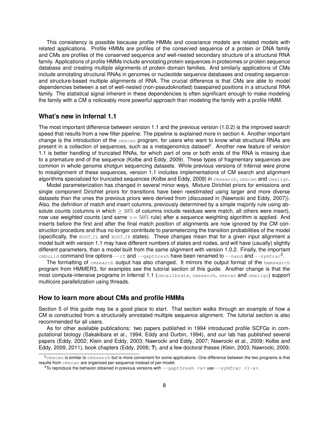This consistency is possible because profile HMMs and covariance models are related models with related applications. Profile HMMs are profiles of the conserved sequence of a protein or DNA family and CMs are profiles of the conserved sequence *and* well-nested secondary structure of a structural RNA family. Applications of profile HMMs include annotating protein sequences in proteomes or protein sequence database and creating multiple alignments of protein domain families. And similarly applications of CMs include annotating structural RNAs in genomes or nucleotide sequence databases and creating sequenceand structure-based multiple alignments of RNA. The crucial difference is that CMs are able to model dependencies between a set of well-nested (non-pseudoknotted) basepaired positions in a structural RNA family. The statistical signal inherent in these dependencies is often significant enough to make modeling the family with a CM a noticeably more powerful approach than modeling the family with a profile HMM.

## **What's new in Infernal 1.1**

The most important difference between version 1.1 and the previous version (1.0.2) is the improved search speed that results from a new filter pipeline. The pipeline is explained more in section 4. Another important change is the introduction of the cmscan program, for users who want to know what structural RNAs are present in a collection of sequences, such as a metagenomics dataset<sup>2</sup>. Another new feature of version 1.1 is better handling of truncated RNAs, for which part of one or both ends of the RNA is missing due to a premature end of the sequence (Kolbe and Eddy, 2009). These types of fragmentary sequences are common in whole genome shotgun sequencing datasets. While previous versions of Infernal were prone to misalignment of these sequences, version 1.1 includes implementations of CM search and alignment algorithms specialized for truncated sequences (Kolbe and Eddy, 2009) in emsearch, emscan and emalign.

Model parameterization has changed in several minor ways. Mixture Dirichlet priors for emissions and single component Dirichlet priors for transitions have been reestimated using larger and more diverse datasets than the ones the previous priors were derived from (discussed in (Nawrocki and Eddy, 2007)). Also, the definition of match and insert columns, previously determined by a simple majority rule using absolute counts (columns in which  $\geq 50\%$  of columns include residues were match, all others were insert), now use *weighted* counts (and same >= 50% rule) after a sequence weighting algorithm is applied. And inserts before the first and after the final match position of alignments are now ignored by the CM construction procedure and thus no longer contribute to parameterizing the transition probabilities of the model (specifically, the ROOTLIL and ROOTLIR states). These changes mean that for a given input alignment a model built with version 1.1 may have different numbers of states and nodes, and will have (usually) slightly different parameters, than a model built from the same alignment with version 1.0.2. Finally, the important <code>cmbuild</code> <code>command</code> line options --rf and --gapthresh <code>have</code> been renamed to --hand <code>and --symfrac $^3.$ </code>

The formatting of cmsearch output has also changed. It mirrors the output format of the hmmsearch program from HMMER3, for examples see the tutorial section of this guide. Another change is that the most compute-intensive programs in Infernal 1.1 (cmcalibrate, cmsearch, cmscan and cmalign) support multicore parallelization using threads.

#### **How to learn more about CMs and profile HMMs**

Section 5 of this guide may be a good place to start. That section walks through an example of how a CM is constructed from a structurally annotated multiple sequence alignment. The tutorial section is also recommended for all users.

As for other available publications: two papers published in 1994 introduced profile SCFGs in computational biology (Sakakibara et al., 1994; Eddy and Durbin, 1994), and our lab has published several papers (Eddy, 2002; Klein and Eddy, 2003; Nawrocki and Eddy, 2007; Nawrocki et al., 2009; Kolbe and Eddy, 2009, 2011), book chapters (Eddy, 2006; **?**), and a few doctoral theses (Klein, 2003; Nawrocki, 2009;

<sup>2</sup>cmscan is similar to cmsearch but is more convenient for some applications. One difference between the two programs is that results from cmscan are organized per-sequence instead of per-model.

<sup>&</sup>lt;sup>3</sup>To reproduce the behavior obtained in previous versions with  $-\text{qapthresh}$  <x> use  $-\text{symfrac}$  <  $\langle 1-x\rangle$ .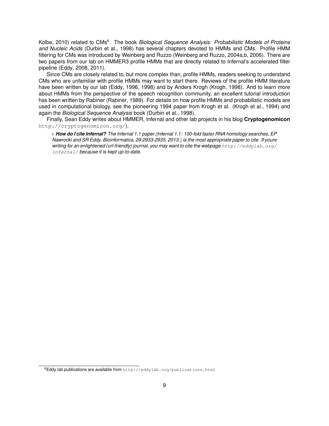Kolbe, 2010) related to CMs<sup>4</sup>. The book *Biological Sequence Analysis: Probabilistic Models of Proteins and Nucleic Acids* (Durbin et al., 1998) has several chapters devoted to HMMs and CMs. Profile HMM filtering for CMs was introduced by Weinberg and Ruzzo (Weinberg and Ruzzo, 2004a,b, 2006). There are two papers from our lab on HMMER3 profile HMMs that are directly related to Infernal's accelerated filter pipeline (Eddy, 2008, 2011).

Since CMs are closely related to, but more complex than, profile HMMs, readers seeking to understand CMs who are unfamiliar with profile HMMs may want to start there. Reviews of the profile HMM literature have been written by our lab (Eddy, 1996, 1998) and by Anders Krogh (Krogh, 1998). And to learn more about HMMs from the perspective of the speech recognition community, an excellent tutorial introduction has been written by Rabiner (Rabiner, 1989). For details on how profile HMMs and probabilistic models are used in computational biology, see the pioneering 1994 paper from Krogh et al. (Krogh et al., 1994) and again the *Biological Sequence Analysis* book (Durbin et al., 1998).

Finally, Sean Eddy writes about HMMER, Infernal and other lab projects in his blog **Cryptogenomicon** http://cryptogenomicon.org/).

. *How do I cite Infernal? The Infernal 1.1 paper (Infernal 1.1: 100-fold faster RNA homology searches, EP Nawrocki and SR Eddy. Bioinformatics, 29:2933-2935, 2013.) is the most appropriate paper to cite. If youre* writing for an enlightened (url-friendly) journal, you may want to cite the webpage http://eddylab.org/ infernal/ *because it is kept up-to-date.*

<sup>4</sup>Eddy lab publications are available from http://eddylab.org/publications.html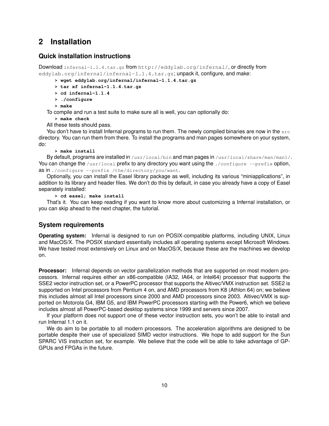# **2 Installation**

# **Quick installation instructions**

Download infernal-1.1.4.tar.gz from http://eddylab.org/infernal/, or directly from eddylab.org/infernal/infernal-1.1.4.tar.gz; unpack it, configure, and make:

**> wget eddylab.org/infernal/infernal-1.1.4.tar.gz**

**> tar xf infernal-1.1.4.tar.gz**

- **> cd infernal-1.1.4**
- **> ./configure**

**> make**

To compile and run a test suite to make sure all is well, you can optionally do:

**> make check**

All these tests should pass.

You don't have to install Infernal programs to run them. The newly compiled binaries are now in the  $src$ directory. You can run them from there. To install the programs and man pages somewhere on your system, do:

#### **> make install**

By default, programs are installed in /usr/local/bin and man pages in /usr/local/share/man/man1/. You can change the /usr/local prefix to any directory you want using the ./configure --prefix option, as in ./configure --prefix /the/directory/you/want.

Optionally, you can install the Easel library package as well, including its various "miniapplications", in addition to its library and header files. We don't do this by default, in case you already have a copy of Easel separately installed:

**> cd easel; make install**

That's it. You can keep reading if you want to know more about customizing a Infernal installation, or you can skip ahead to the next chapter, the tutorial.

# **System requirements**

**Operating system:** Infernal is designed to run on POSIX-compatible platforms, including UNIX, Linux and MacOS/X. The POSIX standard essentially includes all operating systems except Microsoft Windows. We have tested most extensively on Linux and on MacOS/X, because these are the machines we develop on.

**Processor:** Infernal depends on vector parallelization methods that are supported on most modern processors. Infernal requires either an x86-compatible (IA32, IA64, or Intel64) processor that supports the SSE2 vector instruction set, or a PowerPC processor that supports the Altivec/VMX instruction set. SSE2 is supported on Intel processors from Pentium 4 on, and AMD processors from K8 (Athlon 64) on; we believe this includes almost all Intel processors since 2000 and AMD processors since 2003. Altivec/VMX is supported on Motorola G4, IBM G5, and IBM PowerPC processors starting with the Power6, which we believe includes almost all PowerPC-based desktop systems since 1999 and servers since 2007.

If your platform does not support one of these vector instruction sets, you won't be able to install and run Infernal 1.1 on it.

We do aim to be portable to all modern processors. The acceleration algorithms are designed to be portable despite their use of specialized SIMD vector instructions. We hope to add support for the Sun SPARC VIS instruction set, for example. We believe that the code will be able to take advantage of GP-GPUs and FPGAs in the future.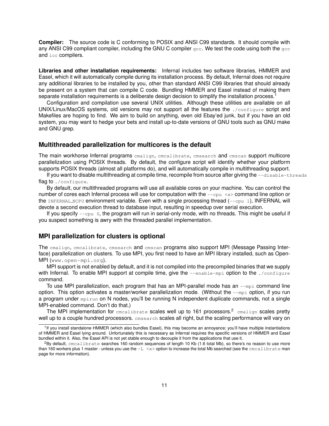**Compiler:** The source code is C conforming to POSIX and ANSI C99 standards. It should compile with any ANSI C99 compliant compiler, including the GNU C compiler  $qcc$ . We test the code using both the  $qcc$ and icc compilers.

**Libraries and other installation requirements:** Infernal includes two software libraries, HMMER and Easel, which it will automatically compile during its installation process. By default, Infernal does not require any additional libraries to be installed by you, other than standard ANSI C99 libraries that should already be present on a system that can compile C code. Bundling HMMER and Easel instead of making them separate installation requirements is a deliberate design decision to simplify the installation process.<sup>1</sup>

Configuration and compilation use several UNIX utilities. Although these utilities are available on all UNIX/Linux/MacOS systems, old versions may not support all the features the ./configure script and Makefiles are hoping to find. We aim to build on anything, even old Ebay'ed junk, but if you have an old system, you may want to hedge your bets and install up-to-date versions of GNU tools such as GNU make and GNU grep.

# **Multithreaded parallelization for multicores is the default**

The main workhorse Infernal programs cmalign, cmcalibrate, cmsearch and cmscan support multicore parallelization using POSIX threads. By default, the configure script will identify whether your platform supports POSIX threads (almost all platforms do), and will automatically compile in multithreading support.

If you want to disable multithreading at compile time, recompile from source after giving the  $-\text{distance}$ flag to ./configure.

By default, our multithreaded programs will use all available cores on your machine. You can control the number of cores each Infernal process will use for computation with the  $-\text{cpu} \ll \text{sym}$  command line option or the INFERNAL NCPU environment variable. Even with a single processing thread  $(-\text{cpu } 1)$ , INFERNAL will devote a second execution thread to database input, resulting in speedup over serial execution.

If you specify  $-\text{cpu}$  0, the program will run in serial-only mode, with no threads. This might be useful if you suspect something is awry with the threaded parallel implementation.

# **MPI parallelization for clusters is optional**

The cmalign, cmcalibrate, cmsearch and cmscan programs also support MPI (Message Passing Interface) parallelization on clusters. To use MPI, you first need to have an MPI library installed, such as Open-MPI (www.open-mpi.org).

MPI support is not enabled by default, and it is not compiled into the precompiled binaries that we supply with Infernal. To enable MPI support at compile time, give the --enable-mpi option to the ./configure command.

To use MPI parallelization, each program that has an MPI-parallel mode has an  $\text{-mpi}$  command line option. This option activates a master/worker parallelization mode. (Without the  $\text{-mpi}$  option, if you run a program under mpirun on N nodes, you'll be running N independent duplicate commands, not a single MPI-enabled command. Don't do that.)

The MPI implementation for cmcalibrate scales well up to 161 processors.<sup>2</sup> cmalign scales pretty well up to a couple hundred processors. **cmsearch** scales all right, but the scaling performance will vary on

<sup>&</sup>lt;sup>1</sup>If you install standalone HMMER (which also bundles Easel), this may become an annoyance; you'll have multiple instantiations of HMMER and Easel lying around. Unfortunately this is necessary as Infernal requires the specific versions of HMMER and Easel bundled within it. Also, the Easel API is not yet stable enough to decouple it from the applications that use it.

 ${}^{2}$ By default, cmcalibrate searches 160 random sequences of length 10 Kb (1.6 total Mb), so there's no reason to use more than 160 workers plus 1 master - unless you use the  $-L < x >$  option to increase the total Mb searched (see the cmcalibrate man page for more information).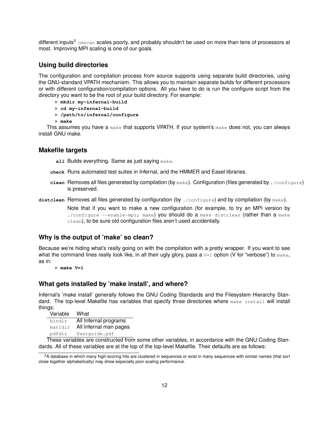different inputs $3 \text{ cm}$ scan scales poorly, and probably shouldn't be used on more than tens of processors at most. Improving MPI scaling is one of our goals.

# **Using build directories**

The configuration and compilation process from source supports using separate build directories, using the GNU-standard VPATH mechanism. This allows you to maintain separate builds for different processors or with different configuration/compilation options. All you have to do is run the configure script from the directory you want to be the root of your build directory. For example:

- **> mkdir my-infernal-build**
- **> cd my-infernal-build**
- **> /path/to/infernal/configure**
- **> make**

This assumes you have a make that supports VPATH. If your system's make does not, you can always install GNU make.

# **Makefile targets**

**all Builds everything. Same as just saying make.** 

- **check** Runs automated test suites in Infernal, and the HMMER and Easel libraries.
- **clean** Removes all files generated by compilation (by make). Configuration (files generated by ./configure) is preserved.
- distclean Removes all files generated by configuration (by ./configure) and by compilation (by make).

Note that if you want to make a new configuration (for example, to try an MPI version by ./configure --enable-mpi; make) you should do a make distclean (rather than a make clean), to be sure old configuration files aren't used accidentally.

# **Why is the output of 'make' so clean?**

Because we're hiding what's really going on with the compilation with a pretty wrapper. If you want to see what the command lines really look like, in all their ugly glory, pass a  $v=1$  option (V for "verbose") to  $\text{make}$ , as in:

**> make V=1**

# **What gets installed by 'make install', and where?**

Infernal's 'make install' generally follows the GNU Coding Standards and the Filesystem Hierarchy Standard. The top-level Makefile has variables that specify three directories where make install will install things:

| Variable | What                   |
|----------|------------------------|
| bindir   | All Infernal programs  |
| manldir  | All Infernal man pages |
| pdfdir   | Userquide.pdf          |

These variables are constructed from some other variables, in accordance with the GNU Coding Standards. All of these variables are at the top of the top-level Makefile. Their defaults are as follows:

<sup>3</sup>A database in which many high-scoring hits are clustered in sequences or exist in many sequences with similar names (that sort close together alphabetically) may show especially poor scaling performance.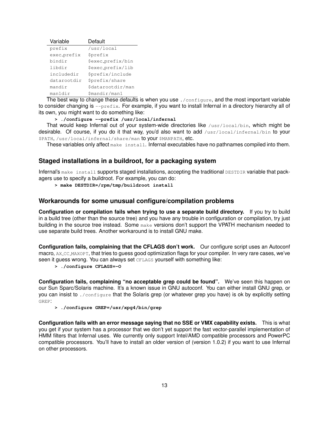| Variable    | Default                |
|-------------|------------------------|
| prefix      | /usr/local             |
| exec_prefix | <i><b>\$prefix</b></i> |
| bindir      | \$exec_prefix/bin      |
| libdir      | \$exec_prefix/lib      |
| includedir  | \$prefix/include       |
| datarootdir | \$prefix/share         |
| mandir      | \$datarootdir/man      |
| manldir     | \$mandir/man1          |

The best way to change these defaults is when you use ./configure, and the most important variable to consider changing is  $-\text{prefix}$ . For example, if you want to install Infernal in a directory hierarchy all of its own, you might want to do something like:

**> ./configure --prefix /usr/local/infernal**

That would keep Infernal out of your system-wide directories like  $/$ usr $/$ local $/$ bin, which might be desirable. Of course, if you do it that way, you'd also want to add /usr/local/infernal/bin to your \$PATH, /usr/local/infernal/share/man to your \$MANPATH, etc.

These variables only affect make install. Infernal executables have no pathnames compiled into them.

# **Staged installations in a buildroot, for a packaging system**

Infernal's make install supports staged installations, accepting the traditional DESTDIR variable that packagers use to specify a buildroot. For example, you can do:

**> make DESTDIR=/rpm/tmp/buildroot install**

# **Workarounds for some unusual configure/compilation problems**

**Configuration or compilation fails when trying to use a separate build directory.** If you try to build in a build tree (other than the source tree) and you have any trouble in configuration or compilation, try just building in the source tree instead. Some make versions don't support the VPATH mechanism needed to use separate build trees. Another workaround is to install GNU make.

**Configuration fails, complaining that the CFLAGS don't work.** Our configure script uses an Autoconf macro, AX CC MAXOPT, that tries to guess good optimization flags for your compiler. In very rare cases, we've seen it guess wrong. You can always set CFLAGS yourself with something like:

**> ./configure CFLAGS=-O**

**Configuration fails, complaining "no acceptable grep could be found".** We've seen this happen on our Sun Sparc/Solaris machine. It's a known issue in GNU autoconf. You can either install GNU grep, or you can insist to . /configure that the Solaris grep (or whatever grep you have) is ok by explicitly setting GREP:

#### **> ./configure GREP=/usr/xpg4/bin/grep**

**Configuration fails with an error message saying that no SSE or VMX capability exists.** This is what you get if your system has a processor that we don't yet support the fast vector-parallel implementation of HMM filters that Infernal uses. We currently only support Intel/AMD compatible processors and PowerPC compatible processors. You'll have to install an older version of (version 1.0.2) if you want to use Infernal on other processors.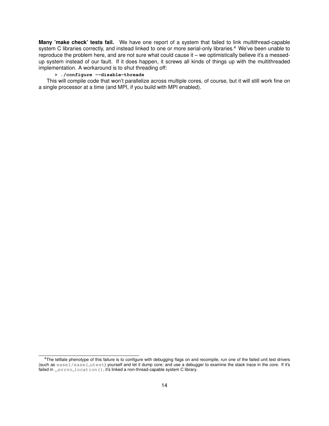**Many 'make check' tests fail.** We have one report of a system that failed to link multithread-capable system C libraries correctly, and instead linked to one or more serial-only libraries.<sup>4</sup> We've been unable to reproduce the problem here, and are not sure what could cause it – we optimistically believe it's a messedup system instead of our fault. If it does happen, it screws all kinds of things up with the multithreaded implementation. A workaround is to shut threading off:

## **> ./configure --disable-threads**

This will compile code that won't parallelize across multiple cores, of course, but it will still work fine on a single processor at a time (and MPI, if you build with MPI enabled).

<sup>&</sup>lt;sup>4</sup>The telltale phenotype of this failure is to configure with debugging flags on and recompile, run one of the failed unit test drivers (such as easel/easel utest) yourself and let it dump core; and use a debugger to examine the stack trace in the core. If it's failed in \_\_errno\_location(), it's linked a non-thread-capable system C library.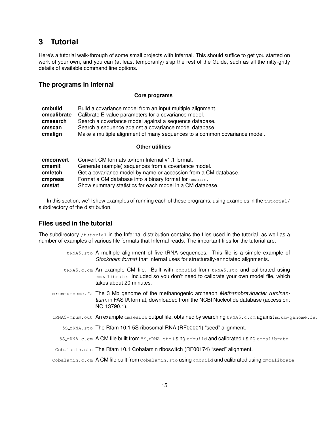# **3 Tutorial**

Here's a tutorial walk-through of some small projects with Infernal. This should suffice to get you started on work of your own, and you can (at least temporarily) skip the rest of the Guide, such as all the nitty-gritty details of available command line options.

# **The programs in Infernal**

#### **Core programs**

| cmbuild     | Build a covariance model from an input multiple alignment.                |
|-------------|---------------------------------------------------------------------------|
| cmcalibrate | Calibrate E-value parameters for a covariance model.                      |
| cmsearch    | Search a covariance model against a sequence database.                    |
| cmscan      | Search a sequence against a covariance model database.                    |
| cmalign     | Make a multiple alignment of many sequences to a common covariance model. |
|             |                                                                           |

#### **Other utilities**

| cmconvert | Convert CM formats to/from Infernal v1.1 format.                |
|-----------|-----------------------------------------------------------------|
| cmemit    | Generate (sample) sequences from a covariance model.            |
| cmfetch   | Get a covariance model by name or accession from a CM database. |
| cmpress   | Format a CM database into a binary format for cmscan.           |
| cmstat    | Show summary statistics for each model in a CM database.        |

In this section, we'll show examples of running each of these programs, using examples in the  $\text{tutoff}$ subdirectory of the distribution.

# **Files used in the tutorial**

The subdirectory /tutorial in the Infernal distribution contains the files used in the tutorial, as well as a number of examples of various file formats that Infernal reads. The important files for the tutorial are:

- $t$ RNA5.sto A multiple alignment of five tRNA sequences. This file is a simple example of *Stockholm format* that Infernal uses for structurally-annotated alignments.
- tRNA5.c.cm An example CM file. Built with embuild from tRNA5.sto and calibrated using cmcalibrate. Included so you don't need to calibrate your own model file, which takes about 20 minutes.
- mrum-genome.fa The 3 Mb genome of the methanogenic archeaon *Methanobrevibacter ruminantium*, in FASTA format, downloaded from the NCBI Nucleotide database (accession: NC 13790.1).
- tRNA5-mrum.out An example cmsearch output file, obtained by searching tRNA5.c.cm against mrum-genome.fa.
	- 5S\_rRNA.sto The Rfam 10.1 5S ribosomal RNA (RF00001) "seed" alignment.
	- 5S\_rRNA.c.cm A CM file built from 5S\_rRNA.sto using embuild and calibrated using emcalibrate.
- Cobalamin.sto The Rfam 10.1 Cobalamin riboswitch (RF00174) "seed" alignment.
- Cobalamin.c.cm A CM file built from Cobalamin.sto using embuild and calibrated using emcalibrate.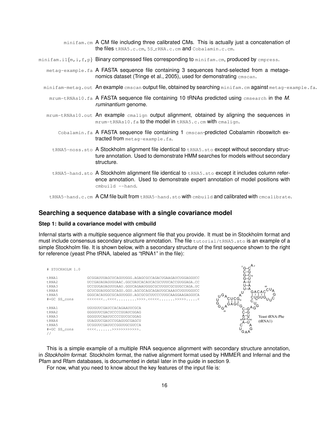| $minifam.cm$ A CM file including three calibrated CMs. This is actually just a concatenation of<br>the files tRNA5.c.cm, 5S_rRNA.c.cm and Cobalamin.c.cm.                                              |
|--------------------------------------------------------------------------------------------------------------------------------------------------------------------------------------------------------|
| $\min$ ifam.il $\{m, i, f, p\}$ Binary compressed files corresponding to $\min$ ifam.cm, produced by cmpress.                                                                                          |
| metag-example.fa A FASTA sequence file containing 3 sequences hand-selected from a metage-<br>nomics dataset (Tringe et al., 2005), used for demonstrating cmscan.                                     |
| minifam-metag.out An example cmscan output file, obtained by searching minifam.cm against metag-example.fa.                                                                                            |
| mrum-tRNAs10.fa A FASTA sequence file containing 10 tRNAs predicted using emsearch in the M.<br>ruminantium genome.                                                                                    |
| mrum-tRNAs10.out An example cmalign output alignment, obtained by aligning the sequences in<br>mrum-tRNAs10. fa to the model in tRNA5.c.cm with cmalign.                                               |
| Cobalamin. fa A FASTA sequence file containing 1 cmscan-predicted Cobalamin riboswitch ex-<br>tracted from metag-example.fa.                                                                           |
| tRNA5-noss.sto A Stockholm alignment file identical to tRNA5.sto except without secondary struc-<br>ture annotation. Used to demonstrate HMM searches for models without secondary<br>structure.       |
| tRNA5-hand.sto A Stockholm alignment file identical to tRNA5.sto except it includes column refer-<br>ence annotation. Used to demonstrate expert annotation of model positions with<br>cmbuild --hand. |
| tRNA5-hand.c.cm A CM file built from tRNA5-hand.sto with embuild and calibrated with emealibrate.                                                                                                      |

# **Searching a sequence database with a single covariance model**

## **Step 1: build a covariance model with cmbuild**

Infernal starts with a multiple sequence alignment file that you provide. It must be in Stockholm format and must include consensus secondary structure annotation. The file tutorial/tRNA5.sto is an example of a simple Stockholm file. It is shown below, with a secondary structure of the first sequence shown to the right for reference (yeast Phe tRNA, labeled as "tRNA1" in the file):

| # STOCKHOLM 1.0                            |                                                                                                                                                                                                                                                                              | $A_3$<br>$G-C$<br>C-G                                      |
|--------------------------------------------|------------------------------------------------------------------------------------------------------------------------------------------------------------------------------------------------------------------------------------------------------------------------------|------------------------------------------------------------|
| tRNA1<br>tRNA2<br>tRNA3<br>tRNA4<br>t RNA5 | GCGGAUUUAGCUCAGUUGGG, AGAGCGCCAGACUGAAGAUCUGGAGGUCC<br>UCCGAUAUAGUGUAAC.GGCUAUCACAUCACGCUUUCACCGUGGAGA.CC<br>UCCGUGAUAGUUUAAU.GGUCAGAAUGGGCGCUUGUCGCGUGCCAGA.UC<br>GCUCGUAUGGCGCAGU.GGU.AGCGCAGCAGAUUGCAAAUCUGUUGGUCC<br>GGGCACAUGGCGCAGUUGGU, AGCGCGCUUCCCUUGCAAGGAAGAGGUCA | $G-C_{70}$<br>G-U<br>$A-U$<br>U-A<br>U-A<br>GACAO<br>ن ر   |
| #=GC SS cons                               |                                                                                                                                                                                                                                                                              | G                                                          |
| tRNA1<br>tRNA2                             | UGUGUUCGAUCCACAGAAUUCGCA<br>GGGGUUCGACUCCCCGUAUCGGAG                                                                                                                                                                                                                         | $G_{G}$<br>C-G                                             |
| F.RNA3<br>tRNA4                            | GGGGUUCAAUUCCCCGUCGCGGAG<br>UUAGUUCGAUCCUGAGUGCGAGCU                                                                                                                                                                                                                         | A-U<br>Yeast tRNA-Phe<br>$_{30}G-C_{40}$<br>(tRNA1)<br>A-U |
| t RNA5<br>#=GC SS cons                     | UCGGUUCGAUUCCGGUUGCGUCCA<br>$<<<.\dots.>>>>>>>>>>>>>>>>>>>.$                                                                                                                                                                                                                 | G<br><b>GAA</b>                                            |

This is a simple example of a multiple RNA sequence alignment with secondary structure annotation, in *Stockholm format*. Stockholm format, the native alignment format used by HMMER and Infernal and the Pfam and Rfam databases, is documented in detail later in the guide in section 9.

For now, what you need to know about the key features of the input file is: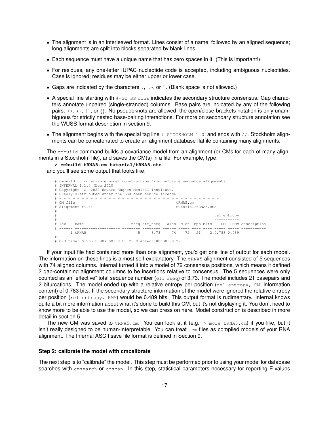- The alignment is in an interleaved format. Lines consist of a name, followed by an aligned sequence; long alignments are split into blocks separated by blank lines.
- Each sequence must have a unique name that has zero spaces in it. (This is important!)
- For residues, any one-letter IUPAC nucleotide code is accepted, including ambiguous nucleotides. Case is ignored; residues may be either upper or lower case.
- Gaps are indicated by the characters  $\ldots$ ,  $\ldots$ , or  $\tilde{\ldots}$ . (Blank space is not allowed.)
- A special line starting with  $#GCS \simeq S_1 \simeq S_2$  indicates the secondary structure consensus. Gap characters annotate unpaired (single-stranded) columns. Base pairs are indicated by any of the following pairs:  $\langle \cdot, \cdot \rangle$ ,  $\langle \cdot, \cdot \rangle$ , or  $\{\cdot\}$ . No pseudoknots are allowed; the open/close-brackets notation is only unambiguous for strictly nested base-pairing interactions. For more on secondary structure annotation see the WUSS format description in section 9.
- The alignment begins with the special tag line  $\#$  STOCKHOLM 1.0, and ends with  $//$ . Stockholm alignments can be concatenated to create an alignment database flatfile containing many alignments.

The cmbuild command builds a covariance model from an alignment (or CMs for each of many alignments in a Stockholm file), and saves the CM(s) in a file. For example, type:

**> cmbuild tRNA5.cm tutorial/tRNA5.sto** and you'll see some output that looks like:

```
# cmbuild :: covariance model construction from multiple sequence alignments
# INFERNAL 1.1.4 (Dec 2020)
# Copyright (C) 2020 Howard Hughes Medical Institute.
# Freely distributed under the BSD open source license.
       # - - - - - - - - - - - - - - - - - - - - - - - - - - - - - - - - - - - -
# CM file: tRNA5.cm
# alignment file: tutorial/tRNA5.sto
# - - - - - - - - - - - - - - - - - - - - - - - - - - - - - - - - - - - -
                                                             rel entropy
# -----------
# idx name nseq eff_nseq alen clen bps bifs CM HMM description
 # ------ -------------------- -------- -------- ------ ----- ---- ---- ----- ----- -----------
   1 tRNA5 5 3.73 74 72 21 2 0.783 0.489
#
```
# CPU time: 0.26u 0.00s 00:00:00.26 Elapsed: 00:00:00.27

If your input file had contained more than one alignment, you'd get one line of output for each model. The information on these lines is almost self-explanatory. The  $t$ <sub>RNA5</sub> alignment consisted of 5 sequences with 74 aligned columns. Infernal turned it into a model of 72 consensus positions, which means it defined 2 gap-containing alignment columns to be insertions relative to consensus. The 5 sequences were only counted as an "effective" total sequence number  $(eff\_nseq)$  of 3.73. The model includes 21 basepairs and 2 bifurcations. The model ended up with a relative entropy per position ( $_{rel}$  entropy, CM; information content) of 0.783 bits. If the secondary structure information of the model were ignored the relative entropy per position (rel entropy, HMM) would be 0.489 bits. This output format is rudimentary. Infernal knows quite a bit more information about what it's done to build this CM, but it's not displaying it. You don't need to know more to be able to use the model, so we can press on here. Model construction is described in more detail in section 5.

The new CM was saved to tRNA5.cm. You can look at it (e.g. > more tRNA5.cm) if you like, but it isn't really designed to be human-interpretable. You can treat . cm files as compiled models of your RNA alignment. The Infernal ASCII save file format is defined in Section 9.

#### **Step 2: calibrate the model with cmcalibrate**

The next step is to "calibrate" the model. This step must be performed prior to using your model for database searches with cmsearch or cmscan. In this step, statistical parameters necessary for reporting E-values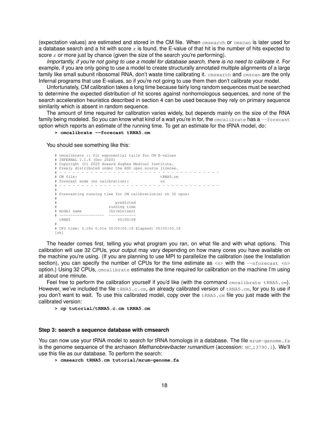(expectation values) are estimated and stored in the CM file. When cmsearch or cmscan is later used for a database search and a hit with score x is found, the E-value of that hit is the number of hits expected to score x or more just by chance (given the size of the search you're performing).

*Importantly, if you're not going to use a model for database search, there is no need to calibrate it.* For example, if you are only going to use a model to create structurally annotated multiple alignments of a large family like small subunit ribosomal RNA, don't waste time calibrating it. cmsearch and cmscan are the only Infernal programs that use E-values, so if you're not going to use them then don't calibrate your model.

Unfortunately, CM calibration takes a long time because fairly long random sequences must be searched to determine the expected distribution of hit scores against nonhomologous sequences, and none of the search acceleration heuristics described in section 4 can be used because they rely on primary sequence similarity which is absent in random sequence.

The amount of time required for calibration varies widely, but depends mainly on the size of the RNA family being modeled. So you can know what kind of a wait you're in for, the emealibrate has a --forecast option which reports an estimate of the running time. To get an estimate for the tRNA model, do:

**> cmcalibrate --forecast tRNA5.cm**

You should see something like this:

```
# cmcalibrate :: fit exponential tails for CM E-values
# INFERNAL 1.1.4 (Dec 2020)
# Copyright (C) 2020 Howard Hughes Medical Institute.
# Freely distributed under the BSD open source license.
         # - - - - - - - - - - - - - - - - - - - - - - - - - - - - - - - - - - - -
\text{EM} file:
# forecast mode (no calibration): on
# - - - - - - - - - - - - - - - - - - - - - - - - - - - - - - - - - - - -
#
# Forecasting running time for CM calibration(s) on 32 cpus:
#
                            predicted
                        running time<br>(hr:min:sec)
# model name
# -------------------- ------------
 tRNA5 00:00:58
#
# CPU time: 0.18u 0.01s 00:00:00.19 Elapsed: 00:00:00.18
[ok]
```
The header comes first, telling you what program you ran, on what file and with what options. This calibration will use 32 CPUs, your output may vary depending on how many cores you have available on the machine you're using. (If you are planning to use MPI to parallelize the calibration (see the Installation section), you can specify the number of CPUs for the time estimate as  $\langle n \rangle$  with the  $\sim$ -nforecast  $\langle n \rangle$ option.) Using 32 CPUs, cmcalibrate estimates the time required for calibration on the machine I'm using at about one minute.

Feel free to perform the calibration yourself if you'd like (with the command  $c_{\text{mealibrate}}$  tRNA5.cm). However, we've included the file  $t$ RNA5.c.cm, an already calibrated version of  $t$ RNA5.cm, for you to use if you don't want to wait. To use this calibrated model, copy over the  $t_{\text{RNAS}}$ .  $cm$  file you just made with the calibrated version:

**> cp tutorial/tRNA5.c.cm tRNA5.cm**

#### **Step 3: search a sequence database with cmsearch**

You can now use your tRNA model to search for tRNA homologs in a database. The file mrum-genome. fa is the genome sequence of the archaeon *Methanobrevibacter rumanitium* (accession: NC<sub>-13790</sub>, 1). We'll use this file as our database. To perform the search:

**> cmsearch tRNA5.cm tutorial/mrum-genome.fa**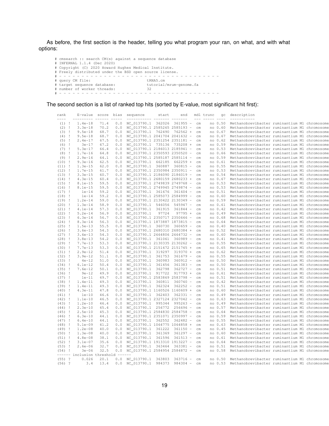As before, the first section is the header, telling you what program your ran, on what, and with what options:

# cmsearch :: search CM(s) against a sequence database # INFERNAL 1.1.4 (Dec 2020) # Copyright (C) 2020 Howard Hughes Medical Institute. # Freely distributed under the BSD open source license. # - - - - - - - - - - - - - - - - - - - - - - - - - - - - - - - - - - - - # query CM file: tRNA5.cm # target sequence database: tutorial/mrum-genome.fa # number of worker threads: 32 # - - - - - - - - - - - - - - - - - - - - - - - - - - - - - - - - - - - -

The second section is a list of ranked top hits (sorted by E-value, most significant hit first):

| rank<br>$--- -$ |              | E-value<br>--------- | score<br>$- - - - -$ | bias<br>$- - - -$ | sequence                        | start<br>$- - - - - - -$ | end        |                                 | $- - -$       | mdl trunc | gc      | description<br>-----------                                                                   |  |
|-----------------|--------------|----------------------|----------------------|-------------------|---------------------------------|--------------------------|------------|---------------------------------|---------------|-----------|---------|----------------------------------------------------------------------------------------------|--|
| $(1)$ !         |              | $1.4e-18$            | 71.4                 | 0.0               | NC 013790.1 362026 361955 -     |                          |            |                                 | cm            |           | no 0.50 | Methanobrevibacter ruminantium M1 chromosome                                                 |  |
| (2)             | - 1          | $3.3e-18$            | 70.2                 | 0.0               | NC_013790.1 2585265 2585193 -   |                          |            |                                 | $\mathsf{cm}$ |           | no 0.60 | Methanobrevibacter ruminantium M1 chromosome                                                 |  |
| (3)             | -1           | $9.5e-18$            | 68.7                 | 0.0               | NC_013790.1 762490              |                          | 762562 +   |                                 | $cm$          |           | no 0.67 | Methanobrevibacter ruminantium M1 chromosome                                                 |  |
| (4)             | - 1          | $9.5e-18$            | 68.7                 | 0.0               | NC_013790.1 2041704 2041632     |                          |            |                                 | cm            |           | no 0.67 | Methanobrevibacter ruminantium M1 chromosome                                                 |  |
| (5)             | - 1          | $2.4e-17$            | 67.5                 | 0.0               | NC_013790.1 2351254 2351181     |                          |            | $\hspace{0.1mm}-\hspace{0.1mm}$ | cm            |           | no 0.62 | Methanobrevibacter ruminantium M1 chromosome                                                 |  |
| $(6)$ !         |              | $3e-17$              | 67.2                 | 0.0               | NC_013790.1 735136 735208 +     |                          |            |                                 | cm            |           | no 0.59 | Methanobrevibacter ruminantium M1 chromosome                                                 |  |
| (7)             | - 1          | $5.3e-17$            | 66.4                 | 0.0               | NC_013790.1 2186013 2185941 -   |                          |            |                                 |               |           | no 0.53 |                                                                                              |  |
| $(8)$ !         |              | $1.7e-16$            | 64.8                 | 0.0               | NC_013790.1 2350593 2350520     |                          |            | $\overline{\phantom{a}}$        | cm<br>cm      |           | no 0.66 | Methanobrevibacter ruminantium M1 chromosome<br>Methanobrevibacter ruminantium M1 chromosome |  |
| (9)             | -1           | $2.9e-16$            | 64.1                 | 0.0               | NC_013790.1 2585187 2585114 -   |                          |            |                                 | cm            |           | no 0.59 | Methanobrevibacter ruminantium M1 chromosome                                                 |  |
| (10)            | - 1          | $9.3e-16$            | 62.5                 | 0.0               | NC_013790.1 662185              |                          | 662259 +   |                                 | cm            |           | no 0.61 | Methanobrevibacter ruminantium M1 chromosome                                                 |  |
| $(11)$ !        |              | $1.3e-15$            | 62.0                 | 0.0               | NC 013790.1 360887 360815 -     |                          |            |                                 |               |           | no 0.55 | Methanobrevibacter ruminantium M1 chromosome                                                 |  |
|                 |              |                      | 61.7                 |                   | NC_013790.1 2350984 2350911     |                          |            | $\overline{\phantom{a}}$        | cm            |           | no 0.53 |                                                                                              |  |
| (12)            | - 1          | $1.7e-15$            | 60.7                 | 0.0<br>0.0        |                                 |                          |            |                                 | cm            |           | no 0.54 | Methanobrevibacter ruminantium M1 chromosome                                                 |  |
| (13)            | - 1          | $3.3e-15$            |                      |                   | NC_013790.1 2186090 2186019     |                          |            | $\hspace{0.1mm}-\hspace{0.1mm}$ | cm            |           |         | Methanobrevibacter ruminantium M1 chromosome                                                 |  |
| (14)            | - 1          | $4.3e-15$            | 60.4                 | 0.0               | NC_013790.1 2680159 2680233 +   |                          |            |                                 | cm            |           | no 0.67 | Methanobrevibacter ruminantium M1 chromosome                                                 |  |
| (15)            | - 1          | $8.1e-15$            | 59.5                 | 0.0               | NC 013790.1 2749839 2749768 -   |                          |            |                                 | cm            |           | no 0.53 | Methanobrevibacter ruminantium M1 chromosome                                                 |  |
| (16)            | -1           | $8.1e-15$            | 59.5                 | 0.0               | NC_013790.1 2749945 2749874     |                          |            | $\overline{\phantom{a}}$        | $\mathsf{cm}$ |           | no 0.53 | Methanobrevibacter ruminantium M1 chromosome                                                 |  |
| (17)            | - 1          | $1e-14$              | 59.2                 | 0.0               | NC_013790.1 361676 361604 -     |                          |            |                                 | cm            |           | no 0.51 | Methanobrevibacter ruminantium M1 chromosome                                                 |  |
| (18)            | -1           | $1e-14$              | 59.2                 | 0.0               | NC_013790.1 2585073 2584999     |                          |            | $\overline{\phantom{a}}$        | cm            |           | no 0.60 | Methanobrevibacter ruminantium M1 chromosome                                                 |  |
| (19)            | - !          | $1.2e-14$            | 59.0                 | 0.0               | NC_013790.1 2130422 2130349 -   |                          |            |                                 | cm            |           | no 0.59 | Methanobrevibacter ruminantium M1 chromosome                                                 |  |
| (20)            | -1           | $1.3e-14$            | 58.9                 | 0.0               | NC_013790.1 546056 545947 -     |                          |            |                                 | cm            |           | no 0.61 | Methanobrevibacter ruminantium M1 chromosome                                                 |  |
| (21)            | $\mathbf{I}$ | $4.1e-14$            | 57.3                 | 0.0               | NC_013790.1 361915              |                          | $361844 -$ |                                 | cm            |           | no 0.42 | Methanobrevibacter ruminantium M1 chromosome                                                 |  |
| (22)            | $\mathbf{I}$ | $5.2e-14$            | 56.9                 | 0.0               | NC_013790.1                     | 97724                    | $97795 +$  |                                 | cm            |           | no 0.49 | Methanobrevibacter ruminantium M1 chromosome                                                 |  |
| (23)            | - !          | $6.3e-14$            | 56.7                 | 0.0               | NC_013790.1 2350717 2350646     |                          |            | $\overline{\phantom{a}}$        | cm            |           | no 0.68 | Methanobrevibacter ruminantium M1 chromosome                                                 |  |
| (24)            | $\mathbf{I}$ | $8.3e-14$            | 56.3                 | 0.0               | NC_013790.1 1873887 1873815     |                          |            | $\hspace{0.1mm}-\hspace{0.1mm}$ | $\mathsf{cm}$ |           | no 0.64 | Methanobrevibacter ruminantium M1 chromosome                                                 |  |
| (25)            | - !          | $1.5e-13$            | 55.5                 | 0.0               | NC_013790.1 360730              |                          | 360659     | $\overline{\phantom{a}}$        | cm            |           | no 0.40 | Methanobrevibacter ruminantium M1 chromosome                                                 |  |
| (26)            | - 1          | $3.6e-13$            | 54.3                 | 0.0               | NC_013790.1 2680310 2680384 +   |                          |            |                                 | cm            |           | no 0.52 | Methanobrevibacter ruminantium M1 chromosome                                                 |  |
| (27)            | - 1          | $3.6e-13$            | 54.3                 | 0.0               | NC_013790.1 2664806 2664732     |                          |            | $\hspace{0.1mm}-\hspace{0.1mm}$ | $\mathsf{cm}$ |           | no 0.60 | Methanobrevibacter ruminantium M1 chromosome                                                 |  |
| (28)            | -1           | $3.8e-13$            | 54.2                 | 0.0               | NC_013790.1 361061 360989       |                          |            | $\hspace{0.1mm}-\hspace{0.1mm}$ | cm            |           | no 0.41 | Methanobrevibacter ruminantium M1 chromosome                                                 |  |
| (29)            | -1           | $7.7e-13$            | 53.3                 | 0.0               | NC_013790.1 2130335 2130262     |                          |            | $\overline{\phantom{a}}$        | $\mathsf{cm}$ |           | no 0.55 | Methanobrevibacter ruminantium M1 chromosome                                                 |  |
| (30)            | - !          | $7.7e-13$            | 53.3                 | 0.0               | NC_013790.1 2151672 2151745 +   |                          |            |                                 | cm            |           | no 0.65 | Methanobrevibacter ruminantium M1 chromosome                                                 |  |
| (31)            | $\mathbf{I}$ | $2.9e-12$            | 51.4                 | 0.0               | NC_013790.1 319297 319370 +     |                          |            |                                 | cm            |           | no 0.62 | Methanobrevibacter ruminantium M1 chromosome                                                 |  |
| (32)            | $\mathbf{I}$ | $3.9e-12$            | 51.1                 | 0.0               | NC_013790.1 361753              |                          | 361679     | $\hspace{0.1mm}-\hspace{0.1mm}$ | cm            |           | no 0.55 | Methanobrevibacter ruminantium M1 chromosome                                                 |  |
| (33)            | -1           | $4e-12$              | 51.0                 | 0.0               | NC_013790.1 360983              |                          | 360912     | $\overline{\phantom{a}}$        | $\mathsf{cm}$ |           | no 0.50 | Methanobrevibacter ruminantium M1 chromosome                                                 |  |
| (34)            | - 1          | $6.1e-12$            | 50.4                 | 0.0               | NC_013790.1 361456              |                          | $361383 -$ |                                 | cm            |           | no 0.50 | Methanobrevibacter ruminantium M1 chromosome                                                 |  |
| (35)            | -1           | $7.6e-12$            | 50.1                 | 0.0               | NC_013790.1 362798              |                          | $362727 -$ |                                 | cm            |           | no 0.51 | Methanobrevibacter ruminantium M1 chromosome                                                 |  |
| (36)            | - !          | $9e - 12$            | 49.9                 | 0.0               | NC_013790.1 917722              |                          | 917793 +   |                                 | cm            |           | no 0.61 | Methanobrevibacter ruminantium M1 chromosome                                                 |  |
| (37)            | $\mathbf{I}$ | $1e-11$              | 49.7                 | 0.0               | NC_013790.1 2583869 2583798     |                          |            | $\hspace{0.1mm}-\hspace{0.1mm}$ | $\mathsf{cm}$ |           | no 0.51 | Methanobrevibacter ruminantium M1 chromosome                                                 |  |
| (38)            | - 1          | $1.4e-11$            | 49.3                 | 0.0               | NC_013790.1 360811              |                          | 360740     | $\hspace{0.1mm}-\hspace{0.1mm}$ | $\, cm$       |           | no 0.42 | Methanobrevibacter ruminantium M1 chromosome                                                 |  |
| (39)            | $\mathbf{I}$ | $1.4e-11$            | 49.3                 | 0.0               | NC_013790.1 362324              |                          | 362252     | $\hspace{0.1mm}-\hspace{0.1mm}$ | $\mathsf{cm}$ |           | no 0.51 | Methanobrevibacter ruminantium M1 chromosome                                                 |  |
| (40)            | - 1          | $4.3e-11$            | 47.8                 | 0.0               | NC_013790.1 1160526 1160609 +   |                          |            |                                 | $\, cm$       |           | no 0.60 | Methanobrevibacter ruminantium M1 chromosome                                                 |  |
| (41)            | - 1          | $1e-10$              | 46.6                 | 0.0               | NC_013790.1 362403              |                          | 362331 -   |                                 | cm            |           | no 0.49 | Methanobrevibacter ruminantium M1 chromosome                                                 |  |
| $(42)$ !        |              | $1.1e-10$            | 46.5                 | 0.0               | NC_013790.1 2327124 2327042     |                          |            | $\overline{\phantom{a}}$        | cm            |           | no 0.63 | Methanobrevibacter ruminantium M1 chromosome                                                 |  |
| (43)            | - !          | $1.2e-10$            | 46.4                 | 0.0               | NC_013790.1 995344              |                          | 995263     | $\hspace{0.1mm}-\hspace{0.1mm}$ | cm            |           | no 0.49 | Methanobrevibacter ruminantium M1 chromosome                                                 |  |
| (44)            | -1           | $2.3e-10$            | 45.4                 | 0.0               | NC_013790.1 256772              |                          | 256696     | $\overline{\phantom{a}}$        | $\mathsf{cm}$ |           | no 0.57 | Methanobrevibacter ruminantium M1 chromosome                                                 |  |
| (45)            | - !          | $2.5e-10$            | 45.3                 | 0.0               | NC_013790.1 2584830 2584758     |                          |            | $\hspace{0.1mm}-\hspace{0.1mm}$ | cm            |           | no 0.64 | Methanobrevibacter ruminantium M1 chromosome                                                 |  |
| (46)            | - 1          | $6.3e-10$            | 44.1                 | 0.0               | NC_013790.1 2351071 2350997 -   |                          |            |                                 | cm            |           | no 0.59 | Methanobrevibacter ruminantium M1 chromosome                                                 |  |
| (47)            | -1           | $6.4e-10$            | 44.1                 | 0.0               | NC_013790.1 362552              |                          | 362482     | $\hspace{0.1mm}-\hspace{0.1mm}$ | cm            |           | no 0.55 | Methanobrevibacter ruminantium M1 chromosome                                                 |  |
| (48)            | J.           | $5.1e-09$            | 41.2                 | 0.0               | NC_013790.1 1064775 1064858     |                          |            | $+$                             | cm            |           | no 0.63 | Methanobrevibacter ruminantium M1 chromosome                                                 |  |
| (49)            | - 1          | $1.2e-08$            | 40.0                 | 0.0               | NC_013790.1 361222              |                          | 361150     |                                 | cm            |           | no 0.45 | Methanobrevibacter ruminantium M1 chromosome                                                 |  |
| (50)            | -1           | $1.3e-08$            | 40.0                 | 0.0               | NC_013790.1 361369              |                          | $361297 -$ |                                 | cm            |           | no 0.60 | Methanobrevibacter ruminantium M1 chromosome                                                 |  |
| (51)            | - 1          | $4.8e - 08$          | 38.1                 | 0.0               | NC_013790.1 361596              |                          | 361513     | $\overline{\phantom{a}}$        | $\, cm$       |           | no 0.61 | Methanobrevibacter ruminantium M1 chromosome                                                 |  |
| (52)            | -1           | $3.1e-07$            | 35.6                 | 0.0               | NC_013790.1 1913310 1913227     |                          |            | $\hspace{0.1mm}-\hspace{0.1mm}$ | cm            |           | no 0.64 | Methanobrevibacter ruminantium M1 chromosome                                                 |  |
| $(53)$ !        |              | $2.6e - 06$          | 32.7                 | 0.0               | NC_013790.1 363464 363381       |                          |            | $\hspace{0.1mm}-\hspace{0.1mm}$ | cm            |           | no 0.51 | Methanobrevibacter ruminantium M1 chromosome                                                 |  |
| (54)            | - 1          | $3e-06$              | 32.5                 |                   | 0.0 NC_013790.1 2584954 2584872 |                          |            | $\hspace{0.1mm}-\hspace{0.1mm}$ | cm            |           | no 0.58 | Methanobrevibacter ruminantium M1 chromosome                                                 |  |
| $--- -$         | $- -$        | inclusion            | threshold ---        |                   | $---$                           |                          |            |                                 |               |           |         |                                                                                              |  |
| $(55)$ ?        |              | 0.026                | 20.1                 |                   | 0.0 NC 013790.1 363803 363716 - |                          |            |                                 | cm            |           | no 0.50 | Methanobrevibacter ruminantium M1 chromosome                                                 |  |
| $(56)$ ?        |              | 3.4                  | 13.4                 | 0.0               | NC_013790.1                     | 984373                   | $984304 -$ |                                 | $cm$          |           | no 0.53 | Methanobrevibacter ruminantium M1 chromosome                                                 |  |
|                 |              |                      |                      |                   |                                 |                          |            |                                 |               |           |         |                                                                                              |  |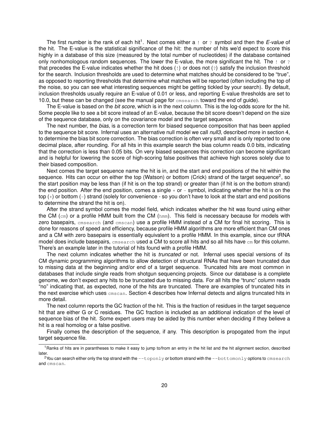The first number is the rank of each hit<sup>1</sup>. Next comes either a ! or ? symbol and then the *E-value* of the hit. The E-value is the statistical significance of the hit: the number of hits we'd expect to score this highly in a database of this size (measured by the total number of nucleotides) if the database contained only nonhomologous random sequences. The lower the E-value, the more significant the hit. The ! or ? that precedes the E-value indicates whether the hit does (!) or does not (?) satisfy the inclusion threshold for the search. Inclusion thresholds are used to determine what matches should be considered to be "true", as opposed to reporting thresholds that determine what matches will be reported (often including the top of the noise, so you can see what interesting sequences might be getting tickled by your search). By default, inclusion thresholds usually require an E-value of 0.01 or less, and reporting E-value thresholds are set to 10.0, but these can be changed (see the manual page for cmsearch toward the end of guide).

The E-value is based on the *bit score*, which is in the next column. This is the log-odds score for the hit. Some people like to see a bit score instead of an E-value, because the bit score doesn't depend on the size of the sequence database, only on the covariance model and the target sequence.

The next number, the *bias*, is a correction term for biased sequence composition that has been applied to the sequence bit score. Infernal uses an alternative null model we call *null3*, described more in section 4, to determine the bias bit score correction. The bias correction is often very small and is only reported to one decimal place, after rounding. For all hits in this example search the bias column reads 0.0 bits, indicating that the correction is less than 0.05 bits. On very biased sequences this correction can become significant and is helpful for lowering the score of high-scoring false positives that achieve high scores solely due to their biased composition.

Next comes the target sequence name the hit is in, and the start and end positions of the hit within the sequence. Hits can occur on either the top (Watson) or bottom (Crick) strand of the target sequence<sup>2</sup>, so the start position may be less than (if hit is on the top strand) or greater than (if hit is on the bottom strand) the end position. After the end position, comes a single  $+$  or  $-$  symbol, indicating whether the hit is on the top (+) or bottom (-) strand (solely for convenience - so you don't have to look at the start and end positions to determine the strand the hit is on).

After the strand symbol comes the model field, which indicates whether the hit was found using either the CM (cm) or a profile HMM built from the CM (hmm). This field is necessary because for models with zero basepairs, cmsearch (and cmscan) use a profile HMM instead of a CM for final hit scoring. This is done for reasons of speed and efficiency, because profile HMM algorithms are more efficient than CM ones and a CM with zero basepairs is essentially equivalent to a profile HMM. In this example, since our tRNA model does include basepairs, cmsearch used a CM to score all hits and so all hits have cm for this column. There's an example later in the tutorial of hits found with a profile HMM.

The next column indicates whether the hit is *truncated* or not. Infernal uses special versions of its CM dynamic programming algorithms to allow detection of structural RNAs that have been truncated due to missing data at the beginning and/or end of a target sequence. Truncated hits are most common in databases that include single reads from shotgun sequencing projects. Since our database is a complete genome, we don't expect any hits to be truncated due to missing data. For all hits the "trunc" column reads "no" indicating that, as expected, none of the hits are truncated. There are examples of truncated hits in the next exercise which uses cmscan. Section 4 describes how Infernal detects and aligns truncated hits in more detail.

The next column reports the GC fraction of the hit. This is the fraction of residues in the target sequence hit that are either G or C residues. The GC fraction is included as an additional indication of the level of sequence bias of the hit. Some expert users may be aided by this number when deciding if they believe a hit is a real homolog or a false positive.

Finally comes the description of the sequence, if any. This description is propogated from the input target sequence file.

<sup>&</sup>lt;sup>1</sup> Ranks of hits are in parantheses to make it easy to jump to/from an entry in the hit list and the hit alignment section, described later.

 $2$ You can search either only the top strand with the  $-\text{toponly}$  or bottom strand with the  $-\text{bottomly}$  options to  $\text{cms}$ e $\text{arch}$ and cmscan.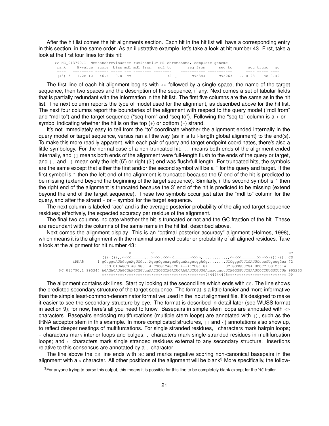After the hit list comes the hit alignments section. Each hit in the hit list will have a corresponding entry in this section, in the same order. As an illustrative example, let's take a look at hit number 43. First, take a look at the first four lines for this hit:

|      |  |  |  |  |  | >> NC 013790.1 Methanobrevibacter ruminantium M1 chromosome, complete genome |  |              |  |
|------|--|--|--|--|--|------------------------------------------------------------------------------|--|--------------|--|
|      |  |  |  |  |  | rank E-value score bias mdl mdl from mdl to seg from seg to                  |  | acc trunc qc |  |
| ____ |  |  |  |  |  |                                                                              |  |              |  |
|      |  |  |  |  |  | (43)! 1.2e-10 46.4 0.0 cm    1   72 [1   995344   995263 - 0.93  no 0.49     |  |              |  |

The first line of each hit alignment begins with >> followed by a single space, the name of the target sequence, then two spaces and the description of the sequence, if any. Next comes a set of tabular fields that is partially redundant with the information in the hit list. The first five columns are the same as in the hit list. The next column reports the type of model used for the alignment, as described above for the hit list. The next four columns report the boundaries of the alignment with respect to the query model ("mdl from" and "mdl to") and the target sequence ("seq from" and "seq to"). Following the "seq to" column is  $a + or$ symbol indicating whether the hit is on the top  $(+)$  or bottom  $(-)$  strand.

It's not immediately easy to tell from the "to" coordinate whether the alignment ended internally in the query model or target sequence, versus ran all the way (as in a full-length global alignment) to the end(s). To make this more readily apparent, with each pair of query and target endpoint coordinates, there's also a little symbology. For the normal case of a non-truncated hit: .. means both ends of the alignment ended internally, and [] means both ends of the alignment were full-length flush to the ends of the query or target, and [. and .] mean only the left (5') or right (3') end was flush/full length. For truncated hits, the symbols are the same except that either the first and/or the second symbol will be a  $\tilde{ }$  for the query and target. If the first symbol is  $\tilde{ }$  then the left end of the alignment is truncated because the 5' end of the hit is predicted to be missing (extend beyond the beginning of the target sequence). Similarly, if the second symbol is  $\tilde{ }$  then the right end of the alignment is truncated because the 3' end of the hit is predicted to be missing (extend beyond the end of the target sequence). These two symbols occur just after the "mdl to" column for the query, and after the strand  $+$  or  $-$  symbol for the target sequence.

The next column is labeled "acc" and is the average posterior probability of the aligned target sequence residues; effectively, the expected accuracy per residue of the alignment.

The final two columns indicate whether the hit is truncated or not and the GC fraction of the hit. These are redundant with the columns of the same name in the hit list, described above.

Next comes the alignment display. This is an "optimal posterior accuracy" alignment (Holmes, 1998), which means it is the alignment with the maximal summed posterior probability of all aligned residues. Take a look at the alignment for hit number 43:

|        |                                                                                                                                                                                                                                                                                                                                                                                                                                                                              | NC |
|--------|------------------------------------------------------------------------------------------------------------------------------------------------------------------------------------------------------------------------------------------------------------------------------------------------------------------------------------------------------------------------------------------------------------------------------------------------------------------------------|----|
|        | $\left(\left(\left(\left(\left(\left(\left(\left(\right),\left\langle\left\langle\cdot\right),\right.\right\rangle\right),\left.\right.\right.\right),\left.\left.\right.\right.\right),\left.\left.\left.\right.\right\right),\left.\left.\left.\left.\right\right\right\right),\left.\left.\left.\left.\right\right\right\right\right),\left.\left.\left.\left.\left.\right\right\right\right\right\right)\right)\right)\right)\right)\right)\right)\right)\right)\right)$ |    |
| t RNA5 | 1 qCcqqcAUAGcqcAqUGGuAqcqCqccaqccUqucAaqcuqqAGqUCCqqqGUUCGAUUCcccGUqccqGca 72                                                                                                                                                                                                                                                                                                                                                                                                |    |
|        | $: : :G:CAUAGCG AGGGU A CGCG:CAG:CU +++A:CUG: G+ UC:GGGGUUCGA UCCCC:UG:C. : : A$                                                                                                                                                                                                                                                                                                                                                                                             |    |
|        | NC 013790.1 995344 AGAGACAUAGCGAAGCGGUcaAACGCGGCAGACUCAAGAUCUGUUGAuuaquucuUCAGGGGUUCGAAUCCCCUUGUCUCUA 995263                                                                                                                                                                                                                                                                                                                                                                 |    |
|        |                                                                                                                                                                                                                                                                                                                                                                                                                                                                              |    |

The alignment contains six lines. Start by looking at the second line which ends with cs. The line shows the predicted secondary structure of the target sequence. The format is a little fancier and more informative than the simple least-common-denominator format we used in the input alignment file. It's designed to make it easier to see the secondary structure by eye. The format is described in detail later (see WUSS format in section 9); for now, here's all you need to know. Basepairs in simple stem loops are annotated with <> characters. Basepairs enclosing multifurcations (multiple stem loops) are annotated with (), such as the tRNA acceptor stem in this example. In more complicated structures, [] and {} annotations also show up, to reflect deeper nestings of multifurcations. For single stranded residues, \_ characters mark hairpin loops; - characters mark interior loops and bulges; , characters mark single-stranded residues in multifurcation loops; and : characters mark single stranded residues external to any secondary structure. Insertions relative to this consensus are annotated by a . character.

The line above the  $cs$  line ends with  $\alpha$  and marks negative scoring non-canonical basepairs in the alignment with a  $\vee$  character. All other positions of the alignment will be blank<sup>3</sup> More specifically, the follow-

<sup>&</sup>lt;sup>3</sup>For anyone trying to parse this output, this means it is possible for this line to be completely blank except for the NC trailer.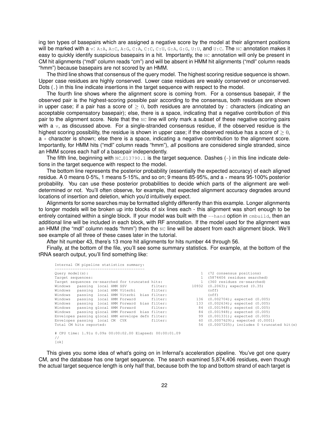ing ten types of basepairs which are assigned a negative score by the model at their alignment positions will be marked with a v: A:A, A:C, A:G, C:A, C:C, C:U, G:A, G:G, U:U, and U:C. The NC annotation makes it easy to quickly identify suspicious basepairs in a hit. Importantly, the NC annotation will only be present in CM hit alignments ("mdl" column reads "cm") and will be absent in HMM hit alignments ("mdl" column reads "hmm") because basepairs are not scored by an HMM.

The third line shows that consensus of the query model. The highest scoring residue sequence is shown. Upper case residues are highly conserved. Lower case residues are weakly conserved or unconserved. Dots (.) in this line indicate insertions in the target sequence with respect to the model.

The fourth line shows where the alignment score is coming from. For a consensus basepair, if the observed pair is the highest-scoring possible pair according to the consensus, both residues are shown in upper case; if a pair has a score of  $\geq 0$ , both residues are annotated by : characters (indicating an acceptable compensatory basepair); else, there is a space, indicating that a negative contribution of this pair to the alignment score. Note that the NC line will only mark a subset of these negative scoring pairs with a  $\mathbf{v}$ , as discussed above. For a single-stranded consensus residue, if the observed residue is the highest scoring possibility, the residue is shown in upper case; if the observed residue has a score of  $\geq 0$ , a + character is shown; else there is a space, indicating a negative contribution to the alignment score. Importantly, for HMM hits ("mdl" column reads "hmm"), *all* positions are considered single stranded, since an HMM scores each half of a basepair independently.

The fifth line, beginning with  $NC_013790.1$  is the target sequence. Dashes  $(-)$  in this line indicate deletions in the target sequence with respect to the model.

The bottom line represents the posterior probability (essentially the expected accuracy) of each aligned residue. A 0 means 0-5%, 1 means 5-15%, and so on; 9 means 85-95%, and  $a *$  means 95-100% posterior probability. You can use these posterior probabilities to decide which parts of the alignment are welldetermined or not. You'll often observe, for example, that expected alignment accuracy degrades around locations of insertion and deletion, which you'd intuitively expect.

Alignments for some searches may be formatted slightly differently than this example. Longer alignments to longer models will be broken up into blocks of six lines each - this alignment was short enough to be entirely contained within a single block. If your model was built with the --hand option in cmbuild, then an additional line will be included in each block, with RF annotation. If the model used for the alignment was an HMM (the "mdl" column reads "hmm") then the NC line will be absent from each alignment block. We'll see example of all three of these cases later in the tutorial.

After hit number 43, there's 13 more hit alignments for hits number 44 through 56.

Finally, at the bottom of the file, you'll see some summary statistics. For example, at the bottom of the tRNA search output, you'll find something like:

| Internal CM pipeline statistics summary:                               |                            |  |  |                                        |  |                                       |  |                                   |  |
|------------------------------------------------------------------------|----------------------------|--|--|----------------------------------------|--|---------------------------------------|--|-----------------------------------|--|
| Query model(s):                                                        | 1 (72 consensus positions) |  |  |                                        |  |                                       |  |                                   |  |
| 1 (5874406 residues searched)<br>Target sequences:                     |                            |  |  |                                        |  |                                       |  |                                   |  |
| Target sequences re-searched for truncated hits:                       |                            |  |  |                                        |  |                                       |  | 1 (360 residues re-searched)      |  |
|                                                                        |                            |  |  |                                        |  | Windows passing local HMM SSV filter: |  | 10932 (0.2063); expected (0.35)   |  |
| Windows passing local HMM Viterbi filter:                              |                            |  |  |                                        |  |                                       |  | (off)                             |  |
| Windows passing local HMM Viterbi bias filter:                         |                            |  |  |                                        |  |                                       |  | (off)                             |  |
| Windows                                                                |                            |  |  | passing local HMM Forward filter:      |  |                                       |  | 136 (0.002704); expected (0.005)  |  |
| Windows                                                                |                            |  |  | passing local HMM Forward bias filter: |  |                                       |  | 133 (0.002634); expected (0.005)  |  |
| Windows passing glocal HMM Forward filter:                             |                            |  |  |                                        |  |                                       |  | 84 (0.001948); expected (0.005)   |  |
| Windows passing glocal HMM Forward bias filter:                        |                            |  |  |                                        |  |                                       |  | 84 (0.001948); expected (0.005)   |  |
| Envelopes passing glocal HMM envelope defn filter:                     |                            |  |  |                                        |  |                                       |  | 99 (0.001331); expected (0.005)   |  |
| Envelopes passing local CM CYK filter:                                 |                            |  |  |                                        |  |                                       |  | 60 (0.0007629); expected (0.0001) |  |
| 56 (0.0007205); includes 0 truncated hit(s)<br>Total CM hits reported: |                            |  |  |                                        |  |                                       |  |                                   |  |
| # CPU time: 1.91u 0.09s 00:00:02.00 Elapsed: 00:00:01.09               |                            |  |  |                                        |  |                                       |  |                                   |  |

```
//
[ok]
```
This gives you some idea of what's going on in Infernal's acceleration pipeline. You've got one query CM, and the database has one target sequence. The search examined 5,874,406 residues, even though the actual target sequence length is only half that, because both the top and bottom strand of each target is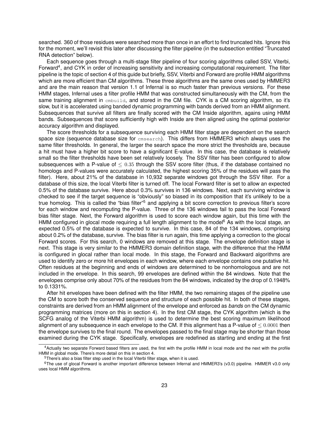searched. 360 of those residues were searched more than once in an effort to find truncated hits. Ignore this for the moment, we'll revisit this later after discussing the filter pipeline (in the subsection entitled "Truncated RNA detection" below).

Each sequence goes through a multi-stage filter pipeline of four scoring algorithms called SSV, Viterbi, Forward<sup>4</sup>, and CYK in order of increasing sensitivity and increasing computational requirement. The filter pipeline is the topic of section 4 of this guide but briefly, SSV, Viterbi and Forward are profile HMM algorithms which are more efficient than CM algorithms. These three algorithms are the same ones used by HMMER3 and are the main reason that version 1.1 of Infernal is so much faster than previous versions. For these HMM stages, Infernal uses a filter profile HMM that was constructed simultaneously with the CM, from the same training alignment in cmbuild, and stored in the CM file. CYK is a CM scoring algorithm, so it's slow, but it is accelerated using banded dynamic programming with bands derived from an HMM alignment. Subsequences that survive all filters are finally scored with the CM Inside algorithm, agains using HMM bands. Subsequences that score sufficiently high with Inside are then aligned using the optimal posterior accuracy algorithm and displayed.

The score thresholds for a subsequence surviving each HMM filter stage are dependent on the search space size (sequence database size for cmsearch). This differs from HMMER3 which always uses the same filter thresholds. In general, the larger the search space the more strict the thresholds are, because a hit must have a higher bit score to have a significant E-value. In this case, the database is relatively small so the filter thresholds have been set relatively loosely. The SSV filter has been configured to allow subsequences with a P-value of  $\leq 0.35$  through the SSV score filter (thus, if the database contained no homologs and P-values were accurately calculated, the highest scoring 35% of the residues will pass the filter). Here, about 21% of the database in 10,932 separate windows got through the SSV filter. For a database of this size, the local Viterbi filter is turned off. The local Forward filter is set to allow an expected 0.5% of the database survive. Here about 0.3% survives in 136 windows. Next, each surviving window is checked to see if the target sequence is "obviously" so biased in its composition that it's unlikely to be a true homolog. This is called the "bias filter"<sup>5</sup> and applying a bit score correction to previous filter's score for each window and recomputing the P-value. Three of the 136 windows fail to pass the local Forward bias filter stage. Next, the Forward algorithm is used to score each window again, but this time with the HMM configured in glocal mode requiring a full length alignment to the model<sup>6</sup> As with the local stage, an expected 0.5% of the database is expected to survive. In this case, 84 of the 134 windows, comprising about 0.2% of the database, survive. The bias filter is run again, this time applying a correction to the glocal Forward scores. For this search, 0 windows are removed at this stage. The envelope definition stage is next. This stage is very similar to the HMMER3 domain definition stage, with the difference that the HMM is configured in glocal rather than local mode. In this stage, the Forward and Backward algorithms are used to identify zero or more hit envelopes in each window, where each envelope contains one putative hit. Often residues at the beginning and ends of windows are determined to be nonhomologous and are not included in the envelope. In this search, 99 envelopes are defined within the 84 windows. Note that the envelopes comprise only about 70% of the residues from the 84 windows, indicated by the drop of 0.1948% to 0.1331%.

After hit envelopes have been defined with the filter HMM, the two remaining stages of the pipeline use the CM to score both the conserved sequence and structure of each possible hit. In both of these stages, constraints are derived from an HMM alignment of the envelope and enforced as *bands* on the CM dynamic programming matrices (more on this in section 4). In the first CM stage, the CYK algorithm (which is the SCFG analog of the Viterbi HMM algorithm) is used to determine the best scoring maximum likelihood alignment of any subsequence in each envelope to the CM. If this alignment has a P-value of  $\leq 0.0001$  then the envelope survives to the final round. The envelopes passed to the final stage may be shorter than those examined during the CYK stage. Specifically, envelopes are redefined as starting and ending at the first

<sup>4</sup>Actually two separate Forward based filters are used, the first with the profile HMM in local mode and the next with the profile HMM in global mode. There's more detail on this in section 4.

<sup>&</sup>lt;sup>5</sup>There's also a bias filter step used in the local Viterbi filter stage, when it is used.

<sup>6</sup>The use of glocal Forward is another important difference between Infernal and HMMER3's (v3.0) pipeline. HMMER v3.0 only uses local HMM algorithms.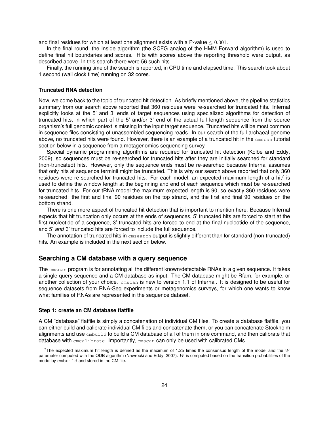and final residues for which at least one alignment exists with a P-value  $\leq 0.001$ .

In the final round, the Inside algorithm (the SCFG analog of the HMM Forward algorithm) is used to define final hit boundaries and scores. Hits with scores above the reporting threshold were output, as described above. In this search there were 56 such hits.

Finally, the running time of the search is reported, in CPU time and elapsed time. This search took about 1 second (wall clock time) running on 32 cores.

#### **Truncated RNA detection**

Now, we come back to the topic of truncated hit detection. As briefly mentioned above, the pipeline statistics summary from our search above reported that 360 residues were re-searched for truncated hits. Infernal explicitly looks at the 5' and 3' ends of target sequences using specialized algorithms for detection of truncated hits, in which part of the 5' and/or 3' end of the actual full length sequence from the source organism's full genomic context is missing in the input target sequence. Truncated hits will be most common in sequence files consisting of unassembled sequencing reads. In our search of the full archaeal genome above, no truncated hits were found. However, there is an example of a truncated hit in the cmscan tutorial section below in a sequence from a metagenomics sequencing survey.

Special dynamic programming algorithms are required for truncated hit detection (Kolbe and Eddy, 2009), so sequences must be re-searched for truncated hits after they are initially searched for standard (non-truncated) hits. However, only the sequence ends must be re-searched because Infernal assumes that only hits at sequence terminii might be truncated. This is why our search above reported that only 360 residues were re-searched for truncated hits. For each model, an expected maximum length of a hit<sup>7</sup> is used to define the window length at the beginning and end of each sequence which must be re-searched for truncated hits. For our tRNA model the maximum expected length is 90, so exactly 360 residues were re-searched: the first and final 90 residues on the top strand, and the first and final 90 residues on the bottom strand.

There is one more aspect of truncated hit detection that is important to mention here. Because Infernal expects that hit truncation only occurs at the ends of sequences, 5' truncated hits are forced to start at the first nucleotide of a sequence, 3' truncated hits are forced to end at the final nucleotide of the sequence, and 5' *and* 3' truncated hits are forced to include the full sequence.

The annotation of truncated hits in cmsearch output is slightly different than for standard (non-truncated) hits. An example is included in the next section below.

#### **Searching a CM database with a query sequence**

The cmscan program is for annotating all the different known/detectable RNAs in a given sequence. It takes a single query sequence and a CM database as input. The CM database might be Rfam, for example, or another collection of your choice. cmscan is new to version 1.1 of Infernal. It is designed to be useful for sequence datasets from RNA-Seq experiments or metagenomics surveys, for which one wants to know what families of RNAs are represented in the sequence dataset.

#### **Step 1: create an CM database flatfile**

A CM "database" flatfile is simply a concatenation of individual CM files. To create a database flatfile, you can either build and calibrate individual CM files and concatenate them, or you can concatenate Stockholm alignments and use cmbuild to build a CM database of all of them in one command, and then calibrate that database with cmcalibrate. Importantly, cmscan can only be used with calibrated CMs.

<sup>&</sup>lt;sup>7</sup>The expected maximum hit length is defined as the maximum of 1.25 times the consensus length of the model and the W parameter computed with the QDB algorithm (Nawrocki and Eddy, 2007). W is computed based on the transition probabilities of the model by cmbuild and stored in the CM file.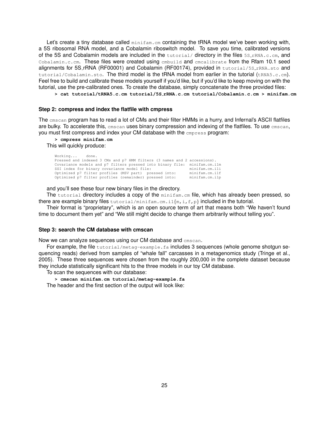Let's create a tiny database called  $\min_{m \text{min}}$  cm containing the tRNA model we've been working with, a 5S ribosomal RNA model, and a Cobalamin riboswitch model. To save you time, calibrated versions of the 5S and Cobalamin models are included in the tutorial/ directory in the files 5S\_rRNA.c.cm, and Cobalamin.c.cm. These files were created using cmbuild and cmcalibrate from the Rfam 10.1 seed alignments for 5S\_rRNA (RF00001) and Cobalamin (RF00174), provided in tutorial/5S\_rRNA.sto and tutorial/Cobalamin.sto. The third model is the tRNA model from earlier in the tutorial (tRNA5.c.cm). Feel free to build and calibrate these models yourself if you'd like, but if you'd like to keep moving on with the tutorial, use the pre-calibrated ones. To create the database, simply concatenate the three provided files:

**> cat tutorial/tRNA5.c.cm tutorial/5S rRNA.c.cm tutorial/Cobalamin.c.cm > minifam.cm**

#### **Step 2: compress and index the flatfile with cmpress**

The cmscan program has to read a lot of CMs and their filter HMMs in a hurry, and Infernal's ASCII flatfiles are bulky. To accelerate this, cmscan uses binary compression and indexing of the flatfiles. To use cmscan, you must first compress and index your CM database with the empress program:

**> cmpress minifam.cm** This will quickly produce:

| Working done.                                                             |                |
|---------------------------------------------------------------------------|----------------|
| Pressed and indexed 3 CMs and p7 HMM filters (3 names and 2 accessions).  |                |
| Covariance models and p7 filters pressed into binary file: minifam.cm.ilm |                |
| SSI index for binary covariance model file:                               | minifam.cm.ili |
| Optimized p7 filter profiles (MSV part) pressed into:                     | minifam.cm.ilf |
| Optimized p7 filter profiles (remainder) pressed into:                    | minifam.cm.ilp |
|                                                                           |                |

and you'll see these four new binary files in the directory.

The tutorial directory includes a copy of the minifam.cm file, which has already been pressed, so there are example binary files  $t$ utorial/minifam.cm.i1{m,i,f,p} included in the tutorial.

Their format is "proprietary", which is an open source term of art that means both "We haven't found time to document them yet" and "We still might decide to change them arbitrarily without telling you".

#### **Step 3: search the CM database with cmscan**

Now we can analyze sequences using our CM database and cmscan.

For example, the file tutorial/metag-example.fa includes 3 sequences (whole genome shotgun sequencing reads) derived from samples of "whale fall" carcasses in a metagenomics study (Tringe et al., 2005). These three sequences were chosen from the roughly 200,000 in the complete dataset because they include statistically significant hits to the three models in our toy CM database.

To scan the sequences with our database:

**> cmscan minifam.cm tutorial/metag-example.fa** The header and the first section of the output will look like: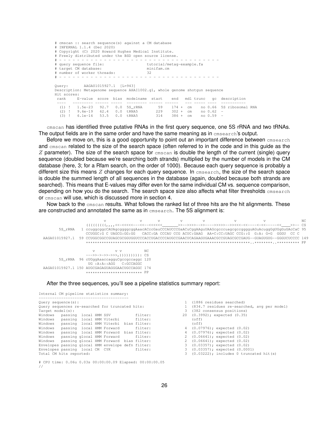# cmscan :: search sequence(s) against a CM database # INFERNAL 1.1.4 (Dec 2020) # Copyright (C) 2020 Howard Hughes Medical Institute. # Freely distributed under the BSD open source license. # - - - - - - - - - - - - - - - - - - - - - - - - - - - - - - - - - - - - # query sequence file: tutorial/me<br>
# target CM database: minifam.cm<br>
# number of worker threads: 32 # target CM database: # number of worker threads: # - - - - - - - - - - - - - - - - - - - - - - - - - - - - - - - - - - - - Query: AAGA01015927.1 [L=943] Description: Metagenome sequence AHAI1002.g1, whole genome shotgun sequence Hit scores: rank E-value score bias modelname start end mdl trunc gc description ---- --------- ------ ----- --------- ------ ------ --- ----- ---- ----------- (1) ! 1.5e-23 92.7 0.0 5S\_rRNA 59 174 + cm no 0.66 5S ribosomal RNA (2) ! 9.6e-19 62.4 0.0 tRNA5 229 302 + cm no 0.62 - (3) ! 6.1e-16 53.5 0.0 tRNA5 314 386 + cm no 0.59 -

cmscan has identified three putative RNAs in the first query sequence, one 5S rRNA and two tRNAs. The output fields are in the same order and have the same meaning as in cmsearch's output.

Before we move on, this is a good opportunity to point out an important difference between cmsearch and cmscan related to the size of the search space (often referred to in the code and in this guide as the  $Z$  parameter). The size of the search space for  $\epsilon$ <sub>cmscan</sub> is double the length of the current (single) query sequence (doubled because we're searching both strands) multiplied by the number of models in the CM database (here, 3; for a Rfam search, on the order of 1000). Because each query sequence is probably a different size this means  $Z$  changes for each query sequence. In  $\epsilon$  m  $\epsilon$  and  $\epsilon$ , the size of the search space is double the summed length of all sequences in the database (again, doubled because both strands are searched). This means that E-values may differ even for the same individual CM vs. sequence comparison, depending on how you do the search. The search space size also affects what filter thresholds cmsearch or cmscan will use, which is discussed more in section 4.

Now back to the cmscan results. What follows the ranked list of three hits are the hit alignments. These are constructed and annotated the same as in cmsearch. The 5S alignment is:

|                |                                   |                                |     |  | $\mathbf{V}$                                                                                          |  | NC. |
|----------------|-----------------------------------|--------------------------------|-----|--|-------------------------------------------------------------------------------------------------------|--|-----|
|                |                                   |                                |     |  |                                                                                                       |  |     |
| 5S rRNA        |                                   |                                |     |  | 1 ccuqqcqqcCAUAqcqqqqqAaacACccGauCCCAUCCCGaACuCqqAAquUAAGcqcccuaqcqccqqqquAGuAcuqqGqUGqGuGAcCaC 95    |  |     |
|                |                                   |                                |     |  | $C = C \cup C$ . C. UAGCG:GG:GG $C$ ACC:GA CCCAU CCG ACUC:GAAG AA+C:CC:UAGC CCG::G G:A: G+G GGGU CC C |  |     |
| AAGA01015927.1 |                                   |                                |     |  | 59 CCUGGCGGCCGUAGCGGGUGGUCCCACCUGACCCANGCCGAACUCAGAAGUGAAACGCCGUAGCCCGAUG--GUAGUGUG--GGGUCUCCCC 149   |  |     |
|                |                                   |                                |     |  |                                                                                                       |  |     |
|                |                                   |                                |     |  |                                                                                                       |  |     |
|                | 77                                | V V                            | NC. |  |                                                                                                       |  |     |
|                |                                   | --->>->->>>>>>,)))))))))): CS  |     |  |                                                                                                       |  |     |
| 5S rRNA        | 96 cUGqqAaaccaqquCqccqccaqqc 120  |                                |     |  |                                                                                                       |  |     |
|                |                                   | UG : A : A : : AGG C : GCCAGGC |     |  |                                                                                                       |  |     |
| AAGA01015927.1 | 150 AUGCGAGAGUAGGGAACUGCCAGGC 174 |                                |     |  |                                                                                                       |  |     |
|                |                                   | ************************* PP   |     |  |                                                                                                       |  |     |

After the three sequences, you'll see a pipeline statistics summary report:

```
Internal CM pipeline statistics summary:
 ----------------------------------------
 Query sequence(s):<br>Query sequences re-searched for truncated hits: \begin{array}{cccc} & 1 & (1886 \text{ residues} \text{ searches}) & (1986 \text{ residues}) & (1986 \text{ residues}) & (1986 \text{ seconds}) & (1986 \text{ seconds}) & (1986 \text{ seconds}) & (1986 \text{ seconds}) & (1986 \text{ seconds}) & (1986 \text{ seconds}) & (1986 \text{ seconds}) & (1986 \text{ seconds}) & (1986 \text{ seconds}) & (1986 \Windows passing local HMM Viterbi filter: (off)
Windows passing local HMM Viterbi bias filter: (off)
Windows passing local HMM Forward filter: 4 (0.07976); expected (0.02)
 Windows passing local HMM Forward bias filter: 4 (0.07976); expected (0.02)
Windows passing glocal HMM Forward filter: 2 (0.06641); expected (0.02)
 Windows passing glocal HMM Forward bias filter: 2 (0.06641); expected (0.02)
Envelopes passing glocal HMM envelope defn filter: 3 (0.03357); expected (0.02)
Envelopes passing local cm envelope definition:<br>2 (2003) Envelopes passing local CM CYK filter:<br>3 (0.03) Total CM hits renembed:
Windows passing local HMM Viterbi<br>
Windows passing local HMM Viterbi bias filter: (off)<br>
Windows passing local HMM Forward iliter: 4 (0.07976); expected (0.02)<br>
Windows passing local HMM Forward bias filter: 4 (0.07976); e
```
# CPU time: 0.06u 0.03s 00:00:00.09 Elapsed: 00:00:00.05 //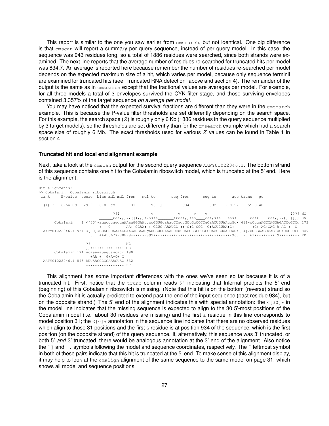This report is similar to the one you saw earlier from **cmsearch**, but not identical. One big difference is that cmscan will report a summary per query sequence, instead of per query model. In this case, the sequence was 943 residues long, so a total of 1886 residues were searched, since both strands were examined. The next line reports that the average number of residues re-searched for truncated hits per model was 834.7. An average is reported here because remember the number of residues re-searched per model depends on the expected maximum size of a hit, which varies per model, because only sequence terminii are examined for truncated hits (see "Truncated RNA detection" above and section 4). The remainder of the output is the same as in cmsearch except that the fractional values are averages per model. For example, for all three models a total of 3 envelopes survived the CYK filter stage, and those surviving envelopes contained 3.357% of the target sequence *on average per model*.

You may have noticed that the expected survival fractions are different than they were in the emsearch example. This is because the P-value filter thresholds are set differently depending on the search space. For this example, the search space  $(Z)$  is roughly only 6 Kb (1886 residues in the query sequence multiplied by 3 target models), so the thresholds are set differently than for the cmsearch example which had a search space size of roughly 6 Mb. The exact thresholds used for various  $Z$  values can be found in Table 1 in section 4.

#### **Truncated hit and local end alignment example**

Next, take a look at the cmscan output for the second query sequence AAFY01022046.1. The bottom strand of this sequence contains one hit to the Cobalamin riboswitch model, which is truncated at the 5' end. Here is the alignment:

| Hit alignments:<br>>> Cobalamin Cobalamin riboswitch<br>rank                                                         |                                        |                            |     | E-value score bias mdl mdl from mdl to | seq from seq to acc trunc qc                                                                                                                                                               |             |  |  |  |  |         |
|----------------------------------------------------------------------------------------------------------------------|----------------------------------------|----------------------------|-----|----------------------------------------|--------------------------------------------------------------------------------------------------------------------------------------------------------------------------------------------|-------------|--|--|--|--|---------|
| (1) ! $6.6e-09$ 29.9 0.0 cm 31 190 [] 934 832 - $\degree$ 0.92 5' 0.48                                               | ------- ------ ------ --- -------- --- |                            |     |                                        |                                                                                                                                                                                            |             |  |  |  |  |         |
|                                                                                                                      |                                        | 222                        |     | $\mathbf v$                            |                                                                                                                                                                                            | $V$ $V$ $V$ |  |  |  |  | ???? NC |
| Cobalamin                                                                                                            |                                        |                            |     |                                        | 1 < [30] *aqucqqqqquuAAaaGGGAAc.ccGGUGcaAauCCqqqGCuGcCCCCqCaACUGUAAqcGq* [61] *cCqcqAGCCAGGAGACCuGCCq 173<br>+ + G + AA: GGAA: : GGUG AAAUCC ::+C:G CCC C:ACUGUAA:C: ::-G:+AG+CAG A AC : C |             |  |  |  |  |         |
| AAFY01022046.1934<101*GUAGGCAAAAGGAAGGAAGGAAGGAAUGGUGGAAAUCCUUCACGGGCCCGGCCACUGUAACCAG*141*UUGGAAGUCAG-AUACUCUUCU849 |                                        |                            |     |                                        |                                                                                                                                                                                            |             |  |  |  |  |         |
|                                                                                                                      | ??                                     |                            | NC. |                                        |                                                                                                                                                                                            |             |  |  |  |  |         |
|                                                                                                                      |                                        | $11:$ CS                   |     |                                        |                                                                                                                                                                                            |             |  |  |  |  |         |
| Cobalamin 174 ucaaaaauaquaucacc 190                                                                                  |                                        | $+AA + G+A+C+C$            |     |                                        |                                                                                                                                                                                            |             |  |  |  |  |         |
| AAFY01022046.1 848 AUUAAGGCGGAAACUAC 832                                                                             |                                        | $**********************PP$ |     |                                        |                                                                                                                                                                                            |             |  |  |  |  |         |

This alignment has some important differences with the ones we've seen so far because it is of a truncated hit. First, notice that the trunc column reads 5' indicating that Infernal predicts the 5' end (beginning) of this Cobalamin riboswitch is missing. (Note that this hit is on the bottom (reverse) strand so the Cobalamin hit is actually predicted to extend past the end of the input sequence (past residue 934), but on the opposite strand.) The 5' end of the alignment indicates this with special annotation: the  $<[30]*$  in the model line indicates that the missing sequence is expected to align to the 30 5'-most positions of the Cobalamin model (i.e. about 30 residues are missing) and the first  $\alpha$  residue in this line corresponds to model position 31; the  $<[0] \times$  annotation in the sequence line indicates that there are no observed residues which align to those 31 positions and the first  $G$  residue is at position 934 of the sequence, which is the first position (on the opposite strand) of the query sequence. If, alternatively, this sequence was 3' truncated, or both 5' *and* 3' truncated, there would be analogous annotation at the 3' end of the alignment. Also notice the ~] and ~. symbols following the model and sequence coordinates, respectively. The ~ leftmost symbol in both of these pairs indicate that this hit is truncated at the 5' end. To make sense of this alignment display, it may help to look at the cmalign alignment of the same sequence to the same model on page 31, which shows all model and sequence positions.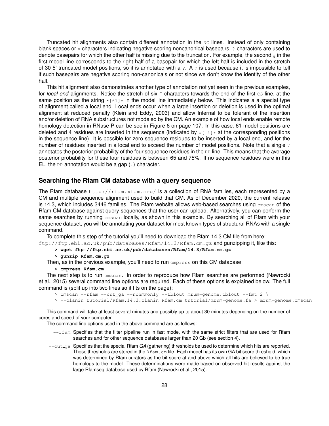Truncated hit alignments also contain different annotation in the NC lines. Instead of only containing blank spaces or  $\overline{v}$  characters indicating negative scoring noncanonical basepairs,  $\overline{v}$  characters are used to denote basepairs for which the other half is missing due to the truncation. For example, the second  $\sigma$  in the first model line corresponds to the right half of a basepair for which the left half is included in the stretch of 30 5' truncated model positions, so it is annotated with a ?. A ? is used because it is impossible to tell if such basepairs are negative scoring non-canonicals or not since we don't know the identity of the other half.

This hit alignment also demonstrates another type of annotation not yet seen in the previous examples, for *local end* alignments. Notice the stretch of six  $\tilde{ }$  characters towards the end of the first cs line, at the same position as the string  $\star$  [61]  $\star$  in the model line immediately below. This indicates a a special type of alignment called a local end. Local ends occur when a large insertion or deletion is used in the optimal alignment at reduced penalty (Klein and Eddy, 2003) and allow Infernal to be tolerant of the insertion and/or deletion of RNA substructures not modeled by the CM. An example of how local ends enable remote homology detection in RNase P can be see in Figure 6 on page 107. In this case, 61 model positions are deleted and 4 residues are inserted in the sequence (indicated by  $*$   $[$  4] $*$  at the corresponding positions in the sequence line). It is possible for zero sequence residues to be inserted by a local end, and for the number of residues inserted in a local end to exceed the number of model positions. Note that a single 7 annotates the posterior probability of the four sequence residues in the  $PP$  line. This means that the average posterior probability for these four residues is between 65 and 75%. If no sequence residues were in this EL, the PP annotation would be a gap  $(.)$  character.

# **Searching the Rfam CM database with a query sequence**

The Rfam database  $http://rfam.xfam.org/$  is a collection of RNA families, each represented by a CM and multiple sequence alignment used to build that CM. As of December 2020, the current release is 14.3, which includes 3446 families. The Rfam website allows web-based searches using  $\text{cm}$  cmscan of the Rfam CM database against query sequences that the user can upload. Alternatively, you can perform the same searches by running cmscan locally, as shown in this example. By searching all of Rfam with your sequence dataset, you will be annotating your dataset for most known types of structural RNAs with a single command.

To complete this step of the tutorial you'll need to download the Rfam 14.3 CM file from here: ftp://ftp.ebi.ac.uk/pub/databases/Rfam/14.3/Rfam.cm.gz and gunzipping it, like this:

**> wget ftp://ftp.ebi.ac.uk/pub/databases/Rfam/14.3/Rfam.cm.gz**

**> gunzip Rfam.cm.gz**

Then, as in the previous example, you'll need to run cmpress on this CM database:

#### **> cmpress Rfam.cm**

The next step is to run cmscan. In order to reproduce how Rfam searches are performed (Nawrocki et al., 2015) several command line options are required. Each of these options is explained below. The full command is (split up into two lines so it fits on the page):

 $>$  cmscan --rfam --cut\_ga --nohmmonly --tblout mrum-genome.tblout --fmt 2 \

> --clanin tutorial/Rfam.14.3.clanin Rfam.cm tutorial/mrum-genome.fa > mrum-genome.cmscan

This command will take at least several minutes and possibly up to about 30 minutes depending on the number of cores and speed of your computer.

The command line options used in the above command are as follows:

- $-$ rfam Specifies that the filter pipeline run in fast mode, with the same strict filters that are used for Rfam searches and for other sequence databases larger than 20 Gb (see section 4).
- --cut<sub>-ga</sub> Specifies that the special Rfam *GA* (gathering) thresholds be used to determine which hits are reported. These thresholds are stored in the  $Rfam.cm$  file. Each model has its own GA bit score threshold, which was determined by Rfam curators as the bit score at and above which all hits are believed to be true homologs to the model. These determinations were made based on observed hit results against the large Rfamseq database used by Rfam (Nawrocki et al., 2015).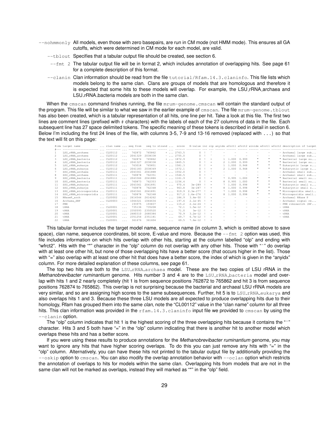- $-$ nohmmonly All models, even those with zero basepairs, are run in CM mode (not HMM mode). This ensures all GA cutoffs, which were determined in CM mode for each model, are valid.
	- --tblout Specifies that a tabular output file should be created, see section 6.
	- $-$ fmt 2 The tabular output file will be in format 2, which includes annotation of overlapping hits. See page 61 for a complete description of this format.
	- --clanin Clan information should be read from the file tutorial/Rfam.14.3.claninfo. This file lists which models belong to the same clan. Clans are groups of models that are homologous and therefore it is expected that some hits to these models will overlap. For example, the LSU\_rRNA\_archaea and LSU\_rRNA\_bacteria models are both in the same clan.

When the cmscan command finishes running, the file mrum-genome.cmscan will contain the standard output of the program. This file will be similar to what we saw in the earlier example of cmscan. The file mrum-genome.tblout has also been created, which is a tabular representation of all hits, one line per hit. Take a look at this file. The first two lines are comment lines (prefixed with # characters) with the labels of each of the 27 columns of data in the file. Each subsequent line has 27 space delimited tokens. The specific meaning of these tokens is described in detail in section 6. Below I'm including the first 24 lines of the file, with columns 3-5, 7-9 and 13-16 removed (replaced with ...) so that the text will fit on this page:

|    | #idx target name                |              |                  |                         |         |         |     |                   |              |                           |               |                          |         |       |              |                          | clan name  seq from seq to strand  score E-value inc olp anyidx afrctl afrct2 winidx wfrctl wfrct2 description of target |
|----|---------------------------------|--------------|------------------|-------------------------|---------|---------|-----|-------------------|--------------|---------------------------|---------------|--------------------------|---------|-------|--------------|--------------------------|--------------------------------------------------------------------------------------------------------------------------|
|    | --------------------------      |              | $1.1.7 - 1.1.7$  |                         |         |         |     |                   |              |                           |               |                          |         |       |              |                          | sources accesso comes <sub>1,1</sub> comes consumer and access comes access comes comes access accessive consumer        |
|    | LSU rRNA archaea                |              | $\ldots$ CL00112 | $\cdots$                | 762872  | 765862  |     | $+ \ldots 2763.5$ |              | $0 \quad 1 \quad \hat{ }$ |               |                          |         |       |              | $\sim$                   | - Archaeal large sub                                                                                                     |
|    | LSU rRNA archaea                |              | $\ldots$ CL00112 | $\cdots$                | 2041329 | 2038338 |     | $-$ 2755.0        |              | 0 <sup>1</sup>            |               |                          |         |       |              |                          | - Archaeal large sub                                                                                                     |
| 3  | LSU rRNA bacteria               |              | $\ldots$ CL00112 | $\cdots$                | 762874  | 765862  |     | $+ \ldots 1872.9$ | $\Omega$     |                           | $=$           |                          | 1 1,000 | 0.999 |              |                          | " Bacterial large su                                                                                                     |
| 4  | LSU rRNA bacteria               |              | $\ldots$ CL00112 | $\cdots$                | 2041327 | 2038338 |     | $-$ 1865.5        |              |                           | $=$           |                          | 2 1.000 | 0.999 | Ħ            | $\mathbf{u}$             | " Bacterial large su                                                                                                     |
| -5 | LSU_rRNA_eukarya                |              | $\ldots$ CL00112 | $\cdots$                | 763018  | 765851  |     | $+ \ldots 1581.3$ | $\Omega$     |                           | $=$           |                          | 1 1,000 | 0.948 | $\mathbf{u}$ | $\mathbf{u}$             | " Eukaryotic large s                                                                                                     |
| 6  | LSU rRNA_eukarya                |              | $\ldots$ CL00112 | $\cdots$                | 2041183 | 2038349 |     | $-$ 1572.1        |              |                           | $=$           |                          | 2 1.000 | 0.948 | Ħ            | $\mathbf{u}$             | " Eukaryotic large s                                                                                                     |
|    | SSU rRNA archaea                |              | $\ldots$ CL00111 | $\cdots$                | 2043361 | 2041888 |     | $-$ 1552.0        | $\Omega$     |                           |               |                          |         |       | -            | $\sim$                   | - Archaeal small sub                                                                                                     |
| 8  | SSU rRNA archaea                |              | $\ldots$ CL00111 | $\cdots$                | 760878  | 762351  |     | $+ \ldots 1546.5$ | $\Omega$     |                           |               |                          |         |       |              |                          | - Archaeal small sub                                                                                                     |
| 9  | SSU rRNA bacteria               |              | $\ldots$ CL00111 | $\cdots$                | 2043366 | 2041886 |     | $-$ 1161.9        | $\Omega$     |                           | $\equiv$      |                          | 7 0.995 | 1.000 | π            | $\mathbf{u}$             | " Bacterial small su                                                                                                     |
| 10 | SSU rRNA bacteria               |              | $\ldots$ CL00111 | $\cdots$                | 760873  | 762353  |     | $+ \ldots 1156.4$ |              |                           | $=$           |                          | 8 0.995 | 1,000 |              | $\mathbf{u}$             | " Bacterial small su                                                                                                     |
| 11 | SSU_rRNA_eukarya                |              | $\ldots$ CL00111 | $\cdots$                | 2043361 | 2041891 |     | $-$ 970.4         | $3e - 289$   |                           | $=$           |                          | 7 1.000 | 0.998 | $\mathbf{u}$ | $\mathbf{u}$             | " Eukaryotic small s                                                                                                     |
| 12 | SSU rRNA eukarya                |              | $\ldots$ CL00111 | $\cdots$                | 760878  | 762348  |     | $+ \ldots 963.8$  | $3e - 287$   |                           | $=$           |                          | 8 1,000 | 0.998 | Ħ            | $\mathbf{u}$             | " Eukaryotic small s                                                                                                     |
| 13 | SSU_rRNA_microsporidia  CL00111 |              |                  | $\cdots$                | 2043361 | 2041891 |     | $-$ 919.9         | $2.3e-277$   |                           | $=$           |                          | 7 1,000 | 0.998 | $\mathbf{u}$ | $\mathbf{u}$             | " Microsporidia small                                                                                                    |
| 14 | SSU rRNA microsporidia  CL00111 |              |                  | $\cdots$                | 760878  | 762348  |     | $+ \ldots 917.2$  | $1.6e - 276$ |                           | $=$           |                          | 8 1,000 | 0.998 | Ħ            | $\mathbf{u}$             | " Microsporidia small                                                                                                    |
| 15 | RNaseP arch                     |              | $\ldots$ CL00002 | $\cdots$                | 2614544 | 2614262 | $-$ | 184.9             | $3.4e-50$    |                           | $\cdot$       |                          |         |       | ۰            | $\sim$                   | - Archaeal RNase P                                                                                                       |
| 16 | Archaea SRP                     |              | $\ldots$ CL00003 | $\cdot$ $\cdot$ $\cdot$ | 1064321 | 1064634 |     | $+ \ldots 197.6$  | $2.1e-45$    |                           | $\rightarrow$ |                          |         |       |              | $\sim$                   | - Archaeal signal re                                                                                                     |
| 17 | FMN                             | $\cdots$ $-$ |                  | $\cdots$                | 193975  | 193837  | $-$ | 115.2             | $2.1e-24$    |                           | $\rightarrow$ |                          |         |       |              | $\overline{\phantom{a}}$ | - FMN riboswitch (RF                                                                                                     |
| 18 | tRNA                            |              | $\ldots$ CL00001 | $\cdot$ $\cdot$ $\cdot$ | 735136  | 735208  | $+$ | 72.1              | $1.5e-12$    |                           |               |                          |         |       |              |                          | $-$ tRNA                                                                                                                 |
| 19 | tRNA                            |              | $\ldots$ CL00001 | $\cdots$                | 2350593 | 2350520 | $-$ | 71.0              | $3e-12$      |                           |               |                          |         |       |              | $\overline{\phantom{a}}$ | $-$ tRNA                                                                                                                 |
| 20 | tRNA                            |              | $\ldots$ CL00001 | .                       | 2680310 | 2680384 | $+$ | 70.9              | $3.2e-12$    |                           | $\star$       | $\overline{\phantom{a}}$ |         | -     | ۰            | $\overline{\phantom{a}}$ | $-$ tRNA                                                                                                                 |
| 21 | tRNA                            |              | $\ldots$ CL00001 | $\cdots$                | 2351254 | 2351181 | $-$ | 69.7              | $6.7e-12$    |                           | $\rightarrow$ |                          |         |       |              |                          | $-$ tRNA                                                                                                                 |
| 22 | tRNA                            |              | $\ldots$ CL00001 | $\cdot$ $\cdot$ $\cdot$ | 361676  | 361604  | $-$ | 69.5              | 7.6e-12      |                           | - 4           |                          |         |       |              |                          |                                                                                                                          |

This tabular format includes the target model name, sequence name (in column 3, which is omitted above to save space), clan name, sequence coordinates, bit score, E-value and more. Because the  $--$ fmt 2 option was used, this file includes information on which hits overlap with other hits, starting at the column labelled "olp" and ending with "wfrct2". Hits with the "\*" character in the "olp" column do not overlap with any other hits. Those with "ˆ" do overlap with at least one other hit, but none of those overlapping hits have a better score (that occurs higher in the list). Those with "=" also overlap with at least one other hit that does have a better score, the index of which is given in the "anyidx" column. For more detailed explanation of these columns, see page 61.

The top two hits are both to the LSU\_rRNA\_archaea model. These are the two copies of LSU rRNA in the *Methanobrevibacter ruminantium* genome. Hits number 3 and 4 are to the LSU<sub>-LRNA</sub> bacteria model and overlap with hits 1 and 2 nearly completely (hit 1 is from sequence positions 762872 to 765862 and hit 3 is from sequence positions 762874 to 765862). This overlap is not surprising because the bacterial and archaeal LSU rRNA models are very similar, and so are assigning high scores to the same subsequences. Further, hit 5 is to LSU\_rRNA\_eukarya and also overlaps hits 1 and 3. Because these three LSU models are all expected to produce overlapping hits due to their homology, Rfam has grouped them into the same *clan*, note the "CL00112" value in the "clan name" column for all three hits. This clan information was provided in the rfam.14.3.claninfo input file we provided to cmscan by using the --clanin option.

The "olp" column indicates that hit 1 is the highest scoring of the three overlapping hits because it contains the "<sup>^"</sup> character. Hits 3 and 5 both have "=" in the "olp" column indicating that there is another hit to another model which overlaps these hits and has a better score.

If you were using these results to produce annotations for the *Methanobrevibacter ruminantium* genome, you may want to ignore any hits that have higher scoring overlaps. To do this you can just remove any hits with "=" in the "olp" column. Alternatively, you can have these hits not printed to the tabular output file by additionally providing the --oskip option to cmscan. You can also modify the overlap annotation behavior with --oclan option which restricts the annotation of overlaps to hits for models within the same clan. Overlapping hits from models that are not in the same clan will not be marked as overlaps, instead they will marked as "\*" in the "olp" field.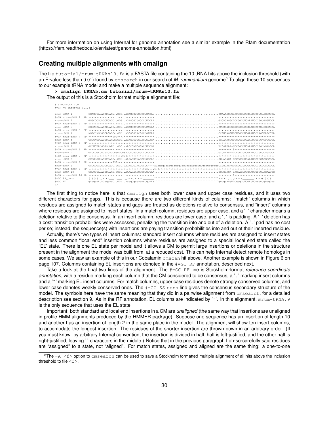For more information on using Infernal for genome annotation see a similar example in the Rfam documentation (https://rfam.readthedocs.io/en/latest/genome-annotation.html)

# **Creating multiple alignments with cmalign**

The file tutorial/mrum-tRNAs10.fa is a FASTA file containing the 10 tRNA hits above the inclusion threshold (with an E-value less than 0.01) found by cmsearch in our search of *M. ruminantium* genome<sup>8</sup> To align these 10 sequences to our example tRNA model and make a multiple sequence alignment:

```
> cmalign tRNA5.cm tutorial/mrum-tRNAs10.fa
The output of this is a Stockholm format multiple alignment file:
```
# STOCKHOLM 1.0 #=GF AU Infernal 1.1.4

| $m$ $r$ $1m - t$ $RNA$ . 1         |                                                                                                                     |  |
|------------------------------------|---------------------------------------------------------------------------------------------------------------------|--|
| $# = GR$ mrum- $+ RNA$ . 1         |                                                                                                                     |  |
| $m$ $r$ $11m - t$ $RNA$ . $2$      |                                                                                                                     |  |
| $\# = G$ R mrum- $\text{FRNA}$ . 2 |                                                                                                                     |  |
| $m$ $r$ $m$ $ r$ $RN$ $A$ . $3$    |                                                                                                                     |  |
| $# = GR$ mrum- $+ RNA$ . 3         |                                                                                                                     |  |
| $m$ $r$ $1m - t$ $RNA$ . 4         |                                                                                                                     |  |
| $# = GR$ mrum- $+ RNA$ . 4         |                                                                                                                     |  |
| $m$ $r$ $m$ $ r$ $RN$ $A$ . 5      |                                                                                                                     |  |
| #=GR mrum-tRNA.5                   |                                                                                                                     |  |
| $m$ $r$ $m$ $ r$ $RN$ $A$ . $6$    |                                                                                                                     |  |
| $\# = GR$ mrum- $+ RNA.6$          |                                                                                                                     |  |
| mrum-tRNA.7                        |                                                                                                                     |  |
| $# = GR$ mrum- $+ RNA$ . 7         |                                                                                                                     |  |
| $m$ $r$ $m$ $ r$ $RN$ $A$ . $B$    |                                                                                                                     |  |
| $# = GR$ mrum- $+ RNA$ . $8$       |                                                                                                                     |  |
| $m$ $r$ $m$ $ r$ $RN$ $A$ . 9      | GCCGGGGUGGCUCAGC.uGGU.uAGAGCGCACGGCUC----auaqqquaacuaaqcquqcucuqacuuuuuuccuqqqauaCCGUGAGAUCGCGGGUUCGAAUCCCGCCCCGGCA |  |
| $# = GR$ mrum- $+ RNA.9$           |                                                                                                                     |  |
| $m$ $r$ $1m$ $ r$ $RN$ $A$ . $10$  |                                                                                                                     |  |
|                                    |                                                                                                                     |  |
| $# = GC$ SS cons                   |                                                                                                                     |  |
| $# = GC$ RF                        |                                                                                                                     |  |
| $\frac{1}{2}$                      |                                                                                                                     |  |

The first thing to notice here is that cmalign uses both lower case and upper case residues, and it uses two different characters for gaps. This is because there are two different kinds of columns: "match" columns in which residues are assigned to match states and gaps are treated as deletions relative to consensus, and "insert" columns where residues are assigned to insert states. In a match column, residues are upper case, and a '-' character means a deletion relative to the consensus. In an insert column, residues are lower case, and a '.' is padding. A '-' deletion has a cost: transition probabilities were assessed, penalizing the transition into and out of a deletion. A '.' pad has no cost per se; instead, the sequence(s) with insertions are paying transition probabilities into and out of their inserted residue.

Actually, there's two types of insert columns: standard insert columns where residues are assigned to insert states and less common "local end" insertion columns where residues are assigned to a special local end state called the "EL" state. There is one EL state per model and it allows a CM to permit large insertions or deletions in the structure present in the alignment the model was built from, at a reduced cost. This can help Infernal detect remote homologs in some cases. We saw an example of this in our Cobalamin cmscan hit above. Another example is shown in Figure 6 on page 107. Columns containing EL insertions are denoted in the #=GC RF annotation, described next.

Take a look at the final two lines of the alignment. The #=GC RF line is Stockholm-format *reference coordinate annotation*, with a residue marking each column that the CM considered to be consensus, a '.' marking insert columns and a '~' marking EL insert columns. For match columns, upper case residues denote strongly conserved columns, and lower case denotes weakly conserved ones. The  $\#=\text{GC}$  ss<sub>cons</sub> line gives the consensus secondary structure of the model. The symbols here have the same meaning that they did in a pairwise alignment from cmsearch, for a detailed description see section 9. As in the RF annotation, EL columns are indicated by '~'. In this alignment,  $m_{\text{H}}$ um-tRNA.9 is the only sequence that uses the EL state.

Important: both standard and local end insertions in a CM are *unaligned* (the same way that insertions are unaligned in profile HMM alignments produced by the HMMER package). Suppose one sequence has an insertion of length 10 and another has an insertion of length 2 in the same place in the model. The alignment will show ten insert columns, to accomodate the longest insertion. The residues of the shorter insertion are thrown down in an arbitrary order. (If you must know: by arbitrary Infernal convention, the insertion is divided in half; half is left-justified, and the other half is right-justified, leaving '.' characters in the middle.) Notice that in the previous paragraph I oh-so-carefully said residues are "assigned" to a state, not "aligned". For match states, assigned and aligned are the same thing: a one-to-one

 $8$ The  $-A < f$  option to cmsearch can be used to save a Stockholm formatted multiple alignment of all hits above the inclusion threshold to file  $\leq f$ .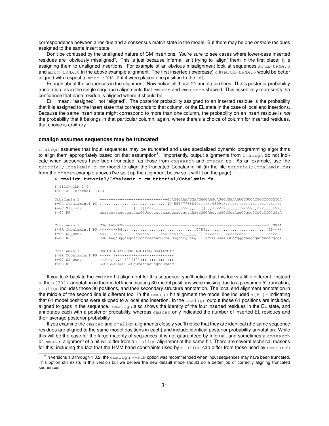correspondence between a residue and a consensus match state in the model. But there may be one *or more* residues assigned to the same insert state.

Don't be confused by the unaligned nature of CM insertions. You're sure to see cases where lower-case inserted residues are "obviously misaligned". This is just because Infernal isn't trying to "align" them in the first place: it is assigning them to unaligned insertions. For example of an obvious misalignment look at sequences  $m_{\text{Fum}}$ -tRNA.6 and  $m_{\text{rum}-\text{tRNA}}$ .8 in the above example alignment. The first inserted (lowercase) c in  $m_{\text{num}-\text{tRNA}}$ .6 would be better aligned with respect to  $m_{\text{rum}-\text{ENNA}}$ . 8 if it were placed one position to the left.

Enough about the sequences in the alignment. Now notice all those PP annotation lines. That's posterior probability annotation, as in the single sequence alignments that cmscan and cmsearch showed. This essentially represents the confidence that each residue is aligned where it should be.

Er, I mean, "assigned", not "aligned". The posterior probability assigned to an inserted residue is the probability that it is assigned to the insert state that corresponds to that column, or the EL state in the case of local end insertions. Because the same insert state might correspond to more than one column, the probability on an insert residue is *not* the probability that it belongs in that particular column; again, where there's a choice of column for inserted residues, that choice is arbitrary.

#### **cmalign assumes sequences may be truncated**

cmalign assumes that input sequences may be truncated and uses specialized dynamic programming algorithms to align them appropriately based on that assumption<sup>9</sup>. Importantly, output alignments from cmalign do not indicate when sequences have been truncated, as those from **cmsearch** and cmscan do. As an example, use the tutorial/Cobalamin.c.cm model to align the truncated Cobalamin hit (in the file tutorial/Cobalamin.fa) from the cmscan example above (I've split up the alignment below so it will fit on the page):

**> cmalign tutorial/Cobalamin.c.cm tutorial/Cobalamin.fa**

| # STOCKHOLM 1.0<br>#=GF AU Infernal 1.1.4  |                                                                                                                                                                                      |
|--------------------------------------------|--------------------------------------------------------------------------------------------------------------------------------------------------------------------------------------|
| Cobalamin.1                                | ----------------------------GUAGGCAAAAGGAAGAGGAAGqAUGGUGGAAAUCCUUCACGGGCCCGGCCA<br>egC_RF         uuaaauuauucuqquqacGGUcccccuuaaaqucaqqqquuAAaaGGGAAc.ccGGUGcaAauCCqqqGCuGcCCCCqCaA# |
| Cobalamin.1<br>$# = GC$ RF                 | CUGUAAgeGggaageaeeeeecaaaauGCCACUGgeeeguaag <sup>~~~~</sup> ggeCGGGAAGGCggggggaagegaugAeeCgegA                                                                                       |
| Cobalamin.1<br>#=GC SS cons<br>$# = GC$ RF | GUCAG-AUACUCUUCUAUUAAGGCGGAAACUAC<br>#=GR Cobalamin.1 PP *****.9***************************<br>GCCAGGAGACCuGCCqucaaaaauaquaucacc                                                     |

If you look back to the cmscan hit alignment for this sequence, you'll notice that this looks a little different. Instead of the  $\leq 1301*$  annotation in the model line indicating 30 model positions were missing due to a presumed 5' truncation, cmalign includes those 30 positions, and their secondary structure annotation. The local end alignment annotation in the middle of the second line is different too. In the cmscan hit alignment the model line included  $\star$  [61]  $\star$  indicating that 61 model positions were skipped to a local end insertion. In the  $c_{\text{malign}}$  output those 61 positions are included, aligned to gaps in the sequence. cmalign also shows the identity of the four inserted residues in the EL state, and annotates each with a posterior probability, whereas cmscan only indicated the number of inserted EL residues and their average posterior probability.

If you examine the cmscan and cmalign alignments closely you'll notice that they are identical (the same sequence residues are aligned to the same model positions in each) and include identical posterior probability annotation. While this will be the case for the large majority of sequences, it is not guaranteed by Infernal, and sometimes a cmsearch or cmscan alignment of a hit will differ from a cmalign alignment of the same hit. There are several technical reasons for this, including the fact that the HMM band constraints used by cmalign can differ from those used by cmsearch

<sup>9</sup>In versions 1.0 through 1.0.2, the cmalign --sub option was recommended when input sequences may have been truncated. This option still exists in this version but we believe the new default mode should do a better job of correctly aligning truncated sequences.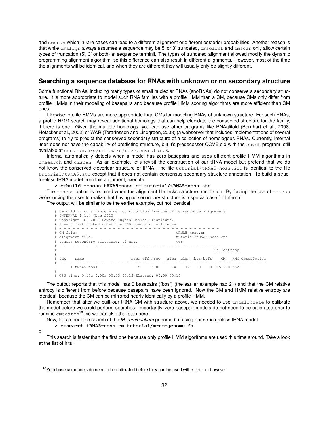and cmscan which in rare cases can lead to a different alignment or different posterior probabilities. Another reason is that while cmalign always assumes a sequence may be 5' or 3' truncated, cmsearch and cmscan only allow certain types of truncation (5', 3' or both) at sequence terminii. The types of truncated alignment allowed modify the dynamic programming alignment algorithm, so this difference can also result in different alignments. However, most of the time the alignments will be identical, and when they are different they will usually only be slightly different.

# **Searching a sequence database for RNAs with unknown or no secondary structure**

Some functional RNAs, including many types of small nucleolar RNAs (snoRNAs) do not conserve a secondary structure. It is more appropriate to model such RNA families with a profile HMM than a CM, because CMs only differ from profile HMMs in their modeling of basepairs and because profile HMM scoring algorithms are more efficient than CM ones.

Likewise, profile HMMs are more appropriate than CMs for modeling RNAs of unknown structure. For such RNAs, a profile HMM search may reveal additional homologs that can help elucidate the conserved structure for the family, if there is one. Given the multiple homologs, you can use other programs like RNAalifold (Bernhart et al., 2008; Hofacker et al., 2002) or WAR (Torarinsson and Lindgreen, 2008) (a webserver that includes implementations of several programs) to try to predict the conserved secondary structure of a collection of homologous RNAs. Currently, Infernal itself does not have the capability of predicting structure, but it's predecessor COVE did with the covet program, still available at eddylab.org/software/cove/cove.tar.Z.

Infernal automatically detects when a model has zero basepairs and uses efficient profile HMM algorithms in cmsearch and cmscan. As an example, let's revisit the construction of our tRNA model but pretend that we do not know the conserved cloverlear structure of tRNA. The file tutorial/tRNA5-noss.sto is identical to the file tutorial/tRNA5.sto except that it does not contain consensus secondary structure annotation. To build a structureless tRNA model from this alignment, execute:

**> cmbuild --noss tRNA5-noss.cm tutorial/tRNA5-noss.sto**

The  $-\text{ness}$  option is required when the alignment file lacks structure annotation. By forcing the use of  $-\text{ness}$ we're forcing the user to realize that having no secondary structure is a special case for Infernal.

The output will be similar to be the earlier example, but not identical:

|   | # cmbuild :: covariance model construction from multiple sequence alignments |                             |   |      |  |                       |  |  |             |  |                                                     |
|---|------------------------------------------------------------------------------|-----------------------------|---|------|--|-----------------------|--|--|-------------|--|-----------------------------------------------------|
|   |                                                                              | # INFERNAL 1.1.4 (Dec 2020) |   |      |  |                       |  |  |             |  |                                                     |
|   | # Copyright (C) 2020 Howard Hughes Medical Institute.                        |                             |   |      |  |                       |  |  |             |  |                                                     |
|   | # Freely distributed under the BSD open source license.                      |                             |   |      |  |                       |  |  |             |  |                                                     |
|   |                                                                              |                             |   |      |  |                       |  |  |             |  |                                                     |
|   | # CM file:                                                                   |                             |   |      |  | tRNA5-noss.cm         |  |  |             |  |                                                     |
|   | tutorial/tRNA5-noss.sto<br># alignment file:                                 |                             |   |      |  |                       |  |  |             |  |                                                     |
|   | # ignore secondary structure, if any:<br>yes                                 |                             |   |      |  |                       |  |  |             |  |                                                     |
|   |                                                                              |                             |   |      |  |                       |  |  |             |  |                                                     |
| # |                                                                              |                             |   |      |  |                       |  |  | rel entropy |  |                                                     |
| # |                                                                              |                             |   |      |  |                       |  |  |             |  |                                                     |
|   | # idx                                                                        | name                        |   |      |  |                       |  |  |             |  | nseq eff nseq alen clen bps bifs CM HMM description |
|   |                                                                              |                             |   |      |  |                       |  |  |             |  |                                                     |
|   |                                                                              | 1 tRNA5-noss                | 5 | 5.00 |  | 74 72 0 0 0.552 0.552 |  |  |             |  |                                                     |
| # |                                                                              |                             |   |      |  |                       |  |  |             |  |                                                     |

# # CPU time: 0.13u 0.00s 00:00:00.13 Elapsed: 00:00:00.15

The output reports that this model has 0 basepairs ("bps") (the earlier example had 21) and that the CM relative entropy is different from before because basepairs have been ignored. Now the CM and HMM relative entropy are identical, because the CM can be mirrored nearly identically by a profile HMM.

Remember that after we built our tRNA CM with structure above, we needed to use cmcalibrate to calibrate the model before we could perform searches. Importantly, zero basepair models do not need to be calibrated prior to running  $\mathtt{cmsearch}^{10}$ , so we can skip that step here.

Now, let's repeat the search of the *M. ruminantium* genome but using our structureless tRNA model:

#### **> cmsearch tRNA5-noss.cm tutorial/mrum-genome.fa**

o

This search is faster than the first one because only profile HMM algorithms are used this time around. Take a look at the list of hits:

 $10$ Zero basepair models do need to be calibrated before they can be used with cmscan however.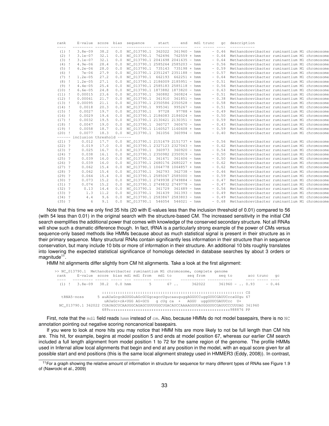| rank<br>---- | E-value score bias  |      |                            | sequence                              | start | end            | mdl trunc | qc      | description                                         |  |
|--------------|---------------------|------|----------------------------|---------------------------------------|-------|----------------|-----------|---------|-----------------------------------------------------|--|
| $(1)$ !      | $3.8e - 09$         | 38.2 | 0.0                        | NC 013790.1 362022                    |       | $361960 - hmm$ |           | $-0.46$ | Methanobrevibacter ruminantium M1 chromosome        |  |
| $(2)$ !      | $3.1e-07$           | 32.1 | 0.0                        | NC_013790.1 762496 762559 + hmm       |       |                |           | $-0.64$ | Methanobrevibacter ruminantium M1 chromosome        |  |
| $(3)$ !      | $3.1e-07$           | 32.1 | 0.0                        | NC 013790.1 2041698 2041635 - hmm     |       |                |           | $-0.64$ | Methanobrevibacter ruminantium M1 chromosome        |  |
| $(4)$ !      | $4.9e - 06$         | 28.4 | 0.0                        | NC_013790.1 2585264 2585203 - hmm     |       |                |           | $-0.56$ | Methanobrevibacter ruminantium M1 chromosome        |  |
| $(5)$ !      | $6.2e - 06$         | 28.0 | 0.0                        | NC_013790.1 735143 735198 + hmm       |       |                |           | $-0.59$ | Methanobrevibacter ruminantium M1 chromosome        |  |
| $(6)$ !      | $7e - 06$           | 27.9 | 0.0                        | NC_013790.1 2351247 2351188 - hmm     |       |                |           | $-0.57$ | Methanobrevibacter ruminantium M1 chromosome        |  |
| $(7)$ !      | $1.2e-05$           | 27.2 | 0.0                        | NC 013790.1 662193 662251 + hmm       |       |                |           | $-0.64$ | Methanobrevibacter ruminantium M1 chromosome        |  |
| $(8)$ !      | $1.2e-05$           | 27.1 | 0.0                        | NC 013790.1 2186009 2185951 - hmm     |       |                |           | $-0.51$ | Methanobrevibacter ruminantium M1 chromosome        |  |
| $(9)$ !      | $4.4e-05$           | 25.4 | 0.0                        | NC_013790.1 2585183 2585118 - hmm     |       |                |           | $-0.56$ | Methanobrevibacter ruminantium M1 chromosome        |  |
| $(10)$ !     | $6.6e - 05$         | 24.8 | 0.0                        | NC_013790.1 1873882 1873820 - hmm     |       |                |           | $-0.63$ | Methanobrevibacter ruminantium M1 chromosome        |  |
| $(11)$ !     | 0.00015             | 23.6 | 0.0                        | NC_013790.1 360882 360824 - hmm       |       |                |           | $-0.51$ | Methanobrevibacter ruminantium M1 chromosome        |  |
| $(12)$ !     | 0.00061             | 21.7 | 0.0                        | NC_013790.1 361910 361851 - hmm       |       |                |           | $-0.38$ | Methanobrevibacter ruminantium M1 chromosome        |  |
| $(13)$ !     | 0.00095             | 21.1 | 0.0                        | NC 013790.1 2350586 2350528 - hmm     |       |                |           | $-0.58$ | Methanobrevibacter ruminantium M1 chromosome        |  |
| $(14)$ !     | 0.0018              | 20.3 | 0.0                        | NC 013790.1 995341                    |       | $995267 - hmm$ |           | $-0.51$ | Methanobrevibacter ruminantium M1 chromosome        |  |
| $(15)$ !     | 0.0027              | 19.7 | 0.0                        | NC_013790.1 97728                     |       | $97788 + hmm$  |           | $-0.49$ | Methanobrevibacter ruminantium M1 chromosome        |  |
| $(16)$ !     | 0.0029              | 19.6 | 0.0                        | NC_013790.1 2186083 2186024 - hmm     |       |                |           | $-0.50$ | Methanobrevibacter ruminantium M1 chromosome        |  |
| $(17)$ !     | 0.0032              | 19.5 | 0.0                        | NC_013790.1 2130421 2130351 - hmm     |       |                |           | $-0.59$ | Methanobrevibacter ruminantium M1 chromosome        |  |
| $(18)$ !     | 0.0047              | 19.0 | 0.0                        | NC_013790.1 360727 360670 - hmm       |       |                |           | $-0.43$ | Methanobrevibacter ruminantium M1 chromosome        |  |
| $(19)$ !     | 0.0058              | 18.7 | 0.0                        | NC 013790.1 1160527 1160608 + hmm     |       |                |           | $-0.59$ | Methanobrevibacter ruminantium M1 chromosome        |  |
| $(20)$ !     | 0.0077              | 18.3 | 0.0                        | NC 013790.1 361056 360994 - hmm       |       |                |           | $-0.40$ | Methanobrevibacter ruminantium M1 chromosome        |  |
| $------$     | inclusion threshold |      | $\cdots\cdots\cdots\cdots$ |                                       |       |                |           |         |                                                     |  |
| $(21)$ ?     | 0.012               | 17.7 |                            | 0.0 NC_013790.1 2151679 2151737 + hmm |       |                |           | $-0.56$ | Methanobrevibacter ruminantium M1 chromosome        |  |
| $(22)$ ?     | 0.019               | 17.0 |                            | 0.0 NC_013790.1 2327123 2327043 - hmm |       |                |           | $-0.62$ | Methanobrevibacter ruminantium M1 chromosome        |  |
| $(23)$ ?     | 0.025               | 16.7 | 0.0                        | NC 013790.1 360973 360920 - hmm       |       |                |           | $-0.54$ | Methanobrevibacter ruminantium M1 chromosome        |  |
| $(24)$ ?     | 0.038               | 16.1 | 0.0                        | NC 013790.1 2350982 2350919 - hmm     |       |                |           | $-0.50$ | Methanobrevibacter ruminantium M1 chromosome        |  |
| $(25)$ ?     | 0.039               | 16.0 | 0.0                        | NC_013790.1 361671 361606 - hmm       |       |                |           | $-0.50$ | Methanobrevibacter ruminantium M1 chromosome        |  |
| $(26)$ ?     | 0.039               | 16.0 | 0.0                        | NC_013790.1 2680176 2680227 + hmm     |       |                |           | $-0.62$ | Methanobrevibacter ruminantium M1 chromosome        |  |
| $(27)$ ?     | 0.062               | 15.4 | 0.0                        | NC 013790.1 1064778 1064857 + hmm     |       |                |           | $-0.62$ | Methanobrevibacter ruminantium M1 chromosome        |  |
| $(28)$ ?     | 0.062               | 15.4 | 0.0                        | NC 013790.1 362793 362738 - hmm       |       |                |           | $-0.46$ | Methanobrevibacter ruminantium M1 chromosome        |  |
| $(29)$ ?     | 0.064               | 15.4 | 0.0                        | NC 013790.1 2585067 2585000 - hmm     |       |                |           | $-0.59$ | Methanobrevibacter ruminantium M1 chromosome        |  |
| $(30)$ ?     | 0.073               | 15.2 | 0.0                        | NC 013790.1 2749938 2749884 - hmm     |       |                |           | $-0.47$ | Methanobrevibacter ruminantium M1 chromosome        |  |
| $(31)$ ?     | 0.074               | 15.2 | 0.0                        | NC_013790.1 2749832 2749778 - hmm     |       |                |           | $-0.47$ | Methanobrevibacter ruminantium M1 chromosome        |  |
| $(32)$ ?     | 0.13                | 14.4 | 0.0                        | NC_013790.1 361729 361689 - hmm       |       |                |           | $-0.56$ | Methanobrevibacter ruminantium M1 chromosome        |  |
| $(33)$ ?     | 1.3                 | 11.2 | 0.0                        | NC_013790.1 361439 361393 - hmm       |       |                |           | $-0.49$ | Methanobrevibacter ruminantium M1 chromosome        |  |
| $(34)$ ?     | 4.4                 | 9.6  | 0.0                        | NC 013790.1 2583867 2583803 - hmm     |       |                |           | $-0.49$ | Methanobrevibacter ruminantium M1 chromosome        |  |
| $(35)$ ?     | 6                   | 9.1  |                            | 0.0 NC 013790.1 546054 546021 - hmm   |       |                |           |         | - 0.68 Methanobrevibacter ruminantium M1 chromosome |  |

Note that this time we only find 35 hits (20 with E-values less than the inclusion threshold of 0.01) compared to 56 (with 54 less than 0.01) in the original search with the structure-based CM. The increased sensitivity in the initial CM search exemplifies the additional power that comes with knowledge of the conserved secondary structure. Not all RNAs will show such a dramatic difference though. In fact, tRNA is a particularly strong example of the power of CMs versus sequence-only based methods like HMMs because about as much statistical signal is present in their structure as in their primary sequence. Many structural RNAs contain significantly less information in their structure than in sequence conservation, but many include 10 bits or more of information in their structure. An additional 10 bits roughly translates into lowering the expected statistical significance of homologs detected in database searches by about 3 orders or magnitude<sup>11</sup>.

HMM hit alignments differ slightly from CM hit alignments. Take a look at the first alignment:

|            | >> NC_013790.1 Methanobrevibacter ruminantium M1 chromosome, complete genome              |  |                                                        |              |  |
|------------|-------------------------------------------------------------------------------------------|--|--------------------------------------------------------|--------------|--|
| rank       | E-value score bias mdl mdl from mdl to                                                    |  | seq from seq to                                        | acc trunc qc |  |
|            |                                                                                           |  |                                                        |              |  |
|            | (1)!  3.8e-09  38.2  0.0 hmm     5    67 ..    362022    361960 - .. 0.93   - 0.46        |  |                                                        |              |  |
|            |                                                                                           |  |                                                        |              |  |
|            |                                                                                           |  |                                                        |              |  |
| tRNA5-noss | 5 auAUaGcgcAGUGGuAGcGCGgcagccUgucaauguggAGGUCCuggGUUCGAUUCccaGUgu 67                      |  |                                                        |              |  |
|            |                                                                                           |  | uAUaGc+cA+UGG AG+GCG q cUq ca + AGGU uqqGUUCGAUUCcc U+ |              |  |
|            | NC 013790.1 362022 CUAUAGCUCAAUGGCAGAGCGUUUGGCUGACAUCCAAAAGGUUAUGGGUUCGAUUCCCUUUAG 361960 |  |                                                        |              |  |
|            |                                                                                           |  |                                                        |              |  |
|            |                                                                                           |  |                                                        |              |  |

First, note that the  $mdl$  field reads hmm instead of cm. Also, because HMMs do not model basepairs, there is no NC annotation pointing out negative scoring noncanonical basepairs.

If you were to look at more hits you may notice that HMM hits are more likely to not be full length than CM hits are. This hit, for example, begins at model position 5 and ends at model position 67, whereas our earlier CM search included a full length alignment from model position 1 to 72 for the same region of the genome. The profile HMMs used in Infernal allow local alignments that begin and end at any position in the model, with an equal score given for all possible start and end positions (this is the same local alignment strategy used in HMMER3 (Eddy, 2008)). In contrast,

<sup>11</sup>For a graph showing the relative amount of information in structure for sequence for many different types of RNAs see Figure 1.9 of (Nawrocki et al., 2009)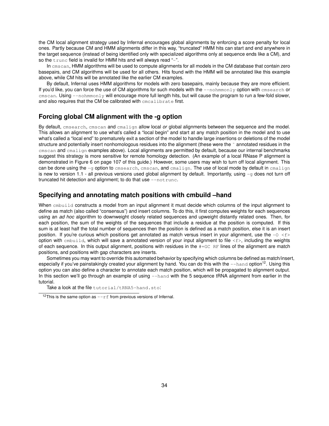the CM local alignment strategy used by Infernal encourages global alignments by enforcing a score penalty for local ones. Partly because CM and HMM alignments differ in this way, "truncated" HMM hits can start and end anywhere in the target sequence (instead of being identified only with specialized algorithms only at sequence ends like a CM), and so the trunc field is invalid for HMM hits and will always read "-".

In cmscan, HMM algorithms will be used to compute alignments for all models in the CM database that contain zero basepairs, and CM algorithms will be used for all others. Hits found with the HMM will be annotated like this example above, while CM hits will be annotated like the earlier CM examples.

By default, Infernal uses HMM algorithms for models with zero basepairs, mainly because they are more efficient. If you'd like, you can force the use of CM algorithms for such models with the  $--$ nohmmonly option with cmsearch or cmscan. Using --nohmmonly will encourage more full length hits, but will cause the program to run a few-fold slower, and also requires that the CM be calibrated with cmcalibrate first.

# **Forcing global CM alignment with the -g option**

By default, cmsearch, cmscan and cmalign allow local *or* global alignments between the sequence and the model. This allows an alignment to use what's called a "local begin" and start at any match position in the model and to use what's called a "local end" to prematurely exit a section of the model to handle large insertions or deletions of the model structure and potentially insert nonhomologous residues into the alignment (these were the  $\tilde{ }$  annotated residues in the cmscan and cmalign examples above). Local alignments are permitted by default, because our internal benchmarks suggest this strategy is more sensitive for remote homology detection. (An example of a local RNase P alignment is demonstrated in Figure 6 on page 107 of this guide.) However, some users may wish to turn off local alignment. This can be done using the -g option to cmsearch, cmscan, and cmalign. The use of local mode by default in cmalign is new to version 1.1 - all previous versions used global alignment by default. Importantly, using  $-g$  does not turn off truncated hit detection and alignment; to do that use --not runc.

# **Specifying and annotating match positions with cmbuild –hand**

When  $cm$ build constructs a model from an input alignment it must decide which columns of the input alignment to define as match (also called "consensus") and insert columns. To do this, it first computes weights for each sequences using an *ad hoc* algorithm to downweight closely related sequences and upweight distantly related ones. Then, for each position, the sum of the weights of the sequences that include a residue at the position is computed. If this sum is at least half the total number of sequences then the position is defined as a match position, else it is an insert position. If you're curious which positions get annotated as match versus insert in your alignment, use the  $-0 < f$ option with cmbuild, which will save a annotated version of your input alignment to file <f>, including the weights of each sequence. In this output alignment, positions with residues in the  $#GCF$  RF lines of the alignment are match positions, and positions with gap characters are inserts.

Sometimes you may want to override this automated behavior by specifying which columns be defined as match/insert, especially if you've painstakingly created your alignment by hand. You can do this with the  $-$ hand option<sup>12</sup>. Using this option you can also define a character to annotate each match position, which will be propagated to alignment output. In this section we'll go through an example of using --hand with the 5 sequence tRNA alignment from earlier in the tutorial.

Take a look at the file tutorial/tRNA5-hand.sto:

<sup>&</sup>lt;sup>12</sup>This is the same option as  $-rf$  from previous versions of Infernal.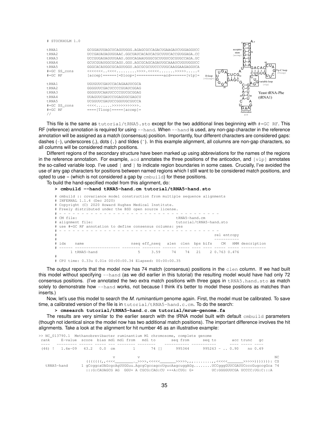| # STOCKHOLM 1.0                                                                            |                                                                                                                                                                                                                                                                                                                                                 | A *                                                                                                                                                        |
|--------------------------------------------------------------------------------------------|-------------------------------------------------------------------------------------------------------------------------------------------------------------------------------------------------------------------------------------------------------------------------------------------------------------------------------------------------|------------------------------------------------------------------------------------------------------------------------------------------------------------|
| tRNA1<br>tRNA2<br>$F$ <sub>RNA</sub> $3$<br>tRNA4<br>t RNA5<br>#=GC SS cons<br>$# = GC$ RF | GCGGAUUUAGCUCAGUUGGG . AGAGCGCCAGACUGAAGAUCUGGAGGUCC<br>UCCGAUAUAGUGUAAC.GGCUAUCACAUCACGCUUUCACCGUGGAGA.CC<br>UCCGUGAUAGUUUAAU.GGUCAGAAUGGGCGCUUGUCGCGUGCCAGA.UC<br>GCUCGUAUGGCGCAGU.GGU.AGCGCAGCAGAUUGCAAAUCUGUUGGUCC<br>GGGCACAUGGCGCAGUUGGU, AGCGCGCUUCCCUUGCAAGGAAGAGGUCA<br>$[accept]$ ====== $[=Dloop=$ =============acd======= $[vlp]$ = | acceptor<br>stem<br>faccep<br>GACA<br>Gľ<br>$T\psi$ -C loop<br>۵ فال⊺<br>cugugl<br>Tloop<br>.C <sup>1</sup><br>JCG.<br>D-loop<br>$[-Dloop-]$<br>lG<br>GAGC |
| tRNA1                                                                                      | UGUGUUCGAUCCACAGAAUUCGCA                                                                                                                                                                                                                                                                                                                        | variable loop<br>[vlp]                                                                                                                                     |
| $F$ <sub>RNA2</sub>                                                                        | GGGGUUCGACUCCCCGUAUCGGAG                                                                                                                                                                                                                                                                                                                        | $\overline{20}$<br>C-G                                                                                                                                     |
| $F$ <sub>RNA</sub> $3$                                                                     | GGGGUUCAAUUCCCCGUCGCGGAG                                                                                                                                                                                                                                                                                                                        | A-U<br>Yeast tRNA-Phe                                                                                                                                      |
| tRNA4                                                                                      | UUAGUUCGAUCCUGAGUGCGAGCU                                                                                                                                                                                                                                                                                                                        | $30G - C_{40}$<br>(tRNA1)<br>A-U                                                                                                                           |
| tRNA5                                                                                      | UCGGUUCGAUUCCGGUUGCGUCCA                                                                                                                                                                                                                                                                                                                        |                                                                                                                                                            |
| #=GC SS cons                                                                               | $\left\langle \left\langle \left\langle \left\langle \cdot, \cdot, \cdot, \cdot, \cdot \right\rangle \right\rangle \right\rangle \right\rangle \left\langle \cdot \right\rangle \right\rangle \right\rangle$                                                                                                                                    |                                                                                                                                                            |
| $# = GC$ RF                                                                                | $===[Tloop]=-==[accept]=$                                                                                                                                                                                                                                                                                                                       | G AA                                                                                                                                                       |
|                                                                                            |                                                                                                                                                                                                                                                                                                                                                 | Anticodon<br>acd                                                                                                                                           |

This file is the same as tutorial/tRNA5.sto except for the two additional lines beginning with #=GC RF. This RF (reference) annotation is required for using --hand. When --hand is used, any non-gap character in the reference annotation will be assigned as a match (consensus) position. Importantly, four different characters are considered gaps: dashes (-), underscores (<sub>-</sub>), dots ( ) and tildes ( $\tilde{\ }$ ). In this example alignment, all columns are non-gap characters, so all columns will be considered match positions.

Different regions of the secondary structure have been marked up using abbreviations for the names of the regions in the reference annotation. For example, acd annotates the three positions of the anticodon, and  $[v1p]$  annotates the so-called variable loop. I've used [ and ] to indicate region boundaries in some cases. Crucially, I've avoided the use of any gap characters for positions between named regions which I still want to be considered match positions, and opted to use = (which is not considered a gap by  $cmbuild$ ) for these positions.

To build the hand-specified model from this alignment, do:

#### **> cmbuild --hand tRNA5-hand.cm tutorial/tRNA5-hand.sto**

|   |            | # cmbuild :: covariance model construction from multiple sequence alignments<br># INFERNAL 1.1.4 (Dec 2020) |  |             |                             |  |  |  |  |  |                                                     |  |  |  |  |
|---|------------|-------------------------------------------------------------------------------------------------------------|--|-------------|-----------------------------|--|--|--|--|--|-----------------------------------------------------|--|--|--|--|
|   |            | # Copyright (C) 2020 Howard Hughes Medical Institute.                                                       |  |             |                             |  |  |  |  |  |                                                     |  |  |  |  |
|   |            | # Freely distributed under the BSD open source license.                                                     |  |             |                             |  |  |  |  |  |                                                     |  |  |  |  |
|   |            |                                                                                                             |  |             |                             |  |  |  |  |  |                                                     |  |  |  |  |
|   | # CM file: |                                                                                                             |  |             | tRNA5-hand.cm               |  |  |  |  |  |                                                     |  |  |  |  |
|   |            | # alignment file:                                                                                           |  |             | tutorial/tRNA5-hand.sto     |  |  |  |  |  |                                                     |  |  |  |  |
|   |            | # use #=GC RF annotation to define consensus columns: yes                                                   |  |             |                             |  |  |  |  |  |                                                     |  |  |  |  |
|   |            |                                                                                                             |  |             |                             |  |  |  |  |  |                                                     |  |  |  |  |
| # |            |                                                                                                             |  | rel entropy |                             |  |  |  |  |  |                                                     |  |  |  |  |
| # |            |                                                                                                             |  |             |                             |  |  |  |  |  |                                                     |  |  |  |  |
|   | # idx      | name                                                                                                        |  |             |                             |  |  |  |  |  | nseq eff_nseq alen clen bps bifs CM HMM description |  |  |  |  |
|   | $#$ $-$    |                                                                                                             |  |             |                             |  |  |  |  |  |                                                     |  |  |  |  |
|   |            | 1 tRNA5-hand                                                                                                |  | $5 -$       | 3.59 74 74 21 2 0.763 0.476 |  |  |  |  |  |                                                     |  |  |  |  |
|   |            |                                                                                                             |  |             |                             |  |  |  |  |  |                                                     |  |  |  |  |

# # CPU time: 0.33u 0.01s 00:00:00.34 Elapsed: 00:00:00.35

The output reports that the model now has 74 match (consensus) positions in the clen column. If we had built this model without specifying --hand (as we did earlier in this tutorial) the resulting model would have had only 72 consensus positions. (I've annotated the two extra match positions with three gaps in tRNA5.hand.sto as match solely to demonstrate how  $-\text{hand}$  works, not because I think it's better to model these positions as matches than inserts.)

Now, let's use this model to search the *M. ruminantium* genome again. First, the model must be calibrated. To save time, a calibrated version of the file is in tutorial/tRNA5-hand.c.cm. To do the search:

**> cmsearch tutorial/tRNA5-hand.c.cm tutorial/mrum-genome.fa**

The results are very similar to the earlier search with the tRNA model built with default cmbuild parameters (though not identical since the model now has two additional match positions). The important difference involves the hit alignments. Take a look at the alignment for hit number 46 as an illustrative example:

|  |            |  |  |              |  |  |  |  |  |  | >> NC_013790.1 Methanobrevibacter ruminantium M1 chromosome, complete genome                                                                                     |  |              |  |  |     |
|--|------------|--|--|--------------|--|--|--|--|--|--|------------------------------------------------------------------------------------------------------------------------------------------------------------------|--|--------------|--|--|-----|
|  |            |  |  |              |  |  |  |  |  |  | rank E-value score bias mdl mdl from mdl to seg from seg to                                                                                                      |  | acc trunc qc |  |  |     |
|  |            |  |  |              |  |  |  |  |  |  |                                                                                                                                                                  |  |              |  |  |     |
|  |            |  |  |              |  |  |  |  |  |  | (46) ! 1.6e-09 43.2 0.0 cm i 74 [] 995344 995263 -  0.90 no 0.49                                                                                                 |  |              |  |  |     |
|  |            |  |  |              |  |  |  |  |  |  |                                                                                                                                                                  |  |              |  |  |     |
|  |            |  |  | $\mathbf{V}$ |  |  |  |  |  |  |                                                                                                                                                                  |  |              |  |  | NC. |
|  |            |  |  |              |  |  |  |  |  |  |                                                                                                                                                                  |  |              |  |  |     |
|  | tRNA5-hand |  |  |              |  |  |  |  |  |  | 1 qCcqqcaUAGcqcAqUUGGuu.AqcqCqccaqccUqucAaqcuqqAGqUCCqqqGUUCGAUUCcccGuqccqGca 74<br>$: :G:CAUAGCG AG GGU+ A CGCG:CAG:CU +++A:CUG: G+ UC:GGGGUUCGA UCCCC:UG:C::A$ |  |              |  |  |     |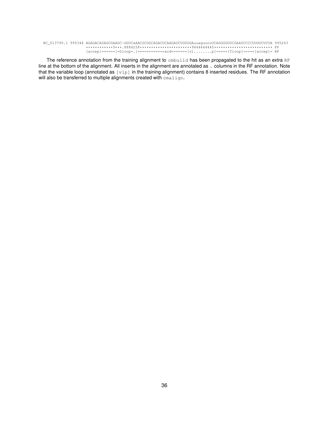NC\_013790.1 995344 AGAGACAUAGCGAAGC-GGUCaAACGCGGCAGACUCAAGAUCUGUUGAuuaguucuUCAGGGGUUCGAAUCCCCUUGUCUCUA 995263 \*\*\*\*\*\*\*\*\*\*\*\*9\*\*\*.8886258\*\*\*\*\*\*\*\*\*\*\*\*\*\*\*\*\*\*\*\*\*\*\*9444444445\*\*\*\*\*\*\*\*\*\*\*\*\*\*\*\*\*\*\*\*\*\*\*\*\*\* PP  $[accept] == == == [=Dloop=.] == == == == == = \\ \hline \texttt{[v1......]} == == [Tloop] == == [accep] = RF$ 

The reference annotation from the training alignment to embuild has been propagated to the hit as an extra RF line at the bottom of the alignment. All inserts in the alignment are annotated as . columns in the RF annotation. Note that the variable loop (annotated as  $[v1p]$  in the training alignment) contains 8 inserted residues. The RF annotation will also be transferred to multiple alignments created with cmalign.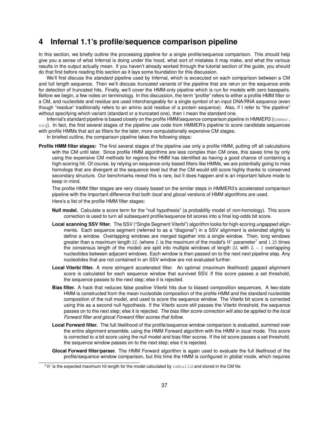# **4 Infernal 1.1's profile/sequence comparison pipeline**

In this section, we briefly outline the processing pipeline for a single profile/sequence comparison. This should help give you a sense of what Infernal is doing under the hood, what sort of mistakes it may make, and what the various results in the output actually mean. If you haven't already worked through the tutorial section of the guide, you should do that first before reading this section as it lays some foundation for this discussion.

We'll first discuss the *standard* pipeline used by Infernal, which is excecuted on each comparison between a CM and full length sequence. Then we'll discuss *truncated variants* of the pipeline that are *re*run on the sequence ends for detection of truncated hits. Finally, we'll cover the HMM-only pipeline which is run for models with zero basepairs. Before we begin, a few notes on terminology. In this discussion, the term "profile" refers to either a profile HMM filter or a CM, and nucleotide and residue are used interchangeably for a single symbol of an input DNA/RNA sequence (even though "residue" traditionally refers to an amino acid residue of a protein sequence). Also, if I refer to "the pipeline" without specifying which variant (standard or a truncated one), then I mean the standard one.

Infernal's standard pipeline is based closely on the profile HMM/sequence comparison pipeline in HMMER3 (hmmer. org). In fact, the first several stages of the pipeline use code from HMMER's pipeline to score candidate sequences with profile HMMs that act as filters for the later, more computationally expensive CM stages.

In briefest outline, the comparison pipeline takes the following steps:

**Profile HMM filter stages:** The first several stages of the pipeline use only a profile HMM, putting off all calculations with the CM until later. Since profile HMM algorithms are less complex than CM ones, this saves time by only using the expensive CM methods for regions the HMM has identified as having a good chance of containing a high-scoring hit. Of course, by relying on sequence-only based filters like HMMs, we are potentially going to miss homologs that are divergent at the sequence level but that the CM would still score highly thanks to conserved secondary structure. Our benchmarks reveal this is rare, but it does happen and is an important failure mode to keep in mind.

The profile HMM filter stages are very closely based on the similar steps in HMMER3's accelerated comparison pipeline with the important difference that both *local* and *glocal* versions of HMM algorithms are used. Here's a list of the profile HMM filter stages:

- **Null model.** Calculate a score term for the "null hypothesis" (a probability model of *non-*homology). This score correction is used to turn all subsequent profile/sequence bit scores into a final log-odds bit score.
- **Local scanning SSV filter.** The SSV ("Single Segment Viterbi") algorithm looks for high-scoring *ungapped* alignments. Each sequence segment (referred to as a "diagonal") in a SSV alignment is extended slightly to define a window. Overlapping windows are merged together into a single window. Then, long windows greater than a maximum length  $2L$  (where  $L$  is the maximum of the model's  $W$  parameter<sup>1</sup> and  $1.25$  times the consensus length of the model) are split into multiple windows of length 2L with  $L - 1$  overlapping nucleotides between adjacent windows. Each window is then passed on to the next next pipeline step. Any nucleotides that are not contained in an SSV window are not evaluated further.
- **Local Viterbi filter.** A more stringent accelerated filter. An optimal (maximum likelihood) gapped alignment score is calculated for each sequence window that survived SSV. If this score passes a set threshold, the sequence passes to the next step; else it is rejected.
- **Bias filter.** A hack that reduces false positive Viterbi hits due to biased composition sequences. A two-state HMM is constructed from the mean nucleotide composition of the profile HMM and the standard nucleotide composition of the null model, and used to score the sequence window. The Viterbi bit score is corrected using this as a second null hypothesis. If the Viterbi score still passes the Viterbi threshold, the sequence passes on to the next step; else it is rejected. *The bias filter score correction will also be applied to the local Forward filter and glocal Forward filter scores that follow.*
- **Local Forward filter.** The full likelihood of the profile/sequence window comparison is evaluated, summed over the entire alignment ensemble, using the HMM Forward algorithm with the HMM in *local* mode. This score is corrected to a bit score using the null model and bias filter scores. If the bit score passes a set threshold, the sequence window passes on to the next step; else it is rejected.
- **Glocal Forward filter/parser.** The HMM Forward algorithm is again used to evaluate the full likelihood of the profile/sequence window comparison, but this time the HMM is configured in *global* mode, which requires

 $1W$  is the expected maximum hit length for the model calculated by  $cm$ build and stored in the CM file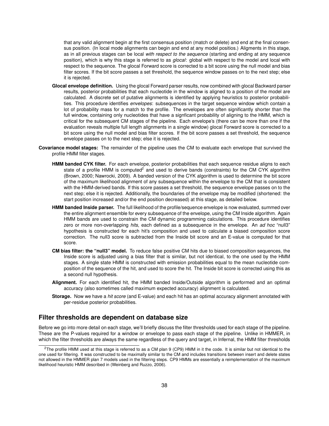that any valid alignment begin at the first consensus position (match or delete) and end at the final consensus position. (In local mode alignments can begin and end at any model positios.) Aligments in this stage, as in all previous stages can be local *with respect to the sequence* (starting and ending at any sequence position), which is why this stage is referred to as *glocal*: global with respect to the model and local with respect to the sequence. The glocal Forward score is corrected to a bit score using the null model and bias filter scores. If the bit score passes a set threshold, the sequence window passes on to the next step; else it is rejected.

- **Glocal envelope definition.** Using the glocal Forward parser results, now combined with glocal Backward parser results, posterior probabilities that each nucleotide in the window is aligned to a position of the model are calculated. A discrete set of putative alignments is identified by applying heuristics to posterior probabilities. This procedure identifies *envelopes*: subsequences in the target sequence window which contain a lot of probability mass for a match to the profile. The envelopes are often significantly shorter than the full window, containing only nucleotides that have a signficant probability of aligning to the HMM, which is critical for the subsequent CM stages of the pipeline. Each envelope's (there can be more than one if the evaluation reveals multiple full length alignments in a single window) glocal Forward score is corrected to a bit score using the null model and bias filter scores. If the bit score passes a set threshold, the sequence envelope passes on to the next step; else it is rejected.
- **Covariance model stages:** The remainder of the pipeline uses the CM to evaluate each envelope that survived the profile HMM filter stages.
	- **HMM banded CYK filter.** For each envelope, posterior probabilities that each sequence residue aligns to each state of a profile HMM is computed<sup>2</sup> and used to derive bands (constraints) for the CM CYK algorithm (Brown, 2000; Nawrocki, 2009). A banded version of the CYK algorithm is used to determine the bit score of the maximum likelihood alignment of any subsequence within the envelope to the CM that is consistent with the HMM-derived bands. If this score passes a set threshold, the sequence envelope passes on to the next step; else it is rejected. Additionally, the boundaries of the envelope may be modified (shortened: the start position increased and/or the end position decreased) at this stage, as detailed below.
	- **HMM banded Inside parser.** The full likelihood of the profile/sequence envelope is now evaluated, summed over the entire alignment ensemble for every subsequence of the envelope, using the CM Inside algorithm. Again HMM bands are used to constrain the CM dynamic programming calculations. This procedure identifies zero or more non-overlapping *hits*, each defined as a subsequence in the envelope. An *ad hoc* "null3" hypothesis is constructed for each hit's composition and used to calculate a biased composition score correction. The null3 score is subtracted from the Inside bit score and an E-value is computed for that score.
	- **CM bias filter: the "null3" model.** To reduce false positive CM hits due to biased composition sequences, the Inside score is adjusted using a bias filter that is similar, but not identical, to the one used by the HMM stages. A single state HMM is constructed with emission probabilities equal to the mean nucleotide composition of the sequence of the hit, and used to score the hit. The Inside bit score is corrected using this as a second null hypothesis.
	- **Alignment.** For each identified hit, the HMM banded Inside/Outside algorithm is performed and an optimal accuracy (also sometimes called maximum expected accuracy) alignment is calculated.
	- **Storage.** Now we have a *hit score* (and E-value) and each hit has an optimal accuracy alignment annotated with per-residue posterior probabilities.

## **Filter thresholds are dependent on database size**

Before we go into more detail on each stage, we'll briefly discuss the filter thresholds used for each stage of the pipeline. These are the P-values required for a window or envelope to pass each stage of the pipeline. Unlike in HMMER, in which the filter thresholds are always the same regardless of the query and target, in Infernal, the HMM filter thresholds

 $2$ The profile HMM used at this stage is referred to as a CM plan 9 (CP9) HMM in it the code. It is similar but not identical to the one used for filtering. It was constructed to be maximally similar to the CM and includes transitions between insert and delete states not allowed in the HMMER plan 7 models used in the filtering steps. CP9 HMMs are essentially a reimplementation of the maximum likelihood heuristic HMM described in (Weinberg and Ruzzo, 2006).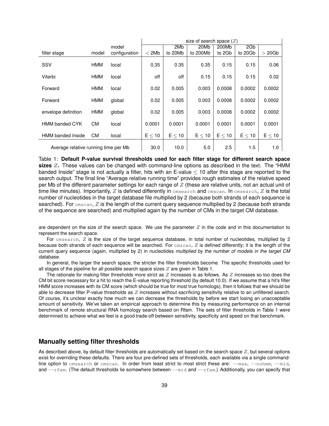|                                      |            |               | size of search space $(Z)$ |             |             |             |             |             |
|--------------------------------------|------------|---------------|----------------------------|-------------|-------------|-------------|-------------|-------------|
|                                      |            | model         |                            | 2Mb         | 20Mb        | 200Mb       | 2Gb         |             |
| filter stage                         | model      | configuration | < 2Mb                      | to 20Mb     | to 200Mb    | to 2Gb      | to 20Gb     | $>20$ Gb    |
|                                      |            |               |                            |             |             |             |             |             |
| SSV                                  | HMM        | local         | 0.35                       | 0.35        | 0.35        | 0.15        | 0.15        | 0.06        |
|                                      |            |               |                            |             |             |             |             |             |
| Viterbi                              | HMM        | local         | off                        | off         | 0.15        | 0.15        | 0.15        | 0.02        |
|                                      |            |               |                            |             |             |             |             |             |
| Forward                              | HMM        | local         | 0.02                       | 0.005       | 0.003       | 0.0008      | 0.0002      | 0.0002      |
|                                      |            |               |                            |             |             |             |             |             |
| Forward                              | <b>HMM</b> | global        | 0.02                       | 0.005       | 0.003       | 0.0008      | 0.0002      | 0.0002      |
|                                      |            |               |                            |             |             |             |             |             |
| envelope definition                  | <b>HMM</b> | global        | 0.02                       | 0.005       | 0.003       | 0.0008      | 0.0002      | 0.0002      |
|                                      |            |               |                            |             |             |             |             |             |
| <b>HMM banded CYK</b>                | CМ         | local         | 0.0001                     | 0.0001      | 0.0001      | 0.0001      | 0.0001      | 0.0001      |
|                                      |            |               |                            |             |             |             |             |             |
| <b>HMM</b> banded Inside             | CM.        | local         | $E \leq 10$                | $E \leq 10$ | $E \leq 10$ | $E \leq 10$ | $E \leq 10$ | $E \leq 10$ |
|                                      |            |               |                            |             |             |             |             |             |
| Average relative running time per Mb |            | 30.0          | 10.0                       | 5.0         | 2.5         | 1.5         | 1.0         |             |

Table 1: **Default P-value survival thresholds used for each filter stage for different search space sizes** Z**.** These values can be changed with command-line options as described in the text. The "HMM banded Inside" stage is not actually a filter, hits with an E-value ≤ 10 after this stage are reported to the search output. The final line "Average relative running time" provides rough estimates of the relative speed per Mb of the different parameter settings for each range of  $Z$  (these are relative units, not an actual unit of time like minutes). Importantly,  $Z$  is defined differently in cmsearch and cmscan. In cmsearch,  $Z$  is the total number of nucleotides in the target database file multiplied by 2 (because both strands of each sequence is searched). For cmscan, Z is the length of the current query sequence multiplied by 2 (because both strands of the sequence are searched) and multiplied again by the number of CMs in the target CM database.

are dependent on the size of the search space. We use the parameter  $Z$  in the code and in this documentation to represent the search space.

For cmsearch, Z is the size of the target sequence database, in total number of nucleotides, multiplied by 2 because both strands of each sequence will be searched. For  $c$ mscan,  $Z$  is defined differently; it is the length of the current query sequence (again, multiplied by 2) in nucleotides *multiplied by the number of models in the target CM database*.

In general, the larger the search space, the stricter the filter thresholds become. The specific thresholds used for all stages of the pipeline for all possible search space sizes  $Z$  are given in Table 1.

The rationale for making filter thresholds more strict as  $Z$  increases is as follows. As  $Z$  increases so too does the CM bit score necessary for a hit to reach the E-value reporting threshold (by default 10.0). If we assume that a hit's filter HMM score increases with its CM score (which should be true for most true homologs), then it follows that we should be able to decrease filter P-value thresholds as  $Z$  increases without sacrificing sensitivity relative to an unfiltered search. Of course, it's unclear exactly how much we can decrease the thresholds by before we start losing an unacceptable amount of sensitivity. We've taken an empirical approach to determine this by measuring performance on an internal benchmark of remote structural RNA homology search based on Rfam. The sets of filter thresholds in Table 1 were determined to achieve what we feel is a good trade-off between sensitivity, specificity and speed on that benchmark.

## **Manually setting filter thresholds**

As described above, by default filter thresholds are automatically set based on the search space  $Z$ , but several options exist for overriding these defaults. There are four pre-defined sets of thresholds, each available via a single commandline option to cmsearch or cmscan. In order from least strict to most strict these are: --max, --nohmm, --mid, and  $--$ rfam. (The default thresholds lie somewhere between  $--$ mid and  $--$ rfam.) Additionally, you can specify that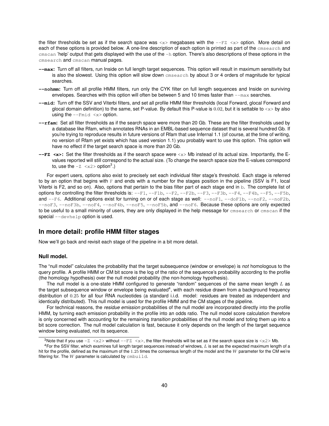the filter thresholds be set as if the search space was  $\langle x \rangle$  megabases with the  $-\text{FZ}$   $\langle x \rangle$  option. More detail on each of these options is provided below. A one-line description of each option is printed as part of the cmsearch and  $\emph{cm}$  cmscan 'help' output that gets displayed with the use of the  $-h$  option. There's also descriptions of these options in the cmsearch and cmscan manual pages.

- **--max:** Turn off all filters, run Inside on full length target sequences. This option will result in maximum sensitivity but is also the slowest. Using this option will slow down cmsearch by about 3 or 4 orders of magnitude for typical searches.
- **--nohmm:** Turn off all profile HMM filters, run only the CYK filter on full length sequences and Inside on surviving envelopes. Searches with this option will often be between 5 and 10 times faster than  $-\text{max}$  searches.
- **--mid:** Turn off the SSV and Viterbi filters, and set all profile HMM filter thresholds (local Forward, glocal Forward and glocal domain definition) to the same, set P-value. By default this P-value is  $0.02$ , but it is settable to  $\langle x \rangle$  by also using the  $--$ Fmid  $\langle x \rangle$  option.
- **--rfam:** Set all filter thresholds as if the search space were more than 20 Gb. These are the filter thresholds used by a database like Rfam, which annotates RNAs in an EMBL-based sequence dataset that is several hundred Gb. If you're trying to reproduce results in future versions of Rfam that use Infernal 1.1 (of course, at the time of writing, no version of Rfam yet exists which has used version 1.1) you probably want to use this option. This option will have no effect if the target search space is more than 20 Gb.
- **--FZ <x>:** Set the filter thresholds as if the search space were <x> Mb instead of its actual size. Importantly, the Evalues reported will still correspond to the actual size. (To change the search space size the E-values correspond to, use the  $-z \prec x2>$  option<sup>3</sup>.)

For expert users, options also exist to precisely set each individual filter stage's threshold. Each stage is referred to by an option that begins with  $F$  and ends with a number for the stages position in the pipeline (SSV is F1, local Viterbi is F2, and so on). Also, options that pertain to the bias filter part of each stage end in b. The complete list of options for controlling the filter thresholds is:  $-F1$ ,  $-F1b$ ,  $-F2$ ,  $-F2b$ ,  $-F3$ ,  $-F3b$ ,  $-F4$ ,  $-F4b$ ,  $-F5$ ,  $-F5b$ , and  $-F6$ . Additional options exist for turning on or of each stage as well:  $---oF1$ ,  $---oF1$ ,  $---oF2$ ,  $---oF2$ , --noF3, --noF3b, --noF4, --noF4b, --noF5, --noF5b, and --noF6. Because these options are only expected to be useful to a small minority of users, they are only displayed in the help message for cmsearch or cmscan if the special  $-\text{devhelp}$  option is used.

## **In more detail: profile HMM filter stages**

Now we'll go back and revisit each stage of the pipeline in a bit more detail.

## **Null model.**

The "null model" calculates the probability that the target subsequence (window or envelope) is *not* homologous to the query profile. A profile HMM or CM bit score is the log of the ratio of the sequence's probability according to the profile (the homology hypothesis) over the null model probability (the non-homology hypothesis).

The null model is a one-state HMM configured to generate "random" sequences of the same mean length  $L$  as the target subsequence window or envelope being evaluated<sup>4</sup>, with each residue drawn from a background frequency distribution of 0.25 for all four RNA nucleotides (a standard i.i.d. model: residues are treated as independent and identically distributed). This null model is used for the profile HMM and the CM stages of the pipeline.

For technical reasons, the *residue emission* probabilities of the null model are incorporated directly into the profile HMM, by turning each emission probability in the profile into an odds ratio. The null model score calculation therefore is only concerned with accounting for the remaining *transition* probabilities of the null model and toting them up into a bit score correction. The null model calculation is fast, because it only depends on the length of the target sequence window being evaluated, not its sequence.

<sup>&</sup>lt;sup>3</sup>Note that if you use  $-Z < x$  without  $-FE < x$ , the filter thresholds will be set as if the search space size is  $\langle x \rangle$  Mb.

 $4$ For the SSV filter, which examines full length target sequences instead of windows,  $L$  is set as the expected maximum length of a hit for the profile, defined as the maximum of the 1.25 times the consensus length of the model and the W parameter for the CM we're filtering for. The  $W$  parameter is calculated by  $cm$ build.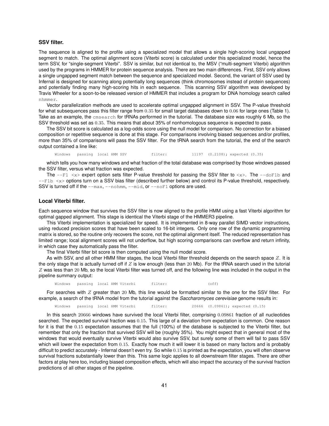## **SSV filter.**

The sequence is aligned to the profile using a specialized model that allows a single high-scoring local ungapped segment to match. The optimal alignment score (Viterbi score) is calculated under this specialized model, hence the term SSV, for "single-segment Viterbi". SSV is similar, but not identical to, the MSV ("multi-segment Viterbi) algorithm used by the programs in HMMER for protein sequence analysis. There are two main differences. First, SSV only allows a single ungapped segment match between the sequence and specialized model. Second, the variant of SSV used by Infernal is designed for scanning along potentially long sequences (think chromosomes instead of protein sequences) and potentially finding many high-scoring hits in each sequence. This scanning SSV algorithm was developed by Travis Wheeler for a soon-to-be released version of HMMER that includes a program for DNA homology search called nhmmer.

Vector parallelization methods are used to accelerate optimal ungapped alignment in SSV. The P-value threshold for what subsequences pass this filter range from 0.35 for small target databases down to 0.06 for large ones (Table 1). Take as an example, the cmsearch for tRNAs performed in the tutorial. The database size was roughly 6 Mb, so the SSV threshold was set as 0.35. This means that about 35% of nonhomologous sequence is expected to pass.

The SSV bit score is calculated as a log-odds score using the null model for comparison. No correction for a biased composition or repetitive sequence is done at this stage. For comparisons involving biased sequences and/or profiles, more than 35% of comparisons will pass the SSV filter. For the tRNA search from the tutorial, the end of the search output contained a line like:

Windows passing local HMM SSV filter: 11197 (0.2108); expected (0.35)

which tells you how many windows and what fraction of the total database was comprised by those windows passed the SSV filter, versus what fraction was expected.

The  $-FT \le x$  expert option sets filter P-value threshold for passing the SSV filter to  $\lt x$ . The  $-\text{dofib}$  and  $-$ F1b  $\langle x \rangle$  options turn on a SSV bias filter (described further below) and control its P-value threshold, respectively. SSV is turned off if the --max, --nohmm, --mid, or --noF1 options are used.

## **Local Viterbi filter.**

Each sequence window that survives the SSV filter is now aligned to the profile HMM using a fast Viterbi algorithm for optimal gapped alignment. This stage is identical the Viterbi stage of the HMMER3 pipeline.

This Viterbi implementation is specialized for speed. It is implemented in 8-way parallel SIMD vector instructions, using reduced precision scores that have been scaled to 16-bit integers. Only one row of the dynamic programming matrix is stored, so the routine only recovers the score, not the optimal alignment itself. The reduced representation has limited range; local alignment scores will not underflow, but high scoring comparisons can overflow and return infinity, in which case they automatically pass the filter.

The final Viterbi filter bit score is then computed using the null model score.

As with SSV, and all other HMM filter stages, the local Viterbi filter threshold depends on the search space  $Z$ . It is the only stage that is actually turned off if  $Z$  is low enough (less than 20 Mb). For the tRNA search used in the tutorial  $Z$  was less than 20 Mb, so the local Viterbi filter was turned off, and the following line was included in the output in the pipeline summary output:

Windows passing local HMM Viterbi filter: (off)

For searches with  $Z$  greater than 20 Mb, this line would be formatted similar to the one for the SSV filter. For example, a search of the tRNA model from the tutorial against the *Saccharomyces cerevisiae* genome results in:

Windows passing local HMM Viterbi filter: 20666 (0.09861); expected (0.15)

In this search 20666 windows have survived the local Viterbi filter, comprising 0.09861 fraction of all nucleotides searched. The expected survival fraction was 0.15. This large of a deviation from expectation is common. One reason for it is that the 0.15 expectation assumes that the full (100%) of the database is subjected to the Viterbi filter, but remember that only the fraction that survived SSV will be (roughly 35%). You might expect that in general most of the windows that would eventually survive Viterbi would also survive SSV, but surely some of them will fail to pass SSV which will lower the expectation from 0.15. Exactly how much it will lower it is based on many factors and is probably difficult to predict accurately - Infernal doesn't even try. So while 0.15 is printed as the expectation, you will often observe survival fractions substantially lower than this. This same logic applies to all downstream filter stages. There are other factors at play here too, including biased composition effects, which will also impact the accuracy of the survival fraction predictions of all other stages of the pipeline.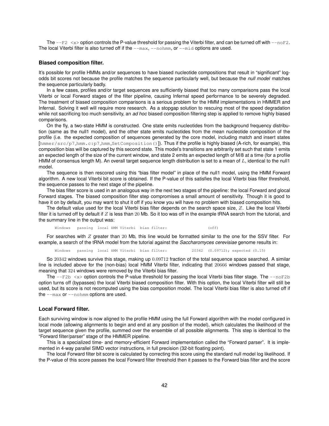The  $-\text{F2}$   $\lt$   $\times$   $\gt$  option controls the P-value threshold for passing the Viterbi filter, and can be turned off with  $-\text{noF2}$ . The local Viterbi filter is also turned off if the  $-\text{max}$ ,  $-\text{nohmm}$ , or  $-\text{mid}$  options are used.

#### **Biased composition filter.**

It's possible for profile HMMs and/or sequences to have biased nucleotide compositions that result in "significant" logodds bit scores not because the profile matches the sequence particularly well, but because the *null model* matches the sequence particularly badly.

In a few cases, profiles and/or target sequences are sufficiently biased that too many comparisons pass the local Viterbi or local Forward stages of the filter pipeline, causing Infernal speed performance to be severely degraded. The treatment of biased composition comparisons is a serious problem for the HMM implementations in HMMER and Infernal. Solving it well will require more research. As a stopgap solution to rescuing most of the speed degradation while not sacrificing too much sensitivity, an *ad hoc* biased composition filtering step is applied to remove highly biased comparisons.

On the fly, a two-state HMM is constructed. One state emits nucleotides from the background frequency distribution (same as the null1 model), and the other state emits nucleotides from the mean nucleotide composition of the profile (i.e. the expected composition of sequences generated by the core model, including match and insert states [hmmer/src/p7 hmm.c:p7 hmm SetComposition()]). Thus if the profile is highly biased (A-rich, for example), this composition bias will be captured by this second state. This model's transitions are arbitrarily set such that state 1 emits an expected length of the size of the current window, and state 2 emits an expected length of M/8 at a time (for a profile HMM of consensus length M). An overall target sequence length distribution is set to a mean of  $L$ , identical to the null1 model.

The sequence is then rescored using this "bias filter model" in place of the null1 model, using the HMM Forward algorithm. A new local Viterbi bit score is obtained. If the P-value of this satisfies the local Viterbi bias filter threshold, the sequence passes to the next stage of the pipeline.

The bias filter score is used in an analogous way in the next two stages of the pipeline: the local Forward and glocal Forward stages. The biased composition filter step compromises a small amount of sensitivity. Though it is good to have it on by default, you may want to shut it off if you know you will have no problem with biased composition hits.

The default value used for the local Viterbi bias filter depends on the search space size, Z. Like the local Viterbi filter it is turned off by default if  $Z$  is less than 20 Mb. So it too was off in the example tRNA search from the tutorial, and the summary line in the output was:

Windows passing local HMM Viterbi bias filter: (off)

For searches with  $Z$  greater than 20 Mb, this line would be formatted similar to the one for the SSV filter. For example, a search of the tRNA model from the tutorial against the *Saccharomyces cerevisiae* genome results in:

Windows passing local HMM Viterbi bias filter: 20342 (0.09712); expected (0.15)

So 20342 windows survive this stage, making up 0.09712 fraction of the total sequence space searched. A similar line is included above for the (non-bias) local HMM Viterbi filter, indicating that 20666 windows passed that stage, meaning that 324 windows were removed by the Viterbi bias filter.

The  $-\text{F2b} \le x$  option controls the P-value threshold for passing the local Viterbi bias filter stage. The  $-\text{noF2b}$ option turns off (bypasses) the local Viterbi biased composition filter. With this option, the local Viterbi filter will still be used, but its score is not recomputed using the bias composition model. The local Viterbi bias filter is also turned off if the --max or --nohmm options are used.

#### **Local Forward filter.**

Each surviving window is now aligned to the profile HMM using the full Forward algorithm with the model configured in local mode (allowing alignments to begin and end at any position of the model), which calculates the likelihood of the target sequence given the profile, summed over the ensemble of all possible alignments. This step is identical to the "Forward filter/parser" stage of the HMMER pipeline.

This is a specialized time- and memory-efficient Forward implementation called the "Forward parser". It is implemented in 4-way parallel SIMD vector instructions, in full precision (32-bit floating point).

The local Forward filter bit score is calculated by correcting this score using the standard null model log likelihood. If the P-value of this score passes the local Forward filter threshold then it passes to the Forward bias filter and the score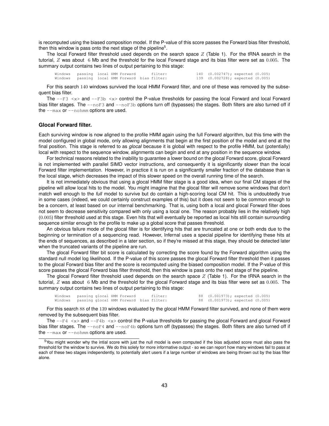is recomputed using the biased composition model. If the P-value of this score passes the Forward bias filter threshold, then this window is pass onto the next stage of the pipeline<sup>5</sup>.

The local Forward filter threshold used depends on the search space  $Z$  (Table 1). For the tRNA search in the tutorial, Z was about 6 Mb and the threshold for the local Forward stage and its bias filter were set as 0.005. The summary output contains two lines of output pertaining to this stage:

Windows passing local HMM Forward filter: 140 (0.002747); expected (0.005)<br>Windows passing local HMM Forward bias-filter: 139 (0.002728); expected (0.005) Windows passing local HMM Forward bias filter:

For this search 140 windows survived the local HMM Forward filter, and one of these was removed by the subsequent bias filter.

The  $-\text{F3} \leq x$  and  $-\text{F3b} \leq x$  control the P-value thresholds for passing the local Forward and local Forward bias filter stages. The  $-\text{nor 3}$  and  $-\text{nor 3b}$  options turn off (bypasses) the stages. Both filters are also turned off if the --max or --nohmm options are used.

#### **Glocal Forward filter.**

Each surviving window is now aligned to the profile HMM again using the full Forward algorithm, but this time with the model configured in global mode, only allowing alignments that begin at the first position of the model and end at the final position. This stage is referred to as *glocal* because it is global with respect to the profile HMM, but (potentially) local with respect to the sequence window, alignments can begin and end at any position in the sequence window.

For technical reasons related to the inability to guarantee a lower bound on the glocal Forward score, glocal Forward is not implemented with parallel SIMD vector instructions, and consequently it is significantly slower than the local Forward filter implementation. However, in practice it is run on a significantly smaller fraction of the database than is the local stage, which decreases the impact of this slower speed on the overall running time of the search.

It is not immediately obvious that using a glocal HMM filter stage is a good idea, when our final CM stages of the pipeline will allow local hits to the model. You might imagine that the glocal filter will remove some windows that don't match well enough to the *full* model to survive but do contain a high-scoring local CM hit. This is undoubtedly true in some cases (indeed, we could certainly construct examples of this) but it does not seem to be common enough to be a concern, at least based on our internal benchmarking. That is, using both a local and glocal Forward filter does not seem to decrease sensitivity compared with only using a local one. The reason probably lies in the relatively high (0.005) filter threshold used at this stage. Even hits that will eventually be reported as local hits still contain surrounding sequence similar enough to the profile to make up a global score that passes threshold.

An obvious failure mode of the glocal filter is for identifying hits that are truncated at one or both ends due to the beginning or termination of a sequencing read. However, Infernal uses a special pipeline for identifying these hits at the ends of sequences, as described in a later section, so if they're missed at this stage, they should be detected later when the truncated variants of the pipeline are run.

The glocal Forward filter bit score is calculated by correcting the score found by the Forward algorithm using the standard null model log likelihood. If the P-value of this score passes the glocal Forward filter threshold then it passes to the glocal Forward bias filter and the score is recomputed using the biased composition model. If the P-value of this score passes the glocal Forward bias filter threshold, then this window is pass onto the next stage of the pipeline.

The glocal Forward filter threshold used depends on the search space  $Z$  (Table 1). For the tRNA search in the tutorial, Z was about 6 Mb and the threshold for the glocal Forward stage and its bias filter were set as 0.005. The summary output contains two lines of output pertaining to this stage:

Windows passing glocal HMM Forward filter: 88 (0.001973); expected (0.005) Windows passing glocal HMM Forward bias filter: 88 (0.001973); expected (0.005)

For this search 88 of the 139 windows evaluated by the glocal HMM Forward filter survived, and none of them were removed by the subsequent bias filter.

The  $-\text{F4} \le x$  and  $-\text{F4b} \le x$  control the P-value thresholds for passing the glocal Forward and glocal Forward bias filter stages. The  $-\text{nor}4$  and  $-\text{nor}4b$  options turn off (bypasses) the stages. Both filters are also turned off if the  $-$ max or  $-$ nohmm options are used.

<sup>5</sup>You might wonder why the intial score with just the null model is even computed if the bias adjusted score must also pass the threshold for the window to survive. We do this solely for more informative output - so we can report how many windows fail to pass at each of these two stages independently, to potentially alert users if a large number of windows are being thrown out by the bias filter alone.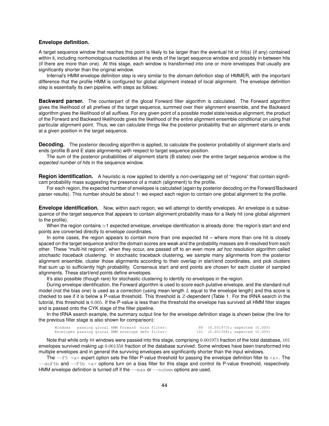#### **Envelope definition.**

A target sequence window that reaches this point is likely to be larger than the eventual hit or hit(s) (if any) contained within it, including nonhomologous nucleotides at the ends of the target sequence window and possibly in between hits (if there are more than one). At this stage, each window is transformed into one or more envelopes that usually are significantly shorter than the original window.

Infernal's HMM envelope definition step is very similar to the *domain* definition step of HMMER, with the important difference that the profile HMM is configured for global alignment instead of local alignment. The envelope definition step is essentially its own pipeline, with steps as follows:

**Backward parser.** The counterpart of the glocal Forward filter algorithm is calculated. The Forward algorithm gives the likelihood of all *prefixes* of the target sequence, summed over their alignment ensemble, and the Backward algorithm gives the likelihood of all *suffixes*. For any given point of a possible model state/residue alignment, the product of the Forward and Backward likelihoods gives the likelihood of the entire alignment ensemble conditional on using that particular alignment point. Thus, we can calculate things like the posterior probability that an alignment starts or ends at a given position in the target sequence.

**Decoding.** The posterior decoding algorithm is applied, to calculate the posterior probability of alignment starts and ends (profile B and E state alignments) with respect to target sequence position.

The sum of the posterior probabilities of alignment starts (B states) over the entire target sequence window is the *expected number of hits* in the sequence window.

**Region identification.** A heuristic is now applied to identify a *non-overlapping* set of "regions" that contain significant probability mass suggesting the presence of a match (alignment) to the profile.

For each region, the expected number of envelopes is calculated (again by posterior decoding on the Forward/Backward parser results). This number should be about 1: we expect each region to contain one global alignment to the profile.

**Envelope identification.** Now, within each region, we will attempt to identify envelopes. An envelope is a subsequence of the target sequence that appears to contain alignment probability mass for a likely hit (one global alignment to the profile).

When the region contains  $\simeq$  1 expected envelope, envelope identification is already done: the region's start and end points are converted directly to envelope coordinates.

In some cases, the region appears to contain more than one expected hit – where more than one hit is closely spaced on the target sequence and/or the domain scores are weak and the probability masses are ill-resolved from each other. These "multi-hit regions", when they occur, are passed off to an even more *ad hoc* resolution algorithm called *stochastic traceback clustering*. In stochastic traceback clustering, we sample many alignments from the posterior alignment ensemble, cluster those alignments according to their overlap in start/end coordinates, and pick clusters that sum up to sufficiently high probability. Consensus start and end points are chosen for each cluster of sampled alignments. These start/end points define envelopes.

It's also possible (though rare) for stochastic clustering to identify *no* envelopes in the region.

During envelope identification, the Forward algorithm is used to score each putative envelope, and the standard null model (not the bias one) is used as a correction (using mean length  $L$  equal to the envelope length) and this score is checked to see if it is below a P-value threshold. This threshold is Z-dependent (Table 1. For the tRNA search in the tutorial, this threshold is 0.005. If the P-value is less than the threshold the envelope has survived all HMM filter stages and is passed onto the CYK stage of the filter pipeline.

In the tRNA search example, the summary output line for the envelope definition stage is shown below (the line for the previous filter stage is also shown for comparison):

Windows passing glocal HMM Forward bias filter: 88 (0.001973); expected (0.005) Envelopes passing glocal HMM envelope defn filter: 101 (0.001358); expected (0.005)

Note that while only 88 windows were passed into this stage, comprising 0.001973 fraction of the total database, 101 envelopes survived making up 0.001358 fraction of the database survived. Some windows have been transformed into multiple envelopes and in general the surviving envelopes are significantly shorter than the input windows.

The  $-\text{F5} \leq x$  expert option sets the filter P-value threshold for passing the envelope definition filter to  $\langle x \rangle$ . The  $-$ -doF5b and  $-$ F5b  $\langle x \rangle$  options turn on a bias filter for this stage and control its P-value threshold, respectively. HMM envelope definition is turned off if the  $-\text{max}$  or  $-\text{nohmm}$  options are used.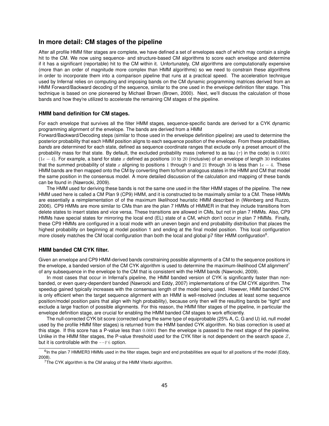## **In more detail: CM stages of the pipeline**

After all profile HMM filter stages are complete, we have defined a set of envelopes each of which may contain a single hit to the CM. We now using sequence- and structure-based CM algorithms to score each envelope and determine if it has a significant (reportable) hit to the CM within it. Unfortunately, CM algorithms are computationally expensive (more than an order of magnitude more complex than HMM algorithms) so we need to constrain these algorithms in order to incorporate them into a comparison pipeline that runs at a practical speed. The acceleration technique used by Infernal relies on computing and imposing bands on the CM dynamic programming matrices derived from an HMM Forward/Backward decoding of the sequence, similar to the one used in the envelope definition filter stage. This technique is based on one pioneered by Michael Brown (Brown, 2000). Next, we'll discuss the calculation of those bands and how they're utilized to accelerate the remaining CM stages of the pipeline.

#### **HMM band definition for CM stages.**

For each envelope that survives all the filter HMM stages, sequence-specific bands are derived for a CYK dynamic programming alignment of the envelope. The bands are derived from a HMM

Forward/Backward/Decoding steps (similar to those used in the envelope definition pipeline) are used to determine the posterior probability that each HMM position aligns to each sequence position of the envelope. From these probabilities, *bands* are determined for each state, defined as sequence coordinate ranges that exclude only a preset amount of the probability mass for that state. By default, the excluded probability mass (referred to as tau  $(\tau)$  in the code) is 0.0001  $(1e - 4)$ . For example, a band for state x defined as positions 10 to 20 (inclusive) of an envelope of length 30 indicates that the summed probability of state x aligning to positions 1 through 9 and 21 through 30 is less than  $1e - 4$ . These HMM bands are then mapped onto the CM by converting them to/from analogous states in the HMM and CM that model the same position in the consensus model. A more detailed discussion of the calculation and mapping of these bands can be found in (Nawrocki, 2009).

The HMM used for deriving these bands is not the same one used in the filter HMM stages of the pipeline. The new HMM used here is called a CM Plan 9 (CP9) HMM, and it is constructed to be maximally similar to a CM. These HMMs are essentially a reimplementation of of the maximum likelihood heuristic HMM described in (Weinberg and Ruzzo, 2006). CP9 HMMs are more similar to CMs than are the plan 7 HMMs of HMMER in that they include transitions from delete states to insert states and vice versa. These transitions are allowed in CMs, but not in plan 7 HMMs. Also, CP9 HMMs have special states for mirroring the local end (EL) state of a CM, which don't occur in plan 7 HMMs. Finally, these CP9 HMMs are configured in a local mode with an uneven begin and end probability distribution that places the highest probability on beginning at model position 1 and ending at the final model position. This local configuration more closely matches the CM local configuration than both the local and global p7 filter HMM configuration<sup>6</sup>.

#### **HMM banded CM CYK filter.**

Given an envelope and CP9 HMM-derived bands constraining possible alignments of a CM to the sequence positions in the envelope, a banded version of the CM CYK algorithm is used to determine the maximum-likelihood CM alignment<sup>7</sup> of any subsequence in the envelope to the CM that is consistent with the HMM bands (Nawrocki, 2009).

In most cases that occur in Infernal's pipeline, the HMM banded version of CYK is significantly faster than nonbanded, or even query-dependent banded (Nawrocki and Eddy, 2007) implementations of the CM CYK algorithm. The speedup gained typically increases with the consensus length of the model being used. However, HMM banded CYK is only efficient when the target sequence alignment with an HMM is well-resolved (includes at least some sequence position/model position pairs that align with high probability), because only then will the resulting bands be "tight" and exclude a large fraction of possible alignments. For this reason, the HMM filter stages of the pipeline, in particular the envelope definition stage, are crucial for enabling the HMM banded CM stages to work efficiently.

The null-corrected CYK bit score (corrected using the same type of equiprobable (25% A, C, G and U) iid, null model used by the profile HMM filter stages) is returned from the HMM banded CYK algorithm. No bias correction is used at this stage. If this score has a P-value less than 0.0001 then the envelope is passed to the next stage of the pipeline. Unlike in the HMM filter stages, the P-value threshold used for the CYK filter is not dependent on the search space  $Z$ , but it is controllable with the  $-\text{F6}$  option.

<sup>&</sup>lt;sup>6</sup>In the plan 7 HMMER3 HMMs used in the filter stages, begin and end probabilities are equal for all positions of the model (Eddy, 2008).

 $7$ The CYK algorithm is the CM analog of the HMM Viterbi algorithm.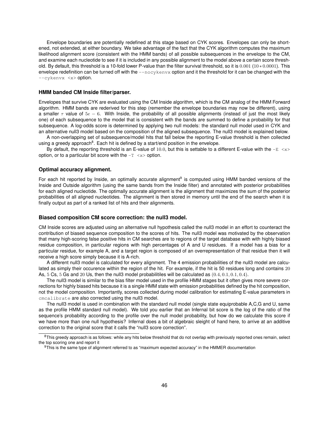Envelope boundaries are potentially redefined at this stage based on CYK scores. Envelopes can only be shortened, not extended, at either boundary. We take advantage of the fact that the CYK algorithm computes the maximum likelihood alignment score (consistent with the HMM bands) of all possible subsequences in the envelope to the CM, and examine each nucleotide to see if it is included in any possible alignment to the model above a certain score threshold. By default, this threshold is a 10-fold lower P-value than the filter survival threshold, so it is 0.001 (10 ∗ 0.0001). This envelope redefinition can be turned off with the  $-\text{novkenv}$  option and it the threshold for it can be changed with the --cykenvx <x> option.

#### **HMM banded CM Inside filter/parser.**

Envelopes that survive CYK are evaluated using the CM Inside algorithm, which is the CM analog of the HMM Forward algorithm. HMM bands are rederived for this step (remember the envelope boundaries may now be different), using a smaller  $\tau$  value of  $5e - 6$ . With Inside, the probability of all possible alignments (instead of just the most likely one) of each subsequence to the model that is consistent with the bands are summed to define a probability for that subsequence. A log-odds score is determined by applying two null models: the standard null model used in CYK and an alternative null3 model based on the composition of the aligned subsequence. The null3 model is explained below.

A non-overlapping set of subsequence/model hits that fall below the reporting E-value threshold is then collected using a greedy approach<sup>8</sup>. Each hit is defined by a start/end position in the envelope.

By default, the reporting threshold is an E-value of 10.0, but this is settable to a different E-value with the  $-E < x$ option, or to a particular bit score with the  $-T < x$  option.

## **Optimal accuracy alignment.**

For each hit reported by Inside, an optimally accurate alignment<sup>9</sup> is computed using HMM banded versions of the Inside and Outside algorithm (using the same bands from the Inside filter) and annotated with posterior probabilities for each aligned nucleotide. The optimally accurate alignment is the alignment that maximizes the sum of the posterior probabilities of all aligned nucleotides. The alignment is then stored in memory until the end of the search when it is finally output as part of a ranked list of hits and their alignments.

#### **Biased composition CM score correction: the null3 model.**

CM Inside scores are adjusted using an alternative null hypothesis called the null3 model in an effort to counteract the contribution of biased sequence composition to the scores of hits. The null3 model was motivated by the observation that many high-scoring false positive hits in CM searches are to regions of the target database with with highly biased residue composition, in particular regions with high percentages of A and U residues. If a model has a bias for a particular residue, for example A, and a target region is composed of an overrepresentation of that residue then it will receive a high score simply because it is A-rich.

A different null3 model is calculated for every alignment. The 4 emission probabilities of the null3 model are calculated as simply their occurence within the region of the hit. For example, if the hit is 50 residues long and contains 20 As,  $5 \text{ Cs}$ ,  $5 \text{ Cs}$  and  $20 \text{ Us}$ , then the null3 model probabilitiles will be calculated as  $(0.4, 0.1, 0.1, 0.4)$ .

The null3 model is similar to the bias filter model used in the profile HMM stages but it often gives more severe corrections for highly biased hits because it is a single HMM state with emission probabilities defined by the hit composition, not the model composition. Importantly, scores collected during model calibration for estimating E-value parameters in cmcalibrate are also corrected using the null3 model.

The null3 model is used in combination with the standard null model (single state equiprobable A,C,G and U, same as the profile HMM standard null model). We told you earlier that an Infernal bit score is the log of the ratio of the sequence's probability according to the profile over the null model probability, but how do we calculate this score if we have more than one null hypothesis? Infernal does a bit of algebraic sleight of hand here, to arrive at an additive correction to the original score that it calls the "null3 score correction".

<sup>&</sup>lt;sup>8</sup>This greedy approach is as follows: while any hits below threshold that do not overlap with previously reported ones remain, select the top scoring one and report it

<sup>9</sup>This is the same type of alignment referred to as "maximum expected accuracy" in the HMMER documentation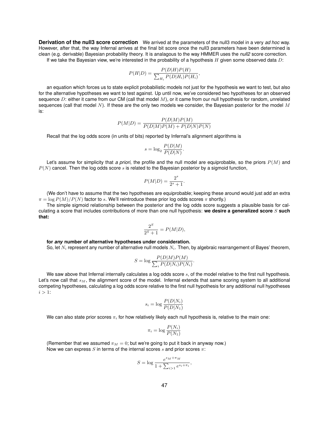**Derivation of the null3 score correction** We arrived at the parameters of the null3 model in a very *ad hoc* way. However, after that, the way Infernal arrives at the final bit score once the null3 parameters have been determined is clean (e.g. derivable) Bayesian probability theory. It is analagous to the way HMMER uses the *null2* score correction. If we take the Bayesian view, we're interested in the probability of a hypothesis  $H$  given some observed data  $D$ :

$$
P(H|D) = \frac{P(D|H)P(H)}{\sum_{H_i} P(D|H_i)P(H_i)},
$$

an equation which forces us to state explicit probabilistic models not just for the hypothesis we want to test, but also for the alternative hypotheses we want to test against. Up until now, we've considered two hypotheses for an observed sequence D: either it came from our CM (call that model  $M$ ), or it came from our null hypothesis for random, unrelated sequences (call that model  $N$ ). If these are the only two models we consider, the Bayesian posterior for the model  $M$ is:

$$
P(M|D) = \frac{P(D|M)P(M)}{P(D|M)P(M) + P(D|N)P(N)}
$$

Recall that the log odds score (in units of bits) reported by Infernal's alignment algorithms is

$$
s = \log_2 \frac{P(D|M)}{P(D|N)}.
$$

Let's assume for simplicity that *a priori*, the profile and the null model are equiprobable, so the priors  $P(M)$  and  $P(N)$  cancel. Then the log odds score  $s$  is related to the Bayesian posterior by a sigmoid function,

$$
P(M|D) = \frac{2^s}{2^s + 1}.
$$

(We don't have to assume that the two hypotheses are equiprobable; keeping these around would just add an extra  $\pi = \log P(M)/P(N)$  factor to s. We'll reintroduce these prior log odds scores  $\pi$  shortly.)

The simple sigmoid relationship between the posterior and the log odds score suggests a plausible basis for calculating a score that includes contributions of more than one null hypothesis: **we desire a generalized score** S **such that:**

$$
\frac{2^S}{2^S+1} = P(M|D),
$$

#### **for** *any* **number of alternative hypotheses under consideration.**

So, let  $N_i$  represent any number of alternative null models  $N_i$ . Then, by algebraic rearrangement of Bayes' theorem,

$$
S = \log \frac{P(D|M)P(M)}{\sum_{i} P(D|N_i)P(N_i)}.
$$

We saw above that Infernal internally calculates a log odds score  $s$ , of the model relative to the first null hypothesis. Let's now call that  $s_M$ , the alignment score of the model. Infernal extends that same scoring system to all additional competing hypotheses, calculating a log odds score relative to the first null hypothesis for any additional null hypotheses  $i > 1$ :

$$
s_i = \log \frac{P(D|N_i)}{P(D|N_1)}
$$

We can also state prior scores  $\pi_i$  for how relatively likely each null hypothesis is, relative to the main one:

$$
\pi_i = \log \frac{P(N_i)}{P(N_1)}
$$

(Remember that we assumed  $\pi_M = 0$ ; but we're going to put it back in anyway now.) Now we can express S in terms of the internal scores s and prior scores  $\pi$ :

$$
S = \log \frac{e^{s_M + \pi_M}}{1 + \sum_{i > 1} e^{s_i + \pi_i}},
$$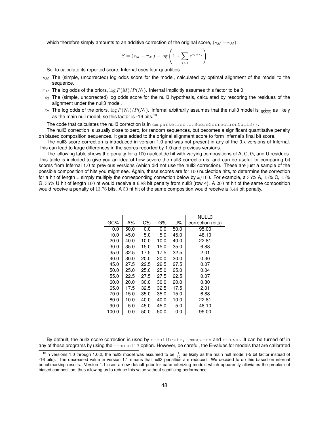which therefore simply amounts to an additive correction of the original score,  $(s_M + \pi_M)$ :

$$
S = (s_M + \pi_M) - \log\left(1 + \sum_{i>1} e^{s_i + \pi_i}\right)
$$

So, to calculate its reported score, Infernal uses four quantities:

- $s_M$  The (simple, uncorrected) log odds score for the model, calculated by optimal alignment of the model to the sequence.
- $\pi_M$  The log odds of the priors,  $\log P(M)/P(N_1)$ . Infernal implicitly assumes this factor to be 0.
- $s_2$  The (simple, uncorrected) log odds score for the null3 hypothesis, calculated by rescoring the residues of the alignment under the null3 model.
- $\pi_2$  The log odds of the priors,  $\log P(N_2)/P(N_1)$ . Infernal arbitrarily assumes that the null3 model is  $\frac{1}{65536}$  as likely as the main null model, so this factor is -16 bits.<sup>10</sup>

The code that calculates the null3 correction is in cm\_parsetree.c:ScoreCorrectionNull3().

The null3 correction is usually close to zero, for random sequences, but becomes a significant quantitative penalty on biased composition sequences. It gets added to the original alignment score to form Infernal's final bit score.

The null3 score correction is introduced in version 1.0 and was not present in any of the 0.x versions of Infernal. This can lead to large differences in the scores reported by 1.0 and previous versions.

The following table shows the penalty for a 100 nucleotide hit with varying compositions of A, C, G, and U residues. This table is included to give you an idea of how severe the null3 correction is, and can be useful for comparing bit scores from Infernal 1.0 to previous versions (which did not use the null3 correction). These are just a sample of the possible composition of hits you might see. Again, these scores are for 100 nucleotide hits, to determine the correction for a hit of length x simply multiply the corresponding correction below by  $x/100$ . For example, a 35% A, 15% C, 15% G, 35% U hit of length 100 nt would receive a 6.88 bit penalty from null3 (row 4). A 200 nt hit of the same composition would receive a penalty of 13.76 bits. A 50 nt hit of the same composition would receive a 3.44 bit penalty.

|       |      |       |      |      | NULL3             |
|-------|------|-------|------|------|-------------------|
| GC%   | A%   | $C\%$ | G%   | U%   | correction (bits) |
| 0.0   | 50.0 | 0.0   | 0.0  | 50.0 | 95.00             |
| 10.0  | 45.0 | 5.0   | 5.0  | 45.0 | 48.10             |
| 20.0  | 40.0 | 10.0  | 10.0 | 40.0 | 22.81             |
| 30.0  | 35.0 | 15.0  | 15.0 | 35.0 | 6.88              |
| 35.0  | 32.5 | 17.5  | 17.5 | 32.5 | 2.01              |
| 40.0  | 30.0 | 20.0  | 20.0 | 30.0 | 0.30              |
| 45.0  | 27.5 | 22.5  | 22.5 | 27.5 | 0.07              |
| 50.0  | 25.0 | 25.0  | 25.0 | 25.0 | 0.04              |
| 55.0  | 22.5 | 27.5  | 27.5 | 22.5 | 0.07              |
| 60.0  | 20.0 | 30.0  | 30.0 | 20.0 | 0.30              |
| 65.0  | 17.5 | 32.5  | 32.5 | 17.5 | 2.01              |
| 70.0  | 15.0 | 35.0  | 35.0 | 15.0 | 6.88              |
| 80.0  | 10.0 | 40.0  | 40.0 | 10.0 | 22.81             |
| 90.0  | 5.0  | 45.0  | 45.0 | 5.0  | 48.10             |
| 100.0 | 0.0  | 50.0  | 50.0 | 0.0  | 95.00             |

By default, the null3 score correction is used by cmcalibrate, cmsearch and cmscan. It can be turned off in any of these programs by using the --nonull3 option. However, be careful, the E-values for models that are calibrated

<sup>&</sup>lt;sup>10</sup>In versions 1.0 through 1.0.2, the null3 model was assumed to be  $\frac{1}{32}$  as likely as the main null model (-5 bit factor instead of 16 bits). The decreased value in version 1.1 means that null3 penalties are reduce benchmarking results. Version 1.1 uses a new default prior for parameterizing models which apparently alleviates the problem of biased composition, thus allowing us to reduce this value without sacrificing performance.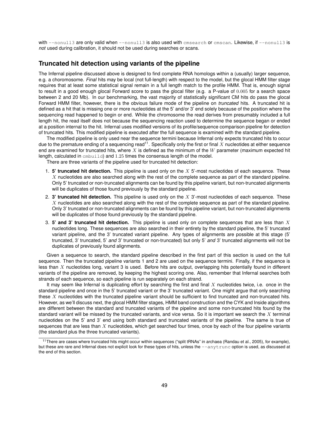with  $-$ nonull3 are only valid when  $-$ nonull3 is also used with cmsearch or cmscan. Likewise, if  $-$ nonull3 is *not* used during calibration, it should not be used during searches or scans.

## **Truncated hit detection using variants of the pipeline**

The Infernal pipeline discussed above is designed to find complete RNA homologs within a (usually) larger sequence, e.g. a choromosome. *Final* hits may be local (not full-length) with respect to the model, but the glocal HMM filter stage requires that at least some statistical signal remain in a full length match to the profile HMM. That is, enough signal to result in a good enough glocal Forward score to pass the glocal filter (e.g. a P-value of 0.005 for a search space between 2 and 20 Mb). In our benchmarking, the vast majority of statistically significant CM hits do pass the glocal Forward HMM filter, however, there is the obvious failure mode of the pipeline on *truncated* hits. A truncated hit is defined as a hit that is missing one or more nucleotides at the 5' and/or 3' end solely because of the position where the sequencing read happened to begin or end. While the chromosome the read derives from presumably included a full length hit, the read itself does not because the sequencing reaction used to determine the sequence began or ended at a position internal to the hit. Infernal uses modified versions of its profile/sequence comparison pipeline for detection of truncated hits. This modified pipeline is executed after the full sequence is examined with the standard pipeline.

The modified pipeline is only used near the sequence termini because Infernal only expects truncated hits to occur due to the premature ending of a sequencing read<sup>11</sup>. Specifically only the first or final  $X$  nucleotides at either sequence end are examined for truncated hits, where  $X$  is defined as the minimum of the  $W$  parameter (maximum expected hit length, calculated in  $cmbuid)$  and 1.25 times the consensus length of the model.

There are three variants of the pipeline used for truncated hit detection:

- 1. **5' truncated hit detection.** This pipeline is used only on the X 5'-most nucleotides of each sequence. These X nucleotides are also searched along with the rest of the complete sequence as part of the standard pipeline. Only 5' truncated or non-truncated alignments can be found by this pipeline variant, but non-truncated alignments will be duplicates of those found previously by the standard pipeline.
- 2. **3' truncated hit detection.** This pipeline is used only on the X 3'-most nucleotides of each sequence. These X nucleotides are also searched along with the rest of the complete sequence as part of the standard pipeline. Only 3' truncated or non-truncated alignments can be found by this pipeline variant, but non-truncated alignments will be duplicates of those found previously by the standard pipeline.
- 3. **5' and 3' truncated hit detection.** This pipeline is used only on complete sequences that are less than X nucleotides long. These sequences are also searched in their entirety by the standard pipeline, the 5' truncated variant pipeline, and the 3' truncated variant pipeline. Any types of alignments are possible at this stage (5' truncated, 3' truncated, 5' *and* 3' truncated or non-truncated) but only 5' *and* 3' truncated alignments will not be duplicates of previously found alignments.

Given a sequence to search, the standard pipeline described in the first part of this section is used on the full sequence. Then the truncated pipeline variants 1 and 2 are used on the sequence termini. Finally, if the sequence is less than  $X$  nucleotides long, variant 3 is used. Before hits are output, overlapping hits potentially found in different variants of the pipeline are removed, by keeping the highest scoring one. Also, remember that Infernal searches both strands of each sequence, so each pipeline is run separately on each strand.

It may seem like Infernal is duplicating effort by searching the first and final  $X$  nucleotides twice, i.e. once in the standard pipeline and once in the 5' truncated variant or the 3' truncated variant. One might argue that only searching these  $X$  nucleotides with the truncated pipeline variant should be sufficient to find truncated and non-truncated hits. However, as we'll discuss next, the glocal HMM filter stages, HMM band construction and the CYK and Inside algorithms are different between the standard and truncated variants of the pipeline and some non-truncated hits found by the standard variant will be missed by the truncated variants, and vice versa. So it is important we search the  $X$  terminal nucleotides on the 5' and 3' end using both standard and truncated variants of the pipeline. The same is true of sequences that are less than  $X$  nucleotides, which get searched four times, once by each of the four pipeline variants (the standard plus the three truncated variants).

<sup>&</sup>lt;sup>11</sup>There are cases where truncated hits might occur within sequences ("split tRNAs" in archaea (Randau et al., 2005), for example), but these are rare and Infernal does not explicit look for these types of hits, unless the  $-$ anytrunc option is used, as discussed at the end of this section.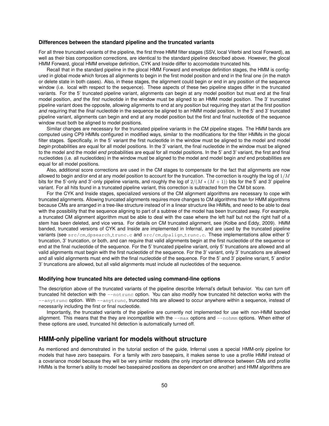#### **Differences between the standard pipeline and the truncated variants**

For all three truncated variants of the pipeline, the first three HMM filter stages (SSV, local Viterbi and local Forward), as well as their bias composition corrections, are identical to the standard pipeline described above. However, the glocal HMM Forward, glocal HMM envelope definition, CYK and Inside differ to accomodate truncated hits.

Recall that in the standard pipeline in the glocal HMM Forward and envelope definition stages, the HMM is configured in global mode which forces all alignments to begin in the first model position and end in the final one (in the match or delete state in both cases). Also, in these stages, the alignment could begin or end in any position of the sequence window (i.e. local with respect to the sequence). These aspects of these two pipeline stages differ in the truncated variants. For the 5' truncated pipeline variant, alignments can begin at any model position but must end at the final model position, *and* the *first* nucleotide in the window must be aligned to an HMM model position. The 3' truncated pipeline variant does the opposite, allowing alignments to end at any position but requiring they start at the first position *and* requiring that the *final* nucleotide in the sequence be aligned to an HMM model position. In the 5' and 3' truncated pipeline variant, alignments can begin and end at any model position but the first and final nucleotide of the sequence window must both be aligned to model positions.

Similar changes are necessary for the truncated pipeline variants in the CM pipeline stages. The HMM bands are computed using CP9 HMMs configured in modified ways, similar to the modifications for the filter HMMs in the glocal filter stages. Specifically, in the 5' variant the first nucleotide in the window must be aligned to the model and model *begin* probabilities are equal for all model positions. In the 3' variant, the final nucleotide in the window must be aligned to the model and the model *end* probabilities are equal for all model positions. In the 5' and 3' variant, the first and final nucleotides (i.e. all nucleotides) in the window must be aligned to the model and model begin *and* end probabilities are equal for all model positions.

Also, additional score corrections are used in the CM stages to compensate for the fact that alignments are now allowed to begin and/or end at any model position to account for the truncation. The correction is roughly the log of  $1/M$ bits for the 5'-only and 3'-only pipeline variants, and roughly the log of  $2/(M * (M + 1))$  bits for the 5' and 3' pipeline variant. For all hits found in a truncated pipeline variant, this correction is subtracted from the CM bit score.

For the CYK and Inside stages, specialized versions of the CM alignment algorithms are necessary to cope with truncated alignments. Allowing truncated alignments requires more changes to CM algorithms than for HMM algorithms because CMs are arranged in a tree-like structure instead of in a linear structure like HMMs, and need to be able to deal with the possibility that the sequence aligning to part of a subtree of the model has been truncated away. For example, a truncated CM alignment algorithm must be able to deal with the case where the left half but not the right half of a stem has been deleted, and vice versa. For details on CM truncated alignment, see (Kolbe and Eddy, 2009). HMM banded, truncated versions of CYK and Inside are implemented in Infernal, and are used by the truncated pipeline variants (see src/cm\_dpsearch\_trunc.c and src/cm\_dpalign\_trunc.c. These implementations allow either 5' truncation, 3' truncation, or both, and can require that valid alignments begin at the first nucleotide of the sequence or end at the final nucleotide of the sequence. For the 5' truncated pipeline variant, only 5' truncations are allowed and all valid alignments must begin with the first nucleotide of the sequence. For the 3' variant, only 3' truncations are allowed and all valid alignments must end with the final nucleotide of the sequence. For the 5' and 3' pipeline variant, 5' and/or 3' truncations are allowed, but all valid alignments must include all nucleotides of the sequence.

### **Modifying how truncated hits are detected using command-line options**

The description above of the truncated variants of the pipeline describe Infernal's default behavior. You can turn off truncated hit detection with the --notrunc option. You can also modify how truncated hit detection works with the --anytrunc option. With --anytrunc, truncated hits are allowed to occur anywhere within a sequence, instead of necessarily including the first or final nucleotide.

Importantly, the truncated variants of the pipeline are currently not implemented for use with non-HMM banded alignment. This means that the they are incompatible with the  $-\text{max}$  options and  $-\text{nohmm}$  options. When either of these options are used, truncated hit detection is automatically turned off.

## **HMM-only pipeline variant for models without structure**

As mentioned and demonstrated in the tutorial section of the guide, Infernal uses a special HMM-only pipeline for models that have zero basepairs. For a family with zero basepairs, it makes sense to use a profile HMM instead of a covariance model because they will be very similar models (the only important difference between CMs and profile HMMs is the former's ability to model two basepaired positions as dependent on one another) and HMM algorithms are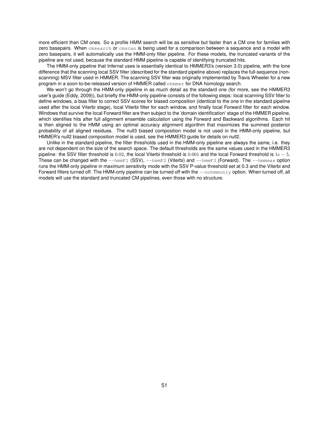more efficient than CM ones. So a profile HMM search will be as sensitive but faster than a CM one for families with zero basepairs. When cmsearch or cmscan is being used for a comparison between a sequence and a model with zero basepairs, it will automatically use the HMM-only filter pipeline. For these models, the truncated variants of the pipeline are not used, because the standard HMM pipeline is capable of identifying truncated hits.

The HMM-only pipeline that Infernal uses is essentially identical to HMMER3's (version 3.0) pipeline, with the lone difference that the scanning local SSV filter (described for the standard pipeline above) replaces the full-sequence (nonscanning) MSV filter used in HMMER. The scanning SSV filter was originally implemented by Travis Wheeler for a new program in a soon-to-be-released version of HMMER called nhmmer for DNA homology search.

We won't go through the HMM-only pipeline in as much detail as the standard one (for more, see the HMMER3 user's guide (Eddy, 2009)), but briefly the HMM-only pipeline consists of the following steps: local scanning SSV filter to define windows, a bias filter to correct SSV scores for biased composition (identical to the one in the standard pipeline used after the local Viterbi stage), local Viterbi filter for each window, and finally local Forward filter for each window. Windows that survive the local Forward filter are then subject to the 'domain identification' stage of the HMMER pipeline, which identifies hits after full alignment ensemble calculation using the Forward and Backward algorithms. Each hit is then aligned to the HMM using an optimal accuracy alignment algorithm that maximizes the summed posterior probability of all aligned residues. The null3 biased composition model is not used in the HMM-only pipeline, but HMMER's null2 biased composition model is used, see the HMMER3 guide for details on null2.

Unlike in the standard pipeline, the filter thresholds used in the HMM-only pipeline are always the same, i.e. they are not dependent on the size of the search space. The default thresholds are the same values used in the HMMER3 pipeline: the SSV filter threshold is 0.02, the local Viterbi threshold is 0.001 and the local Forward threshold is  $1e - 5$ . These can be changed with the  $-\text{hmmF1}$  (SSV),  $-\text{hmmF2}$  (Viterbi) and  $-\text{hmmF3}$  (Forward). The  $-\text{hmmmax}$  option runs the HMM-only pipeline in maximum sensitivity mode with the SSV P-value threshold set at 0.3 and the Viterbi and Forward filters turned off. The HMM-only pipeline can be turned off with the  $-$ -nohmmonly option. When turned off, all models will use the standard and truncated CM pipelines, even those with no structure.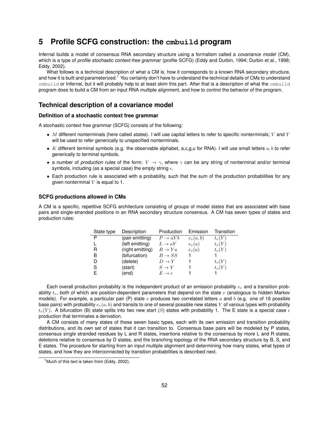# **5 Profile SCFG construction: the cmbuild program**

Infernal builds a model of consensus RNA secondary structure using a formalism called a *covariance model* (CM), which is a type of *profile stochastic context-free grammar* (profile SCFG) (Eddy and Durbin, 1994; Durbin et al., 1998; Eddy, 2002).

What follows is a technical description of what a CM is, how it corresponds to a known RNA secondary structure, and how it is built and parameterized.<sup>1</sup> You certainly don't have to understand the technical details of CMs to understand cmbuild or Infernal, but it will probably help to at least skim this part. After that is a description of what the cmbuild program does to build a CM from an input RNA multiple alignment, and how to control the behavior of the program.

## **Technical description of a covariance model**

## **Definition of a stochastic context free grammar**

A stochastic context free grammar (SCFG) consists of the following:

- M different nonterminals (here called *states*). I will use capital letters to refer to specific nonterminals; V and Y will be used to refer generically to unspecified nonterminals.
- K different terminal symbols (e.g. the observable alphabet, a,c,g,u for RNA). I will use small letters  $a, b$  to refer generically to terminal symbols.
- a number of *production rules* of the form:  $V \to \gamma$ , where  $\gamma$  can be any string of nonterminal and/or terminal symbols, including (as a special case) the empty string  $\epsilon$ .
- Each production rule is associated with a probability, such that the sum of the production probabilities for any given nonterminal  $V$  is equal to 1.

## **SCFG productions allowed in CMs**

A CM is a specific, repetitive SCFG architecture consisting of groups of model states that are associated with base pairs and single-stranded positions in an RNA secondary structure consensus. A CM has seven types of states and production rules:

| State type | Description      | Production               | Emission   | Transition |
|------------|------------------|--------------------------|------------|------------|
| P          | (pair emitting)  | $P \rightarrow aYb$      | $e_v(a,b)$ | $t_v(Y)$   |
|            | (left emitting)  | $L \rightarrow aY$       | $e_v(a)$   | $t_v(Y)$   |
| R          | (right emitting) | $R \to Ya$               | $e_v(a)$   | $t_v(Y)$   |
| в          | (bifurcation)    | $B \to SS$               |            |            |
| D          | (delete)         | $D \to Y$                |            | $t_v(Y)$   |
| S          | (start)          | $S \to Y$                |            | $t_v(Y)$   |
|            | (end)            | $E \rightarrow \epsilon$ |            |            |

Each overall production probability is the independent product of an emission probability  $e<sub>v</sub>$  and a transition probability  $t_v$ , both of which are position-dependent parameters that depend on the state v (analogous to hidden Markov models). For example, a particular pair (P) state  $v$  produces two correlated letters  $a$  and  $b$  (e.g. one of 16 possible base pairs) with probability  $e_v(a, b)$  and transits to one of several possible new states Y of various types with probability  $t_v(Y)$ . A bifurcation (B) state splits into two new start (S) states with probability 1. The E state is a special case  $\epsilon$ production that terminates a derivation.

A CM consists of many states of these seven basic types, each with its own emission and transition probability distributions, and its own set of states that it can transition to. Consensus base pairs will be modeled by P states, consensus single stranded residues by L and R states, insertions relative to the consensus by more L and R states, deletions relative to consensus by D states, and the branching topology of the RNA secondary structure by B, S, and E states. The procedure for starting from an input multiple alignment and determining how many states, what types of states, and how they are interconnected by transition probabilities is described next.

<sup>&</sup>lt;sup>1</sup> Much of this text is taken from (Eddy, 2002).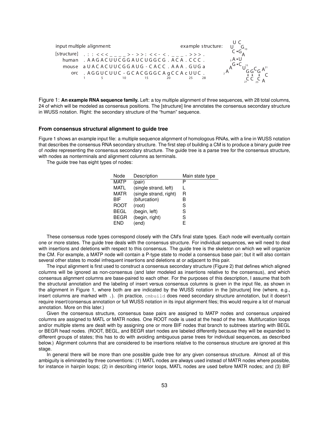

Figure 1: **An example RNA sequence family.** Left: a toy multiple alignment of three sequences, with 28 total columns, 24 of which will be modeled as consensus positions. The [structure] line annotates the consensus secondary structure in WUSS notation. Right: the secondary structure of the "human" sequence.

#### **From consensus structural alignment to guide tree**

Figure 1 shows an example input file: a multiple sequence alignment of homologous RNAs, with a line in WUSS notation that describes the consensus RNA secondary structure. The first step of building a CM is to produce a binary *guide tree* of *nodes* representing the consensus secondary structure. The guide tree is a parse tree for the consensus structure, with nodes as nonterminals and alignment columns as terminals.

The guide tree has eight types of nodes:

| Node        | Description            | Main state type |
|-------------|------------------------|-----------------|
| <b>MATP</b> | (pair)                 | P               |
| MATI        | (single strand, left)  |                 |
| MATR        | (single strand, right) | R               |
| <b>BIF</b>  | (bifurcation)          | в               |
| <b>ROOT</b> | (root)                 | S               |
| <b>BEGL</b> | (begin, left)          | S               |
| <b>BEGR</b> | (begin, right)         | S               |
| FND         | (end)                  | F               |

These consensus node types correspond closely with the CM's final state types. Each node will eventually contain one or more states. The guide tree deals with the consensus structure. For individual sequences, we will need to deal with insertions and deletions with respect to this consensus. The guide tree is the skeleton on which we will organize the CM. For example, a MATP node will contain a P-type state to model a consensus base pair; but it will also contain several other states to model infrequent insertions and deletions at or adjacent to this pair.

The input alignment is first used to construct a consensus secondary structure (Figure 2) that defines which aligned columns will be ignored as non-consensus (and later modeled as insertions relative to the consensus), and which consensus alignment columns are base-paired to each other. For the purposes of this description, I assume that both the structural annotation and the labeling of insert versus consensus columns is given in the input file, as shown in the alignment in Figure 1, where both are are indicated by the WUSS notation in the [structure] line (where, e.g., insert columns are marked with .). (In practice,  $cmbuild$  does need secondary structure annotation, but it doesn't require insert/consensus annotation or full WUSS notation in its input alignment files; this would require a lot of manual annotation. More on this later.)

Given the consensus structure, consensus base pairs are assigned to MATP nodes and consensus unpaired columns are assigned to MATL or MATR nodes. One ROOT node is used at the head of the tree. Multifurcation loops and/or multiple stems are dealt with by assigning one or more BIF nodes that branch to subtrees starting with BEGL or BEGR head nodes. (ROOT, BEGL, and BEGR start nodes are labeled differently because they will be expanded to different groups of states; this has to do with avoiding ambiguous parse trees for individual sequences, as described below.) Alignment columns that are considered to be insertions relative to the consensus structure are ignored at this stage.

In general there will be more than one possible guide tree for any given consensus structure. Almost all of this ambiguity is eliminated by three conventions: (1) MATL nodes are always used instead of MATR nodes where possible, for instance in hairpin loops; (2) in describing interior loops, MATL nodes are used before MATR nodes; and (3) BIF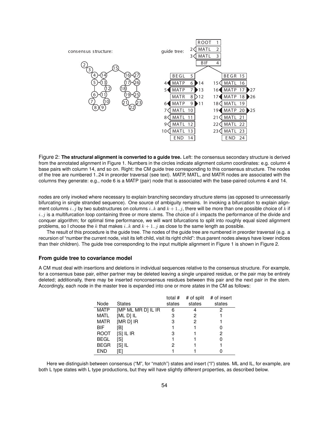

Figure 2: **The structural alignment is converted to a guide tree.** Left: the consensus secondary structure is derived from the annotated alignment in Figure 1. Numbers in the circles indicate alignment column coordinates: e.g. column 4 base pairs with column 14, and so on. Right: the CM guide tree corresponding to this consensus structure. The nodes of the tree are numbered 1..24 in preorder traversal (see text). MATP, MATL, and MATR nodes are associated with the columns they generate: e.g., node 6 is a MATP (pair) node that is associated with the base-paired columns 4 and 14.

nodes are only invoked where necessary to explain branching secondary structure stems (as opposed to unnecessarily bifurcating in single stranded sequence). One source of ambiguity remains. In invoking a bifurcation to explain alignment columns i..j by two substructures on columns i..k and  $k+1$ ..j, there will be more than one possible choice of k if  $i..j$  is a multifurcation loop containing three or more stems. The choice of k impacts the performance of the divide and conquer algorithm; for optimal time performance, we will want bifurcations to split into roughly equal sized alignment problems, so I choose the k that makes i..k and  $k + 1$ ..j as close to the same length as possible.

The result of this procedure is the guide tree. The nodes of the guide tree are numbered in preorder traversal (e.g. a recursion of "number the current node, visit its left child, visit its right child": thus parent nodes always have lower indices than their children). The guide tree corresponding to the input multiple alignment in Figure 1 is shown in Figure 2.

#### **From guide tree to covariance model**

A CM must deal with insertions and deletions in individual sequences relative to the consensus structure. For example, for a consensus base pair, either partner may be deleted leaving a single unpaired residue, or the pair may be entirely deleted; additionally, there may be inserted nonconsensus residues between this pair and the next pair in the stem. Accordingly, each node in the master tree is expanded into one or more *states* in the CM as follows:

|             |                    | total # | # of split | # of insert |
|-------------|--------------------|---------|------------|-------------|
| Node        | <b>States</b>      | states  | states     | states      |
| <b>MATP</b> | [MP ML MR D] IL IR | 6       |            |             |
| <b>MATL</b> | [ML D] IL          | 3       | 2          |             |
| <b>MATR</b> | [MR D] IR          | 3       | 2          |             |
| <b>BIF</b>  | [B]                |         |            |             |
| <b>ROOT</b> | $[S]$ IL IR        | 3       |            | 2           |
| <b>BEGL</b> | [S]                |         |            |             |
| <b>BEGR</b> | [S] IL             | 2       |            |             |
| <b>END</b>  | [E]                |         |            |             |

Here we distinguish between consensus ("M", for "match") states and insert ("I") states. ML and IL, for example, are both L type states with L type productions, but they will have slightly different properties, as described below.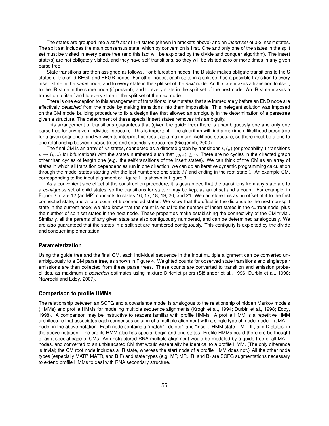The states are grouped into a *split set* of 1-4 states (shown in brackets above) and an *insert set* of 0-2 insert states. The split set includes the main consensus state, which by convention is first. One and only one of the states in the split set must be visited in every parse tree (and this fact will be exploited by the divide and conquer algorithm). The insert state(s) are not obligately visited, and they have self-transitions, so they will be visited zero or more times in any given parse tree.

State transitions are then assigned as follows. For bifurcation nodes, the B state makes obligate transitions to the S states of the child BEGL and BEGR nodes. For other nodes, each state in a split set has a possible transition to every insert state in the *same* node, and to every state in the split set of the *next* node. An IL state makes a transition to itself, to the IR state in the same node (if present), and to every state in the split set of the next node. An IR state makes a transition to itself and to every state in the split set of the next node.

There is one exception to this arrangement of transitions: insert states that are immediately before an END node are effectively *detached* from the model by making transitions into them impossible. This inelegant solution was imposed on the CM model building procedure to fix a design flaw that allowed an ambiguity in the determination of a parsetree given a structure. The detachment of these special insert states removes this ambiguity.

This arrangement of transitions guarantees that (given the guide tree) there is unambiguously one and only one parse tree for any given individual structure. This is important. The algorithm will find a maximum likelihood parse tree for a given sequence, and we wish to interpret this result as a maximum likelihood structure, so there must be a one to one relationship between parse trees and secondary structures (Giegerich, 2000).

The final CM is an array of M states, connected as a directed graph by transitions  $t_v(y)$  (or probability 1 transitions  $v \rightarrow (y, z)$  for bifurcations) with the states numbered such that  $(y, z) > v$ . There are no cycles in the directed graph other than cycles of length one (e.g. the self-transitions of the insert states). We can think of the CM as an array of states in which all transition dependencies run in one direction; we can do an iterative dynamic programming calculation through the model states starting with the last numbered end state  $M$  and ending in the root state 1. An example CM, corresponding to the input alignment of Figure 1, is shown in Figure 3.

As a convenient side effect of the construction procedure, it is guaranteed that the transitions from any state are to a *contiguous* set of child states, so the transitions for state  $v$  may be kept as an offset and a count. For example, in Figure 3, state 12 (an MP) connects to states 16, 17, 18, 19, 20, and 21. We can store this as an offset of 4 to the first connected state, and a total count of 6 connected states. We know that the offset is the distance to the next non-split state in the current node; we also know that the count is equal to the number of insert states in the current node, plus the number of split set states in the next node. These properties make establishing the connectivity of the CM trivial. Similarly, all the parents of any given state are also contiguously numbered, and can be determined analogously. We are also guaranteed that the states in a split set are numbered contiguously. This contiguity is exploited by the divide and conquer implementation.

### **Parameterization**

Using the guide tree and the final CM, each individual sequence in the input multiple alignment can be converted unambiguously to a CM parse tree, as shown in Figure 4. Weighted counts for observed state transitions and singlet/pair emissions are then collected from these parse trees. These counts are converted to transition and emission probabilities, as maximum *a posteriori* estimates using mixture Dirichlet priors (Sjölander et al., 1996; Durbin et al., 1998; Nawrocki and Eddy, 2007).

### **Comparison to profile HMMs**

The relationship between an SCFG and a covariance model is analogous to the relationship of hidden Markov models (HMMs) and profile HMMs for modeling multiple sequence alignments (Krogh et al., 1994; Durbin et al., 1998; Eddy, 1998). A comparison may be instructive to readers familiar with profile HMMs. A profile HMM is a repetitive HMM architecture that associates each consensus column of a multiple alignment with a single type of model node – a MATL node, in the above notation. Each node contains a "match", "delete", and "insert" HMM state – ML, IL, and D states, in the above notation. The profile HMM also has special begin and end states. Profile HMMs could therefore be thought of as a special case of CMs. An unstructured RNA multiple alignment would be modeled by a guide tree of all MATL nodes, and converted to an unbifurcated CM that would essentially be identical to a profile HMM. (The only difference is trivial; the CM root node includes a IR state, whereas the start node of a profile HMM does not.) All the other node types (especially MATP, MATR, and BIF) and state types (e.g. MP, MR, IR, and B) are SCFG augmentations necessary to extend profile HMMs to deal with RNA secondary structure.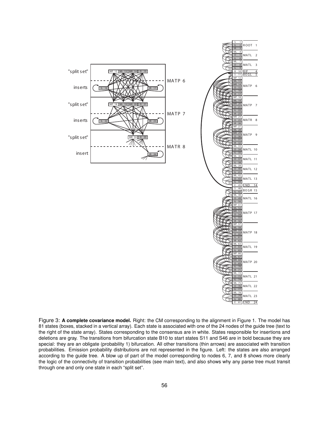

Figure 3: **A complete covariance model.** Right: the CM corresponding to the alignment in Figure 1. The model has 81 states (boxes, stacked in a vertical array). Each state is associated with one of the 24 nodes of the guide tree (text to the right of the state array). States corresponding to the consensus are in white. States responsible for insertions and deletions are gray. The transitions from bifurcation state B10 to start states S11 and S46 are in bold because they are special: they are an obligate (probability 1) bifurcation. All other transitions (thin arrows) are associated with transition probabilities. Emission probability distributions are not represented in the figure. Left: the states are also arranged according to the guide tree. A blow up of part of the model corresponding to nodes 6, 7, and 8 shows more clearly the logic of the connectivity of transition probabilities (see main text), and also shows why any parse tree must transit through one and only one state in each "split set".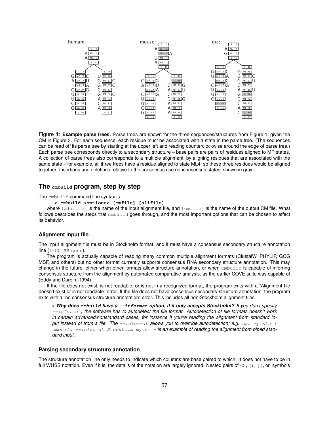

Figure 4: **Example parse trees.** Parse trees are shown for the three sequences/structures from Figure 1, given the CM in Figure 3. For each sequence, each residue must be associated with a state in the parse tree. (The sequences can be read off its parse tree by starting at the upper left and reading counterclockwise around the edge of parse tree.) Each parse tree corresponds directly to a secondary structure – base pairs are pairs of residues aligned to MP states. A collection of parse trees also corresponds to a multiple alignment, by aligning residues that are associated with the same state – for example, all three trees have a residue aligned to state ML4, so these three residues would be aligned together. Insertions and deletions relative to the consensus use nonconsensus states, shown in gray.

## **The cmbuild program, step by step**

The cmbuild command line syntax is:

**> cmbuild <options> [cmfile] [alifile]**

where  $\lceil$  alifile] is the name of the input alignment file, and  $\lceil$  cmfile] is the name of the output CM file. What follows describes the steps that embuild goes through, and the most important options that can be chosen to affect its behavior.

## **Alignment input file**

The input alignment file must be in Stockholm format, and it must have a consensus secondary structure annotation  $line$  (#=GC SS\_cons).

The program is actually capable of reading many common multiple alignment formats (ClustalW, PHYLIP, GCG MSF, and others) but no other format currently supports consensus RNA secondary structure annotation. This may change in the future, either when other formats allow structure annotation, or when cmbuild is capable of inferring consensus structure from the alignment by automated comparative analysis, as the earlier COVE suite was capable of (Eddy and Durbin, 1994).

If the file does not exist, is not readable, or is not in a recognized format, the program exits with a "Alignment file doesn't exist or is not readable" error. If the file does not have consensus secondary structure annotation, the program exits with a "no consensus structure annotation" error. This includes all non-Stockholm alignment files.

. *Why does* **cmbuild** *have a* **--informat** *option, if it only accepts Stockholm? If you don't specify* --informat*, the software has to autodetect the file format. Autodetection of file formats doesn't work in certain advanced/nonstandard cases, for instance if you're reading the alignment from standard input instead of from a file. The* --informat *allows you to override autodetection; e.g.* cat my.sto | cmbuild --informat Stockholm my.cm - **is an example of reading the alignment from piped stan***dard input.*

## **Parsing secondary structure annotation**

The structure annotation line only needs to indicate which columns are base paired to which. It does not have to be in full WUSS notation. Even if it is, the details of the notation are largely ignored. Nested pairs of  $\langle \rangle$ ,  $[ \, ]$ , or symbols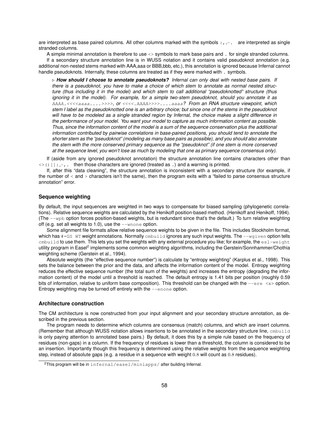are interpreted as base paired columns. All other columns marked with the symbols  $\ldots$  are interpreted as single stranded columns.

A simple minimal annotation is therefore to use <> symbols to mark base pairs and . for single stranded columns. If a secondary structure annotation line is in WUSS notation and it contains valid pseudoknot annotation (e.g. additional non-nested stems marked with AAA,aaa or BBB,bbb, etc.), this annotation is ignored because Infernal cannot handle pseudoknots. Internally, these columns are treated as if they were marked with . symbols.

. *How should I choose to annotate pseudoknots? Infernal can only deal with nested base pairs. If there is a pseudoknot, you have to make a choice of which stem to annotate as normal nested structure (thus including it in the model) and which stem to call additional "pseudoknotted" structure (thus ignoring it in the model). For example, for a simple two-stem pseudoknot, should you annotate it as* AAAA.<<<<aaaa....>>>>*, or* <<<<.AAAA>>>>....aaaa*? From an RNA structure viewpoint, which stem I label as the pseudoknotted one is an arbitrary choice; but since one of the stems in the pseudoknot will have to be modeled as a single stranded region by Infernal, the choice makes a slight difference in the performance of your model. You want your model to capture as much information content as possible. Thus, since the information content of the model is a sum of the sequence conservation plus the additional information contributed by pairwise correlations in base-paired positions, you should tend to annotate the shorter stem as the "pseudoknot" (modeling as many base pairs as possible), and you should also annotate the stem with the more conserved primary sequence as the "pseudoknot" (if one stem is more conserved at the sequence level, you won't lose as much by modeling that one as primary sequence consensus only).*

If (aside from any ignored pseudoknot annotation) the structure annotation line contains characters other than  $\langle \rangle$  () []:  $-$ , then those characters are ignored (treated as .) and a warning is printed.

If, after this "data cleaning", the structure annotation is inconsistent with a secondary structure (for example, if the number of  $\lt$  and  $\gt$  characters isn't the same), then the program exits with a "failed to parse consensus structure annotation" error.

## **Sequence weighting**

By default, the input sequences are weighted in two ways to compensate for biased sampling (phylogenetic correlations). Relative sequence weights are calculated by the Henikoff position-based method. (Henikoff and Henikoff, 1994). (The  $-\text{wpb}$  option forces position-based weights, but is redundant since that's the default.) To turn relative weighting off (e.g. set all weights to 1.0), use the  $-$ -wnone option.

Some alignment file formats allow relative sequence weights to be given in the file. This includes Stockholm format, which has  $\#=\text{GS}$  WT weight annotations. Normally  $\text{cm}$   $\text{cm}$  ignores any such input weights. The  $-\text{water}$  option tells cmbuild to use them. This lets you set the weights with any external procedure you like; for example, the esl-weight utility program in Easel<sup>2</sup> implements some common weighting algorithms, including the Gerstein/Sonnhammer/Chothia weighting scheme (Gerstein et al., 1994).

Absolute weights (the "effective sequence number") is calculate by "entropy weighting" (Karplus et al., 1998). This sets the balance between the prior and the data, and affects the information content of the model. Entropy weighting reduces the effective sequence number (the total sum of the weights) and increases the entropy (degrading the information content) of the model until a threshold is reached. The default entropy is 1.41 bits per position (roughly 0.59 bits of information, relative to uniform base composition). This threshold can be changed with the --ere <x> option. Entropy weighting may be turned off entirely with the  $\epsilon$ -enone option.

#### **Architecture construction**

The CM architecture is now constructed from your input alignment and your secondary structure annotation, as described in the previous section.

The program needs to determine which columns are consensus (match) columns, and which are insert columns. (Remember that although WUSS notation allows insertions to be annotated in the secondary structure line, cmbuild is only paying attention to annotated base pairs.) By default, it does this by a simple rule based on the frequency of residues (non-gaps) in a column. If the frequency of residues is lower than a threshold, the column is considered to be an insertion. Importantly though this frequency is determined using the relative weights from the sequence weighting step, instead of absolute gaps (e.g. a residue in a sequence with weight 0.8 will count as 0.8 residues).

<sup>&</sup>lt;sup>2</sup>This program will be in infernal/easel/miniapps/ after building Infernal.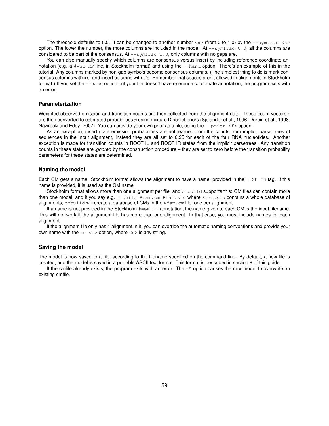The threshold defaults to 0.5. It can be changed to another number  $\langle x \rangle$  (from 0 to 1.0) by the  $\sim$ -symfrac  $\langle x \rangle$ option. The lower the number, the more columns are included in the model. At  $-$ symfrac 0.0, all the columns are considered to be part of the consensus. At  $--$ symfrac 1.0, only columns with no gaps are.

You can also manually specify which columns are consensus versus insert by including reference coordinate annotation (e.g. a  $#=GC \nE$  line, in Stockholm format) and using the  $-$ hand option. There's an example of this in the tutorial. Any columns marked by non-gap symbols become consensus columns. (The simplest thing to do is mark consensus columns with x's, and insert columns with .'s. Remember that spaces aren't allowed in alignments in Stockholm format.) If you set the  $-$ -hand option but your file doesn't have reference coordinate annotation, the program exits with an error.

## **Parameterization**

Weighted observed emission and transition counts are then collected from the alignment data. These count vectors  $c$ are then converted to estimated probabilities  $p$  using mixture Dirichlet priors (Sjölander et al., 1996; Durbin et al., 1998; Nawrocki and Eddy, 2007). You can provide your own prior as a file, using the  $-\text{prior} < f$  option.

As an exception, insert state emission probabilities are not learned from the counts from implicit parse trees of sequences in the input alignment, instead they are all set to 0.25 for each of the four RNA nucleotides. Another exception is made for transition counts in ROOT.IL and ROOT.IR states from the implicit parsetrees. Any transition counts in these states are *ignored* by the construction procedure – they are set to zero before the transition probability parameters for these states are determined.

#### **Naming the model**

Each CM gets a name. Stockholm format allows the alignment to have a name, provided in the  $#=\text{GF ID}$  tag. If this name is provided, it is used as the CM name.

Stockholm format allows more than one alignment per file, and embuild supports this: CM files can contain more than one model, and if you say e.g. cmbuild Rfam.cm Rfam.sto where Rfam.sto contains a whole database of alignments,  $cm$ build will create a database of CMs in the  $Rf$ am.cm file, one per alignment.

If a name is not provided in the Stockholm #=GF ID annotation, the name given to each CM is the input filename. This will not work if the alignment file has more than one alignment. In that case, you must include names for each alignment.

If the alignment file only has 1 alignment in it, you can override the automatic naming conventions and provide your own name with the  $-n \leq s$  option, where  $\leq s$  is any string.

#### **Saving the model**

The model is now saved to a file, according to the filename specified on the command line. By default, a new file is created, and the model is saved in a portable ASCII text format. This format is described in section 9 of this guide.

If the cmfile already exists, the program exits with an error. The  $-F$  option causes the new model to overwrite an existing cmfile.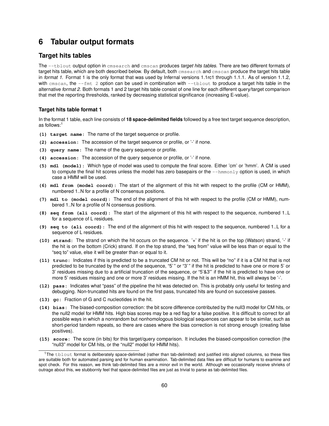# **6 Tabular output formats**

# **Target hits tables**

The --tblout output option in cmsearch and cmscan produces *target hits tables*. There are two different formats of target hits table, which are both described below. By default, both cmsearch and cmscan produce the target hits table in *format 1*. Format 1 is the only format that was used by Infernal versions 1.1rc1 through 1.1.1. As of version 1.1.2, with cmscan, the  $-\text{fmt}$  2 option can be used in combination with  $-\text{tblout}$  to produce a target hits table in the alternative *format 2*. Both formats 1 and 2 target hits table consist of one line for each different query/target comparison that met the reporting thresholds, ranked by decreasing statistical significance (increasing E-value).

## **Target hits table format 1**

In the format 1 table, each line consists of **18 space-delimited fields** followed by a free text target sequence description, as follows:<sup>1</sup>

- **(1) target name:** The name of the target sequence or profile.
- **(2) accession:** The accession of the target sequence or profile, or '-' if none.
- **(3) query name:** The name of the query sequence or profile.
- **(4) accession:** The accession of the query sequence or profile, or '-' if none.
- **(5) mdl (model):** Which type of model was used to compute the final score. Either 'cm' or 'hmm'. A CM is used to compute the final hit scores unless the model has zero basepairs or the  $-\text{hmm}$ only option is used, in which case a HMM will be used.
- **(6) mdl from (model coord):** The start of the alignment of this hit with respect to the profile (CM or HMM), numbered 1..N for a profile of N consensus positions.
- **(7) mdl to (model coord):** The end of the alignment of this hit with respect to the profile (CM or HMM), numbered 1..N for a profile of N consensus positions.
- **(8) seq from (ali coord):** The start of the alignment of this hit with respect to the sequence, numbered 1..L for a sequence of L residues.
- **(9) seq to (ali coord):** The end of the alignment of this hit with respect to the sequence, numbered 1..L for a sequence of L residues.
- **(10) strand:** The strand on which the hit occurs on the sequence. '+' if the hit is on the top (Watson) strand, '-' if the hit is on the bottom (Crick) strand. If on the top strand, the "seq from" value will be less than or equal to the "seq to" value, else it will be greater than or equal to it.
- **(11) trunc:** Indicates if this is predicted to be a truncated CM hit or not. This will be "no" if it is a CM hit that is not predicted to be truncated by the end of the sequence, "5'" or "3'" if the hit is predicted to have one or more 5' or 3' residues missing due to a artificial truncation of the sequence, or "5'&3"' if the hit is predicted to have one or more 5' residues missing and one or more 3' residues missing. If the hit is an HMM hit, this will always be '-'.
- **(12) pass:** Indicates what "pass" of the pipeline the hit was detected on. This is probably only useful for testing and debugging. Non-truncated hits are found on the first pass, truncated hits are found on successive passes.
- **(13) gc:** Fraction of G and C nucleotides in the hit.
- **(14) bias:** The biased-composition correction: the bit score difference contributed by the null3 model for CM hits, or the null2 model for HMM hits. High bias scores may be a red flag for a false positive. It is difficult to correct for all possible ways in which a nonrandom but nonhomologous biological sequences can appear to be similar, such as short-period tandem repeats, so there are cases where the bias correction is not strong enough (creating false positives).
- **(15) score:** The score (in bits) for this target/query comparison. It includes the biased-composition correction (the "null3" model for CM hits, or the "null2" model for HMM hits).

<sup>1</sup>The tblout format is deliberately space-delimited (rather than tab-delimited) and justified into aligned columns, so these files are suitable both for automated parsing and for human examination. Tab-delimited data files are difficult for humans to examine and spot check. For this reason, we think tab-delimited files are a minor evil in the world. Although we occasionally receive shrieks of outrage about this, we stubbornly feel that space-delimited files are just as trivial to parse as tab-delimited files.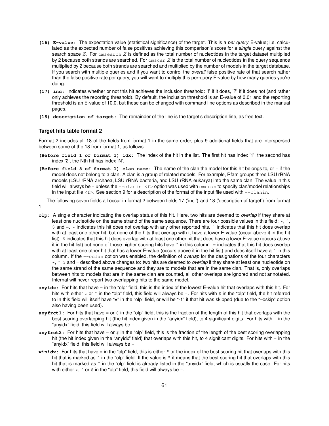- **(16) E-value:** The expectation value (statistical significance) of the target. This is a *per query* E-value; i.e. calculated as the expected number of false positives achieving this comparison's score for a *single* query against the search space  $Z$ . For cmsearch  $Z$  is defined as the total number of nucleotides in the target dataset multiplied by 2 because both strands are searched. For  $\text{cm} \sin Z$  is the total number of nucleotides in the query sequence multiplied by 2 because both strands are searched and multiplied by the number of models in the target database. If you search with multiple queries and if you want to control the *overall* false positive rate of that search rather than the false positive rate per query, you will want to multiply this per-query E-value by how many queries you're doing.
- **(17) inc:** Indicates whether or not this hit achieves the inclusion threshold: '!' if it does, '?' if it does not (and rather only achieves the reporting threshold). By default, the inclusion threshold is an E-value of 0.01 and the reporting threshold is an E-value of 10.0, but these can be changed with command line options as described in the manual pages.
- **(18) description of target:** The remainder of the line is the target's description line, as free text.

## **Target hits table format 2**

Format 2 includes all 18 of the fields from format 1 in the same order, plus 9 additional fields that are interspersed between some of the 18 from format 1, as follows:

- **(Before field 1 of format 1) idx:** The index of the hit in the list. The first hit has index '1', the second has index '2', the Nth hit has index 'N'.
- **(Before field 5 of format 1) clan name:** The name of the clan the model for this hit belongs to, or if the model does not belong to a clan. A clan is a group of related models. For example, Rfam groups three LSU rRNA models (LSU rRNA archaea, LSU rRNA bacteria, and LSU rRNA eukarya) into the same clan. The value in this field will always be - unless the  $-$ -clanin <f> option was used with cmscan to specify clan/model relationships in the input file  $\leq f$ . See section 9 for a description of the format of the input file used with  $--$ clanin.

The following seven fields all occur in format 2 between fields 17 ('inc:') and 18 ('description of target') from format 1.

- **olp:** A single character indicating the overlap status of this hit. Here, two hits are deemed to *overlap* if they share at least one nucleotide on the same strand of the same sequence. There are four possible values in this field:  $\star$ ,  $\hat{\cdot}$ ,  $\sin \theta = \sin \theta$  indicates this hit does not overlap with any other reported hits.  $\sin \theta$  indicates that this hit does overlap with at least one other hit, but none of the hits that overlap with it have a lower E-value (occur above it in the hit list).  $\varsigma$  indicates that this hit does overlap with at least one other hit that does have a lower E-value (occurs above it in the hit list) but none of those higher scoring hits have  $\hat{ }$  in this column. = indicates that this hit does overlap with at least one other hit that has a lower E-value (occurs above it in the hit list) and does itself have a  $\hat{ }$  in this column. If the --oclan option was enabled, the definition of *overlap* for the designations of the four characters \*, ˆ, \$ and = described above changes to: two hits are deemed to *overlap* if they share at least one nucleotide on the same strand of the same sequence and they are to models that are in the same clan. That is, only overlaps between hits to models that are in the same clan are counted, all other overlaps are ignored and not annotated. Infernal will never report two overlapping hits to the same model.
- **anyidx:** For hits that have = in the "olp" field, this is the index of the lowest E-value hit that overlaps with this hit. For hits with either  $*$  or  $\hat{ }$  in the "olp" field, this field will always be -. For hits with  $\hat{ }$  in the "olp" field, the hit referred to in this field will itself have "=" in the "olp" field, or will be "-1" if that hit was skipped (due to the "–oskip" option also having been used).
- **anyfrct1:** For hits that have = or  $\sin$  the "olp" field, this is the fraction of the length of this hit that overlaps with the best scoring overlapping hit (the hit index given in the "anyidx" field), to 4 significant digits. For hits with - in the "anyidx" field, this field will always be  $-$ .
- **anyfrct2:** For hits that have = or  $\varsigma$  in the "olp" field, this is the fraction of the length of the best scoring overlapping hit (the hit index given in the "anyidx" field) that overlaps with this hit, to 4 significant digits. For hits with - in the "anyidx" field, this field will always be  $-$ .
- **winidx:** For hits that have = in the "olp" field, this is either " or the index of the best scoring hit that overlaps with this hit that is marked as ↑ in the "olp" field. If the value is " it means that the best scoring hit that overlaps with this hit that is marked as  $\hat{ }$  in the "olp" field is already listed in the "anyidx" field, which is usually the case. For hits with either  $\star$ ,  $\hat{ }$  or  $\hat{ }$  in the "olp" field, this field will always be -.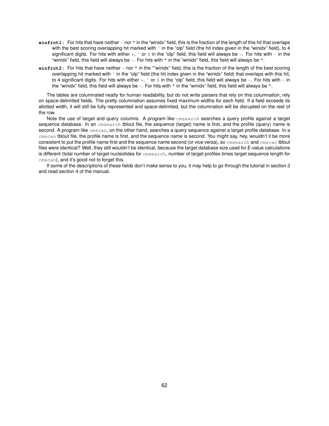- **winfrct1:** For hits that have neither nor " in the "winidx" field, this is the fraction of the length of this hit that overlaps with the best scoring overlapping hit marked with  $\hat{ }$  in the "olp" field (the hit index given in the "winidx" field), to 4 significant digits. For hits with either  $\star$ ,  $\hat{ }$  or  $\hat{ }$  in the "olp" field, this field will always be  $-$ . For hits with  $-$  in the "winidx" field, this field will always be -. For hits with " in the "winidx" field, this field will always be ".
- winfrct2: For hits that have neither nor " in the ""winidx" field, this is the fraction of the length of the best scoring overlapping hit marked with  $\hat{ }$  in the "olp" field (the hit index given in the "winidx" field) that overlaps with this hit, to 4 significant digits. For hits with either  $\star$ ,  $\hat{ }$  or  $\hat{ }$  in the "olp" field, this field will always be  $-$ . For hits with  $-$  in the "winidx" field, this field will always be -. For hits with " in the "winidx" field, this field will always be ".

The tables are columnated neatly for human readability, but do not write parsers that rely on this columnation; rely on space-delimited fields. The pretty columnation assumes fixed maximum widths for each field. If a field exceeds its allotted width, it will still be fully represented and space-delimited, but the columnation will be disrupted on the rest of the row.

Note the use of target and query columns. A program like cmsearch searches a query profile against a target sequence database. In an cmsearch tblout file, the sequence (target) name is first, and the profile (query) name is second. A program like cmscan, on the other hand, searches a query sequence against a target profile database. In a cmscan tblout file, the profile name is first, and the sequence name is second. You might say, hey, wouldn't it be more consistent to put the profile name first and the sequence name second (or vice versa), so cmsearch and cmscan tblout files were identical? Well, they still wouldn't be identical, because the target database size used for E-value calculations is different (total number of target nucleotides for cmsearch, number of target profiles times target sequence length for cmscan), and it's good not to forget this.

If some of the descriptions of these fields don't make sense to you, it may help to go through the tutorial in section 3 and read section 4 of the manual.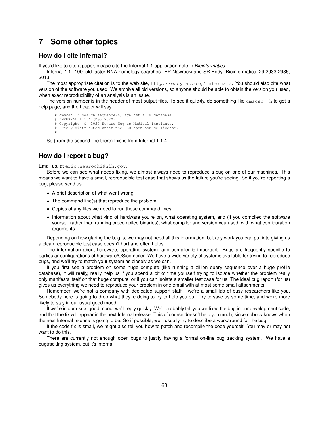# **7 Some other topics**

# **How do I cite Infernal?**

If you'd like to cite a paper, please cite the Infernal 1.1 application note in *Bioinformatics*:

Infernal 1.1: 100-fold faster RNA homology searches. EP Nawrocki and SR Eddy. Bioinformatics, 29:2933-2935, 2013.

The most appropriate citation is to the web site, http://eddylab.org/infernal/. You should also cite what version of the software you used. We archive all old versions, so anyone should be able to obtain the version you used, when exact reproducibility of an analysis is an issue.

The version number is in the header of most output files. To see it quickly, do something like  $\text{cm}$ scan  $-h$  to get a help page, and the header will say:

# cmscan :: search sequence(s) against a CM database # INFERNAL 1.1.4 (Dec 2020)

```
# Copyright (C) 2020 Howard Hughes Medical Institute.
```
# Freely distributed under the BSD open source license.

# - - - - - - - - - - - - - - - - - - - - - - - - - - - - - - - - - - - -

So (from the second line there) this is from Infernal 1.1.4.

# **How do I report a bug?**

Email us, at eric.nawrocki@nih.gov.

Before we can see what needs fixing, we almost always need to reproduce a bug on one of our machines. This means we want to have a small, reproducible test case that shows us the failure you're seeing. So if you're reporting a bug, please send us:

- A brief description of what went wrong.
- The command line(s) that reproduce the problem.
- Copies of any files we need to run those command lines.
- Information about what kind of hardware you're on, what operating system, and (if you compiled the software yourself rather than running precompiled binaries), what compiler and version you used, with what configuration arguments.

Depending on how glaring the bug is, we may not need all this information, but any work you can put into giving us a clean reproducible test case doesn't hurt and often helps.

The information about hardware, operating system, and compiler is important. Bugs are frequently specific to particular configurations of hardware/OS/compiler. We have a wide variety of systems available for trying to reproduce bugs, and we'll try to match your system as closely as we can.

If you first see a problem on some huge compute (like running a zillion query sequence over a huge profile database), it will really, really help us if you spend a bit of time yourself trying to isolate whether the problem really only manifests itself on that huge compute, or if you can isolate a smaller test case for us. The ideal bug report (for us) gives us everything we need to reproduce your problem in one email with at most some small attachments.

Remember, we're not a company with dedicated support staff – we're a small lab of busy researchers like you. Somebody here is going to drop what they're doing to try to help you out. Try to save us some time, and we're more likely to stay in our usual good mood.

If we're in our usual good mood, we'll reply quickly. We'll probably tell you we fixed the bug in our development code, and that the fix will appear in the next Infernal release. This of course doesn't help you much, since nobody knows when the next Infernal release is going to be. So if possible, we'll usually try to describe a workaround for the bug.

If the code fix is small, we might also tell you how to patch and recompile the code yourself. You may or may not want to do this.

There are currently not enough open bugs to justify having a formal on-line bug tracking system. We have a bugtracking system, but it's internal.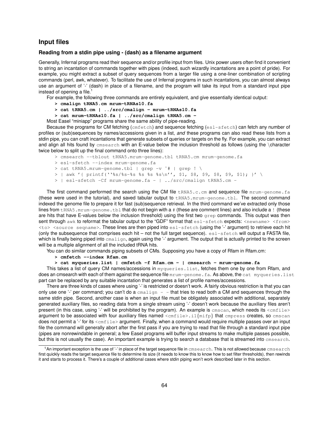## **Input files**

## **Reading from a stdin pipe using - (dash) as a filename argument**

Generally, Infernal programs read their sequence and/or profile input from files. Unix power users often find it convenient to string an incantation of commands together with pipes (indeed, such wizardly incantations are a point of pride). For example, you might extract a subset of query sequences from a larger file using a one-liner combination of scripting commands (perl, awk, whatever). To facilitate the use of Infernal programs in such incantations, you can almost always use an argument of '-' (dash) in place of a filename, and the program will take its input from a standard input pipe instead of opening a file. $<sup>1</sup>$ </sup>

For example, the following three commands are entirely equivalent, and give essentially identical output:

- **> cmalign tRNA5.cm mrum-tRNAs10.fa**
- **> cat tRNA5.cm | ../src/cmalign mrum-tRNAs10.fa**
- **> cat mrum-tRNAs10.fa | ../src/cmalign tRNA5.cm -**

Most Easel "miniapp" programs share the same ability of pipe-reading.

Because the programs for CM fetching (cmfetch) and sequence fetching (esl-sfetch) can fetch any number of profiles or (sub)sequences by names/accessions given in a list, *and* these programs can also read these lists from a stdin pipe, you can craft incantations that generate subsets of queries or targets on the fly. For example, you can extract and align all hits found by cmsearch with an E-value below the inclusion threshold as follows (using the \character twice below to split up the final command onto three lines):

- > cmsearch --tblout tRNA5.mrum-genome.tbl tRNA5.cm mrum-genome.fa
- > esl-sfetch --index mrum-genome.fa
- > cat tRNA5.mrum-genome.tbl | grep -v ˆ# | grep ! \

> | awk '{ printf(''%s/%s-%s %s %s %s\n'', \$1, \$8, \$9, \$9, \$1); }' \

> | esl-sfetch -Cf mrum-genome.fa - | ../src/cmalign tRNA5.cm -

The first command performed the search using the CM file tRNA5.c.cm and sequence file mrum-genome.fa (these were used in the tutorial), and saved tabular output to tRNA5.mrum-genome.tbl. The second command indexed the genome file to prepare it for fast (sub)sequence retrieval. In the third command we've extracted only those lines from tRNA5.mrum-genome.tbl that do not begin with a # (these are comment lines) and also include a ! (these are hits that have E-values below the inclusion threshold) using the first two grep commands. This output was then sent through awk to reformat the tabular output to the "GDF" format that esl-sfetch expects: <newname> <from> <to> <source seqname>. These lines are then piped into esl-sfetch (using the '-' argument) to retrieve each hit (only the subsequence that comprises each hit – not the full target sequence).  $est-setch$  will output a FASTA file, which is finally being piped into cmalign, again using the '-' argument. The output that is actually printed to the screen will be a multiple alignment of all the included tRNA hits.

You can do similar commands piping subsets of CMs. Supposing you have a copy of Rfam in Rfam.cm:

**> cmfetch --index Rfam.cm**

**> cat myqueries.list | cmfetch -f Rfam.cm - | cmsearch - mrum-genome.fa**

This takes a list of query CM names/accessions in myqueries. list, fetches them one by one from Rfam, and does an cmsearch with each of them against the sequence file mrum-genome. fa. As above, the cat myqueries. list part can be replaced by any suitable incantation that generates a list of profile names/accessions.

There are three kinds of cases where using '-' is restricted or doesn't work. A fairly obvious restriction is that you can only use one '-' per command; you can't do a  $c_{\text{small}q}$  - - that tries to read both a CM and sequences through the same stdin pipe. Second, another case is when an input file must be obligately associated with additional, separately generated auxiliary files, so reading data from a single stream using '-' doesn't work because the auxiliary files aren't present (in this case, using '-' will be prohibited by the program). An example is cmscan, which needs its <cmfile> argument to be associated with four auxiliary files named <cmfile>.i1{mifp} that cmpress creates, so cmscan does not permit a '-' for its <cmfile> argument. Finally, when a command would require multiple passes over an input file the command will generally abort after the first pass if you are trying to read that file through a standard input pipe (pipes are nonrewindable in general; a few Easel programs will buffer input streams to make multiple passes possible, but this is not usually the case). An important example is trying to search a database that is streamed into cmsearch.

 $1$ An important exception is the use of '-' in place of the target sequence file in cmsearch. This is not allowed because cmsearch first quickly reads the target sequence file to determine its size (it needs to know this to know how to set filter thresholds), then rewinds it and starts to process it. There's a couple of additional cases where stdin piping won't work described later in this section.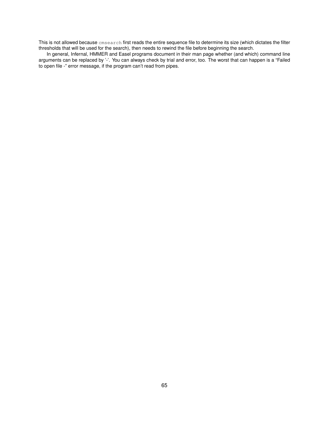This is not allowed because cmsearch first reads the entire sequence file to determine its size (which dictates the filter thresholds that will be used for the search), then needs to rewind the file before beginning the search.

In general, Infernal, HMMER and Easel programs document in their man page whether (and which) command line arguments can be replaced by '-'. You can always check by trial and error, too. The worst that can happen is a "Failed to open file -" error message, if the program can't read from pipes.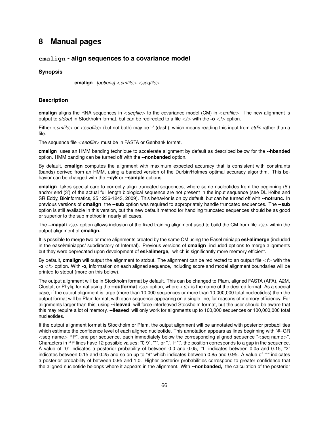# **8 Manual pages**

## **cmalign - align sequences to a covariance model**

#### **Synopsis**

**cmalign** *[options]* <*cmfile*> <*seqfile*>

### **Description**

**cmalign** aligns the RNA sequences in <*seqfile*> to the covariance model (CM) in <*cmfile*>*.* The new alignment is output to *stdout* in Stockholm format, but can be redirected to a file <*f*> with the **-o** <*f*> option.

Either <*cmfile*> or <*seqfile*> (but not both) may be '-' (dash), which means reading this input from *stdin* rather than a file.

The sequence file <*seqfile*> must be in FASTA or Genbank format.

**cmalign** uses an HMM banding technique to accelerate alignment by default as described below for the **--hbanded** option. HMM banding can be turned off with the **--nonbanded** option.

By default, **cmalign** computes the alignment with maximum expected accuracy that is consistent with constraints (bands) derived from an HMM, using a banded version of the Durbin/Holmes optimal accuracy algorithm. This behavior can be changed with the **--cyk** or **--sample** options.

**cmalign** takes special care to correctly align truncated sequences, where some nucleotides from the beginning (5') and/or end (3') of the actual full length biological sequence are not present in the input sequence (see DL Kolbe and SR Eddy, Bioinformatics, 25:1236-1243, 2009). This behavior is on by default, but can be turned off with **--notrunc.** In previous versions of **cmalign** the **--sub** option was required to appropriately handle truncated sequences. The **--sub** option is still available in this version, but the new default method for handling truncated sequences should be as good or superior to the sub method in nearly all cases.

The **--mapali** <*s*> option allows inclusion of the fixed training alignment used to build the CM from file <*s*> within the output alignment of **cmalign.**

It is possible to merge two or more alignments created by the same CM using the Easel miniapp **esl-alimerge** (included in the easel/miniapps/ subdirectory of Infernal). Previous versions of **cmalign** included options to merge alignments but they were deprecated upon development of **esl-alimerge,** which is significantly more memory efficient.

By default, **cmalign** will output the alignment to stdout. The alignment can be redirected to an output file <*f*> with the **-o** <*f*> option. With **-o,** information on each aligned sequence, including score and model alignment boundaries will be printed to stdout (more on this below).

The output alignment will be in Stockholm format by default. This can be changed to Pfam, aligned FASTA (AFA), A2M, Clustal, or Phylip format using the **--outformat** <*s*> option, where <*s*> is the name of the desired format. As a special case, if the output alignment is large (more than 10,000 sequences or more than 10,000,000 total nucleotides) than the output format will be Pfam format, with each sequence appearing on a single line, for reasons of memory efficiency. For alignments larger than this, using **--ileaved** will force interleaved Stockholm format, but the user should be aware that this may require a lot of memory. **--ileaved** will only work for alignments up to 100,000 sequences or 100,000,000 total nucleotides.

If the output alignment format is Stockholm or Pfam, the output alignment will be annotated with posterior probabilities which estimate the confidence level of each aligned nucleotide. This annotation appears as lines beginning with "#=GR <seq name> PP", one per sequence, each immediately below the corresponding aligned sequence "<seq name>". Characters in PP lines have 12 possible values: "0-9", "\*", or ".". If ".", the position corresponds to a gap in the sequence. A value of "0" indicates a posterior probability of between 0.0 and 0.05, "1" indicates between 0.05 and 0.15, "2" indicates between 0.15 and 0.25 and so on up to "9" which indicates between 0.85 and 0.95. A value of "\*" indicates a posterior probability of between 0.95 and 1.0. Higher posterior probabilities correspond to greater confidence that the aligned nucleotide belongs where it appears in the alignment. With **--nonbanded,** the calculation of the posterior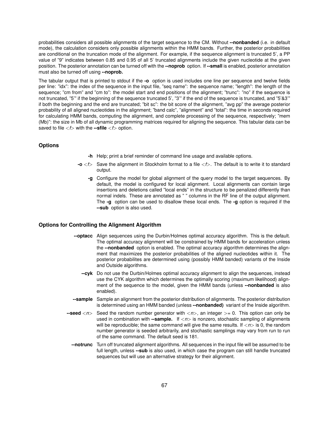probabilities considers all possible alignments of the target sequence to the CM. Without **--nonbanded** (i.e. in default mode), the calculation considers only possible alignments within the HMM bands. Further, the posterior probabilities are conditional on the truncation mode of the alignment. For example, if the sequence alignment is truncated 5', a PP value of "9" indicates between 0.85 and 0.95 of all 5' truncated alignments include the given nucleotide at the given position. The posterior annotation can be turned off with the **--noprob** option. If **--small** is enabled, posterior annotation must also be turned off using **--noprob.**

The tabular output that is printed to stdout if the **-o** option is used includes one line per sequence and twelve fields per line: "idx": the index of the sequence in the input file, "seq name": the sequence name; "length": the length of the sequence; "cm from" and "cm to": the model start and end positions of the alignment; "trunc": "no" if the sequence is not truncated, "5'" if the beginning of the sequence truncated 5', "3'" if the end of the sequence is truncated, and "5'&3'" if both the beginning and the end are truncated; "bit sc": the bit score of the alignment, "avg pp" the average posterior probability of all aligned nucleotides in the alignment; "band calc", "alignment" and "total": the time in seconds required for calculating HMM bands, computing the alignment, and complete processing of the sequence, respectively; "mem (Mb)": the size in Mb of all dynamic programming matrices required for aligning the sequence. This tabular data can be saved to file <*f*> with the **--sfile** <*f*> option.

## **Options**

- **-h** Help; print a brief reminder of command line usage and available options.
- **-o** <*f*> Save the alignment in Stockholm format to a file <*f*>*.* The default is to write it to standard output.
	- **-g** Configure the model for global alignment of the query model to the target sequences. By default, the model is configured for local alignment. Local alignments can contain large insertions and deletions called "local ends" in the structure to be penalized differently than normal indels. These are annotated as " " columns in the RF line of the output alignment. The **-g** option can be used to disallow these local ends. The **-g** option is required if the **--sub** option is also used.

## **Options for Controlling the Alignment Algorithm**

- **--optacc** Align sequences using the Durbin/Holmes optimal accuracy algorithm. This is the default. The optimal accuracy alignment will be constrained by HMM bands for acceleration unless the **--nonbanded** option is enabled. The optimal accuracy algorithm determines the alignment that maximizes the posterior probabilities of the aligned nucleotides within it. The posterior probabilites are determined using (possibly HMM banded) variants of the Inside and Outside algorithms.
	- **--cyk** Do not use the Durbin/Holmes optimal accuracy alignment to align the sequences, instead use the CYK algorithm which determines the optimally scoring (maximum likelihood) alignment of the sequence to the model, given the HMM bands (unless **--nonbanded** is also enabled).
- **--sample** Sample an alignment from the posterior distribution of alignments. The posterior distribution is determined using an HMM banded (unless **--nonbanded)** variant of the Inside algorithm.
- **--seed**  $\langle n \rangle$  Seed the random number generator with  $\langle n \rangle$ , an integer  $\rangle = 0$ . This option can only be used in combination with **--sample.** If <*n*> is nonzero, stochastic sampling of alignments will be reproducible; the same command will give the same results. If  $\langle n \rangle$  is 0, the random number generator is seeded arbitrarily, and stochastic samplings may vary from run to run of the same command. The default seed is 181.
	- **--notrunc** Turn off truncated alignment algorithms. All sequences in the input file will be assumed to be full length, unless **--sub** is also used, in which case the program can still handle truncated sequences but will use an alternative strategy for their alignment.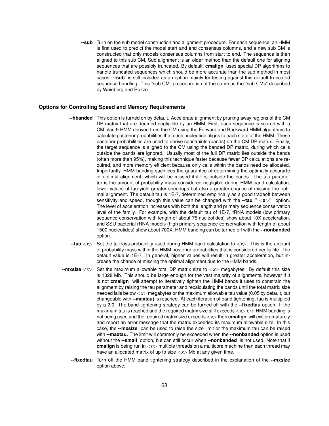**--sub** Turn on the sub model construction and alignment procedure. For each sequence, an HMM is first used to predict the model start and end consensus columns, and a new sub CM is constructed that only models consensus columns from start to end. The sequence is then aligned to this sub CM. Sub alignment is an older method than the default one for aligning sequences that are possibly truncated. By default, **cmalign** uses special DP algorithms to handle truncated sequences which should be more accurate than the sub method in most cases. **--sub** is still included as an option mainly for testing against this default truncated sequence handling. This "sub CM" procedure is not the same as the "sub CMs" described by Weinberg and Ruzzo.

### **Options for Controlling Speed and Memory Requirements**

- **--hbanded** This option is turned on by default. Accelerate alignment by pruning away regions of the CM DP matrix that are deemed negligible by an HMM. First, each sequence is scored with a CM plan 9 HMM derived from the CM using the Forward and Backward HMM algorithms to calculate posterior probabilities that each nucleotide aligns to each state of the HMM. These posterior probabilities are used to derive constraints (bands) on the CM DP matrix. Finally, the target sequence is aligned to the CM using the banded DP matrix, during which cells outside the bands are ignored. Usually most of the full DP matrix lies outside the bands (often more than 95%), making this technique faster because fewer DP calculations are required, and more memory efficient because only cells within the bands need be allocated. Importantly, HMM banding sacrifices the guarantee of determining the optimally accurarte or optimal alignment, which will be missed if it lies outside the bands. The tau parameter is the amount of probability mass considered negligible during HMM band calculation; lower values of tau yield greater speedups but also a greater chance of missing the optimal alignment. The default tau is 1E-7, determined empirically as a good tradeoff between sensitivity and speed, though this value can be changed with the **--tau "** <**x**>**"** option. The level of acceleration increases with both the length and primary sequence conservation level of the family. For example, with the default tau of 1E-7, tRNA models (low primary sequence conservation with length of about 75 nucleotides) show about 10X acceleration, and SSU bacterial rRNA models (high primary sequence conservation with length of about 1500 nucleotides) show about 700X. HMM banding can be turned off with the **--nonbanded** option.
- **--tau** <*x*> Set the tail loss probability used during HMM band calculation to <*x*>*.* This is the amount of probability mass within the HMM posterior probabilities that is considered negligible. The default value is 1E-7. In general, higher values will result in greater acceleration, but increase the chance of missing the optimal alignment due to the HMM bands.
- **--mxsize** <*x*> Set the maximum allowable total DP matrix size to <*x*> megabytes. By default this size is 1028 Mb. This should be large enough for the vast majority of alignments, however if it is not **cmalign** will attempt to iteratively tighten the HMM bands it uses to constrain the alignment by raising the tau parameter and recalculating the bands until the total matrix size needed falls below <*x*> megabytes or the maximum allowable tau value (0.05 by default, but changeable with **--maxtau)** is reached. At each iteration of band tightening, tau is multiplied by a 2.0. The band tightening strategy can be turned off with the **--fixedtau** option. If the maximum tau is reached and the required matrix size still exceeds  $\langle x \rangle$  or if HMM banding is not being used and the required matrix size exceeds <*x*> then **cmalign** will exit prematurely and report an error message that the matrix exceeded its maximum allowable size. In this case, the **--mxsize** can be used to raise the size limit or the maximum tau can be raised with **--maxtau.** The limit will commonly be exceeded when the **--nonbanded** option is used without the **--small** option, but can still occur when **--nonbanded** is not used. Note that if **cmalign** is being run in <*n*> multiple threads on a multicore machine then each thread may have an allocated matrix of up to size <*x*> Mb at any given time.
	- **--fixedtau** Turn off the HMM band tightening strategy described in the explanation of the **--mxsize** option above.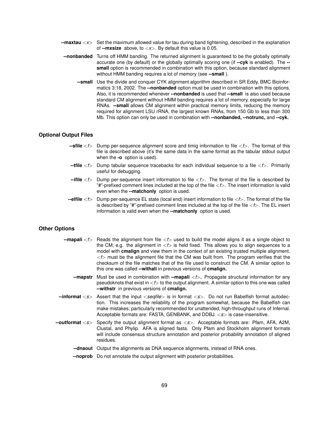- **--maxtau** <*x*> Set the maximum allowed value for tau during band tightening, described in the explanation of **--mxsize** above, to <*x*>*.* By default this value is 0.05.
- **--nonbanded** Turns off HMM banding. The returned alignment is guaranteed to be the globally optimally accurate one (by default) or the globally optimally scoring one (if **--cyk** is enabled). The **- small** option is recommended in combination with this option, because standard alignment without HMM banding requires a lot of memory (see **--small** ).
	- **--small** Use the divide and conquer CYK alignment algorithm described in SR Eddy, BMC Bioinformatics 3:18, 2002. The **--nonbanded** option must be used in combination with this options. Also, it is recommended whenever **--nonbanded** is used that **--small** is also used because standard CM alignment without HMM banding requires a lot of memory, especially for large RNAs. **--small** allows CM alignment within practical memory limits, reducing the memory required for alignment LSU rRNA, the largest known RNAs, from 150 Gb to less than 300 Mb. This option can only be used in combination with **--nonbanded, --notrunc,** and **--cyk.**

### **Optional Output Files**

- **--sfile** <*f*> Dump per-sequence alignment score and timig information to file <*f*>*.* The format of this file is described above (it's the same data in the same format as the tabular stdout output when the **-o** option is used).
- **--tfile** <*f*> Dump tabular sequence tracebacks for each individual sequence to a file <*f*>*.* Primarily useful for debugging.
- **--ifile** <*f*> Dump per-sequence insert information to file <*f*>*.* The format of the file is described by "#"-prefixed comment lines included at the top of the file <*f*>*.* The insert information is valid even when the **--matchonly** option is used.
- **--elfile** <*f*> Dump per-sequence EL state (local end) insert information to file <*f*>*.* The format of the file is described by "#"-prefixed comment lines included at the top of the file <*f*>*.* The EL insert information is valid even when the **--matchonly** option is used.

#### **Other Options**

- **--mapali** <*f*> Reads the alignment from file <*f*> used to build the model aligns it as a single object to the CM; e.g. the alignment in  $\langle f \rangle$  is held fixed. This allows you to align sequences to a model with **cmalign** and view them in the context of an existing trusted multiple alignment. <*f*> must be the alignment file that the CM was built from. The program verifies that the checksum of the file matches that of the file used to construct the CM. A similar option to this one was called **--withali** in previous versions of **cmalign.**
	- **--mapstr** Must be used in combination with **--mapali** <*f*>**.** Propagate structural information for any pseudoknots that exist in  $\lt f$  to the output alignment. A similar option to this one was called **--withstr** in previous versions of **cmalign.**
- **--informat** <*s*> Assert that the input <*seqfile*> is in format <*s*>*.* Do not run Babelfish format autodection. This increases the reliability of the program somewhat, because the Babelfish can make mistakes; particularly recommended for unattended, high-throughput runs of Infernal. Acceptable formats are: FASTA, GENBANK, and DDBJ. <*s*> is case-insensitive.
- **--outformat** <*s*> Specify the output alignment format as <*s*>*.* Acceptable formats are: Pfam, AFA, A2M, Clustal, and Phylip. AFA is aligned fasta. Only Pfam and Stockholm alignment formats will include consensus structure annotation and posterior probability annotation of aligned residues.
	- **--dnaout** Output the alignments as DNA sequence alignments, instead of RNA ones.
	- **--noprob** Do not annotate the output alignment with posterior probabilities.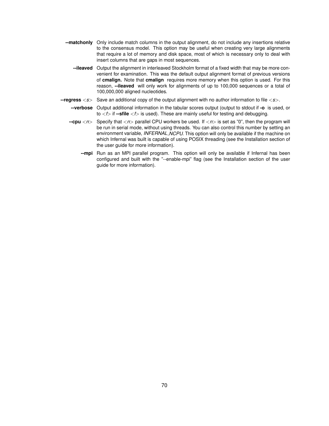- **--matchonly** Only include match columns in the output alignment, do not include any insertions relative to the consensus model. This option may be useful when creating very large alignments that require a lot of memory and disk space, most of which is necessary only to deal with insert columns that are gaps in most sequences.
	- **--ileaved** Output the alignment in interleaved Stockholm format of a fixed width that may be more convenient for examination. This was the default output alignment format of previous versions of **cmalign.** Note that **cmalign** requires more memory when this option is used. For this reason, **--ileaved** will only work for alignments of up to 100,000 sequences or a total of 100,000,000 aligned nucleotides.
- **--regress** <*s*> Save an additional copy of the output alignment with no author information to file <*s*>*.*
	- **--verbose** Output additional information in the tabular scores output (output to stdout if **-o** is used, or to  $\langle f \rangle$  if **--sfile**  $\langle f \rangle$  is used). These are mainly useful for testing and debugging.
	- **--cpu** <*n*> Specify that <*n*> parallel CPU workers be used. If <*n*> is set as "0", then the program will be run in serial mode, without using threads. You can also control this number by setting an environment variable, *INFERNAL\_NCPU*. This option will only be available if the machine on which Infernal was built is capable of using POSIX threading (see the Installation section of the user guide for more information).
		- **--mpi** Run as an MPI parallel program. This option will only be available if Infernal has been configured and built with the "--enable-mpi" flag (see the Installation section of the user guide for more information).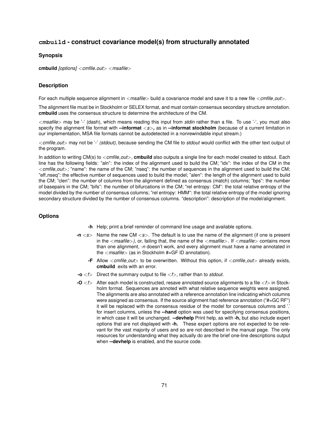# **cmbuild - construct covariance model(s) from structurally annotated**

## **Synopsis**

**cmbuild** *[options]* <*cmfile out*> <*msafile*>

## **Description**

For each multiple sequence alignment in <*msafile*> build a covariance model and save it to a new file <*cmfile out*>*.*

The alignment file must be in Stockholm or SELEX format, and must contain consensus secondary structure annotation. **cmbuild** uses the consensus structure to determine the architecture of the CM.

<*msafile*> may be '-' (dash), which means reading this input from *stdin* rather than a file. To use '-', you must also specify the alignment file format with **--informat** <*s*>**,** as in **--informat stockholm** (because of a current limitation in our implementation, MSA file formats cannot be autodetected in a nonrewindable input stream.)

<*cmfile out*> may not be '-' *(stdout),* because sending the CM file to *stdout* would conflict with the other text output of the program.

In addition to writing CM(s) to <*cmfile\_out*>, **cmbuild** also outputs a single line for each model created to stdout. Each line has the following fields: "aln": the index of the alignment used to build the CM; "idx": the index of the CM in the <*cmfile out*>*;* "name": the name of the CM; "nseq": the number of sequences in the alignment used to build the CM; "eff nseq": the effective number of sequences used to build the model; "alen": the length of the alignment used to build the CM; "clen": the number of columns from the alignment defined as consensus (match) columns; "bps": the number of basepairs in the CM; "bifs": the number of bifurcations in the CM; "rel entropy: CM": the total relative entropy of the model divided by the number of consensus columns; "rel entropy: HMM": the total relative entropy of the model ignoring secondary structure divided by the number of consensus columns. "description": description of the model/alignment.

## **Options**

- **-h** Help; print a brief reminder of command line usage and available options.
- **-n** <*s*> Name the new CM <*s*>*.* The default is to use the name of the alignment (if one is present in the <*msafile*>*),* or, failing that, the name of the <*msafile*>*.* If <*msafile*> contains more than one alignment, *-n* doesn't work, and every alignment must have a name annotated in the <*msafile*> (as in Stockholm #=GF ID annotation).
	- **-F** Allow <*cmfile out*> to be overwritten. Without this option, if <*cmfile out*> already exists, **cmbuild** exits with an error.
- **-o** <*f*> Direct the summary output to file <*f*>*,* rather than to *stdout.*
- **-O** <*f*> After each model is constructed, resave annotated source alignments to a file <*f*> in Stockholm format. Sequences are annoted with what relative sequence weights were assigned. The alignments are also annotated with a reference annotation line indicating which columns were assigned as consensus. If the source alignment had reference annotation ("#=GC RF") it will be replaced with the consensus residue of the model for consensus columns and '.' for insert columns, unless the **--hand** option was used for specifying consensus positions, in which case it will be unchanged. **--devhelp** Print help, as with **-h,** but also include expert options that are not displayed with **-h.** These expert options are not expected to be relevant for the vast majority of users and so are not described in the manual page. The only resources for understanding what they actually do are the brief one-line descriptions output when **--devhelp** is enabled, and the source code.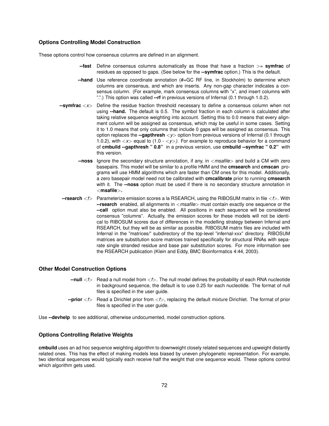#### **Options Controlling Model Construction**

These options control how consensus columns are defined in an alignment.

- **--fast** Define consensus columns automatically as those that have a fraction >= **symfrac** of residues as opposed to gaps. (See below for the **--symfrac** option.) This is the default.
- **--hand** Use reference coordinate annotation (#=GC RF line, in Stockholm) to determine which columns are consensus, and which are inserts. Any non-gap character indicates a consensus column. (For example, mark consensus columns with "x", and insert columns with ".".) This option was called **--rf** in previous versions of Infernal (0.1 through 1.0.2).
- **--symfrac** <*x*> Define the residue fraction threshold necessary to define a consensus column when not using **--hand.** The default is 0.5. The symbol fraction in each column is calculated after taking relative sequence weighting into account. Setting this to 0.0 means that every alignment column will be assigned as consensus, which may be useful in some cases. Setting it to 1.0 means that only columns that include 0 gaps will be assigned as consensus. This option replaces the **--gapthresh** <*y*> option from previous versions of Infernal (0.1 through 1.0.2), with <*x*> equal to (1.0 - <*y*>*).* For example to reproduce behavior for a command of **cmbuild --gapthresh " 0.8"** in a previous version, use **cmbuild --symfrac " 0.2"** with this version.
	- **--noss** Ignore the secondary structure annotation, if any, in <*msafile*> and build a CM with zero basepairs. This model will be similar to a profile HMM and the **cmsearch** and **cmscan** programs will use HMM algorithms which are faster than CM ones for this model. Additionally, a zero basepair model need not be calibrated with **cmcalibrate** prior to running **cmsearch** with it. The **--noss** option must be used if there is no secondary structure annotation in <**msafile**>**.**
- **--rsearch** <*f*> Parameterize emission scores a la RSEARCH, using the RIBOSUM matrix in file <*f*>*.* With **--rsearch** enabled, all alignments in <*msafile*> must contain exactly one sequence or the **--call** option must also be enabled. All positions in each sequence will be considered consensus "columns". Actually, the emission scores for these models will not be identical to RIBOSUM scores due of differences in the modelling strategy between Infernal and RSEARCH, but they will be as similar as possible. RIBOSUM matrix files are included with Infernal in the "matrices/" subdirectory of the top-level "infernal-xxx" directory. RIBOSUM matrices are substitution score matrices trained specifically for structural RNAs with separate single stranded residue and base pair substitution scores. For more information see the RSEARCH publication (Klein and Eddy, BMC Bioinformatics 4:44, 2003).

## **Other Model Construction Options**

- **--null** <*f*> Read a null model from <*f*>*.* The null model defines the probability of each RNA nucleotide in background sequence, the default is to use 0.25 for each nucleotide. The format of null files is specified in the user guide.
- **--prior** <*f*> Read a Dirichlet prior from <*f*>*,* replacing the default mixture Dirichlet. The format of prior files is specified in the user guide.

Use **--devhelp** to see additional, otherwise undocumented, model construction options.

#### **Options Controlling Relative Weights**

**cmbuild** uses an ad hoc sequence weighting algorithm to downweight closely related sequences and upweight distantly related ones. This has the effect of making models less biased by uneven phylogenetic representation. For example, two identical sequences would typically each receive half the weight that one sequence would. These options control which algorithm gets used.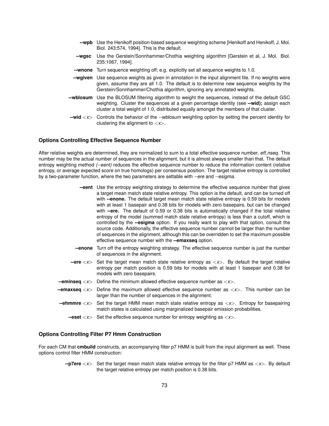|           | --wpb Use the Henikoff position-based sequence weighting scheme [Henikoff and Henikoff, J. Mol.<br>Biol. 243:574, 1994]. This is the default.                                                                                                                                 |
|-----------|-------------------------------------------------------------------------------------------------------------------------------------------------------------------------------------------------------------------------------------------------------------------------------|
| --wasc    | Use the Gerstein/Sonnhammer/Chothia weighting algorithm [Gerstein et al, J. Mol. Biol.<br>235:1067, 1994].                                                                                                                                                                    |
| --wnone   | Turn sequence weighting off; e.g. explicitly set all sequence weights to 1.0.                                                                                                                                                                                                 |
| --waiven  | Use sequence weights as given in annotation in the input alignment file. If no weights were<br>given, assume they are all 1.0. The default is to determine new sequence weights by the<br>Gerstein/Sonnhammer/Chothia algorithm, ignoring any annotated weights.              |
| --wblosum | Use the BLOSUM filtering algorithm to weight the sequences, instead of the default GSC<br>weighting. Cluster the sequences at a given percentage identity (see --wid); assign each<br>cluster a total weight of 1.0, distributed equally amongst the members of that cluster. |
|           | -wid $\langle x \rangle$ Controls the behavior of the --wblosum weighting option by setting the percent identity for<br>clustering the alignment to $\langle x \rangle$ .                                                                                                     |

#### **Options Controlling Effective Sequence Number**

After relative weights are determined, they are normalized to sum to a total effective sequence number, *eff nseq.* This number may be the actual number of sequences in the alignment, but it is almost always smaller than that. The default entropy weighting method *(--eent)* reduces the effective sequence number to reduce the information content (relative entropy, or average expected score on true homologs) per consensus position. The target relative entropy is controlled by a two-parameter function, where the two parameters are settable with *--ere* and *--esigma.*

- **--enone** Turn off the entropy weighting strategy. The effective sequence number is just the number of sequences in the alignment.
- **--ere** <*x*> Set the target mean match state relative entropy as <*x*>*.* By default the target relative entropy per match position is 0.59 bits for models with at least 1 basepair and 0.38 for models with zero basepairs.
- **--eminseq** <*x*> Define the minimum allowed effective sequence number as <*x*>*.*
- **--emaxseq** <*x*> Define the maximum allowed effective sequence number as <*x*>*.* This number can be larger than the number of sequences in the alignment.
- **--ehmmre** <*x*> Set the target HMM mean match state relative entropy as <*x*>*.* Entropy for basepairing match states is calculated using marginalized basepair emission probabilities.
	- **--eset** <*x*> Set the effective sequence number for entropy weighting as <*x*>*.*

# **Options Controlling Filter P7 Hmm Construction**

For each CM that **cmbuild** constructs, an accompanying filter p7 HMM is built from the input alignment as well. These options control filter HMM construction:

> **--p7ere** <*x*> Set the target mean match state relative entropy for the filter p7 HMM as <*x*>*.* By default the target relative entropy per match position is 0.38 bits.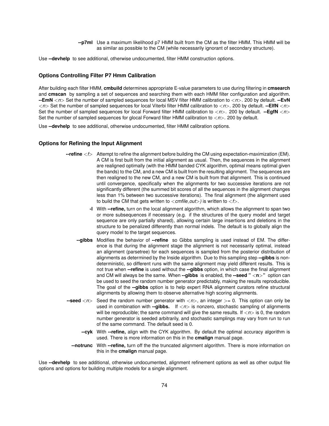**--p7ml** Use a maximum likelihood p7 HMM built from the CM as the filter HMM. This HMM will be as similar as possible to the CM (while necessarily ignorant of secondary structure).

Use **--devhelp** to see additional, otherwise undocumented, filter HMM construction options.

#### **Options Controlling Filter P7 Hmm Calibration**

After building each filter HMM, **cmbuild** determines appropriate E-value parameters to use during filtering in **cmsearch** and **cmscan** by sampling a set of sequences and searching them with each HMM filter configuration and algorithm. **--EmN** <*n*> Set the number of sampled sequences for local MSV filter HMM calibration to <*n*>*.* 200 by default. **--EvN** <*n*> Set the number of sampled sequences for local Viterbi filter HMM calibration to <*n*>*.* 200 by default. **--ElfN** <*n*> Set the number of sampled sequences for local Forward filter HMM calibration to <*n*>*.* 200 by default. **--EgfN** <*n*> Set the number of sampled sequences for glocal Forward filter HMM calibration to <*n*>*.* 200 by default.

Use **--devhelp** to see additional, otherwise undocumented, filter HMM calibration options.

#### **Options for Refining the Input Alignment**

- **--refine** <*f*> Attempt to refine the alignment before building the CM using expectation-maximization (EM). A CM is first built from the initial alignment as usual. Then, the sequences in the alignment are realigned optimally (with the HMM banded CYK algorithm, optimal means optimal given the bands) to the CM, and a new CM is built from the resulting alignment. The sequences are then realigned to the new CM, and a new CM is built from that alignment. This is continued until convergence, specifically when the alignments for two successive iterations are not significantly different (the summed bit scores of all the sequences in the alignment changes less than 1% between two successive iterations). The final alignment (the alignment used to build the CM that gets written to <*cmfile out*>*)* is written to <*f*>*.*
	- **-l** With **--refine,** turn on the local alignment algorithm, which allows the alignment to span two or more subsequences if necessary (e.g. if the structures of the query model and target sequence are only partially shared), allowing certain large insertions and deletions in the structure to be penalized differently than normal indels. The default is to globally align the query model to the target sequences.
	- **--gibbs** Modifies the behavior of **--refine** so Gibbs sampling is used instead of EM. The difference is that during the alignment stage the alignment is not necessarily optimal, instead an alignment (parsetree) for each sequences is sampled from the posterior distribution of alignments as determined by the Inside algorithm. Due to this sampling step **--gibbs** is nondeterministic, so different runs with the same alignment may yield different results. This is not true when **--refine** is used without the **--gibbs** option, in which case the final alignment and CM will always be the same. When **--gibbs** is enabled, the **--seed "** <**n**>**"** option can be used to seed the random number generator predictably, making the results reproducible. The goal of the **--gibbs** option is to help expert RNA alignment curators refine structural alignments by allowing them to observe alternative high scoring alignments.
- **--seed** <*n*> Seed the random number generator with <*n*>*,* an integer >= 0. This option can only be used in combination with **--gibbs.** If <*n*> is nonzero, stochastic sampling of alignments will be reproducible; the same command will give the same results. If  $\langle n \rangle$  is 0, the random number generator is seeded arbitrarily, and stochastic samplings may vary from run to run of the same command. The default seed is 0.
	- **--cyk** With **--refine,** align with the CYK algorithm. By default the optimal accuracy algorithm is used. There is more information on this in the **cmalign** manual page.
	- **--notrunc** With **--refine,** turn off the the truncated alignment algorithm. There is more information on this in the **cmalign** manual page.

Use **--devhelp** to see additional, otherwise undocumented, alignment refinement options as well as other output file options and options for building multiple models for a single alignment.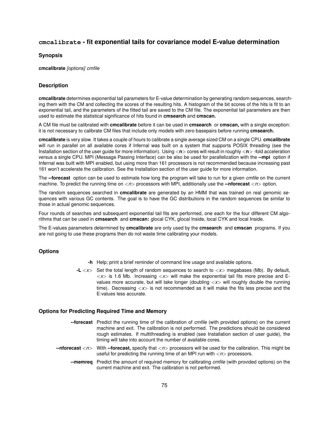# **cmcalibrate - fit exponential tails for covariance model E-value determination**

#### **Synopsis**

**cmcalibrate** *[options] cmfile*

## **Description**

**cmcalibrate** determines exponential tail parameters for E-value determination by generating random sequences, searching them with the CM and collecting the scores of the resulting hits. A histogram of the bit scores of the hits is fit to an exponential tail, and the parameters of the fitted tail are saved to the CM file. The exponential tail parameters are then used to estimate the statistical significance of hits found in **cmsearch** and **cmscan.**

A CM file must be calibrated with **cmcalibrate** before it can be used in **cmsearch** or **cmscan,** with a single exception: it is not necessary to calibrate CM files that include only models with zero basepairs before running **cmsearch.**

**cmcalibrate** is very slow. It takes a couple of hours to calibrate a single average sized CM on a single CPU. **cmcalibrate** will run in parallel on all available cores if Infernal was built on a system that supports POSIX threading (see the Installation section of the user guide for more information). Using <n> cores will result in roughly <n> -fold acceleration versus a single CPU. MPI (Message Passing Interface) can be also be used for parallelization with the **--mpi** option if Infernal was built with MPI enabled, but using more than 161 processors is not recommended because increasing past 161 won't accelerate the calibration. See the Installation section of the user guide for more information.

The **--forecast** option can be used to estimate how long the program will take to run for a given *cmfile* on the current machine. To predict the running time on <*n*> processors with MPI, additionally use the **--nforecast** <*n*> option.

The random sequences searched in **cmcalibrate** are generated by an HMM that was trained on real genomic sequences with various GC contents. The goal is to have the GC distributions in the random sequences be similar to those in actual genomic sequences.

Four rounds of searches and subsequent exponential tail fits are performed, one each for the four different CM algorithms that can be used in **cmsearch** and **cmscan:** glocal CYK, glocal Inside, local CYK and local Inside.

The E-values parameters determined by **cmcalibrate** are only used by the **cmsearch** and **cmscan** programs. If you are not going to use these programs then do not waste time calibrating your models.

### **Options**

- **-h** Help; print a brief reminder of command line usage and available options.
- **-L** <*x*> Set the total length of random sequences to search to <*x*> megabases (Mb). By default,  $\langle x \rangle$  is 1.6 Mb. Increasing  $\langle x \rangle$  will make the exponential tail fits more precise and Evalues more accurate, but will take longer (doubling <*x*> will roughly double the running time). Decreasing  $\langle x \rangle$  is not recommended as it will make the fits less precise and the E-values less accurate.

### **Options for Predicting Required Time and Memory**

- **--forecast** Predict the running time of the calibration of *cmfile* (with provided options) on the current machine and exit. The calibration is not performed. The predictions should be considered rough estimates. If multithreading is enabled (see Installation section of user guide), the timing will take into account the number of available cores.
- **--nforecast** <*n*> With **--forecast,** specify that <*n*> processors will be used for the calibration. This might be useful for predicting the running time of an MPI run with  $\langle n \rangle$  processors.
	- **--memreq** Predict the amount of required memory for calibrating *cmfile* (with provided options) on the current machine and exit. The calibration is not performed.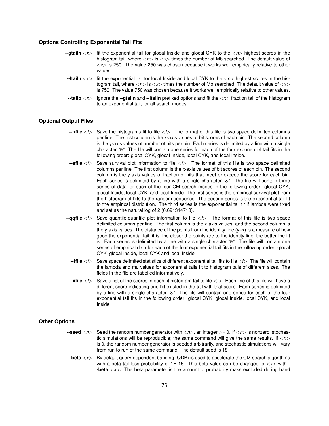## **Options Controlling Exponential Tail Fits**

- **--gtailn** <*x*> fit the exponential tail for glocal Inside and glocal CYK to the <*n*> highest scores in the histogram tail, where  $\langle n \rangle$  is  $\langle x \rangle$  times the number of Mb searched. The default value of <*x*> is 250. The value 250 was chosen because it works well empirically relative to other values.
- **--ltailn** <*x*> fit the exponential tail for local Inside and local CYK to the <*n*> highest scores in the histogram tail, where <*n*> is <*x*> times the number of Mb searched. The default value of <*x*> is 750. The value 750 was chosen because it works well empirically relative to other values.
- **--tailp** <*x*> Ignore the **--gtailn** and **--ltailn** prefixed options and fit the <*x*> fraction tail of the histogram to an exponential tail, for all search modes.

## **Optional Output Files**

- **--hfile** <*f*> Save the histograms fit to file <*f*>*.* The format of this file is two space delimited columns per line. The first column is the x-axis values of bit scores of each bin. The second column is the y-axis values of number of hits per bin. Each series is delimited by a line with a single character "&". The file will contain one series for each of the four exponential tail fits in the following order: glocal CYK, glocal Inside, local CYK, and local Inside.
- **--sfile** <*f*> Save survival plot information to file <*f*>*.* The format of this file is two space delimited columns per line. The first column is the x-axis values of bit scores of each bin. The second column is the y-axis values of fraction of hits that meet or exceed the score for each bin. Each series is delimited by a line with a single character "&". The file will contain three series of data for each of the four CM search modes in the following order: glocal CYK, glocal Inside, local CYK, and local Inside. The first series is the empirical survival plot from the histogram of hits to the random sequence. The second series is the exponential tail fit to the empirical distribution. The third series is the exponential tail fit if lambda were fixed and set as the natural log of 2 (0.691314718).
- **--qqfile** <*f*> Save quantile-quantile plot information to file <*f*>*.* The format of this file is two space delimited columns per line. The first column is the x-axis values, and the second column is the y-axis values. The distance of the points from the identity line  $(y=x)$  is a measure of how good the exponential tail fit is, the closer the points are to the identity line, the better the fit is. Each series is delimited by a line with a single character "&". The file will contain one series of empirical data for each of the four exponential tail fits in the following order: glocal CYK, glocal Inside, local CYK and local Inside.
	- **--ffile** <*f*> Save space delimited statistics of different exponential tail fits to file <*f*>*.* The file will contain the lambda and mu values for exponential tails fit to histogram tails of different sizes. The fields in the file are labelled informatively.
- **--xfile** <*f*> Save a list of the scores in each fit histogram tail to file <*f*>*.* Each line of this file will have a different score indicating one hit existed in the tail with that score. Each series is delimited by a line with a single character "&". The file will contain one series for each of the four exponential tail fits in the following order: glocal CYK, glocal Inside, local CYK, and local Inside.

#### **Other Options**

- **--seed**  $\langle n \rangle$  Seed the random number generator with  $\langle n \rangle$ , an integer  $\ge$  = 0. If  $\langle n \rangle$  is nonzero, stochastic simulations will be reproducible; the same command will give the same results. If <*n*> is 0, the random number generator is seeded arbitrarily, and stochastic simulations will vary from run to run of the same command. The default seed is 181.
- **--beta** <*x*> By default query-dependent banding (QDB) is used to accelerate the CM search algorithms with a beta tail loss probability of 1E-15. This beta value can be changed to <*x*> with **- -beta** <*x*>**.** The beta parameter is the amount of probability mass excluded during band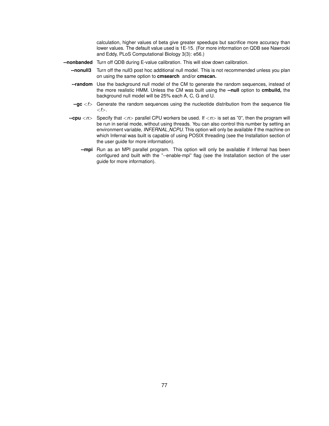calculation, higher values of beta give greater speedups but sacrifice more accuracy than lower values. The default value used is 1E-15. (For more information on QDB see Nawrocki and Eddy, PLoS Computational Biology 3(3): e56.)

- **--nonbanded** Turn off QDB during E-value calibration. This will slow down calibration.
	- **--nonull3** Turn off the null3 post hoc additional null model. This is not recommended unless you plan on using the same option to **cmsearch** and/or **cmscan.**
	- **--random** Use the background null model of the CM to generate the random sequences, instead of the more realistic HMM. Unless the CM was built using the **--null** option to **cmbuild,** the background null model will be 25% each A, C, G and U.
	- **--gc** <*f*> Generate the random sequences using the nucleotide distribution from the sequence file <*f*>*.*
	- **--cpu** <*n*> Specify that <*n*> parallel CPU workers be used. If <*n*> is set as "0", then the program will be run in serial mode, without using threads. You can also control this number by setting an environment variable, *INFERNAL NCPU.* This option will only be available if the machine on which Infernal was built is capable of using POSIX threading (see the Installation section of the user guide for more information).
		- **--mpi** Run as an MPI parallel program. This option will only be available if Infernal has been configured and built with the "--enable-mpi" flag (see the Installation section of the user guide for more information).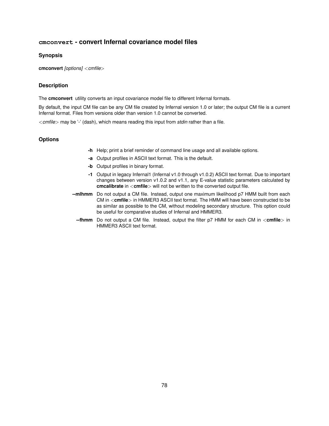# **cmconvert - convert Infernal covariance model files**

### **Synopsis**

**cmconvert** *[options]* <*cmfile*>

# **Description**

The **cmconvert** utility converts an input covariance model file to different Infernal formats.

By default, the input CM file can be any CM file created by Infernal version 1.0 or later; the output CM file is a current Infernal format. Files from versions older than version 1.0 cannot be converted.

<*cmfile*> may be '-' (dash), which means reading this input from *stdin* rather than a file.

- **-h** Help; print a brief reminder of command line usage and all available options.
- **-a** Output profiles in ASCII text format. This is the default.
- **-b** Output profiles in binary format.
- **-1** Output in legacy Infernal1 (Infernal v1.0 through v1.0.2) ASCII text format. Due to important changes between version v1.0.2 and v1.1, any E-value statistic parameters calculated by **cmcalibrate** in <**cmfile**> will not be written to the converted output file.
- **--mlhmm** Do not output a CM file. Instead, output one maximum likelihood p7 HMM built from each CM in <**cmfile**> in HMMER3 ASCII text format. The HMM will have been constructed to be as similar as possible to the CM, without modeling secondary structure. This option could be useful for comparative studies of Infernal and HMMER3.
	- **--fhmm** Do not output a CM file. Instead, output the filter p7 HMM for each CM in <**cmfile**> in HMMER3 ASCII text format.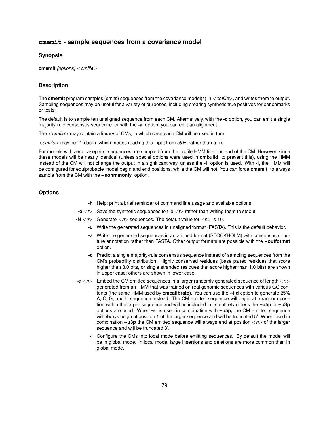# **cmemit - sample sequences from a covariance model**

#### **Synopsis**

**cmemit** *[options]* <*cmfile*>

## **Description**

The **cmemit** program samples (emits) sequences from the covariance model(s) in <*cmfile*>*,* and writes them to output. Sampling sequences may be useful for a variety of purposes, including creating synthetic true positives for benchmarks or tests.

The default is to sample ten unaligned sequence from each CM. Alternatively, with the **-c** option, you can emit a single majority-rule consensus sequence; or with the **-a** option, you can emit an alignment.

The <*cmfile*> may contain a library of CMs, in which case each CM will be used in turn.

<*cmfile*> may be '-' (dash), which means reading this input from *stdin* rather than a file.

For models with zero basepairs, sequences are sampled from the profile HMM filter instead of the CM. However, since these models will be nearly identical (unless special options were used in **cmbuild** to prevent this), using the HMM instead of the CM will not change the output in a significant way, unless the **-l** option is used. With **-l,** the HMM will be configured for equiprobable model begin and end positions, while the CM will not. You can force **cmemit** to always sample from the CM with the **--nohmmonly** option.

## **Options**

- **-h** Help; print a brief reminder of command line usage and available options.
- **-o** <*f*> Save the synthetic sequences to file <*f*> rather than writing them to stdout.

**-N** <*n*> Generate <*n*> sequences. The default value for <*n*> is 10.

- **-u** Write the generated sequences in unaligned format (FASTA). This is the default behavior.
- **-a** Write the generated sequences in an aligned format (STOCKHOLM) with consensus structure annotation rather than FASTA. Other output formats are possible with the **--outformat** option.
- **-c** Predict a single majority-rule consensus sequence instead of sampling sequences from the CM's probability distribution. Highly conserved residues (base paired residues that score higher than 3.0 bits, or single stranded residues that score higher than 1.0 bits) are shown in upper case; others are shown in lower case.
- **-e** <*n*> Embed the CM emitted sequences in a larger randomly generated sequence of length <*n*> generated from an HMM that was trained on real genomic sequences with various GC contents (the same HMM used by **cmcalibrate).** You can use the **--iid** option to generate 25% A, C, G, and U sequence instead. The CM emitted sequence will begin at a random position within the larger sequence and will be included in its entirety unless the **--u5p** or **--u3p** options are used. When **-e** is used in combination with **--u5p,** the CM emitted sequence will always begin at position 1 of the larger sequence and will be truncated 5'. When used in combination **--u3p** the CM emitted sequence will always end at position <*n*> of the larger sequence and will be truncated 3'.
	- **-l** Configure the CMs into local mode before emitting sequences. By default the model will be in global mode. In local mode, large insertions and deletions are more common than in global mode.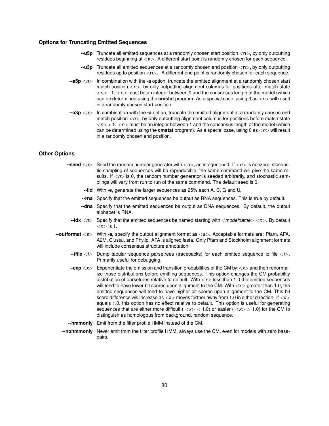### **Options for Truncating Emitted Sequences**

- **--u5p** Truncate all emitted sequences at a randomly chosen start position <**n**>**,** by only outputting residues beginning at <**n**>**.** A different start point is randomly chosen for each sequence.
- **--u3p** Truncate all emitted sequences at a randomly chosen end position <**n**>**,** by only outputting residues up to position  $\langle n \rangle$ . A different end point is randomly chosen for each sequence.
- **--a5p** <*n*> In combination with the **-a** option, truncate the emitted alignment at a randomly chosen start match position  $\langle n \rangle$ , by only outputting alignment columns for positions after match state <*n*> - 1. <*n*> must be an integer between 0 and the consensus length of the model (which can be determined using the **cmstat** program. As a special case, using 0 as <*n*> will result in a randomly chosen start position.
- **--a3p** <*n*> In combination with the **-a** option, truncate the emitted alignment at a randomly chosen end match position  $\langle n \rangle$ , by only outputting alignment columns for positions before match state <*n*> + 1. <*n*> must be an integer between 1 and the consensus length of the model (which can be determined using the **cmstat** program). As a special case, using 0 as <*n*> will result in a randomly chosen end position.

## **Other Options**

- **--seed**  $\langle n \rangle$  Seed the random number generator with  $\langle n \rangle$ , an integer  $> = 0$ . If  $\langle n \rangle$  is nonzero, stochastic sampling of sequences will be reproducible; the same command will give the same results. If  $\langle n \rangle$  is 0, the random number generator is seeded arbitrarily, and stochastic samplings will vary from run to run of the same command. The default seed is 0.
	- **--iid** With **-e,** generate the larger sequences as 25% each A, C, G and U.
	- **--rna** Specify that the emitted sequences be output as RNA sequences. This is true by default.
	- **--dna** Specify that the emitted sequences be output as DNA sequences. By default, the output alphabet is RNA.
- **--idx** <*n*> Specify that the emitted sequences be named starting with <*modelname*>*.*<*n*>*.* By default  $\langle n \rangle$  is 1.
- **--outformat** <*s*> With **-a,** specify the output alignment format as <*s*>*.* Acceptable formats are: Pfam, AFA, A2M, Clustal, and Phylip. AFA is aligned fasta. Only Pfam and Stockholm alignment formats will include consensus structure annotation.
	- **--tfile** <*f*> Dump tabular sequence parsetrees (tracebacks) for each emitted sequence to file <*f*>*.* Primarily useful for debugging.
	- **--exp**  $\langle x \rangle$  Exponentiate the emission and transition probabilities of the CM by  $\langle x \rangle$  and then renormalize those distributions before emitting sequences. This option changes the CM probability distribution of parsetrees relative to default. With <*x*> less than 1.0 the emitted sequences will tend to have lower bit scores upon alignment to the CM. With  $\langle x \rangle$  greater than 1.0, the emitted sequences will tend to have higher bit scores upon alignment to the CM. This bit score difference will increase as  $\langle x \rangle$  moves further away from 1.0 in either direction. If  $\langle x \rangle$ equals 1.0, this option has no effect relative to default. This option is useful for generating sequences that are either more difficult ( $\langle x \rangle$  < 1.0) or easier ( $\langle x \rangle$  > 1.0) for the CM to distinguish as homologous from background, random sequence.
	- **--hmmonly** Emit from the filter profile HMM instead of the CM.
	- **--nohmmonly** Never emit from the filter profile HMM, always use the CM, even for models with zero basepairs.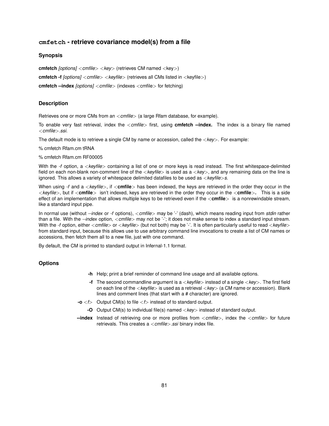# **cmfetch - retrieve covariance model(s) from a file**

#### **Synopsis**

**cmfetch** *[options]* <*cmfile*> <*key*> (retrieves CM named <key>)

**cmfetch -f** *[options]* <*cmfile*> <*keyfile*> (retrieves all CMs listed in <keyfile>)

**cmfetch --index** *[options]* <*cmfile*> (indexes <cmfile> for fetching)

#### **Description**

Retrieves one or more CMs from an <*cmfile*> (a large Rfam database, for example).

To enable very fast retrieval, index the <*cmfile*> first, using **cmfetch --index.** The index is a binary file named <*cmfile*>*.ssi.*

The default mode is to retrieve a single CM by name or accession, called the <*key*>*.* For example:

% cmfetch Rfam.cm tRNA

% cmfetch Rfam.cm RF00005

With the *-f* option, a <*keyfile*> containing a list of one or more keys is read instead. The first whitespace-delimited field on each non-blank non-comment line of the <*keyfile*> is used as a <*key*>*,* and any remaining data on the line is ignored. This allows a variety of whitespace delimited datafiles to be used as <*keyfile*>*s.*

When using *-f* and a <*keyfile*>*,* if <**cmfile**> has been indexed, the keys are retrieved in the order they occur in the <*keyfile*>*,* but if <**cmfile**> isn't indexed, keys are retrieved in the order they occur in the <**cmfile**>**.** This is a side effect of an implementation that allows multiple keys to be retrieved even if the <**cmfile**> is a nonrewindable stream, like a standard input pipe.

In normal use (without *--index* or *-f* options), <*cmfile*> may be '-' (dash), which means reading input from *stdin* rather than a file. With the *--index* option, <*cmfile*> may not be '-'; it does not make sense to index a standard input stream. With the *-f* option, either <*cmfile*> or <*keyfile*> (but not both) may be '-'. It is often particularly useful to read <*keyfile*> from standard input, because this allows use to use arbitrary command line invocations to create a list of CM names or accessions, then fetch them all to a new file, just with one command.

By default, the CM is printed to standard output in Infernal-1.1 format.

- **-h** Help; print a brief reminder of command line usage and all available options.
- **-f** The second commandline argument is a <*keyfile*> instead of a single <*key*>*.* The first field on each line of the <*keyfile*> is used as a retrieval <*key*> (a CM name or accession). Blank lines and comment lines (that start with a # character) are ignored.
- **-o** <*f*> Output CM(s) to file <*f*> instead of to standard output.
	- **-O** Output CM(s) to individual file(s) named <*key*> instead of standard output.
- **--index** Instead of retrieving one or more profiles from <*cmfile*>*,* index the <*cmfile*> for future retrievals. This creates a <*cmfile*>*.ssi* binary index file.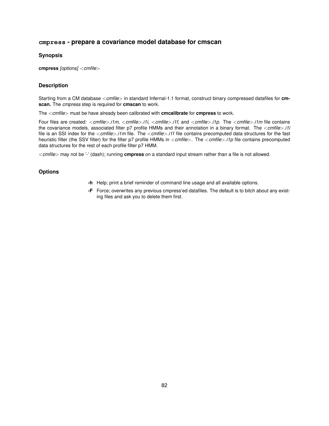# **cmpress - prepare a covariance model database for cmscan**

## **Synopsis**

**cmpress** *[options]* <*cmfile*>

# **Description**

Starting from a CM database <*cmfile*> in standard Infernal-1.1 format, construct binary compressed datafiles for **cmscan.** The *cmpress* step is required for **cmscan** to work.

The <*cmfile*> must be have already been calibrated with **cmcalibrate** for **cmpress** to work.

Four files are created: <*cmfile*>*.i1m,* <*cmfile*>*.i1i,* <*cmfile*>*.i1f,* and <*cmfile*>*.i1p.* The <*cmfile*>*.i1m* file contains the covariance models, associated filter p7 profile HMMs and their annotation in a binary format. The <*cmfile*>*.i1i* file is an SSI index for the <*cmfile*>*.i1m* file. The <*cmfile*>*.i1f* file contains precomputed data structures for the fast heuristic filter (the SSV filter) for the filter p7 profile HMMs in <*cmfile*>*.* The <*cmfile*>*.i1p* file contains precomputed data structures for the rest of each profile filter p7 HMM.

<*cmfile*> may not be '-' (dash); running **cmpress** on a standard input stream rather than a file is not allowed.

- **-h** Help; print a brief reminder of command line usage and all available options.
- **-F** Force; overwrites any previous cmpress'ed datafiles. The default is to bitch about any existing files and ask you to delete them first.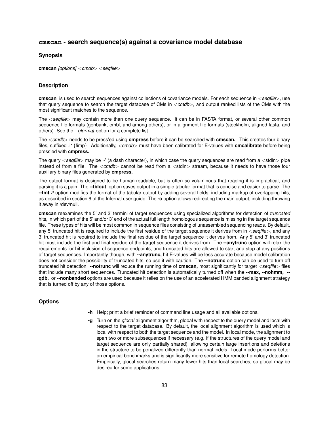# **cmscan - search sequence(s) against a covariance model database**

#### **Synopsis**

**cmscan** *[options]* <*cmdb*> <*seqfile*>

## **Description**

**cmscan** is used to search sequences against collections of covariance models. For each sequence in <*seqfile*>*,* use that query sequence to search the target database of CMs in <*cmdb*>*,* and output ranked lists of the CMs with the most significant matches to the sequence.

The <*seqfile*> may contain more than one query sequence. It can be in FASTA format, or several other common sequence file formats (genbank, embl, and among others), or in alignment file formats (stockholm, aligned fasta, and others). See the *--qformat* option for a complete list.

The <*cmdb*> needs to be press'ed using **cmpress** before it can be searched with **cmscan.** This creates four binary files, suffixed .i1{fimp}. Additionally, <*cmdb*> must have been calibrated for E-values with **cmcalibrate** before being press'ed with **cmpress.**

The query <seqtile> may be '-' (a dash character), in which case the query sequences are read from a <stdin> pipe instead of from a file. The <*cmdb*> cannot be read from a <stdin> stream, because it needs to have those four auxiliary binary files generated by **cmpress.**

The output format is designed to be human-readable, but is often so voluminous that reading it is impractical, and parsing it is a pain. The **--tblout** option saves output in a simple tabular format that is concise and easier to parse. The **--fmt** *2* option modifies the format of the tabular output by adding several fields, including markup of overlapping hits, as described in section 6 of the Infernal user guide. The **-o** option allows redirecting the main output, including throwing it away in /dev/null.

**cmscan** reexamines the 5' and 3' termini of target sequences using specialized algorithms for detection of *truncated* hits, in which part of the 5' and/or 3' end of the actual full length homologous sequence is missing in the target sequence file. These types of hits will be most common in sequence files consisting of unassembled sequencing reads. By default, any 5' truncated hit is required to include the first residue of the target sequence it derives from in <*seqfile*>*,* and any 3' truncated hit is required to include the final residue of the target sequence it derives from. Any 5' and 3' truncated hit must include the first and final residue of the target sequence it derives from. The **--anytrunc** option will relax the requirements for hit inclusion of sequence endpoints, and truncated hits are allowed to start and stop at any positions of target sequences. Importantly though, with **--anytrunc,** hit E-values will be less accurate because model calibration does not consider the possibility of truncated hits, so use it with caution. The **--notrunc** option can be used to turn off truncated hit detection. **--notrunc** will reduce the running time of **cmscan,** most significantly for target <*seqfile*> files that include many short sequences. Truncated hit detection is automatically turned off when the **--max, --nohmm, - qdb,** or **--nonbanded** options are used because it relies on the use of an accelerated HMM banded alignment strategy that is turned off by any of those options.

- **-h** Help; print a brief reminder of command line usage and all available options.
- **-g** Turn on the *glocal* alignment algorithm, global with respect to the query model and local with respect to the target database. By default, the local alignment algorithm is used which is local with respect to both the target sequence and the model. In local mode, the alignment to span two or more subsequences if necessary (e.g. if the structures of the query model and target sequence are only partially shared), allowing certain large insertions and deletions in the structure to be penalized differently than normal indels. Local mode performs better on empirical benchmarks and is significantly more sensitive for remote homology detection. Empirically, glocal searches return many fewer hits than local searches, so glocal may be desired for some applications.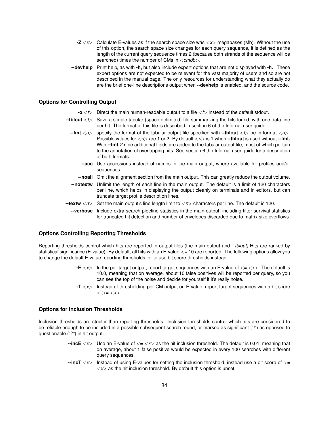- **-Z** <*x*> Calculate E-values as if the search space size was <*x*> megabases (Mb). Without the use of this option, the search space size changes for each query sequence, it is defined as the length of the current query sequence times 2 (because both strands of the sequence will be searched) times the number of CMs in <*cmdb*>*.*
- **--devhelp** Print help, as with **-h,** but also include expert options that are not displayed with **-h.** These expert options are not expected to be relevant for the vast majority of users and so are not described in the manual page. The only resources for understanding what they actually do are the brief one-line descriptions output when **--devhelp** is enabled, and the source code.

## **Options for Controlling Output**

- **-o**  $\lt$   $f$  Direct the main human-readable output to a file  $\lt$  f instead of the default stdout.
- **--tblout** <*f*> Save a simple tabular (space-delimited) file summarizing the hits found, with one data line per hit. The format of this file is described in section 6 of the Infernal user guide.
	- **--fmt** <*n*> specify the format of the tabular output file specified with **--tblout** <*f*> be in format <*n*>*.* Possible values for  $\langle n \rangle$  are 1 or 2. By default  $\langle n \rangle$  is 1 when **--tblout** is used without **--fmt.** With **--fmt** *2* nine additional fields are added to the tabular output file, most of which pertain to the annotation of overlapping hits. See section 6 the Infernal user guide for a description of both formats.
		- **--acc** Use accessions instead of names in the main output, where available for profiles and/or sequences.
		- **--noali** Omit the alignment section from the main output. This can greatly reduce the output volume.
	- **--notextw** Unlimit the length of each line in the main output. The default is a limit of 120 characters per line, which helps in displaying the output cleanly on terminals and in editors, but can truncate target profile description lines.
- **--textw** <*n*> Set the main output's line length limit to <*n*> characters per line. The default is 120.
	- **--verbose** Include extra search pipeline statistics in the main output, including filter survival statistics for truncated hit detection and number of envelopes discarded due to matrix size overflows.

#### **Options Controlling Reporting Thresholds**

Reporting thresholds control which hits are reported in output files (the main output and *--tblout)* Hits are ranked by statistical significance (E-value). By default, all hits with an E-value <= 10 are reported. The following options allow you to change the default E-value reporting thresholds, or to use bit score thresholds instead.

- $-E \ll x$  In the per-target output, report target sequences with an E-value of  $\ll x$ . The default is 10.0, meaning that on average, about 10 false positives will be reported per query, so you can see the top of the noise and decide for yourself if it's really noise.
- **-T** <*x*> Instead of thresholding per-CM output on E-value, report target sequences with a bit score  $\sigma f = \langle x \rangle$ .

#### **Options for Inclusion Thresholds**

Inclusion thresholds are stricter than reporting thresholds. Inclusion thresholds control which hits are considered to be reliable enough to be included in a possible subsequent search round, or marked as significant ("!") as opposed to questionable ("?") in hit output.

- $\text{-}$ incE  $\langle x \rangle$  Use an E-value of  $\langle x \rangle$  as the hit inclusion threshold. The default is 0.01, meaning that on average, about 1 false positive would be expected in every 100 searches with different query sequences.
- **--incT** <*x*> Instead of using E-values for setting the inclusion threshold, instead use a bit score of >=  $\langle x \rangle$  as the hit inclusion threshold. By default this option is unset.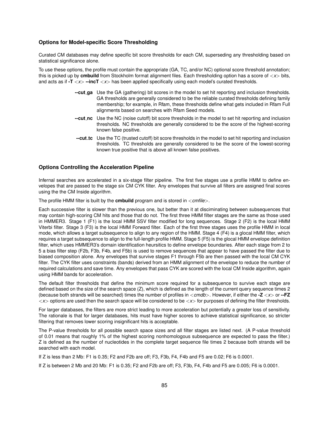## **Options for Model-specific Score Thresholding**

Curated CM databases may define specific bit score thresholds for each CM, superseding any thresholding based on statistical significance alone.

To use these options, the profile must contain the appropriate (GA, TC, and/or NC) optional score threshold annotation; this is picked up by **cmbuild** from Stockholm format alignment files. Each thresholding option has a score of <*x*> bits, and acts as if **-T** <*x*> **--incT** <*x*> has been applied specifically using each model's curated thresholds.

- **--cut ga** Use the GA (gathering) bit scores in the model to set hit reporting and inclusion thresholds. GA thresholds are generally considered to be the reliable curated thresholds defining family membership; for example, in Rfam, these thresholds define what gets included in Rfam Full alignments based on searches with Rfam Seed models.
- **--cut nc** Use the NC (noise cutoff) bit score thresholds in the model to set hit reporting and inclusion thresholds. NC thresholds are generally considered to be the score of the highest-scoring known false positive.
- **--cut tc** Use the TC (trusted cutoff) bit score thresholds in the model to set hit reporting and inclusion thresholds. TC thresholds are generally considered to be the score of the lowest-scoring known true positive that is above all known false positives.

#### **Options Controlling the Acceleration Pipeline**

Infernal searches are accelerated in a six-stage filter pipeline. The first five stages use a profile HMM to define envelopes that are passed to the stage six CM CYK filter. Any envelopes that survive all filters are assigned final scores using the the CM Inside algorithm.

The profile HMM filter is built by the **cmbuild** program and is stored in <*cmfile*>*.*

Each successive filter is slower than the previous one, but better than it at disciminating between subsequences that may contain high-scoring CM hits and those that do not. The first three HMM filter stages are the same as those used in HMMER3. Stage 1 (F1) is the local HMM SSV filter modified for long sequences. Stage 2 (F2) is the local HMM Viterbi filter. Stage 3 (F3) is the local HMM Forward filter. Each of the first three stages uses the profile HMM in local mode, which allows a target subsequence to align to any region of the HMM. Stage 4 (F4) is a glocal HMM filter, which requires a target subsequence to align to the full-length profile HMM. Stage 5 (F5) is the glocal HMM envelope definition filter, which uses HMMER3's domain identification heursitics to define envelope boundaries. After each stage from 2 to 5 a bias filter step (F2b, F3b, F4b, and F5b) is used to remove sequences that appear to have passed the filter due to biased composition alone. Any envelopes that survive stages F1 through F5b are then passed with the local CM CYK filter. The CYK filter uses constraints (bands) derived from an HMM alignment of the envelope to reduce the number of required calculations and save time. Any envelopes that pass CYK are scored with the local CM Inside algorithm, again using HMM bands for acceleration.

The default filter thresholds that define the minimum score required for a subsequence to survive each stage are defined based on the size of the search space (Z), which is defined as the length of the current query sequence times 2 (because both strands will be searched) times the number of profiles in <*cmdb*>*.* However, if either the **-Z** <*x*> or **--FZ**  $\langle x \rangle$  options are used then the search space will be considered to be  $\langle x \rangle$  for purposes of defining the filter thresholds.

For larger databases, the filters are more strict leading to more acceleration but potentially a greater loss of sensitivity. The rationale is that for larger databases, hits must have higher scores to achieve statistical significance, so stricter filtering that removes lower scoring insignificant hits is acceptable.

The P-value thresholds for all possible search space sizes and all filter stages are listed next. (A P-value threshold of 0.01 means that roughly 1% of the highest scoring nonhomologous subsequence are expected to pass the filter.) Z is defined as the number of nucleotides in the complete target sequence file times 2 because both strands will be searched with each model.

If Z is less than 2 Mb: F1 is 0.35; F2 and F2b are off; F3, F3b, F4, F4b and F5 are 0.02; F6 is 0.0001.

If Z is between 2 Mb and 20 Mb: F1 is 0.35; F2 and F2b are off; F3, F3b, F4, F4b and F5 are 0.005; F6 is 0.0001.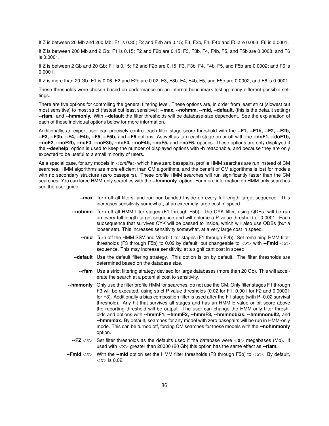If Z is between 20 Mb and 200 Mb: F1 is 0.35; F2 and F2b are 0.15; F3, F3b, F4, F4b and F5 are 0.003; F6 is 0.0001.

If Z is between 200 Mb and 2 Gb: F1 is 0.15; F2 and F2b are 0.15; F3, F3b, F4, F4b, F5, and F5b are 0.0008; and F6 is 0.0001.

If Z is between 2 Gb and 20 Gb: F1 is 0.15; F2 and F2b are 0.15; F3, F3b, F4, F4b, F5, and F5b are 0.0002; and F6 is 0.0001.

If Z is more than 20 Gb: F1 is 0.06; F2 and F2b are 0.02; F3, F3b, F4, F4b, F5, and F5b are 0.0002; and F6 is 0.0001.

These thresholds were chosen based on performance on an internal benchmark testing many different possible settings.

There are five options for controlling the general filtering level. These options are, in order from least strict (slowest but most sensitive) to most strict (fastest but least sensitive): **--max, --nohmm, --mid, --default,** (this is the default setting) **--rfam.** and **--hmmonly.** With **--default** the filter thresholds will be database-size dependent. See the explanation of each of these individual options below for more information.

Additionally, an expert user can precisely control each filter stage score threshold with the **--F1, --F1b, --F2, --F2b, --F3, --F3b, --F4, --F4b, --F5, --F5b,** and **--F6** options. As well as turn each stage on or off with the **--noF1, --doF1b, --noF2, --noF2b, --noF3, --noF3b, --noF4, --noF4b, --noF5,** and **--noF6.** options. These options are only displayed if the **--devhelp** option is used to keep the number of displayed options with **-h** reasonable, and because they are only expected to be useful to a small minority of users.

As a special case, for any models in <*cmfile*> which have zero basepairs, profile HMM searches are run instead of CM searches. HMM algorithms are more efficient than CM algorithms, and the benefit of CM algorithms is lost for models with no secondary structure (zero basepairs). These profile HMM searches will run significantly faster than the CM searches. You can force HMM-only searches with the **--hmmonly** option. For more information on HMM-only searches see the user guide.

- **--max** Turn off all filters, and run non-banded Inside on every full-length target sequence. This increases sensitivity somewhat, at an extremely large cost in speed.
- **--nohmm** Turn off all HMM filter stages (F1 through F5b). The CYK filter, using QDBs, will be run on every full-length target sequence and will enforce a P-value threshold of 0.0001. Each subsequence that survives CYK will be passed to Inside, which will also use QDBs (but a looser set). This increases sensitivity somewhat, at a very large cost in speed.
	- **--mid** Turn off the HMM SSV and Viterbi filter stages (F1 through F2b). Set remaining HMM filter thresholds (F3 through F5b) to 0.02 by default, but changeable to <*x*> with **--Fmid** <*x*> sequence. This may increase sensitivity, at a significant cost in speed.
- **--default** Use the default filtering strategy. This option is on by default. The filter thresholds are determined based on the database size.
	- **--rfam** Use a strict filtering strategy devised for large databases (more than 20 Gb). This will accelerate the search at a potential cost to sensitivity.
- **--hmmonly** Only use the filter profile HMM for searches, do not use the CM. Only filter stages F1 through F3 will be executed, using strict P-value thresholds (0.02 for F1, 0.001 for F2 and 0.00001 for F3). Additionally a bias composition filter is used after the F1 stage (with  $P=0.02$  survival threshold). Any hit that survives all stages and has an HMM E-value or bit score above the reporting threshold will be output. The user can change the HMM-only filter thresholds and options with **--hmmF1, --hmmF2, --hmmF3, --hmmnobias, --hmmnonull2,** and **--hmmmax.** By default, searches for any model with zero basepairs will be run in HMM-only mode. This can be turned off, forcing CM searches for these models with the **--nohmmonly** option.
- **--FZ** <*x*> Set filter thresholds as the defaults used if the database were <**x**> megabases (Mb). If used with <**x**> greater than 20000 (20 Gb) this option has the same effect as **--rfam.**
- **--Fmid** <*x*> With the **--mid** option set the HMM filter thresholds (F3 through F5b) to <*x*>*.* By default,  $\langle x \rangle$  is 0.02.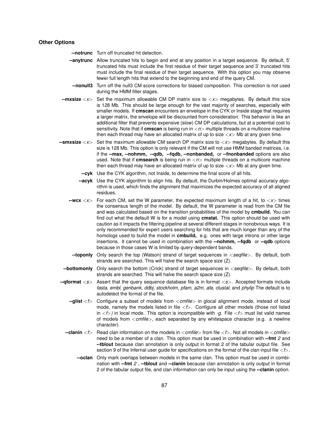#### **Other Options**

**--notrunc** Turn off truncated hit detection.

- **--anytrunc** Allow truncated hits to begin and end at any position in a target sequence. By default, 5' truncated hits must include the first residue of their target sequence and 3' truncated hits must include the final residue of their target sequence. With this option you may observe fewer full length hits that extend to the beginning and end of the query CM.
- **--nonull3** Turn off the null3 CM score corrections for biased composition. This correction is not used during the HMM filter stages.
- **--mxsize** <*x*> Set the maximum allowable CM DP matrix size to <*x*> megabytes. By default this size is 128 Mb. This should be large enough for the vast majority of searches, especially with smaller models. If **cmscan** encounters an envelope in the CYK or Inside stage that requires a larger matrix, the envelope will be discounted from consideration. This behavior is like an additional filter that prevents expensive (slow) CM DP calculations, but at a potential cost to sensitivity. Note that if **cmscan** is being run in < $n$ > multiple threads on a multicore machine then each thread may have an allocated matrix of up to size <*x*> Mb at any given time.
- **--smxsize** <*x*> Set the maximum allowable CM search DP matrix size to <*x*> megabytes. By default this size is 128 Mb. This option is only relevant if the CM will not use HMM banded matrices, i.e. if the **--max, --nohmm, --qdb, --fqdb, --nonbanded,** or **--fnonbanded** options are also used. Note that if **cmsearch** is being run in  $\langle n \rangle$  multiple threads on a multicore machine then each thread may have an allocated matrix of up to size <*x*> Mb at any given time.
	- **--cyk** Use the CYK algorithm, not Inside, to determine the final score of all hits.
	- **--acyk** Use the CYK algorithm to align hits. By default, the Durbin/Holmes optimal accuracy algorithm is used, which finds the alignment that maximizes the expected accuracy of all aligned residues.
	- **--wcx**  $\langle x \rangle$  For each CM, set the W parameter, the expected maximum length of a hit, to  $\langle x \rangle$  times the consensus length of the model. By default, the W parameter is read from the CM file and was calculated based on the transition probabilities of the model by **cmbuild.** You can find out what the default W is for a model using **cmstat.** This option should be used with caution as it impacts the filtering pipeline at several different stages in nonobvious ways. It is only recommended for expert users searching for hits that are much longer than any of the homologs used to build the model in **cmbuild,** e.g. ones with large introns or other large insertions. It cannot be used in combination with the **--nohmm, --fqdb** or **--qdb** options because in those cases W is limited by query-dependent bands.
	- **--toponly** Only search the top (Watson) strand of target sequences in <*seqfile*>*.* By default, both strands are searched. This will halve the search space size (Z).
- **--bottomonly** Only search the bottom (Crick) strand of target sequences in <*seqfile*>*.* By default, both strands are searched. This will halve the search space size (Z).
- **--qformat** <*s*> Assert that the query sequence database file is in format <*s*>*.* Accepted formats include *fasta, embl, genbank, ddbj, stockholm, pfam, a2m, afa, clustal,* and *phylip* The default is to autodetect the format of the file.
	- **--glist** <*f*> Configure a subset of models from <*cmfile*> in glocal alignment mode, instead of local mode, namely the models listed in file <*f*>*.* Configure all other models (those not listed in  $\langle f \rangle$  in local mode. This option is incompatible with *-g.* File  $\langle f \rangle$  must list valid names of models from <*cmfile*>*,* each separated by any whitespace character (e.g. a newline character).
	- **--clanin** <*f*> Read clan information on the models in <*cmfile*> from file <*f*>*.* Not all models in <*cmfile*> need to be a member of a clan. This option must be used in combination with **--fmt** *2* and **--tblout** because clan annotation is only output in format 2 of the tabular output file. See section 9 of the Infernal user guide for specifications on the format of the clan input file <*f*>*.*
		- **--oclan** Only mark overlaps between models in the same clan. This option must be used in combination with **--fmt** *2* , **--tblout** and **--clanin** because clan annotation is only output in format 2 of the tabular output file, and clan information can only be input using the **--clanin** option.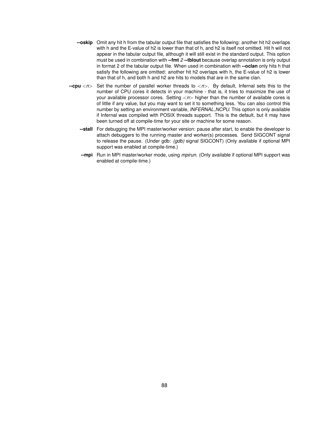- **--oskip** Omit any hit h from the tabular output file that satisfies the following: another hit h2 overlaps with h and the E-value of h2 is lower than that of h, and h2 is itself not omitted. Hit h will not appear in the tabular output file, although it will still exist in the standard output. This option must be used in combination with **--fmt** *2* **--tblout** because overlap annotation is only output in format 2 of the tabular output file. When used in combination with **--oclan** only hits h that satisfy the following are omitted: another hit h2 overlaps with h, the E-value of h2 is lower than that of h, and both h and h2 are hits to models that are in the same clan.
- **--cpu** <*n*> Set the number of parallel worker threads to <*n*>*.* By default, Infernal sets this to the number of CPU cores it detects in your machine - that is, it tries to maximize the use of your available processor cores. Setting <*n*> higher than the number of available cores is of little if any value, but you may want to set it to something less. You can also control this number by setting an environment variable, *INFERNAL NCPU.* This option is only available if Infernal was compiled with POSIX threads support. This is the default, but it may have been turned off at compile-time for your site or machine for some reason.
	- **--stall** For debugging the MPI master/worker version: pause after start, to enable the developer to attach debuggers to the running master and worker(s) processes. Send SIGCONT signal to release the pause. (Under gdb: *(gdb)* signal SIGCONT) (Only available if optional MPI support was enabled at compile-time.)
	- **--mpi** Run in MPI master/worker mode, using *mpirun.* (Only available if optional MPI support was enabled at compile-time.)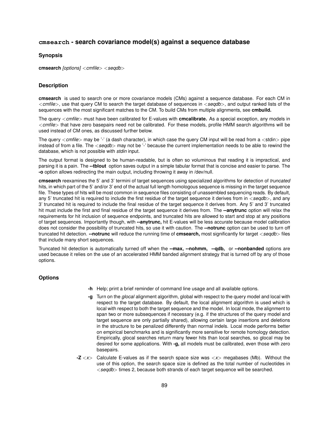# **cmsearch - search covariance model(s) against a sequence database**

#### **Synopsis**

**cmsearch** *[options]* <*cmfile*> <*seqdb*>

## **Description**

**cmsearch** is used to search one or more covariance models (CMs) against a sequence database. For each CM in <*cmfile*>*,* use that query CM to search the target database of sequences in <*seqdb*>*,* and output ranked lists of the sequences with the most significant matches to the CM. To build CMs from multiple alignments, see **cmbuild.**

The query <*cmfile*> must have been calibrated for E-values with **cmcalibrate.** As a special exception, any models in <*cmfile*> that have zero basepairs need not be calibrated. For these models, profile HMM search algorithms will be used instead of CM ones, as discussed further below.

The query <*cmfile*> may be '-' (a dash character), in which case the query CM input will be read from a <stdin> pipe instead of from a file. The <*seqdb*> may not be '-' because the current implementation needs to be able to rewind the database, which is not possible with *stdin* input.

The output format is designed to be human-readable, but is often so voluminous that reading it is impractical, and parsing it is a pain. The **--tblout** option saves output in a simple tabular format that is concise and easier to parse. The **-o** option allows redirecting the main output, including throwing it away in /dev/null.

**cmsearch** reexamines the 5' and 3' termini of target sequences using specialized algorithms for detection of *truncated* hits, in which part of the 5' and/or 3' end of the actual full length homologous sequence is missing in the target sequence file. These types of hits will be most common in sequence files consisting of unassembled sequencing reads. By default, any 5' truncated hit is required to include the first residue of the target sequence it derives from in <*seqdb*>*,* and any 3' truncated hit is required to include the final residue of the target sequence it derives from. Any 5' and 3' truncated hit must include the first and final residue of the target sequence it derives from. The **--anytrunc** option will relax the requirements for hit inclusion of sequence endpoints, and truncated hits are allowed to start and stop at any positions of target sequences. Importantly though, with **--anytrunc,** hit E-values will be less accurate because model calibration does not consider the possibility of truncated hits, so use it with caution. The **--notrunc** option can be used to turn off truncated hit detection. **--notrunc** will reduce the running time of **cmsearch,** most significantly for target <*seqdb*> files that include many short sequences.

Truncated hit detection is automatically turned off when the **--max, --nohmm, --qdb,** or **--nonbanded** options are used because it relies on the use of an accelerated HMM banded alignment strategy that is turned off by any of those options.

- **-h** Help; print a brief reminder of command line usage and all available options.
- **-g** Turn on the *glocal* alignment algorithm, global with respect to the query model and local with respect to the target database. By default, the local alignment algorithm is used which is local with respect to both the target sequence and the model. In local mode, the alignment to span two or more subsequences if necessary (e.g. if the structures of the query model and target sequence are only partially shared), allowing certain large insertions and deletions in the structure to be penalized differently than normal indels. Local mode performs better on empirical benchmarks and is significantly more sensitive for remote homology detection. Empirically, glocal searches return many fewer hits than local searches, so glocal may be desired for some applications. With **-g,** all models must be calibrated, even those with zero basepairs.
- **-Z** <*x*> Calculate E-values as if the search space size was <*x*> megabases (Mb). Without the use of this option, the search space size is defined as the total number of nucleotides in <*seqdb*> times 2, because both strands of each target sequence will be searched.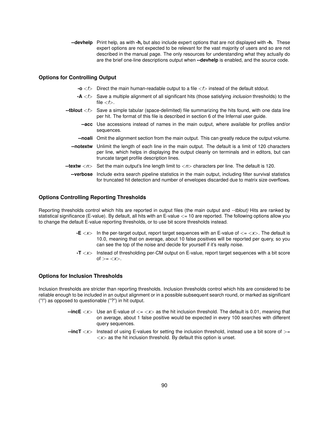**--devhelp** Print help, as with **-h,** but also include expert options that are not displayed with **-h.** These expert options are not expected to be relevant for the vast majority of users and so are not described in the manual page. The only resources for understanding what they actually do are the brief one-line descriptions output when **--devhelp** is enabled, and the source code.

#### **Options for Controlling Output**

- **-o**  $\lt$   $\neq$  Direct the main human-readable output to a file  $\lt$  f $>$  instead of the default stdout.
- **-A** <*f*> Save a multiple alignment of all significant hits (those satisfying *inclusion* thresholds) to the file  $\lt f$ .
- **--tblout** <*f*> Save a simple tabular (space-delimited) file summarizing the hits found, with one data line per hit. The format of this file is described in section 6 of the Infernal user guide.
	- **--acc** Use accessions instead of names in the main output, where available for profiles and/or sequences.
	- **--noali** Omit the alignment section from the main output. This can greatly reduce the output volume.
	- **--notextw** Unlimit the length of each line in the main output. The default is a limit of 120 characters per line, which helps in displaying the output cleanly on terminals and in editors, but can truncate target profile description lines.
- **--textw** <*n*> Set the main output's line length limit to <*n*> characters per line. The default is 120.
	- **--verbose** Include extra search pipeline statistics in the main output, including filter survival statistics for truncated hit detection and number of envelopes discarded due to matrix size overflows.

#### **Options Controlling Reporting Thresholds**

Reporting thresholds control which hits are reported in output files (the main output and *--tblout)* Hits are ranked by statistical significance (E-value). By default, all hits with an E-value <= 10 are reported. The following options allow you to change the default E-value reporting thresholds, or to use bit score thresholds instead.

- **-E**  $\langle x \rangle$  In the per-target output, report target sequences with an E-value of  $\langle z \rangle$ . The default is 10.0, meaning that on average, about 10 false positives will be reported per query, so you can see the top of the noise and decide for yourself if it's really noise.
- **-T** <*x*> Instead of thresholding per-CM output on E-value, report target sequences with a bit score of  $>=$   $<$ *x* $>$ .

#### **Options for Inclusion Thresholds**

Inclusion thresholds are stricter than reporting thresholds. Inclusion thresholds control which hits are considered to be reliable enough to be included in an output alignment or in a possible subsequent search round, or marked as significant ("!") as opposed to questionable ("?") in hit output.

- $\text{-}$ incE  $\langle x \rangle$  Use an E-value of  $\langle x \rangle$  as the hit inclusion threshold. The default is 0.01, meaning that on average, about 1 false positive would be expected in every 100 searches with different query sequences.
- **--incT** <*x*> Instead of using E-values for setting the inclusion threshold, instead use a bit score of >=  $\langle x \rangle$  as the hit inclusion threshold. By default this option is unset.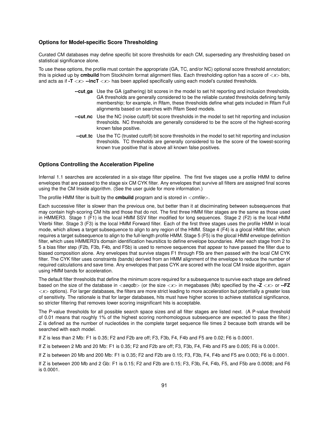### **Options for Model-specific Score Thresholding**

Curated CM databases may define specific bit score thresholds for each CM, superseding any thresholding based on statistical significance alone.

To use these options, the profile must contain the appropriate (GA, TC, and/or NC) optional score threshold annotation; this is picked up by **cmbuild** from Stockholm format alignment files. Each thresholding option has a score of <*x*> bits, and acts as if **-T** <*x*> **--incT** <*x*> has been applied specifically using each model's curated thresholds.

- **--cut ga** Use the GA (gathering) bit scores in the model to set hit reporting and inclusion thresholds. GA thresholds are generally considered to be the reliable curated thresholds defining family membership; for example, in Rfam, these thresholds define what gets included in Rfam Full alignments based on searches with Rfam Seed models.
- **--cut nc** Use the NC (noise cutoff) bit score thresholds in the model to set hit reporting and inclusion thresholds. NC thresholds are generally considered to be the score of the highest-scoring known false positive.
- **--cut tc** Use the TC (trusted cutoff) bit score thresholds in the model to set hit reporting and inclusion thresholds. TC thresholds are generally considered to be the score of the lowest-scoring known true positive that is above all known false positives.

#### **Options Controlling the Acceleration Pipeline**

Infernal 1.1 searches are accelerated in a six-stage filter pipeline. The first five stages use a profile HMM to define envelopes that are passed to the stage six CM CYK filter. Any envelopes that survive all filters are assigned final scores using the the CM Inside algorithm. (See the user guide for more information.)

The profile HMM filter is built by the **cmbuild** program and is stored in <*cmfile*>*.*

Each successive filter is slower than the previous one, but better than it at disciminating between subsequences that may contain high-scoring CM hits and those that do not. The first three HMM filter stages are the same as those used in HMMER3. Stage 1 (F1) is the local HMM SSV filter modified for long sequences. Stage 2 (F2) is the local HMM Viterbi filter. Stage 3 (F3) is the local HMM Forward filter. Each of the first three stages uses the profile HMM in local mode, which allows a target subsequence to align to any region of the HMM. Stage 4 (F4) is a glocal HMM filter, which requires a target subsequence to align to the full-length profile HMM. Stage 5 (F5) is the glocal HMM envelope definition filter, which uses HMMER3's domain identification heursitics to define envelope boundaries. After each stage from 2 to 5 a bias filter step (F2b, F3b, F4b, and F5b) is used to remove sequences that appear to have passed the filter due to biased composition alone. Any envelopes that survive stages F1 through F5b are then passed with the local CM CYK filter. The CYK filter uses constraints (bands) derived from an HMM alignment of the envelope to reduce the number of required calculations and save time. Any envelopes that pass CYK are scored with the local CM Inside algorithm, again using HMM bands for acceleration.

The default filter thresholds that define the minimum score required for a subsequence to survive each stage are defined based on the size of the database in <*seqdb*> (or the size <*x*> in megabases (Mb) specified by the **-Z** <*x*> or **--FZ** <*x*> options). For larger databases, the filters are more strict leading to more acceleration but potentially a greater loss of sensitivity. The rationale is that for larger databases, hits must have higher scores to achieve statistical significance, so stricter filtering that removes lower scoring insignificant hits is acceptable.

The P-value thresholds for all possible search space sizes and all filter stages are listed next. (A P-value threshold of 0.01 means that roughly 1% of the highest scoring nonhomologous subsequence are expected to pass the filter.) Z is defined as the number of nucleotides in the complete target sequence file times 2 because both strands will be searched with each model.

If Z is less than 2 Mb: F1 is 0.35; F2 and F2b are off; F3, F3b, F4, F4b and F5 are 0.02; F6 is 0.0001.

If Z is between 2 Mb and 20 Mb: F1 is 0.35; F2 and F2b are off; F3, F3b, F4, F4b and F5 are 0.005; F6 is 0.0001.

If Z is between 20 Mb and 200 Mb: F1 is 0.35; F2 and F2b are 0.15; F3, F3b, F4, F4b and F5 are 0.003; F6 is 0.0001.

If Z is between 200 Mb and 2 Gb: F1 is 0.15; F2 and F2b are 0.15; F3, F3b, F4, F4b, F5, and F5b are 0.0008; and F6 is 0.0001.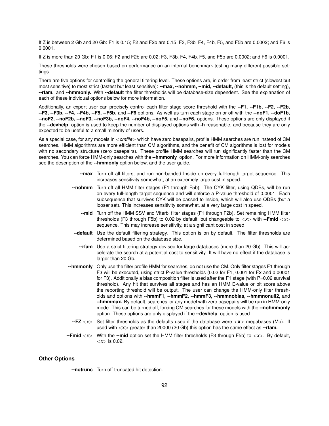If Z is between 2 Gb and 20 Gb: F1 is 0.15; F2 and F2b are 0.15; F3, F3b, F4, F4b, F5, and F5b are 0.0002; and F6 is 0.0001.

If Z is more than 20 Gb: F1 is 0.06; F2 and F2b are 0.02; F3, F3b, F4, F4b, F5, and F5b are 0.0002; and F6 is 0.0001.

These thresholds were chosen based on performance on an internal benchmark testing many different possible settings.

There are five options for controlling the general filtering level. These options are, in order from least strict (slowest but most sensitive) to most strict (fastest but least sensitive): **--max, --nohmm, --mid, --default,** (this is the default setting), **--rfam.** and **--hmmonly.** With **--default** the filter thresholds will be database-size dependent. See the explanation of each of these individual options below for more information.

Additionally, an expert user can precisely control each filter stage score threshold with the **--F1, --F1b, --F2, --F2b, --F3, --F3b, --F4, --F4b, --F5, --F5b,** and **--F6** options. As well as turn each stage on or off with the **--noF1, --doF1b, --noF2, --noF2b, --noF3, --noF3b, --noF4, --noF4b, --noF5,** and **--noF6.** options. These options are only displayed if the **--devhelp** option is used to keep the number of displayed options with **-h** reasonable, and because they are only expected to be useful to a small minority of users.

As a special case, for any models in <*cmfile*> which have zero basepairs, profile HMM searches are run instead of CM searches. HMM algorithms are more efficient than CM algorithms, and the benefit of CM algorithms is lost for models with no secondary structure (zero basepairs). These profile HMM searches will run significantly faster than the CM searches. You can force HMM-only searches with the **--hmmonly** option. For more information on HMM-only searches see the description of the **--hmmonly** option below, and the user guide.

- **--max** Turn off all filters, and run non-banded Inside on every full-length target sequence. This increases sensitivity somewhat, at an extremely large cost in speed.
- **--nohmm** Turn off all HMM filter stages (F1 through F5b). The CYK filter, using QDBs, will be run on every full-length target sequence and will enforce a P-value threshold of 0.0001. Each subsequence that survives CYK will be passed to Inside, which will also use QDBs (but a looser set). This increases sensitivity somewhat, at a very large cost in speed.
	- **--mid** Turn off the HMM SSV and Viterbi filter stages (F1 through F2b). Set remaining HMM filter thresholds (F3 through F5b) to 0.02 by default, but changeable to  $\langle x \rangle$  with **--Fmid**  $\langle x \rangle$ sequence. This may increase sensitivity, at a significant cost in speed.
- **--default** Use the default filtering strategy. This option is on by default. The filter thresholds are determined based on the database size.
- **--rfam** Use a strict filtering strategy devised for large databases (more than 20 Gb). This will accelerate the search at a potential cost to sensitivity. It will have no effect if the database is larger than 20 Gb.
- **--hmmonly** Only use the filter profile HMM for searches, do not use the CM. Only filter stages F1 through F3 will be executed, using strict P-value thresholds (0.02 for F1, 0.001 for F2 and 0.00001 for F3). Additionally a bias composition filter is used after the F1 stage (with P=0.02 survival threshold). Any hit that survives all stages and has an HMM E-value or bit score above the reporting threshold will be output. The user can change the HMM-only filter thresholds and options with **--hmmF1, --hmmF2, --hmmF3, --hmmnobias, --hmmnonull2,** and **--hmmmax.** By default, searches for any model with zero basepairs will be run in HMM-only mode. This can be turned off, forcing CM searches for these models with the **--nohmmonly** option. These options are only displayed if the **--devhelp** option is used.
	- **--FZ** <*x*> Set filter thresholds as the defaults used if the database were <**x**> megabases (Mb). If used with <**x**> greater than 20000 (20 Gb) this option has the same effect as **--rfam.**
- **--Fmid** <*x*> With the **--mid** option set the HMM filter thresholds (F3 through F5b) to <*x*>*.* By default,  $\langle x \rangle$  is 0.02.

## **Other Options**

**--notrunc** Turn off truncated hit detection.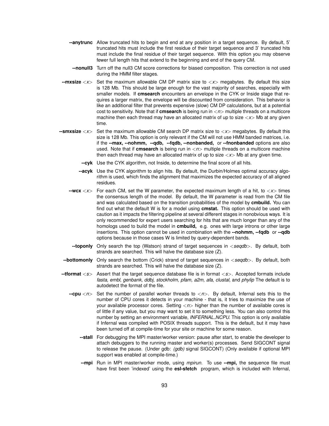- **--anytrunc** Allow truncated hits to begin and end at any position in a target sequence. By default, 5' truncated hits must include the first residue of their target sequence and 3' truncated hits must include the final residue of their target sequence. With this option you may observe fewer full length hits that extend to the beginning and end of the query CM.
- **--nonull3** Turn off the null3 CM score corrections for biased composition. This correction is not used during the HMM filter stages.
- **--mxsize** <*x*> Set the maximum allowable CM DP matrix size to <*x*> megabytes. By default this size is 128 Mb. This should be large enough for the vast majority of searches, especially with smaller models. If **cmsearch** encounters an envelope in the CYK or Inside stage that requires a larger matrix, the envelope will be discounted from consideration. This behavior is like an additional filter that prevents expensive (slow) CM DP calculations, but at a potential cost to sensitivity. Note that if **cmsearch** is being run in <*n*> multiple threads on a multicore machine then each thread may have an allocated matrix of up to size <*x*> Mb at any given time.
- **--smxsize** <*x*> Set the maximum allowable CM search DP matrix size to <*x*> megabytes. By default this size is 128 Mb. This option is only relevant if the CM will not use HMM banded matrices, i.e. if the **--max, --nohmm, --qdb, --fqdb, --nonbanded,** or **--fnonbanded** options are also used. Note that if **cmsearch** is being run in <*n*> multiple threads on a multicore machine then each thread may have an allocated matrix of up to size <*x*> Mb at any given time.
	- **--cyk** Use the CYK algorithm, not Inside, to determine the final score of all hits.
	- **--acyk** Use the CYK algorithm to align hits. By default, the Durbin/Holmes optimal accuracy algorithm is used, which finds the alignment that maximizes the expected accuracy of all aligned residues.
	- **--wcx**  $\langle x \rangle$  For each CM, set the W parameter, the expected maximum length of a hit, to  $\langle x \rangle$  times the consensus length of the model. By default, the W parameter is read from the CM file and was calculated based on the transition probabilities of the model by **cmbuild.** You can find out what the default W is for a model using **cmstat.** This option should be used with caution as it impacts the filtering pipeline at several different stages in nonobvious ways. It is only recommended for expert users searching for hits that are much longer than any of the homologs used to build the model in **cmbuild,** e.g. ones with large introns or other large insertions. This option cannot be used in combination with the **--nohmm, --fqdb** or **--qdb** options because in those cases W is limited by query-dependent bands.
	- **--toponly** Only search the top (Watson) strand of target sequences in <*seqdb*>*.* By default, both strands are searched. This will halve the database size (Z).
	- **--bottomonly** Only search the bottom (Crick) strand of target sequences in <*seqdb*>*.* By default, both strands are searched. This will halve the database size (Z).
- **--tformat** <*s*> Assert that the target sequence database file is in format <*s*>*.* Accepted formats include *fasta, embl, genbank, ddbj, stockholm, pfam, a2m, afa, clustal,* and *phylip* The default is to autodetect the format of the file.
	- **--cpu** <*n*> Set the number of parallel worker threads to <*n*>*.* By default, Infernal sets this to the number of CPU cores it detects in your machine - that is, it tries to maximize the use of your available processor cores. Setting <*n*> higher than the number of available cores is of little if any value, but you may want to set it to something less. You can also control this number by setting an environment variable, *INFERNAL NCPU.* This option is only available if Infernal was compiled with POSIX threads support. This is the default, but it may have been turned off at compile-time for your site or machine for some reason.
		- **--stall** For debugging the MPI master/worker version: pause after start, to enable the developer to attach debuggers to the running master and worker(s) processes. Send SIGCONT signal to release the pause. (Under gdb: *(gdb)* signal SIGCONT) (Only available if optional MPI support was enabled at compile-time.)
		- **--mpi** Run in MPI master/worker mode, using *mpirun.* To use **--mpi,** the sequence file must have first been 'indexed' using the **esl-sfetch** program, which is included with Infernal,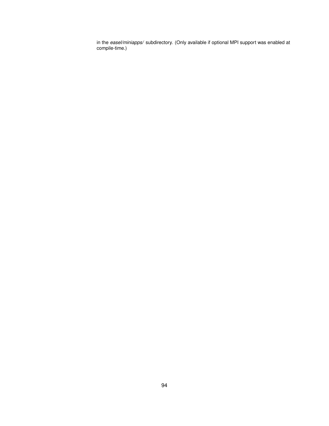in the *easel/miniapps/* subdirectory. (Only available if optional MPI support was enabled at compile-time.)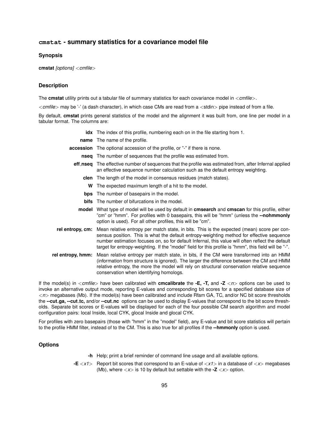# **cmstat - summary statistics for a covariance model file**

### **Synopsis**

**cmstat** *[options]* <*cmfile*>

## **Description**

The **cmstat** utility prints out a tabular file of summary statistics for each covariance model in <*cmfile*>*.*

<*cmfile*> may be '-' (a dash character), in which case CMs are read from a <stdin> pipe instead of from a file.

By default, **cmstat** prints general statistics of the model and the alignment it was built from, one line per model in a tabular format. The columns are:

|                   | <b>idx</b> The index of this profile, numbering each on in the file starting from 1.                                                                                                                                                                                                                                                                                                                                  |  |  |  |  |  |  |
|-------------------|-----------------------------------------------------------------------------------------------------------------------------------------------------------------------------------------------------------------------------------------------------------------------------------------------------------------------------------------------------------------------------------------------------------------------|--|--|--|--|--|--|
|                   | <b>name</b> The name of the profile.                                                                                                                                                                                                                                                                                                                                                                                  |  |  |  |  |  |  |
|                   | <b>accession</b> The optional accession of the profile, or "-" if there is none.                                                                                                                                                                                                                                                                                                                                      |  |  |  |  |  |  |
|                   | <b>nseq</b> The number of sequences that the profile was estimated from.                                                                                                                                                                                                                                                                                                                                              |  |  |  |  |  |  |
|                   | eff_nseq The effective number of sequences that the profile was estimated from, after Infernal applied<br>an effective sequence number calculation such as the default entropy weighting.                                                                                                                                                                                                                             |  |  |  |  |  |  |
|                   | <b>clen</b> The length of the model in consensus residues (match states).                                                                                                                                                                                                                                                                                                                                             |  |  |  |  |  |  |
|                   | W The expected maximum length of a hit to the model.                                                                                                                                                                                                                                                                                                                                                                  |  |  |  |  |  |  |
|                   | <b>bps</b> The number of basepairs in the model.                                                                                                                                                                                                                                                                                                                                                                      |  |  |  |  |  |  |
|                   | <b>bifs</b> The number of bifurcations in the model.                                                                                                                                                                                                                                                                                                                                                                  |  |  |  |  |  |  |
|                   | model What type of model will be used by default in cmsearch and cmscan for this profile, either<br>"cm" or "hmm". For profiles with 0 basepairs, this will be "hmm" (unless the --nohmmonly<br>option is used). For all other profiles, this will be "cm".                                                                                                                                                           |  |  |  |  |  |  |
|                   | rel entropy, cm: Mean relative entropy per match state, in bits. This is the expected (mean) score per con-<br>sensus position. This is what the default entropy-weighting method for effective sequence<br>number estimation focuses on, so for default Infernal, this value will often reflect the default<br>target for entropy-weighting. If the "model" field for this profile is "hmm", this field will be "-". |  |  |  |  |  |  |
| rel entropy, hmm: | Mean relative entropy per match state, in bits, if the CM were transformed into an HMM<br>(information from structure is ignored). The larger the difference between the CM and HMM<br>relative entropy, the more the model will rely on structural conservation relative sequence<br>conservation when identifying homologs.                                                                                         |  |  |  |  |  |  |

If the model(s) in <*cmfile*> have been calibrated with **cmcalibrate** the **-E, -T,** and **-Z** <*n*> options can be used to invoke an alternative output mode, reporting E-values and corresponding bit scores for a specified database size of <*n*> megabases (Mb). If the model(s) have been calibrated and include Rfam GA, TC, and/or NC bit score thresholds the **--cut ga, --cut tc,** and/or **--cut nc** options can be used to display E-values that correspond to the bit score thresholds. Separate bit scores or E-values will be displayed for each of the four possible CM search algorithm and model configuration pairs: local Inside, local CYK, glocal Inside and glocal CYK.

For profiles with zero basepairs (those with "hmm" in the "model" field), any E-value and bit score statistics will pertain to the profile HMM filter, instead of to the CM. This is also true for all profiles if the **--hmmonly** option is used.

- **-h** Help; print a brief reminder of command line usage and all available options.
- **-E** <*x1*> Report bit scores that correspond to an E-value of <*x1*> in a database of <*x*> megabases (Mb), where  $\langle x \rangle$  is 10 by default but settable with the  $\text{-}Z \langle x \rangle$  option.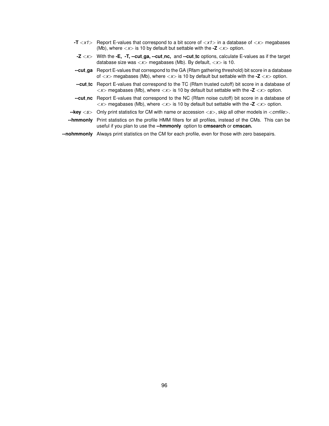- **-T** <*x1*> Report E-values that correspond to a bit score of <*x1*> in a database of <*x*> megabases (Mb), where  $\langle x \rangle$  is 10 by default but settable with the  $\text{-}Z \langle x \rangle$  option.
- **-Z** <*x*> With the **-E, -T, --cut ga, --cut nc,** and **--cut tc** options, calculate E-values as if the target database size was <*x*> megabases (Mb). By default, <*x*> is 10.
- **--cut ga** Report E-values that correspond to the GA (Rfam gathering threshold) bit score in a database of <*x*> megabases (Mb), where <*x*> is 10 by default but settable with the **-Z** <*x*> option.
- **--cut tc** Report E-values that correspond to the TC (Rfam trusted cutoff) bit score in a database of  $\langle x \rangle$  megabases (Mb), where  $\langle x \rangle$  is 10 by default but settable with the **-Z**  $\langle x \rangle$  option.
- **--cut nc** Report E-values that correspond to the NC (Rfam noise cutoff) bit score in a database of  $\langle x \rangle$  megabases (Mb), where  $\langle x \rangle$  is 10 by default but settable with the **-Z**  $\langle x \rangle$  option.
- **--key** <*s*> Only print statistics for CM with name or accession <*s*>*,* skip all other models in <*cmfile*>*.*
- **--hmmonly** Print statistics on the profile HMM filters for all profiles, instead of the CMs. This can be useful if you plan to use the **--hmmonly** option to **cmsearch** or **cmscan.**
- **--nohmmonly** Always print statistics on the CM for each profile, even for those with zero basepairs.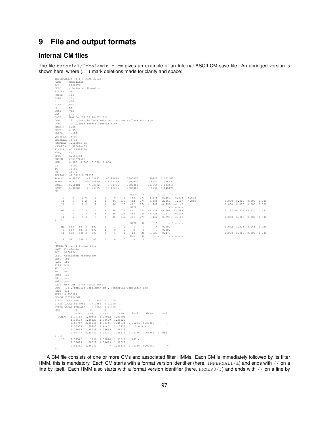# **9 File and output formats**

# **Infernal CM files**

//

The file tutorial/Cobalamin.c.cm gives an example of an Infernal ASCII CM save file. An abridged version is shown here, where  $(\ldots)$  mark deletions made for clarity and space:

| INFERNAL1/a [1.1   June 2012]                 |                        |                       |                                   |                                                                                                                                                                                                                               |                                                                                               |                                                             |                |                   |                                                                                                             |  |  |                                                                    |  |
|-----------------------------------------------|------------------------|-----------------------|-----------------------------------|-------------------------------------------------------------------------------------------------------------------------------------------------------------------------------------------------------------------------------|-----------------------------------------------------------------------------------------------|-------------------------------------------------------------|----------------|-------------------|-------------------------------------------------------------------------------------------------------------|--|--|--------------------------------------------------------------------|--|
| NAME<br>ACC.                                  | Cobalamin<br>RF00174   |                       |                                   |                                                                                                                                                                                                                               |                                                                                               |                                                             |                |                   |                                                                                                             |  |  |                                                                    |  |
| DESC.                                         |                        |                       | Cobalamin riboswitch              |                                                                                                                                                                                                                               |                                                                                               |                                                             |                |                   |                                                                                                             |  |  |                                                                    |  |
| STATES 592                                    |                        |                       |                                   |                                                                                                                                                                                                                               |                                                                                               |                                                             |                |                   |                                                                                                             |  |  |                                                                    |  |
| NODES                                         | 163                    |                       |                                   |                                                                                                                                                                                                                               |                                                                                               |                                                             |                |                   |                                                                                                             |  |  |                                                                    |  |
| CLEN<br>W.                                    | 191<br>460             |                       |                                   |                                                                                                                                                                                                                               |                                                                                               |                                                             |                |                   |                                                                                                             |  |  |                                                                    |  |
| ALPH                                          | <b>RNA</b>             |                       |                                   |                                                                                                                                                                                                                               |                                                                                               |                                                             |                |                   |                                                                                                             |  |  |                                                                    |  |
| <b>RF</b>                                     | no                     |                       |                                   |                                                                                                                                                                                                                               |                                                                                               |                                                             |                |                   |                                                                                                             |  |  |                                                                    |  |
| CONS                                          | yes                    |                       |                                   |                                                                                                                                                                                                                               |                                                                                               |                                                             |                |                   |                                                                                                             |  |  |                                                                    |  |
| MAP<br>DATE                                   | yes                    |                       | Wed Jun 13 05:40:07 2012          |                                                                                                                                                                                                                               |                                                                                               |                                                             |                |                   |                                                                                                             |  |  |                                                                    |  |
| COM                                           |                        |                       |                                   |                                                                                                                                                                                                                               | [1] ./cmbuild Cobalamin.cm /tutorial/Cobalamin.sto                                            |                                                             |                |                   |                                                                                                             |  |  |                                                                    |  |
| COM                                           |                        |                       | [2] ./cmcalibrate Cobalamin.cm    |                                                                                                                                                                                                                               |                                                                                               |                                                             |                |                   |                                                                                                             |  |  |                                                                    |  |
| PBEGIN                                        | 0.05                   |                       |                                   |                                                                                                                                                                                                                               |                                                                                               |                                                             |                |                   |                                                                                                             |  |  |                                                                    |  |
| PEND<br>WBETA                                 | 0.05<br>$1e-07$        |                       |                                   |                                                                                                                                                                                                                               |                                                                                               |                                                             |                |                   |                                                                                                             |  |  |                                                                    |  |
| QDBBETA1 le-07                                |                        |                       |                                   |                                                                                                                                                                                                                               |                                                                                               |                                                             |                |                   |                                                                                                             |  |  |                                                                    |  |
| ODBBETA2 le-15                                |                        |                       |                                   |                                                                                                                                                                                                                               |                                                                                               |                                                             |                |                   |                                                                                                             |  |  |                                                                    |  |
| N2OMEGA 1.52588e-05<br>N3OMEGA 1.52588e-05    |                        |                       |                                   |                                                                                                                                                                                                                               |                                                                                               |                                                             |                |                   |                                                                                                             |  |  |                                                                    |  |
| ELSELF -0.08926734                            |                        |                       |                                   |                                                                                                                                                                                                                               |                                                                                               |                                                             |                |                   |                                                                                                             |  |  |                                                                    |  |
| NSEQ                                          | 431                    |                       |                                   |                                                                                                                                                                                                                               |                                                                                               |                                                             |                |                   |                                                                                                             |  |  |                                                                    |  |
| EFFN<br>CKSUM                                 | 6.652168<br>2307274568 |                       |                                   |                                                                                                                                                                                                                               |                                                                                               |                                                             |                |                   |                                                                                                             |  |  |                                                                    |  |
| NULL                                          |                        |                       | $0.000$ $0.000$ $0.000$ $0.000$   |                                                                                                                                                                                                                               |                                                                                               |                                                             |                |                   |                                                                                                             |  |  |                                                                    |  |
| GA                                            | 39.00                  |                       |                                   |                                                                                                                                                                                                                               |                                                                                               |                                                             |                |                   |                                                                                                             |  |  |                                                                    |  |
| $_{\rm TC}$                                   | 39.00                  |                       |                                   |                                                                                                                                                                                                                               |                                                                                               |                                                             |                |                   |                                                                                                             |  |  |                                                                    |  |
| $_{\mathrm{NC}}$<br>EFP7GF -9.3826 0.71319    | 38.79                  |                       |                                   |                                                                                                                                                                                                                               |                                                                                               |                                                             |                |                   |                                                                                                             |  |  |                                                                    |  |
| ECMLC                                         |                        |                       | $0.69050 -9.55632$                |                                                                                                                                                                                                                               | $-0.82028$ 1600000                                                                            |                                                             |                |                   | 499982 0.002400                                                                                             |  |  |                                                                    |  |
| ECMGC                                         |                        |                       | $0.33713 - 30.56949$              |                                                                                                                                                                                                                               | $-21.45119$ 1600000                                                                           |                                                             |                |                   | 8652 0.046232                                                                                               |  |  |                                                                    |  |
| ECMLI                                         | 0.68481                |                       | $-7.98572$                        |                                                                                                                                                                                                                               | 0.30786                                                                                       | 1600000                                                     |                |                   | 351369 0.003415                                                                                             |  |  |                                                                    |  |
| ECMGI<br>CM                                   |                        |                       | $0.38286 -21.23885$               |                                                                                                                                                                                                                               | $-13.16656$                                                                                   | 1600000                                                     |                |                   | 8796 0.045475                                                                                               |  |  |                                                                    |  |
|                                               |                        |                       |                                   |                                                                                                                                                                                                                               |                                                                                               | [ ROOT                                                      | 0 <sup>1</sup> |                   | $\omega_{\alpha\beta} = \omega_{\alpha\beta} = \omega_{\alpha\beta} = \omega_{\alpha\beta}$                 |  |  |                                                                    |  |
| S.                                            | $\Omega$               | $-1$ 0                | $\mathbf{1}$                      | 4                                                                                                                                                                                                                             | $\overline{0}$                                                                                | 1460                                                        |                |                   | $771 -8.175 -8.382 -0.025 -6.528$                                                                           |  |  |                                                                    |  |
| $\mbox{I\hspace{-.1em}I}$<br>IR               | $\overline{1}$<br>2    | 1 2<br>2 <sup>3</sup> | $\mathbf{1}$<br>2                 | $\overline{4}$<br>$\overline{\mathbf{3}}$                                                                                                                                                                                     | 86<br>86                                                                                      | $\begin{array}{ccc} 133 & & 462 \\ 133 & & 462 \end{array}$ |                |                   | $\begin{array}{cccc} 774 & -1.686 & -2.369 & -1.117 & -4.855 \\ 774 & -1.442 & -0.798 & -4.142 \end{array}$ |  |  | $0.000$ $0.000$ $0.000$ $0.000$<br>$0.000$ $0.000$ $0.000$ $0.000$ |  |
|                                               |                        |                       |                                   |                                                                                                                                                                                                                               |                                                                                               | [ MATL                                                      |                |                   | $\begin{array}{cccccccccccccc} 1 & 1 & & & & & & - & u & - & - & - \end{array}$                             |  |  |                                                                    |  |
| MT.                                           | $\mathcal{R}$          | 2 <sup>3</sup>        | -5                                | $3 \qquad 86$                                                                                                                                                                                                                 |                                                                                               |                                                             |                |                   | 132  461  772  -9.129  -0.009  -7.783                                                                       |  |  | $0.192 - 0.324 - 0.320$ 0.331                                      |  |
| $\mathbb D$                                   | 4                      | 2 <sup>3</sup>        | $5 -$                             | $\overline{\mathbf{3}}$                                                                                                                                                                                                       | 80<br>128                                                                                     | $\begin{array}{c} 4\,5\,8 \\ 4\,6\,1 \end{array}$           |                |                   | $\begin{array}{cccc} 769 & -6.226 & -1.577 & -0.618 \\ 773 & -1.442 & -0.798 & -4.142 \end{array}$          |  |  |                                                                    |  |
| IL<br>$(\ldots)$                              | -5                     | 5 <sup>3</sup>        | 5                                 | $\overline{\mathbf{3}}$                                                                                                                                                                                                       | 85<br>132                                                                                     |                                                             |                |                   |                                                                                                             |  |  | $0.000$ $0.000$ $0.000$ $0.000$                                    |  |
|                                               |                        |                       |                                   |                                                                                                                                                                                                                               |                                                                                               | [ MATL                                                      |                | 98 ] 151          | $- C - - -$                                                                                                 |  |  |                                                                    |  |
|                                               | ML 588 587 3           |                       | 590                               | 2                                                                                                                                                                                                                             | $\overline{1}$                                                                                | $\frac{1}{2}$ $\frac{1}{2}$                                 |                |                   | $\begin{array}{cccc} 1 & * & 0.000 \\ 0 & * & 0.000 \end{array}$                                            |  |  | $-3.022$ 1.825 $-3.061$ $-2.226$                                   |  |
| $\mathbb D$<br>IL.                            | 589<br>590             | 587 3<br>590 3        | 590<br>590                        | $\overline{2}$<br>$\overline{2}$                                                                                                                                                                                              | $\circ$<br>$\mathbf{1}$                                                                       | $\circ$<br>$\circ$<br>$1 \t 13$                             |                |                   | $28 - 1.823 - 0.479$                                                                                        |  |  | $0.000$ $0.000$ $0.000$ $0.000$                                    |  |
|                                               |                        |                       |                                   |                                                                                                                                                                                                                               |                                                                                               |                                                             |                |                   | $[EMD \t 99]$ $    -$                                                                                       |  |  |                                                                    |  |
| E                                             | 591                    | 590 3                 | $-1$                              | $\circ$                                                                                                                                                                                                                       | $\sim$ 0                                                                                      | $\Omega$<br>$\sim$ 0                                        | $\sim$ 0       |                   |                                                                                                             |  |  |                                                                    |  |
| $\frac{1}{2}$                                 |                        |                       |                                   |                                                                                                                                                                                                                               |                                                                                               |                                                             |                |                   |                                                                                                             |  |  |                                                                    |  |
| HMMER3/f [il.1   June 2012]<br>NAME Cobalamin |                        |                       |                                   |                                                                                                                                                                                                                               |                                                                                               |                                                             |                |                   |                                                                                                             |  |  |                                                                    |  |
| ACC RF00174                                   |                        |                       |                                   |                                                                                                                                                                                                                               |                                                                                               |                                                             |                |                   |                                                                                                             |  |  |                                                                    |  |
| DESC Cobalamin riboswitch                     |                        |                       |                                   |                                                                                                                                                                                                                               |                                                                                               |                                                             |                |                   |                                                                                                             |  |  |                                                                    |  |
| $\mbox{LENG} = 191$                           |                        |                       |                                   |                                                                                                                                                                                                                               |                                                                                               |                                                             |                |                   |                                                                                                             |  |  |                                                                    |  |
| MAXL 565<br>ALPH RNA                          |                        |                       |                                   |                                                                                                                                                                                                                               |                                                                                               |                                                             |                |                   |                                                                                                             |  |  |                                                                    |  |
| RF<br>no                                      |                        |                       |                                   |                                                                                                                                                                                                                               |                                                                                               |                                                             |                |                   |                                                                                                             |  |  |                                                                    |  |
| <b>MM</b><br>no                               |                        |                       |                                   |                                                                                                                                                                                                                               |                                                                                               |                                                             |                |                   |                                                                                                             |  |  |                                                                    |  |
| CONS yes<br>CS                                |                        |                       |                                   |                                                                                                                                                                                                                               |                                                                                               |                                                             |                |                   |                                                                                                             |  |  |                                                                    |  |
| yes<br>MAP<br>ves                             |                        |                       |                                   |                                                                                                                                                                                                                               |                                                                                               |                                                             |                |                   |                                                                                                             |  |  |                                                                    |  |
| DATE Wed Jun 13 05:40:08 2012                 |                        |                       |                                   |                                                                                                                                                                                                                               |                                                                                               |                                                             |                |                   |                                                                                                             |  |  |                                                                    |  |
|                                               |                        |                       |                                   |                                                                                                                                                                                                                               | COM [1] ./cmbuild Cobalamin.cm /tutorial/Cobalamin.sto                                        |                                                             |                |                   |                                                                                                             |  |  |                                                                    |  |
| NSEQ 431<br>EFFN 4.955421                     |                        |                       |                                   |                                                                                                                                                                                                                               |                                                                                               |                                                             |                |                   |                                                                                                             |  |  |                                                                    |  |
| CKSUM 2307274568                              |                        |                       |                                   |                                                                                                                                                                                                                               |                                                                                               |                                                             |                |                   |                                                                                                             |  |  |                                                                    |  |
| STATS LOCAL MSV                               |                        |                       | $-10.2356$ 0.71319                |                                                                                                                                                                                                                               |                                                                                               |                                                             |                |                   |                                                                                                             |  |  |                                                                    |  |
| STATS LOCAL VITERBI -12.2484 0.71319          |                        |                       |                                   |                                                                                                                                                                                                                               |                                                                                               |                                                             |                |                   |                                                                                                             |  |  |                                                                    |  |
| STATS LOCAL FORWARD<br><b>HMM</b>             |                        | $A$ and $A$           | $-3.9056$ 0.71319<br>$\mathbb{C}$ | $G$ and $G$ and $G$ and $G$ and $G$ and $G$ and $G$ and $G$ and $G$ and $G$ and $G$ and $G$ and $G$ and $G$ and $G$ and $G$ and $G$ and $G$ and $G$ and $G$ and $G$ and $G$ and $G$ and $G$ and $G$ and $G$ and $G$ and $G$ a | $\mathbf{U}$                                                                                  |                                                             |                |                   |                                                                                                             |  |  |                                                                    |  |
|                                               | $m \rightarrow m$      |                       | $m->i$                            | $m->d$                                                                                                                                                                                                                        | $i \rightarrow m$                                                                             | $i \rightarrow i$                                           |                | $d \rightarrow m$ | $d \rightarrow d$                                                                                           |  |  |                                                                    |  |
|                                               |                        |                       |                                   |                                                                                                                                                                                                                               | COMPO 1.37169 1.39466 1.27962 1.51293                                                         |                                                             |                |                   |                                                                                                             |  |  |                                                                    |  |
|                                               |                        |                       |                                   |                                                                                                                                                                                                                               | 1.38629 1.38629 1.38629 1.38629<br>0.02747 4.30141 4.30141 1.46634 0.26236 0.00000            |                                                             |                |                   |                                                                                                             |  |  |                                                                    |  |
|                                               |                        |                       |                                   |                                                                                                                                                                                                                               | 1 1.24903 1.60847 1.61442 1.15831                                                             |                                                             | $1 u - -$      |                   |                                                                                                             |  |  |                                                                    |  |
|                                               |                        |                       |                                   |                                                                                                                                                                                                                               | 1.38629 1.38629 1.38629 1.38629                                                               |                                                             |                |                   |                                                                                                             |  |  |                                                                    |  |
|                                               |                        |                       |                                   |                                                                                                                                                                                                                               | $0.02747 \quad 4.30141 \quad 4.30141 \quad 1.46634 \quad 0.26236 \quad 1.09861 \quad 0.40547$ |                                                             |                |                   |                                                                                                             |  |  |                                                                    |  |
| $( \ldots )$<br>191                           |                        |                       |                                   |                                                                                                                                                                                                                               | 1.51542 1.17791 1.56046 1.33817                                                               |                                                             | $441 c - -$ :  |                   |                                                                                                             |  |  |                                                                    |  |
|                                               |                        |                       |                                   |                                                                                                                                                                                                                               | 1.38629 1.38629 1.38629 1.38629                                                               |                                                             |                |                   |                                                                                                             |  |  |                                                                    |  |
|                                               |                        |                       |                                   |                                                                                                                                                                                                                               | $0.01381$ 4.28939 * 1.46634 0.26236 0.00000                                                   |                                                             |                |                   |                                                                                                             |  |  |                                                                    |  |

A CM file consists of one or more CMs and associated filter HMMs. Each CM is immediately followed by its filter HMM, this is mandatory. Each CM starts with a format version identifier (here, INFERNAL1/a) and ends with // on a line by itself. Each HMM also starts with a format version identifier (here, HMMER3/f) and ends with // on a line by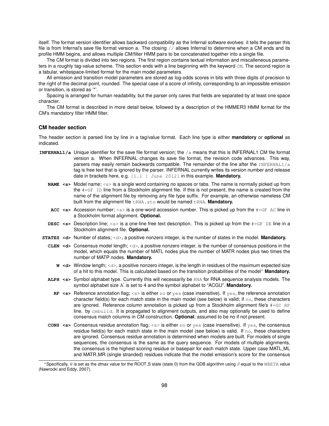itself. The format version identifier allows backward compatibility as the Infernal software evolves: it tells the parser this file is from Infernal's save file format version a. The closing // allows Infernal to determine when a CM ends and its profile HMM begins, and allows multiple CM/filter HMM pairs to be concatenated together into a single file.

The CM format is divided into two regions. The first region contains textual information and miscalleneous parameters in a roughly tag-value scheme. This section ends with a line beginning with the keyword CM. The second region is a tabular, whitespace-limited format for the main model parameters.

All emission and transition model parameters are stored as log-odds scores in bits with three digits of precision to the right of the decimal point, rounded. The special case of a score of infinity, corresponding to an impossible emission or transition, is stored as '\*'.

Spacing is arranged for human readability, but the parser only cares that fields are separated by at least one space character.

The CM format is described in more detail below, followed by a description of the HMMER3 HMM format for the CM's mandatory filter HMM filter.

#### **CM header section**

The header section is parsed line by line in a tag/value format. Each line type is either **mandatory** or **optional** as indicated.

- **INFERNAL1/a** Unique identifier for the save file format version; the /a means that this is INFERNAL1 CM file format version a. When INFERNAL changes its save file format, the revision code advances. This way, parsers may easily remain backwards compatible. The remainder of the line after the  $INFERNALL/a$ tag is free text that is ignored by the parser. INFERNAL currently writes its version number and release date in brackets here, e.g. [1.1 | June 2012] in this example. **Mandatory.**
	- **NAME <s>** Model name; <s> is a single word containing no spaces or tabs. The name is normally picked up from the #=GF ID line from a Stockholm alignment file. If this is not present, the name is created from the name of the alignment file by removing any file type suffix. For example, an otherwise nameless CM built from the alignment file tRNA.sto would be named tRNA. Mandatory.
	- ACC <s> Accession number; <s> is a one-word accession number. This is picked up from the  $\#=\text{GF }$  AC line in a Stockholm format alignment. **Optional.**
	- **DESC** <s> Description line; <s> is a one-line free text description. This is picked up from the  $\#=\text{GF}$  DE line in a Stockholm alignment file. **Optional.**
- **STATES <d>** Number of states; <d>, a positive nonzero integer, is the number of states in the model. **Mandatory.**
	- **CLEN <d>** Consensus model length; <d>, a positive nonzero integer, is the number of consensus positions in the model, which equals the number of MATL nodes plus the number of MATR nodes plus two times the number of MATP nodes. **Mandatory.**
		- **W** <d> Window length; <d>, a positive nonzero integer, is the length in residues of the maximum expected size of a hit to this model. This is calculated based on the transition probabilities of the model<sup>∗</sup> **Mandatory.**
	- **ALPH <s>** Symbol alphabet type. Currently this will necessarily be RNA for RNA sequence analysis models. The symbol alphabet size K is set to 4 and the symbol alphabet to "ACGU". **Mandatory.**
		- **RF <s>** Reference annotation flag; <s> is either no or yes (case insensitive). If yes, the reference annotation character field(s) for each match state in the main model (see below) is valid; if no, these characters are ignored. Reference column annotation is picked up from a Stockholm alignment file's  $#=$  GC RF line. by  $cm$ build. It is propagated to alignment outputs, and also may optionally be used to define consensus match columns in CM construction. **Optional**; assumed to be no if not present.
	- **CONS <s>** Consensus residue annotation flag; <s> is either no or yes (case insensitive). If yes, the consensus residue field(s) for each match state in the main model (see below) is valid. If  $\overline{p}$  these characters are ignored. Consensus residue annotation is determined when models are built. For models of single sequences, the consensus is the same as the query sequence. For models of multiple alignments, the consensus is the highest scoring residue or basepair for each match state. Upper case MATL ML and MATR MR (single stranded) residues indicate that the model emission's score for the consensus

<sup>∗</sup>Specifically, W is set as the *dmax* value for the ROOT S state (state 0) from the QDB algorithm using β equal to the WBETA value (Nawrocki and Eddy, 2007).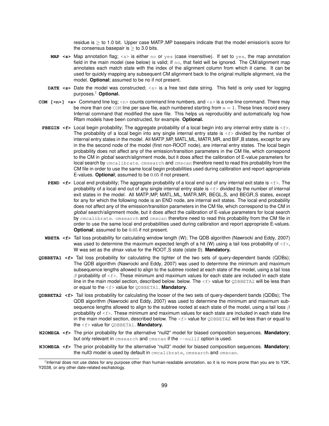residue is  $>$  to 1.0 bit. Upper case MATP\_MP basepairs indicate that the model emission's score for the consensus basepair is  $>$  to 3.0 bits.

- **MAP <s>** Map annotation flag; <s> is either no or yes (case insensitive). If set to yes, the map annotation field in the main model (see below) is valid; if no, that field will be ignored. The CM/alignment map annotates each match state with the index of the alignment column from which it came. It can be used for quickly mapping any subsequent CM alignment back to the original multiple alignment, via the model. **Optional**; assumed to be no if not present.
- **DATE <s>** Date the model was constructed; <s> is a free text date string. This field is only used for logging purposes.† **Optional.**
- **COM [<n>] <s>** Command line log; <n> counts command line numbers, and <s> is a one-line command. There may be more than one  $com$  line per save file, each numbered starting from  $n = 1$ . These lines record every Infernal command that modified the save file. This helps us reproducibly and automatically log how Rfam models have been constructed, for example. **Optional.**
- **PBEGIN <f>** Local begin probability; The aggregate probability of a local begin into any internal entry state is <f>. The probability of a local begin into any single internal entry state is  $\leq f$  divided by the number of internal entry states in the model. All MATP\_MP, MATL\_ML, MATR\_MR, and BIF\_B states, except for any in the the second node of the model (first non-ROOT node), are internal entry states. The local begin probability does not affect any of the emission/transition parameters in the CM file, which correspond to the CM in *global* search/alignment mode, but it does affect the calibration of E-value parameters for local search by cmcalibrate. cmsearch and cmscan therefore need to read this probability from the CM file in order to use the same local begin probabilities used during calibration and report appropriate E-values. **Optional**; assumed to be 0.05 if not present.
	- **PEND <f>** Local end probability; The aggregate probability of a local end out of any internal exit state is <f>. The probability of a local end out of any single internal entry state is  $\leq f$  divided by the number of internal exit states in the model. All MATP\_MP, MATL\_ML, MATR\_MR, BEGL\_S, and BEGR\_S states, except for any for which the following node is an END node, are internal exit states. The local end probability does not affect any of the emission/transition parameters in the CM file, which correspond to the CM in *global* search/alignment mode, but it does affect the calibration of E-value parameters for local search by cmcalibrate. cmsearch and cmscan therefore need to read this probability from the CM file in order to use the same local end probabilities used during calibration and report appropriate E-values. **Optional**; assumed to be 0.05 if not present.
- **WBETA <f>** Tail loss probability for calculating window length (W); The QDB algorithm (Nawrocki and Eddy, 2007) was used to determine the maximum expected length of a hit (W) using a tail loss probability of  $\leq f$ , W was set as the *dmax* value for the ROOT<sub>-</sub>S state (state 0). **Mandatory.**
- **QDBBETA1 <f>** Tail loss probability for calculating the tighter of the two sets of query-dependent bands (QDBs); The QDB algorithm (Nawrocki and Eddy, 2007) was used to determine the minimum and maximum subsequence lengths allowed to align to the subtree rooted at each state of the model, using a tail loss  $\beta$  probability of  $\leq f$ . These minimum and maximum values for each state are included in each state line in the main model section, described below. below. The  $\leq f$  value for  $\mathcal Q$ DBBETA2 will be less than or equal to the <f> value for QDBBETA1. **Mandatory.**
- **QDBBETA2 <f>** Tail loss probability for calculating the looser of the two sets of query-dependent bands (QDBs); The QDB algorithm (Nawrocki and Eddy, 2007) was used to determine the minimum and maximum subsequence lengths allowed to align to the subtree rooted at each state of the model, using a tail loss  $\beta$ probability of  $\leq f$ >. These minimum and maximum values for each state are included in each state line in the main model section, described below. The  $\epsilon$  value for QDBBETA2 will be less than or equal to the <f> value for QDBBETA1. **Mandatory.**
- **N2OMEGA <f>** The prior probability for the alternative "null2" model for biased composition sequences. **Mandatory**; but only relevant in cmsearch and cmscan if the  $-$ -null2 option is used.
- **N3OMEGA <f>** The prior probability for the alternative "null3" model for biased composition sequences. **Mandatory**; the null3 model is used by default in cmcalibrate, cmsearch and cmscan.

<sup>†</sup> Infernal does not use dates for any purpose other than human-readable annotation, so it is no more prone than you are to Y2K, Y2038, or any other date-related eschatology.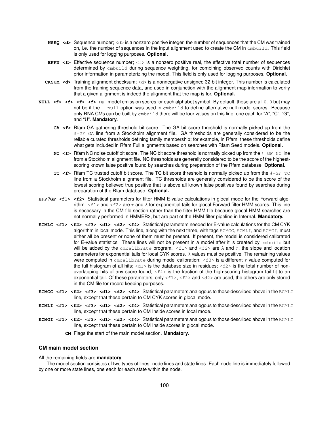- **NSEQ <d>** Sequence number; <d> is a nonzero positive integer, the number of sequences that the CM was trained on, i.e. the number of sequences in the input alignment used to create the CM in cmbuild. This field is only used for logging purposes. **Optional.**
- **EFFN <f>** Effective sequence number; <f> is a nonzero positive real, the effective total number of sequences determined by cmbuild during sequence weighting, for combining observed counts with Dirichlet prior information in parameterizing the model. This field is only used for logging purposes. **Optional.**
- **CKSUM <d>** Training alignment checksum; <d> is a nonnegative unsigned 32-bit integer. This number is calculated from the training sequence data, and used in conjunction with the alignment map information to verify that a given alignment is indeed the alignment that the map is for. **Optional.**
- **NULL <f> <f> <f>**  $\leq$  >  $\leq$  +  $\leq$  > null model emission scores for each alphabet symbol. By default, these are all 0.0 but may not be if the  $-\text{null}$  option was used in  $\text{embuild}$  to define alternative null model scores. Because only RNA CMs can be built by  $cm$ build there will be four values on this line, one each for "A", "C", "G", and "U". **Mandatory.**
	- **GA <f>** Rfam GA gathering threshold bit score. The GA bit score threshold is normally picked up from the #=GF GA line from a Stockholm alignment file. GA thresholds are generally considered to be the reliable curated thresholds defining family membership; for example, in Rfam, these thresholds define what gets included in Rfam Full alignments based on searches with Rfam Seed models. **Optional.**
	- **NC** <f> Rfam NC noise cutoff bit score. The NC bit score threshold is normally picked up from the  $\#=\text{GF}$  NC line from a Stockholm alignment file. NC thresholds are generally considered to be the score of the highestscoring known false positive found by searches during preparation of the Rfam database. **Optional.**
	- **TC <f>** Rfam TC trusted cutoff bit score. The TC bit score threshold is normally picked up from the #=GF TC line from a Stockholm alignment file. TC thresholds are generally considered to be the score of the lowest scoring believed true positive that is above all known false positives found by searches during preparation of the Rfam database. **Optional.**
- **EFP7GF <f1> <f2>** Statistical parameters for filter HMM E-value calculations in glocal mode for the Forward algorithm.  $\leq f$ 1> and  $\leq f$ 2> are  $\tau$  and  $\lambda$  for exponential tails for glocal Forward filter HMM scores. This line is necessary in the CM file section rather than the filter HMM file because glocal HMM searches are not normally performed in HMMER3, but are part of the HMM filter pipeline in Infernal. **Mandatory.**
- **ECMLC <f1> <f2> <f3> <d1> <d2> <f4>** Statistical parameters needed for E-value calculations for the CM CYK algorithm in local mode. This line, along with the next three, with tags ECMGC, ECMLI, and ECMGI, must either all be present or none of them must be present. If present, the model is considered calibrated for E-value statistics. These lines will not be present in a model after it is created by cmbuild but will be added by the cmcalibrate program.  $\langle$ fl> and  $\langle$ fl> are  $\lambda$  and  $\tau$ , the slope and location parameters for exponential tails for local CYK scores. λ values must be positive. The remaining values were computed in cmcalibrate during model calibration:  $\langle f3 \rangle$  is a different  $\tau$  value computed for the full histogram of all hits; <d1> is the database size in residues; <d2> is the total number of nonoverlapping hits of any score found;  $\langle f4 \rangle$  is the fraction of the high-scoring histogram tail fit to an exponential tail. Of these parameters, only  $\langle f1\rangle$ ,  $\langle f2\rangle$  and  $\langle d2\rangle$  are used, the others are only stored in the CM file for record keeping purposes.
- **ECMGC** <f1> <f2> <f3> <d1> <d2> <f4> Statistical parameters analogous to those described above in the ECMLC line, except that these pertain to CM CYK scores in glocal mode.
- **ECMLI <f1> <f2> <f3> <d1> <d2> <f4> Statistical parameters analogous to those described above in the ECMLC** line, except that these pertain to CM Inside scores in local mode.
- **ECMGI <f1> <f2> <f3> <d1> <d2> <f4> Statistical parameters analogous to those described above in the ECMLC** line, except that these pertain to CM Inside scores in glocal mode.
	- **CM** Flags the start of the main model section. **Mandatory.**

#### **CM main model section**

All the remaining fields are **mandatory**.

The model section consistes of two types of lines: node lines and state lines. Each node line is immediately followed by one or more state lines, one each for each state within the node.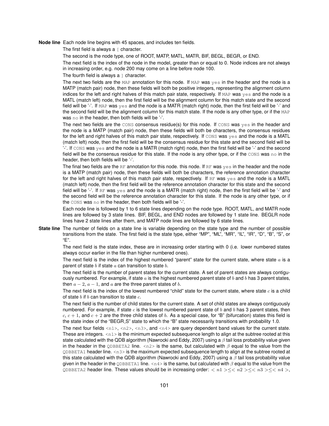**Node line** Each node line begins with 45 spaces, and includes ten fields.

The first field is always  $a \restriction$  character.

The second is the node type, one of ROOT, MATP, MATL, MATR, BIF, BEGL, BEGR, or END.

The next field is the index of the node in the model, greater than or equal to 0. Node indices are not always in increasing order, e.g. node 200 may come on a line before node 100.

The fourth field is always  $a \perp$  character.

The next two fields are the MAP annotation for this node. If MAP was yes in the header and the node is a MATP (match pair) node, then these fields will both be positive integers, representing the alignment column indices for the left and right halves of this match pair state, respectively. If MAP was yes and the node is a MATL (match left) node, then the first field will be the alignment column for this match state and the second field will be '-'. If MAP was yes and the node is a MATR (match right) node, then the first field will be '-' and the second field will be the alignment column for this match state. If the node is any other type, or if the MAP was no in the header, then both fields will be '-'.

The next two fields are the CONS consensus residue(s) for this node. If CONS was yes in the header and the node is a MATP (match pair) node, then these fields will both be characters, the consensus residues for the left and right halves of this match pair state, respectively. If cons was yes and the node is a MATL (match left) node, then the first field will be the consensus residue for this state and the second field will be  $'$ -'. If  $\cos$  was yes and the node is a MATR (match right) node, then the first field will be  $'$ -' and the second field will be the consensus residue for this state. If the node is any other type, or if the CONS was no in the header, then both fields will be '-'.

The final two fields are the RF annotation for this node. If are use in the header and the node is a MATP (match pair) node, then these fields will both be characters, the reference annotation character for the left and right halves of this match pair state, respectively. If RF was yes and the node is a MATL (match left) node, then the first field will be the reference annotation character for this state and the second field will be '-'. If RF was yes and the node is a MATR (match right) node, then the first field will be '-' and the second field will be the reference annotation character for this state. If the node is any other type, or if the CONS was no in the header, then both fields will be '-'.

Each node line is followed by 1 to 6 state lines depending on the node type. ROOT, MATL, and MATR node lines are followed by 3 state lines. BIF, BEGL, and END nodes are followed by 1 state line. BEGLR node lines have 2 state lines after them, and MATP node lines are followed by 6 state lines.

**State line** The number of fields on a state line is variable depending on the state type and the number of possible transitions from the state. The first field is the state type, either "MP", "ML", "MR", "IL", "IR", "D", "B", "S", or "E".

The next field is the state index, these are in increasing order starting with 0 (i.e. lower numbered states always occur earlier in the file than higher numbered ones).

The next field is the index of the highest numbered "parent" state for the current state, where state  $a$  is a parent of state  $b$  if state  $a$  can transition to state  $b$ .

The next field is the number of parent states for the current state. A set of parent states are always contiguously numbered. For example, if state  $a$  is the highest numbered parent state of  $b$  and  $b$  has 3 parent states, then  $a - 2$ ,  $a - 1$ , and a are the three parent states of b.

The next field is the index of the lowest numbered "child" state for the current state, where state  $c$  is a child of state  $b$  if  $b$  can transition to state  $c$ .

The next field is the number of child states for the current state. A set of child states are always contiguously numbered. For example, if state c is the lowest numbered parent state of b and b has 3 parent states, then c,  $c + 1$ , and  $c + 2$  are the three child states of b. As a special case, for "B" (bifurcation) states this field is the state index of the "BEGR S" state to which the "B" state necessarily transitions with probability 1.0.

The next four fields  $\langle n1 \rangle$ ,  $\langle n2 \rangle$ ,  $\langle n3 \rangle$ , and  $\langle n4 \rangle$  are query dependent band values for the current state. These are integers.  $\langle n1 \rangle$  is the minimum expected subsequence length to align at the subtree rooted at this state calculated with the QDB algorithm (Nawrocki and Eddy, 2007) using a  $\beta$  tail loss probability value given in the header in the QDBBETA2 line.  $\langle n2 \rangle$  is the same, but calculated with  $\beta$  equal to the value from the QDBBETA1 header line. <n3> is the maximum expected subsequence length to align at the subtree rooted at this state calculated with the QDB algorithm (Nawrocki and Eddy, 2007) using a  $\beta$  tail loss probability value given in the header in the  $QDBBETA1$  line.  $\langle n4 \rangle$  is the same, but calculated with  $\beta$  equal to the value from the QDBBETA2 header line. These values should be in increasing order:  $\langle n1 \rangle \leq \langle n2 \rangle \leq \langle n3 \rangle \leq \langle n4 \rangle$ ,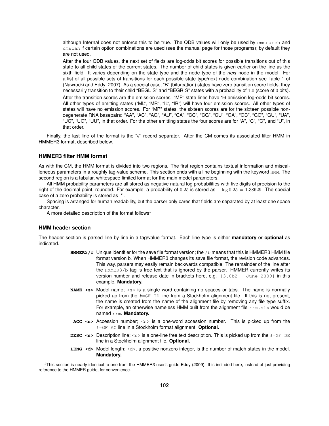although Infernal does not enforce this to be true. The QDB values will only be used by cmsearch and cmscan if certain option combinations are used (see the manual page for those programs); by default they are not used.

After the four QDB values, the next set of fields are log-odds bit scores for possible transitions out of this state to all child states of the current states. The number of child states is given earlier on the line as the sixth field. It varies depending on the state type and the node type of the *next* node in the model. For a list of all possible sets of transitions for each possible state type/next node combination see Table 1 of (Nawrocki and Eddy, 2007). As a special case, "B" (bifurcation) states have zero transition score fields, they necessarily transition to their child "BEGL\_S" and "BEGR\_S" states with a probability of 1.0 (score of 0 bits). After the transition scores are the emission scores. "MP" state lines have 16 emission log-odds bit scores. All other types of emitting states ("ML", "MR", "IL", "IR") will have four emission scores. All other types of states will have no emission scores. For "MP" states, the sixteen scores are for the sixteen possible nondegenerate RNA basepairs: "AA", "AC", "AG", "AU", "CA", "CC", "CG", "CU", "GA", "GC", "GG", "GU", "UA", "UC", "UG", "UU", in that order. For the other emitting states the four scores are for "A", "C", "G", and "U", in that order.

Finally, the last line of the format is the "//" record separator. After the CM comes its associated filter HMM in HMMER3 format, described below.

#### **HMMER3 filter HMM format**

As with the CM, the HMM format is divided into two regions. The first region contains textual information and miscalleneous parameters in a roughly tag-value scheme. This section ends with a line beginning with the keyword HMM. The second region is a tabular, whitespace-limited format for the main model parameters.

All HMM probability parameters are all stored as negative natural log probabilities with five digits of precision to the right of the decimal point, rounded. For example, a probability of  $0.25$  is stored as  $- \log 0.25 = 1.38629$ . The special case of a zero probability is stored as '\*'.

Spacing is arranged for human readability, but the parser only cares that fields are separated by at least one space character.

A more detailed description of the format follows<sup>‡</sup>.

#### **HMM header section**

The header section is parsed line by line in a tag/value format. Each line type is either **mandatory** or **optional** as indicated.

- **HMMER3/f** Unique identifier for the save file format version; the /b means that this is HMMER3 HMM file format version b. When HMMER3 changes its save file format, the revision code advances. This way, parsers may easily remain backwards compatible. The remainder of the line after the HMMER3/b tag is free text that is ignored by the parser. HMMER currently writes its version number and release date in brackets here, e.g. [3.0b2 | June 2009] in this example. **Mandatory.**
- **NAME <s>** Model name; <s> is a single word containing no spaces or tabs. The name is normally picked up from the #=GF ID line from a Stockholm alignment file. If this is not present, the name is created from the name of the alignment file by removing any file type suffix. For example, an otherwise nameless HMM built from the alignment file rrm.slx would be named rrm. **Mandatory.**
- ACC <s> Accession number; <s> is a one-word accession number. This is picked up from the #=GF AC line in a Stockholm format alignment. **Optional.**
- **DESC**  $\leq$  Description line;  $\leq$  is a one-line free text description. This is picked up from the  $#=\text{GF}$  DE line in a Stockholm alignment file. **Optional.**
- LENG <d> Model length; <d>, a positive nonzero integer, is the number of match states in the model. **Mandatory.**

<sup>‡</sup>This section is nearly identical to one from the HMMER3 user's guide Eddy (2009). It is included here, instead of just providing reference to the HMMER guide, for convenience.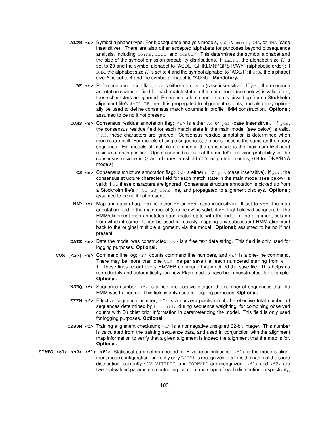- **ALPH <s>** Symbol alphabet type. For biosequence analysis models, <s> is amino, DNA, or RNA (case insensitive). There are also other accepted alphabets for purposes beyond biosequence analysis, including coins, dice, and custom. This determines the symbol alphabet and the size of the symbol emission probability distributions. If  $\alpha$ mino, the alphabet size K is set to 20 and the symbol alphabet to "ACDEFGHIKLMNPQRSTVWY" (alphabetic order); if DNA, the alphabet size K is set to 4 and the symbol alphabet to "ACGT"; if RNA, the alphabet size  $K$  is set to 4 and the symbol alphabet to "ACGU". **Mandatory.** 
	- **RF <s>** Reference annotation flag; <s> is either no or yes (case insensitive). If yes, the reference annotation character field for each match state in the main model (see below) is valid; if  $no$ , these characters are ignored. Reference column annotation is picked up from a Stockholm alignment file's  $#GCF$  RF line. It is propagated to alignment outputs, and also may optionally be used to define consensus match columns in profile HMM construction. **Optional**; assumed to be no if not present.
- **CONS <s>** Consensus residue annotation flag; <s> is either no or yes (case insensitive). If yes, the consensus residue field for each match state in the main model (see below) is valid. If no, these characters are ignored. Consensus residue annotation is determined when models are built. For models of single sequences, the consensus is the same as the query sequence. For models of multiple alignments, the consensus is the maximum likelihood residue at each position. Upper case indicates that the model's emission probability for the consensus residue is  $\ge$  an arbitrary threshold (0.5 for protein models, 0.9 for DNA/RNA models).
	- **CS <s>** Consensus structure annotation flag; <s> is either no or yes (case insensitive). If yes, the consensus structure character field for each match state in the main model (see below) is valid; if  $n \circ$  these characters are ignored. Consensus structure annotation is picked up from a Stockholm file's #=GC SS\_cons line, and propagated to alignment displays. **Optional**; assumed to be no if not present.
- **MAP <s>** Map annotation flag; <s> is either no or yes (case insensitive). If set to yes, the map annotation field in the main model (see below) is valid; if  $no$ , that field will be ignored. The HMM/alignment map annotates each match state with the index of the alignment column from which it came. It can be used for quickly mapping any subsequent HMM alignment back to the original multiple alignment, via the model. **Optional**; assumed to be no if not present.
- **DATE <s>** Date the model was constructed; <s> is a free text date string. This field is only used for logging purposes. **Optional.**
- **COM**  $\left[\langle \mathbf{x} \rangle \right]$   $\langle \mathbf{s} \rangle$  Command line log;  $\langle \mathbf{x} \rangle$  counts command line numbers, and  $\langle \mathbf{s} \rangle$  is a one-line command. There may be more than one com line per save file, each numbered starting from  $n =$ 1. These lines record every HMMER command that modified the save file. This helps us reproducibly and automatically log how Pfam models have been constructed, for example. **Optional.**
	- **NSEQ <d>** Sequence number; <d> is a nonzero positive integer, the number of sequences that the HMM was trained on. This field is only used for logging purposes. **Optional.**
	- **EFFN <f>** Effective sequence number; <f> is a nonzero positive real, the effective total number of sequences determined by hmmbuild during sequence weighting, for combining observed counts with Dirichlet prior information in parameterizing the model. This field is only used for logging purposes. **Optional.**
	- **CKSUM <d>** Training alignment checksum; <d> is a nonnegative unsigned 32-bit integer. This number is calculated from the training sequence data, and used in conjunction with the alignment map information to verify that a given alignment is indeed the alignment that the map is for. **Optional.**
- **STATS <s1> <s2> <f1> <f2>** Statistical parameters needed for E-value calculations. <s1> is the model's alignment mode configuration: currently only LOCAL is recognized. <s2> is the name of the score distribution: currently  $MSV$ ,  $VITERB1$ , and  $FORMARD$  are recognized.  $\langle f1 \rangle$  and  $\langle f2 \rangle$  are two real-valued parameters controlling location and slope of each distribution, respectively;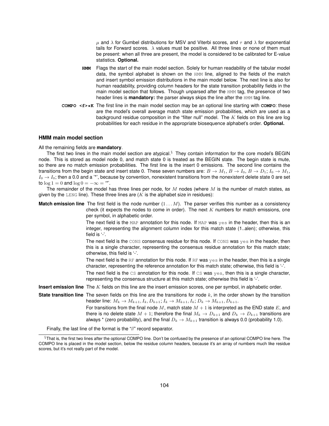$\mu$  and  $\lambda$  for Gumbel distributions for MSV and Viterbi scores, and  $\tau$  and  $\lambda$  for exponential tails for Forward scores.  $\lambda$  values must be positive. All three lines or none of them must be present: when all three are present, the model is considered to be calibrated for E-value statistics. **Optional.**

- **HMM** Flags the start of the main model section. Solely for human readability of the tabular model data, the symbol alphabet is shown on the HMM line, aligned to the fields of the match and insert symbol emission distributions in the main model below. The next line is also for human readability, providing column headers for the state transition probability fields in the main model section that follows. Though unparsed after the HMM tag, the presence of two header lines is **mandatory:** the parser always skips the line after the HMM tag line.
- **COMPO <f>\*K** The first line in the main model section may be an optional line starting with **COMPO**: these are the model's overall average match state emission probabilities, which are used as a background residue composition in the "filter null" model. The  $K$  fields on this line are log probabilities for each residue in the appropriate biosequence alphabet's order. **Optional.**

#### **HMM main model section**

All the remaining fields are **mandatory**.

The first two lines in the main model section are atypical.<sup>§</sup> They contain information for the core model's BEGIN node. This is stored as model node 0, and match state 0 is treated as the BEGIN state. The begin state is mute, so there are no match emission probabilities. The first line is the insert 0 emissions. The second line contains the transitions from the begin state and insert state 0. These seven numbers are:  $B \to M_1$ ,  $B \to I_0$ ,  $B \to D_1$ ;  $I_0 \to M_1$ ,  $I_0 \rightarrow I_0$ ; then a 0.0 and a '\*', because by convention, nonexistent transitions from the nonexistent delete state 0 are set to  $\log 1 = 0$  and  $\log 0 = -\infty =$  "\*".

The remainder of the model has three lines per node, for  $M$  nodes (where  $M$  is the number of match states, as given by the LENG line). These three lines are  $(K$  is the alphabet size in residues):

| <b>Match emission line</b> The first field is the node number $(1M)$ . The parser verifies this number as a consistency<br>check (it expects the nodes to come in order). The next $K$ numbers for match emissions, one<br>per symbol, in alphabetic order.                                                                     |
|---------------------------------------------------------------------------------------------------------------------------------------------------------------------------------------------------------------------------------------------------------------------------------------------------------------------------------|
| The next field is the MAP annotation for this node. If MAP was $yes$ in the header, then this is an<br>integer, representing the alignment column index for this match state (1alen); otherwise, this<br>field is $-$ .                                                                                                         |
| The next field is the CONS consensus residue for this node. If CONS was $yes$ in the header, then<br>this is a single character, representing the consensus residue annotation for this match state;<br>otherwise, this field is '-'.                                                                                           |
| The next field is the RF annotation for this node. If RF was yes in the header, then this is a single<br>character, representing the reference annotation for this match state; otherwise, this field is '-'.                                                                                                                   |
| The next field is the $cs$ annotation for this node. If $cs$ was $yes$ , then this is a single character,<br>representing the consensus structure at this match state; otherwise this field is '-'.                                                                                                                             |
| <b>Insert emission line</b> The K fields on this line are the insert emission scores, one per symbol, in alphabetic order.                                                                                                                                                                                                      |
| <b>State transition line</b> The seven fields on this line are the transitions for node $k$ , in the order shown by the transition<br>header line: $M_k \to M_{k+1}, I_k, D_{k+1}, I_k \to M_{k+1}, I_k, D_k \to M_{k+1}, D_{k+1}.$                                                                                             |
| For transitions from the final node M, match state $M+1$ is interpreted as the END state E, and<br>there is no delete state $M + 1$ ; therefore the final $M_k \to D_{k+1}$ and $D_k \to D_{k+1}$ transitions are<br>always $*$ (zero probability), and the final $D_k \to M_{k+1}$ transition is always 0.0 (probability 1.0). |

Finally, the last line of the format is the "//" record separator.

 $§$ That is, the first two lines after the optional COMPO line. Don't be confused by the presence of an optional COMPO line here. The COMPO line is placed in the model section, below the residue column headers, because it's an array of numbers much like residue scores, but it's not really part of the model.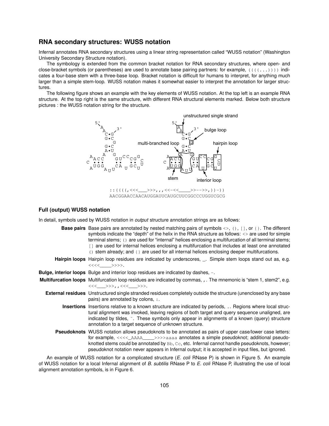# **RNA secondary structures: WUSS notation**

Infernal annotates RNA secondary structures using a linear string representation called "WUSS notation" (Washington University Secondary Structure notation).

The symbology is extended from the common bracket notation for RNA secondary structures, where open- and close-bracket symbols (or parentheses) are used to annotate base pairing partners: for example,  $(((1..))$ ) indicates a four-base stem with a three-base loop. Bracket notation is difficult for humans to interpret, for anything much larger than a simple stem-loop. WUSS notation makes it somewhat easier to interpret the annotation for larger structures.

The following figure shows an example with the key elements of WUSS notation. At the top left is an example RNA structure. At the top right is the same structure, with different RNA structural elements marked. Below both structure pictures : the WUSS notation string for the structure.



#### **Full (output) WUSS notation**

In detail, symbols used by WUSS notation in *output* structure annotation strings are as follows:

- **Base pairs** Base pairs are annotated by nested matching pairs of symbols <>, (), [], or { }. The different symbols indicate the "depth" of the helix in the RNA structure as follows:  $\langle \rangle$  are used for simple terminal stems; () are used for "internal" helices enclosing a multifurcation of all terminal stems; [1] are used for internal helices enclosing a multifurcation that includes at least one annotated () stem already; and {} are used for all internal helices enclosing deeper multifurcations.
- **Hairpin loops** Hairpin loop residues are indicated by underscores, \_. Simple stem loops stand out as, e.g. <<<<\_\_\_\_>>>>.
- **Bulge, interior loops** Bulge and interior loop residues are indicated by dashes, -.

**Multifurcation loops** Multifurcation loop residues are indicated by commas, , . The mnemonic is "stem 1, stem2", e.g. <<<\_\_\_>>>,,<<<\_\_\_>>>.

- **External residues** Unstructured single stranded residues completely outside the structure (unenclosed by any base pairs) are annotated by colons, :.
	- **Insertions** Insertions relative to a known structure are indicated by periods, .. Regions where local structural alignment was invoked, leaving regions of both target and query sequence unaligned, are indicated by tildes, ˜. These symbols only appear in alignments of a known (query) structure annotation to a target sequence of unknown structure.
	- **Pseudoknots** WUSS notation allows pseudoknots to be annotated as pairs of upper case/lower case letters: for example, <<<<\_\_ AAAA\_\_\_\_\_>>>>aaaa annotates a simple pseudoknot; additional pseudoknotted stems could be annotated by Bb, Cc, etc. Infernal cannot handle pseudoknots, however; pseudoknot notation never appears in Infernal output; it is accepted in input files, but ignored.

An example of WUSS notation for a complicated structure (*E. coli* RNase P) is shown in Figure 5. An example of WUSS notation for a local Infernal alignment of *B. subtilis* RNase P to *E. coli* RNase P, illustrating the use of local alignment annotation symbols, is in Figure 6.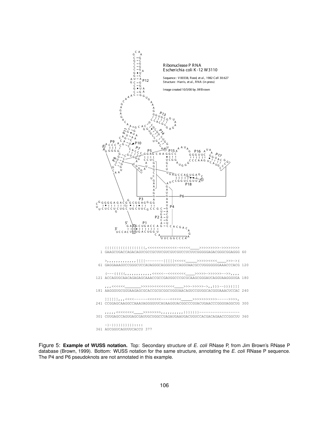

Figure 5: **Example of WUSS notation.** Top: Secondary structure of *E. coli* RNase P, from Jim Brown's RNase P database (Brown, 1999). Bottom: WUSS notation for the same structure, annotating the *E. coli* RNase P sequence. The P4 and P6 pseudoknots are not annotated in this example.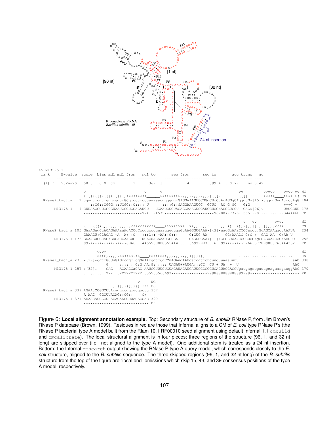

Figure 6: **Local alignment annotation example.** Top: Secondary structure of *B. subtilis* RNase P, from Jim Brown's RNase P database (Brown, 1999). Residues in red are those that Infernal aligns to a CM of *E. coli* type RNase P's (the RNase P bacterial type A model built from the Rfam 10.1 RF00010 seed alignment using default Infernal 1.1 cmbuild and cmcalibrate). The local structural alignment is in four pieces; three regions of the structure (96, 1, and 32 nt long) are skipped over (i.e. not aligned to the type A model). One additional stem is treated as a 24 nt insertion. Bottom: the Infernal cmsearch output showing the RNase P type A query model, which corresponds closely to the *E. coli* structure, aligned to the *B. subtilis* sequence. The three skipped regions (96, 1, and 32 nt long) of the *B. subtilis* structure from the top of the figure are "local end" emissions which skip 15, 43, and 39 consensus positions of the type A model, respectively.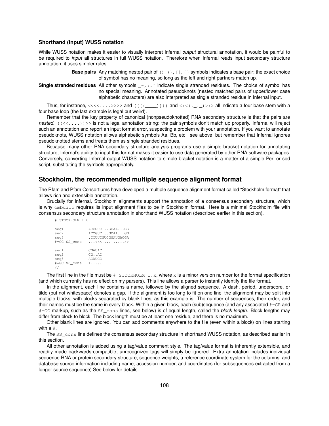### **Shorthand (input) WUSS notation**

While WUSS notation makes it easier to visually interpret Infernal *output* structural annotation, it would be painful to be required to *input* all structures in full WUSS notation. Therefore when Infernal reads input secondary structure annotation, it uses simpler rules:

> **Base pairs** Any matching nested pair of (), (), [], {} symbols indicates a base pair; the exact choice of symbol has no meaning, so long as the left and right partners match up.

**Single stranded residues** All other symbols \_-,:. ~ indicate single stranded residues. The choice of symbol has no special meaning. Annotated pseudoknots (nested matched pairs of upper/lower case alphabetic characters) are also interpreted as single stranded residue in Infernal input.

Thus, for instance, <<<<....>>>> and ((((\_\_\_)))) and < (<(.\_.\_)>)> all indicate a four base stem with a four base loop (the last example is legal but weird).

Remember that the key property of canonical (nonpseudoknotted) RNA secondary structure is that the pairs are *nested.*  $((\langle\cdot,\ldots\rangle)>)$  is not a legal annotation string: the pair symbols don't match up properly. Infernal will reject such an annotation and report an input format error, suspecting a problem with your annotation. If you want to annotate pseudoknots, WUSS notation allows alphabetic symbols Aa, Bb, etc. see above; but remember that Infernal ignores pseudoknotted stems and treats them as single stranded residues.

Because many other RNA secondary structure analysis programs use a simple bracket notation for annotating structure, Infernal's ability to input this format makes it easier to use data generated by other RNA software packages. Conversely, converting Infernal output WUSS notation to simple bracket notation is a matter of a simple Perl or sed script, substituting the symbols appropriately.

## **Stockholm, the recommended multiple sequence alignment format**

The Rfam and Pfam Consortiums have developed a multiple sequence alignment format called "Stockholm format" that allows rich and extensible annotation.

Crucially for Infernal, Stockholm alignments support the annotation of a consensus secondary structure, which is why embuild requires its input alignment files to be in Stockholm format. Here is a minimal Stockholm file with consensus secondary structure annotation in shorthand WUSS notation (described earlier in this section).

# STOCKHOLM 1.0

| seq1<br>seq2<br>seq3               | #=GC SS cons | ACCGUCGCAAGG<br>ACCGUCGCAAGG<br>.CCUUCGUCGGAUGACGA<br>. <<< >> |
|------------------------------------|--------------|----------------------------------------------------------------|
| seq1<br>seq2<br>seq3<br>$\prime$ / | #=GC SS cons | CGAUAC<br>CG. . AC<br><b>ACAUCC</b><br>$>$ .                   |

The first line in the file must be  $#$  STOCKHOLM 1.x, where x is a minor version number for the format specification (and which currently has no effect on my parsers). This line allows a parser to instantly identify the file format.

In the alignment, each line contains a name, followed by the aligned sequence. A dash, period, underscore, or tilde (but not whitespace) denotes a gap. If the alignment is too long to fit on one line, the alignment may be split into multiple blocks, with blocks separated by blank lines, as this example is. The number of sequences, their order, and their names must be the same in every block. Within a given block, each (sub)sequence (and any associated #=GR and #=GC markup, such as the SS\_cons lines, see below) is of equal length, called the *block length*. Block lengths may differ from block to block. The block length must be at least one residue, and there is no maximum.

Other blank lines are ignored. You can add comments anywhere to the file (even within a block) on lines starting with a #.

The SS\_cons line defines the consensus secondary structure in shorthand WUSS notation, as described earlier in this section.

All other annotation is added using a tag/value comment style. The tag/value format is inherently extensible, and readily made backwards-compatible; unrecognized tags will simply be ignored. Extra annotation includes individual sequence RNA or protein secondary structure, sequence weights, a reference coordinate system for the columns, and database source information including name, accession number, and coordinates (for subsequences extracted from a longer source sequence) See below for details.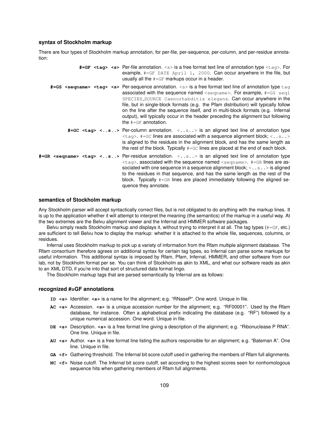#### **syntax of Stockholm markup**

There are four types of Stockholm markup annotation, for per-file, per-sequence, per-column, and per-residue annotation:

| #=GF <tag> <s> Per-file annotation. <s> is a free format text line of annotation type <tag>. For<br/>example, <math>\#=\mathbb{G}F</math> DATE April 1, 2000. Can occur anywhere in the file, but<br/>usually all the <math>#=GF</math> markups occur in a header.</tag></s></s></tag>                                                                                                                                                                                                                                                                                                                                                                                  |
|-------------------------------------------------------------------------------------------------------------------------------------------------------------------------------------------------------------------------------------------------------------------------------------------------------------------------------------------------------------------------------------------------------------------------------------------------------------------------------------------------------------------------------------------------------------------------------------------------------------------------------------------------------------------------|
| $\#=\text{GS}$ <sequame> <tag> <s> Per-sequence annotation. <s> is a free format text line of annotation type <math>\tan</math><br/>associated with the sequence named <math>\langle</math> sequame&gt;. For example, <math># = GS \text{ seq1}</math><br/>SPECIES_SOURCE Caenorhabditis elegans. Can occur anywhere in the<br/>file, but in single-block formats (e.g. the Pfam distribution) will typically follow<br/>on the line after the sequence itself, and in multi-block formats (e.g. Infernal<br/>output), will typically occur in the header preceding the alignment but following<br/>the <math>\#=\mathbb{G}F</math> annotation.</s></s></tag></sequame> |
| #=GC <tag> <s> Per-column annotation. <s> is an aligned text line of annotation type<br/><math>\langle \text{tag} \rangle</math>. #=GC lines are associated with a sequence alignment block; <math>\langle \ldots \rangle</math>.<br/>is aligned to the residues in the alignment block, and has the same length as<br/>the rest of the block. Typically <math># = G \subset \mathbb{C}</math> lines are placed at the end of each block.</s></s></tag>                                                                                                                                                                                                                 |
| #=GR <seqname> <tag> <s> Per-residue annotation. <s> is an aligned text line of annotation type<br/><math>\langle \text{tag} \rangle</math>, associated with the sequence named <math>\langle \text{segment} \rangle</math>. #=GR lines are as-<br/>sociated with one sequence in a sequence alignment block; <math>\langle \cdot, s \cdot \cdot \cdot \rangle</math> is aligned<br/>to the residues in that sequence, and has the same length as the rest of the<br/>block. Typically <math>#=GR</math> lines are placed immediately following the aligned se-<br/>quence they annotate.</s></s></tag></seqname>                                                       |

#### **semantics of Stockholm markup**

Any Stockholm parser will accept syntactically correct files, but is not obligated to do anything with the markup lines. It is up to the application whether it will attempt to interpret the meaning (the semantics) of the markup in a useful way. At the two extremes are the Belvu alignment viewer and the Infernal and HMMER software packages.

Belvu simply reads Stockholm markup and displays it, without trying to interpret it at all. The tag types (#=GF, etc.) are sufficient to tell Belvu how to display the markup: whether it is attached to the whole file, sequences, columns, or residues.

Infernal uses Stockholm markup to pick up a variety of information from the Rfam multiple alignment database. The Rfam consortium therefore agrees on additional syntax for certain tag types, so Infernal can parse some markups for useful information. This additional syntax is imposed by Rfam, Pfam, Infernal, HMMER, and other software from our lab, not by Stockholm format per se. You can think of Stockholm as akin to XML, and what our software reads as akin to an XML DTD, if you're into that sort of structured data format lingo.

The Stockholm markup tags that are parsed semantically by Infernal are as follows:

#### **recognized #=GF annotations**

- **ID <s>** Identifier. **<s>** is a name for the alignment; e.g. "RNaseP". One word. Unique in file.
- **AC <s>** Accession. **<s>** is a unique accession number for the alignment; e.g. "RF00001". Used by the Rfam database, for instance. Often a alphabetical prefix indicating the database (e.g. "RF") followed by a unique numerical accession. One word. Unique in file.
- **DE <s>** Description. **<s>** is a free format line giving a description of the alignment; e.g. "Ribonuclease P RNA". One line. Unique in file.
- **AU <s>** Author. **<s>** is a free format line listing the authors responsible for an alignment; e.g. "Bateman A". One line. Unique in file.
- **GA <f>** Gathering threshold. The Infernal bit score cutoff used in gathering the members of Rfam full alignments.
- **NC <f>** Noise cutoff. The Infernal bit score cutoff, set according to the highest scores seen for nonhomologous sequence hits when gathering members of Rfam full alignments.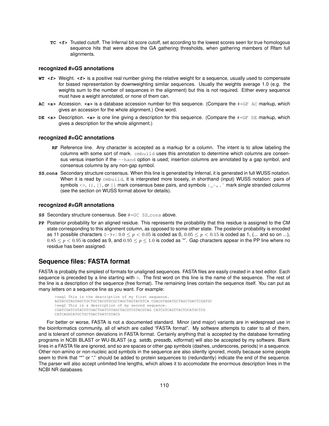**TC <f>** Trusted cutoff. The Infernal bit score cutoff, set according to the lowest scores seen for true homologous sequence hits that were above the GA gathering thresholds, when gathering members of Rfam full alignments.

#### **recognized #=GS annotations**

- **WT <f>** Weight. **<f>** is a positive real number giving the relative weight for a sequence, usually used to compensate for biased representation by downweighting similar sequences. Usually the weights average 1.0 (e.g. the weights sum to the number of sequences in the alignment) but this is not required. Either every sequence must have a weight annotated, or none of them can.
- **AC <s>** Accession. **<s>** is a database accession number for this sequence. (Compare the #=GF AC markup, which gives an accession for the whole alignment.) One word.
- **DE <s>** Description. **<s>** is one line giving a description for this sequence. (Compare the #=GF DE markup, which gives a description for the whole alignment.)

#### **recognized #=GC annotations**

- **RF** Reference line. Any character is accepted as a markup for a column. The intent is to allow labeling the columns with some sort of mark. cmbuild uses this annotation to determine which columns are consensus versus insertion if the  $-\text{hand}$  option is used; insertion columns are annotated by a gap symbol, and consensus columns by any non-gap symbol.
- **SS cons** Secondary structure consensus. When this line is generated by Infernal, it is generated in full WUSS notation. When it is read by embuild, it is interpreted more loosely, in shorthand (input) WUSS notation: pairs of symbols  $\langle \rangle$ , (), [], or [] mark consensus base pairs, and symbols : $\frac{1}{2}$ ,  $\sim$  mark single stranded columns (see the section on WUSS format above for details).

#### **recognized #=GR annotations**

- **SS** Secondary structure consensus. See #=GC SS\_cons above.
- **PP** Posterior probability for an aligned residue. This represents the probability that this residue is assigned to the CM state corresponding to this alignment column, as opposed to some other state. The posterior probability is encoded as 11 possible characters  $0-9*: 0.0 \le p < 0.05$  is coded as 0,  $0.05 \le p < 0.15$  is coded as 1, (... and so on ...),  $0.85 \le p < 0.95$  is coded as 9, and  $0.95 \le p \le 1.0$  is coded as '\*'. Gap characters appear in the PP line where no residue has been assigned.

## **Sequence files: FASTA format**

FASTA is probably the simplest of formats for unaligned sequences. FASTA files are easily created in a text editor. Each sequence is preceded by a line starting with >. The first word on this line is the name of the sequence. The rest of the line is a description of the sequence (free format). The remaining lines contain the sequence itself. You can put as many letters on a sequence line as you want. For example:

```
>seq1 This is the description of my first sequence.
AGTACGTAGTAGCTGCTGCTACGTGCGCTAGCTAGTACGTCA CGACGTAGATGCTAGCTGACTCGATGC
>seq2 This is a description of my second sequence.
CGATCGATCGTACGTCGACTGATCGTAGCTACGTCGTACGTAG CATCGTCAGTTACTGCATGCTCG
CATCAGGCATGCTGCTGACTGATCGTACG
```
For better or worse, FASTA is not a documented standard. Minor (and major) variants are in widespread use in the bioinformatics community, all of which are called "FASTA format". My software attempts to cater to all of them, and is tolerant of common deviations in FASTA format. Certainly anything that is accepted by the database formatting programs in NCBI BLAST or WU-BLAST (e.g. setdb, pressdb, xdformat) will also be accepted by my software. Blank lines in a FASTA file are ignored, and so are spaces or other gap symbols (dashes, underscores, periods) in a sequence. Other non-amino or non-nucleic acid symbols in the sequence are also silently ignored, mostly because some people seem to think that "\*" or "." should be added to protein sequences to (redundantly) indicate the end of the sequence. The parser will also accept unlimited line lengths, which allows it to accomodate the enormous description lines in the NCBI NR databases.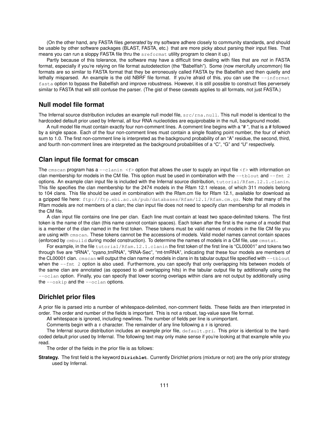(On the other hand, any FASTA files *generated* by my software adhere closely to community standards, and should be usable by other software packages (BLAST, FASTA, etc.) that are more picky about parsing their input files. That means you can run a sloppy FASTA file thru the sreformat utility program to clean it up.)

Partly because of this tolerance, the software may have a difficult time dealing with files that are *not* in FASTA format, especially if you're relying on file format autodetection (the "Babelfish"). Some (now mercifully uncommon) file formats are so similar to FASTA format that they be erroneously called FASTA by the Babelfish and then quietly and lethally misparsed. An example is the old NBRF file format. If you're afraid of this, you can use the  $-$ informat fasta option to bypass the Babelfish and improve robustness. However, it is still possible to construct files perversely similar to FASTA that will still confuse the parser. (The gist of these caveats applies to all formats, not just FASTA.)

## **Null model file format**

The Infernal source distribution includes an example null model file,  $src/rna$ .null. This null model is identical to the hardcoded default prior used by Infernal, all four RNA nucleotides are equiprobable in the null, background model.

A null model file must contain exactly four non-comment lines. A comment line begins with a "# ", that is a # followed by a single space. Each of the four non-comment lines must contain a single floating point number, the four of which sum to 1.0. The first non-comment line is interpreted as the background probability of an "A" residue, the second, third, and fourth non-comment lines are interpreted as the background probabilities of a "C", "G" and "U" respectively.

## **Clan input file format for cmscan**

The cmscan program has a  $--$ clanin  $\leq f$  option that allows the user to supply an input file  $\leq f$  with information on clan membership for models in the CM file. This option must be used in combination with the  $-$ tblout and  $-$ fmt 2 options. An example clan input file is included with the Infernal source distribution, tutorial/Rfam.12.1.clanin. This file specifies the clan membership for the 2474 models in the Rfam 12.1 release, of which 311 models belong to 104 clans. This file should be used in combination with the Rfam.cm file for Rfam 12.1, available for download as a gzipped file here: ftp://ftp.ebi.ac.uk/pub/databases/Rfam/12.1/Rfam.cm.gz. Note that many of the Rfam models are not members of a clan; the clan input file does not need to specify clan membership for all models in the CM file.

A clan input file contains one line per clan. Each line must contain at least two space-delimited tokens. The first token is the name of the clan (this name cannot contain spaces). Each token after the first is the name of a model that is a member of the clan named in the first token. These tokens must be valid names of models in the file CM file you are using with cmscan. These tokens cannot be the accessions of models. Valid model names cannot contain spaces (enforced by cmbuild during model construction). To determine the names of models in a CM file, use cmstat.

For example, in the file tutorial/Rfam.12.1.clanin the first token of the first line is "CL00001" and tokens two through five are "tRNA", "cyano tmRNA", "tRNA-Sec", "mt-tmRNA", indicating that these four models are members of the CL00001 clan. cmscan will output the clan name of models in clans in its tabular output file specified with --tblout when the  $-\text{fmt}$  2 option is also used. Furthermore, you can specify that only overlapping hits between models of the same clan are annotated (as opposed to all overlapping hits) in the tabular output file by additionally using the --oclan option. Finally, you can specify that lower scoring overlaps within clans are not output by additionally using the  $-\text{oskip}$  and the  $-\text{oclan}$  options.

## **Dirichlet prior files**

A prior file is parsed into a number of whitespace-delimited, non-comment fields. These fields are then interpreted in order. The order and number of the fields is important. This is not a robust, tag-value save file format.

All whitespace is ignored, including newlines. The number of fields per line is unimportant.

Comments begin with a  $#$  character. The remainder of any line following a  $#$  is ignored.

The Infernal source distribution includes an example prior file, default.pri. This prior is identical to the hardcoded default prior used by Infernal. The following text may only make sense if you're looking at that example while you read.

The order of the fields in the prior file is as follows:

**Strategy.** The first field is the keyword **Dirichlet**. Currently Dirichlet priors (mixture or not) are the only prior strategy used by Infernal.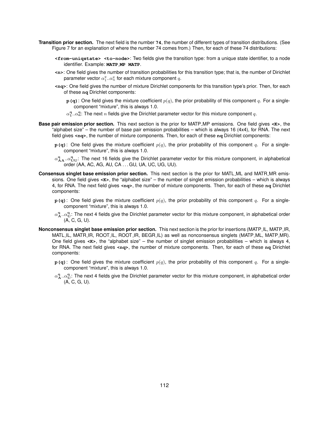- **Transition prior section.** The next field is the number **74**, the number of different types of transition distributions. (See Figure 7 for an explanation of where the number 74 comes from.) Then, for each of these 74 distributions:
	- **<from-uniqstate> <to-node>**: Two fields give the transition type: from a unique state identifier, to a node identifier. Example: **MATP MP MATP**.
	- **<n>**: One field gives the number of transition probabilities for this transition type; that is, the number of Dirichlet parameter vector  $\alpha_1^q..\alpha_n^q$  for each mixture component  $q.$
	- **<nq>**: One field gives the number of mixture Dirichlet components for this transition type's prior. Then, for each of these **nq** Dirichlet components:
		- **p(q)**: One field gives the mixture coefficient  $p(q)$ , the prior probability of this component q. For a singlecomponent "mixture", this is always 1.0.
		- $\alpha^{\bf q}_1..\alpha^{\bf q}_n$ : The next  $n$  fields give the Dirichlet parameter vector for this mixture component  $q.$
- **Base pair emission prior section.** This next section is the prior for MATP MP emissions. One field gives **<K>**, the "alphabet size" – the number of base pair emission probabilities – which is always 16 (4x4), for RNA. The next field gives **<nq>**, the number of mixture components. Then, for each of these **nq** Dirichlet components:
	- **p(q)**: One field gives the mixture coefficient  $p(q)$ , the prior probability of this component q. For a singlecomponent "mixture", this is always 1.0.
	- $\alpha^q_{AA}$ .. $\alpha^q_{UU}$ : The next 16 fields give the Dirichlet parameter vector for this mixture component, in alphabetical order (AA, AC, AG, AU, CA . . . GU, UA, UC, UG, UU).
- **Consensus singlet base emission prior section.** This next section is the prior for MATL\_ML and MATR\_MR emissions. One field gives **<K>**, the "alphabet size" – the number of singlet emission probabilities – which is always 4, for RNA. The next field gives **<nq>**, the number of mixture components. Then, for each of these **nq** Dirichlet components:
	- **p(q)**: One field gives the mixture coefficient  $p(q)$ , the prior probability of this component q. For a singlecomponent "mixture", this is always 1.0.
	- $\alpha^q_{\bf A}.\alpha^q_{\bf U}$ : The next 4 fields give the Dirichlet parameter vector for this mixture component, in alphabetical order (A, C, G, U).
- **Nonconsensus singlet base emission prior section.** This next section is the prior for insertions (MATP IL, MATP IR, MATL\_IL, MATR\_IR, ROOT\_IL, ROOT\_IR, BEGR\_IL) as well as nonconsensus singlets (MATP\_ML, MATP\_MR). One field gives **<K>**, the "alphabet size" – the number of singlet emission probabilities – which is always 4, for RNA. The next field gives **<nq>**, the number of mixture components. Then, for each of these **nq** Dirichlet components:
	- **p(q)**: One field gives the mixture coefficient  $p(q)$ , the prior probability of this component q. For a singlecomponent "mixture", this is always 1.0.
	- $\alpha^q_{\bf A}.\alpha^q_{\bf U}$ : The next 4 fields give the Dirichlet parameter vector for this mixture component, in alphabetical order (A, C, G, U).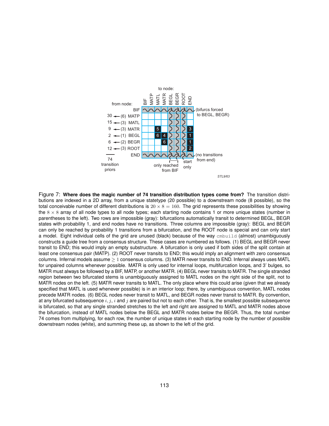

Figure 7: **Where does the magic number of 74 transition distribution types come from?** The transition distributions are indexed in a 2D array, from a unique statetype (20 possible) to a downstream node (8 possible), so the total conceivable number of different distributions is  $20 \times 8 = 160$ . The grid represents these possibilities by showing the  $8 \times 8$  array of all node types to all node types; each starting node contains 1 or more unique states (number in parentheses to the left). Two rows are impossible (gray): bifurcations automatically transit to determined BEGL, BEGR states with probability 1, and end nodes have no transitions. Three columns are impossible (gray): BEGL and BEGR can only be reached by probability 1 transitions from a bifurcation, and the ROOT node is special and can only start a model. Eight individual cells of the grid are unused (black) because of the way embuild (almost) unambiguously constructs a guide tree from a consensus structure. These cases are numbered as follows. (1) BEGL and BEGR never transit to END; this would imply an empty substructure. A bifurcation is only used if both sides of the split contain at least one consensus pair (MATP). (2) ROOT never transits to END; this would imply an alignment with zero consensus columns. Infernal models assume  $\geq 1$  consensus columns. (3) MATR never transits to END. Infernal always uses MATL for unpaired columns whenever possible. MATR is only used for internal loops, multifurcation loops, and 3' bulges, so MATR must always be followed by a BIF, MATP, or another MATR. (4) BEGL never transits to MATR. The single stranded region between two bifurcated stems is unambiguously assigned to MATL nodes on the right side of the split, not to MATR nodes on the left. (5) MATR never transits to MATL. The only place where this could arise (given that we already specified that MATL is used whenever possible) is in an interior loop; there, by unambiguous convention, MATL nodes precede MATR nodes. (6) BEGL nodes never transit to MATL, and BEGR nodes never transit to MATR. By convention, at any bifurcated subsequence i, j, i and j are paired but not to each other. That is, the smallest possible subsequence is bifurcated, so that any single stranded stretches to the left and right are assigned to MATL and MATR nodes above the bifurcation, instead of MATL nodes below the BEGL and MATR nodes below the BEGR. Thus, the total number 74 comes from multiplying, for each row, the number of unique states in each starting node by the number of possible downstream nodes (white), and summing these up, as shown to the left of the grid.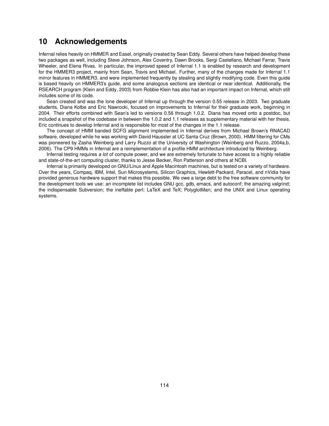# **10 Acknowledgements**

Infernal relies heavily on HMMER and Easel, originally created by Sean Eddy. Several others have helped develop these two packages as well, including Steve Johnson, Alex Coventry, Dawn Brooks, Sergi Castellano, Michael Farrar, Travis Wheeler, and Elena Rivas. In particular, the improved speed of Infernal 1.1 is enabled by research and development for the HMMER3 project, mainly from Sean, Travis and Michael. Further, many of the changes made for Infernal 1.1 mirror features in HMMER3, and were implemented frequently by stealing and slightly modifying code. Even this guide is based heavily on HMMER3's guide, and some analogous sections are identical or near identical. Additionally, the RSEARCH program (Klein and Eddy, 2003) from Robbie Klein has also had an important impact on Infernal, which still includes some of its code.

Sean created and was the lone developer of Infernal up through the version 0.55 release in 2003. Two graduate students, Diana Kolbe and Eric Nawrocki, focused on improvements to Infernal for their graduate work, beginning in 2004. Their efforts combined with Sean's led to versions 0.56 through 1.0.2. Diana has moved onto a postdoc, but included a snapshot of the codebase in between the 1.0.2 and 1.1 releases as supplementary material with her thesis. Eric continues to develop Infernal and is responsible for most of the changes in the 1.1 release.

The concept of HMM banded SCFG alignment implemented in Infernal derives from Michael Brown's RNACAD software, developed while he was working with David Haussler at UC Santa Cruz (Brown, 2000). HMM filtering for CMs was pioneered by Zasha Weinberg and Larry Ruzzo at the University of Washington (Weinberg and Ruzzo, 2004a,b, 2006). The CP9 HMMs in Infernal are a reimplementation of a profile HMM architecture introduced by Weinberg.

Infernal testing requires *a lot* of compute power, and we are extremely fortunate to have access to a highly reliable and state-of-the-art computing cluster, thanks to Jesse Becker, Ron Patterson and others at NCBI.

Infernal is primarily developed on GNU/Linux and Apple Macintosh machines, but is tested on a variety of hardware. Over the years, Compaq, IBM, Intel, Sun Microsystems, Silicon Graphics, Hewlett-Packard, Paracel, and nVidia have provided generous hardware support that makes this possible. We owe a large debt to the free software community for the development tools we use: an incomplete list includes GNU gcc, gdb, emacs, and autoconf; the amazing valgrind; the indispensable Subversion; the ineffable perl; LaTeX and TeX; PolyglotMan; and the UNIX and Linux operating systems.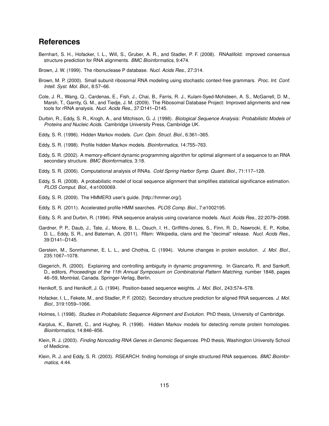## **References**

- Bernhart, S. H., Hofacker, I. L., Will, S., Gruber, A. R., and Stadler, P. F. (2008). RNAalifold: improved consensus structure prediction for RNA alignments. *BMC Bioinformatics*, 9:474.
- Brown, J. W. (1999). The ribonuclease P database. *Nucl. Acids Res.*, 27:314.
- Brown, M. P. (2000). Small subunit ribosomal RNA modeling using stochastic context-free grammars. *Proc. Int. Conf. Intell. Syst. Mol. Biol.*, 8:57–66.
- Cole, J. R., Wang, Q., Cardenas, E., Fish, J., Chai, B., Farris, R. J., Kulam-Syed-Mohideen, A. S., McGarrell, D. M., Marsh, T., Garrity, G. M., and Tiedje, J. M. (2009). The Ribosomal Database Project: Improved alignments and new tools for rRNA analysis. *Nucl. Acids Res.*, 37:D141–D145.
- Durbin, R., Eddy, S. R., Krogh, A., and Mitchison, G. J. (1998). *Biological Sequence Analysis: Probabilistic Models of Proteins and Nucleic Acids*. Cambridge University Press, Cambridge UK.
- Eddy, S. R. (1996). Hidden Markov models. *Curr. Opin. Struct. Biol.*, 6:361–365.
- Eddy, S. R. (1998). Profile hidden Markov models. *Bioinformatics*, 14:755–763.
- Eddy, S. R. (2002). A memory-efficient dynamic programming algorithm for optimal alignment of a sequence to an RNA secondary structure. *BMC Bioinformatics*, 3:18.
- Eddy, S. R. (2006). Computational analysis of RNAs. *Cold Spring Harbor Symp. Quant. Biol.*, 71:117–128.
- Eddy, S. R. (2008). A probabilistic model of local sequence alignment that simplifies statistical significance estimation. *PLOS Comput. Biol.*, 4:e1000069.
- Eddy, S. R. (2009). The HMMER3 user's guide. [http://hmmer.org/].
- Eddy, S. R. (2011). Accelerated profile HMM searches. *PLOS Comp. Biol.*, 7:e1002195.
- Eddy, S. R. and Durbin, R. (1994). RNA sequence analysis using covariance models. *Nucl. Acids Res.*, 22:2079–2088.
- Gardner, P. P., Daub, J., Tate, J., Moore, B. L., Osuch, I. H., Griffiths-Jones, S., Finn, R. D., Nawrocki, E. P., Kolbe, D. L., Eddy, S. R., and Bateman, A. (2011). Rfam: Wikipedia, clans and the "decimal" release. *Nucl. Acids Res.*, 39:D141–D145.
- Gerstein, M., Sonnhammer, E. L. L., and Chothia, C. (1994). Volume changes in protein evolution. *J. Mol. Biol.*, 235:1067–1078.
- Giegerich, R. (2000). Explaining and controlling ambiguity in dynamic programming. In Giancarlo, R. and Sankoff, D., editors, *Proceedings of the 11th Annual Symposium on Combinatorial Pattern Matching*, number 1848, pages 46–59, Montréal, Canada. Springer-Verlag, Berlin.
- Henikoff, S. and Henikoff, J. G. (1994). Position-based sequence weights. *J. Mol. Biol.*, 243:574–578.
- Hofacker, I. L., Fekete, M., and Stadler, P. F. (2002). Secondary structure prediction for aligned RNA sequences. *J. Mol. Biol.*, 319:1059–1066.
- Holmes, I. (1998). *Studies in Probabilistic Sequence Alignment and Evolution*. PhD thesis, University of Cambridge.
- Karplus, K., Barrett, C., and Hughey, R. (1998). Hidden Markov models for detecting remote protein homologies. *Bioinformatics*, 14:846–856.
- Klein, R. J. (2003). *Finding Noncoding RNA Genes in Genomic Sequences*. PhD thesis, Washington University School of Medicine.
- Klein, R. J. and Eddy, S. R. (2003). RSEARCH: finding homologs of single structured RNA sequences. *BMC Bioinformatics*, 4:44.